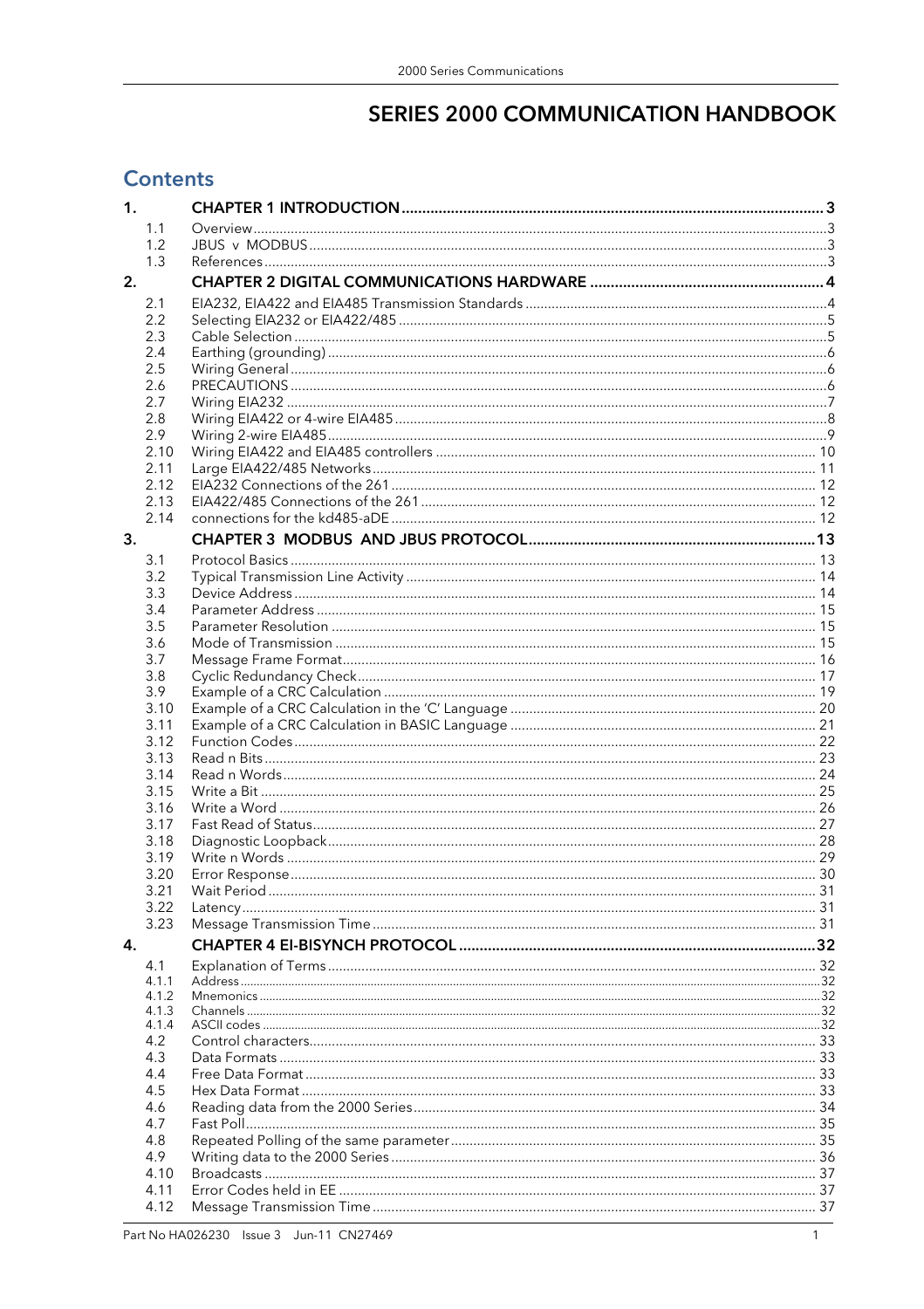# **SERIES 2000 COMMUNICATION HANDBOOK**

# **Contents**

| 1. |                |             |  |
|----|----------------|-------------|--|
|    | 1.1            |             |  |
|    | 1.2            |             |  |
|    | 1.3            |             |  |
| 2. |                |             |  |
|    | 2.1            |             |  |
|    |                |             |  |
|    | 2.2<br>2.3     |             |  |
|    | 2.4            |             |  |
|    | 2.5            |             |  |
|    | 2.6            |             |  |
|    | 2.7            |             |  |
|    | 2.8            |             |  |
|    | 2.9            |             |  |
|    | 2.10           |             |  |
|    | 2.11           |             |  |
|    | 2.12           |             |  |
|    | 2.13           |             |  |
|    | 2.14           |             |  |
| 3. |                |             |  |
|    | 3.1            |             |  |
|    | 3.2            |             |  |
|    | 3.3            |             |  |
|    | 3.4            |             |  |
|    | 3.5            |             |  |
|    | 3.6            |             |  |
|    | 3.7            |             |  |
|    | 3.8            |             |  |
|    | 3.9            |             |  |
|    | 3.10           |             |  |
|    | 3.11           |             |  |
|    | 3.12           |             |  |
|    | 3.13           |             |  |
|    | 3.14           |             |  |
|    | 3.15           |             |  |
|    | 3.16           |             |  |
|    | 3.17           |             |  |
|    | 3.18           |             |  |
|    | 3.19<br>3.20   |             |  |
|    | 3.21           | Wait Period |  |
|    | 3.22           |             |  |
|    | 3.23           |             |  |
| 4. |                |             |  |
|    |                |             |  |
|    | 4.1            |             |  |
|    | 4.1.1<br>4.1.2 |             |  |
|    | 4.1.3          |             |  |
|    | 4.1.4          |             |  |
|    | 4.2            |             |  |
|    | 4.3            |             |  |
|    | 4.4            |             |  |
|    | 4.5            |             |  |
|    | 4.6            |             |  |
|    | 4.7            |             |  |
|    | 4.8            |             |  |
|    | 4.9            |             |  |
|    | 4.10           |             |  |
|    | 4.11           |             |  |
|    | 4.12           |             |  |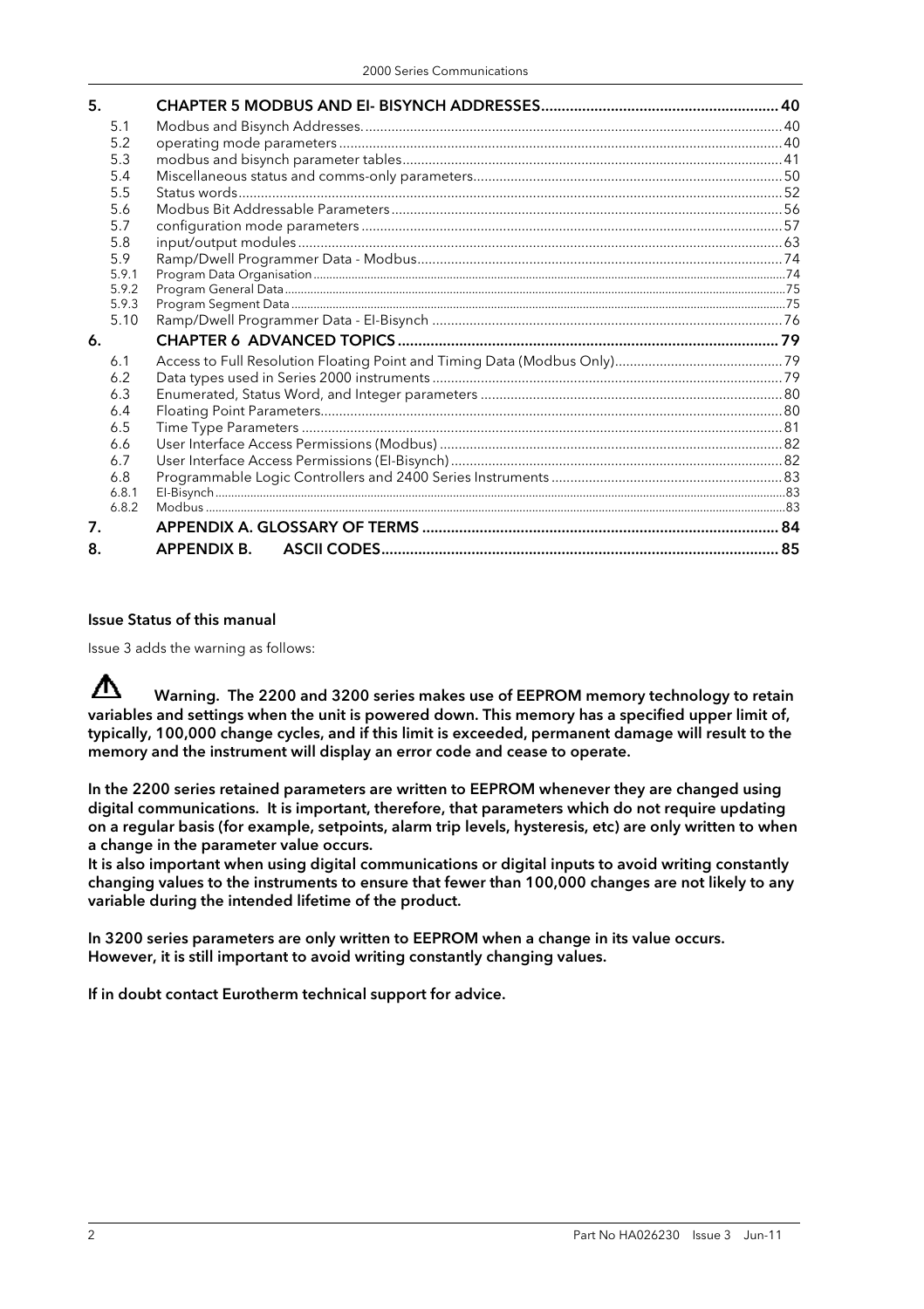| 5.    |             |  |
|-------|-------------|--|
| 5.1   |             |  |
| 5.2   |             |  |
| 5.3   |             |  |
| 5.4   |             |  |
| 5.5   |             |  |
| 5.6   |             |  |
| 5.7   |             |  |
| 5.8   |             |  |
| 5.9   |             |  |
| 5.9.1 |             |  |
| 5.9.2 |             |  |
| 5.9.3 |             |  |
| 5.10  |             |  |
| 6.    |             |  |
| 6.1   |             |  |
| 6.2   |             |  |
| 6.3   |             |  |
| 6.4   |             |  |
| 6.5   |             |  |
| 6.6   |             |  |
| 6.7   |             |  |
| 6.8   |             |  |
| 6.8.1 |             |  |
| 6.8.2 |             |  |
| 7.    |             |  |
| 8.    | APPENDIX B. |  |

#### Issue Status of this manual

Issue 3 adds the warning as follows:

∧ Warning. The 2200 and 3200 series makes use of EEPROM memory technology to retain variables and settings when the unit is powered down. This memory has a specified upper limit of, typically, 100,000 change cycles, and if this limit is exceeded, permanent damage will result to the memory and the instrument will display an error code and cease to operate.

In the 2200 series retained parameters are written to EEPROM whenever they are changed using digital communications. It is important, therefore, that parameters which do not require updating on a regular basis (for example, setpoints, alarm trip levels, hysteresis, etc) are only written to when a change in the parameter value occurs.

It is also important when using digital communications or digital inputs to avoid writing constantly changing values to the instruments to ensure that fewer than 100,000 changes are not likely to any variable during the intended lifetime of the product.

In 3200 series parameters are only written to EEPROM when a change in its value occurs. However, it is still important to avoid writing constantly changing values.

If in doubt contact Eurotherm technical support for advice.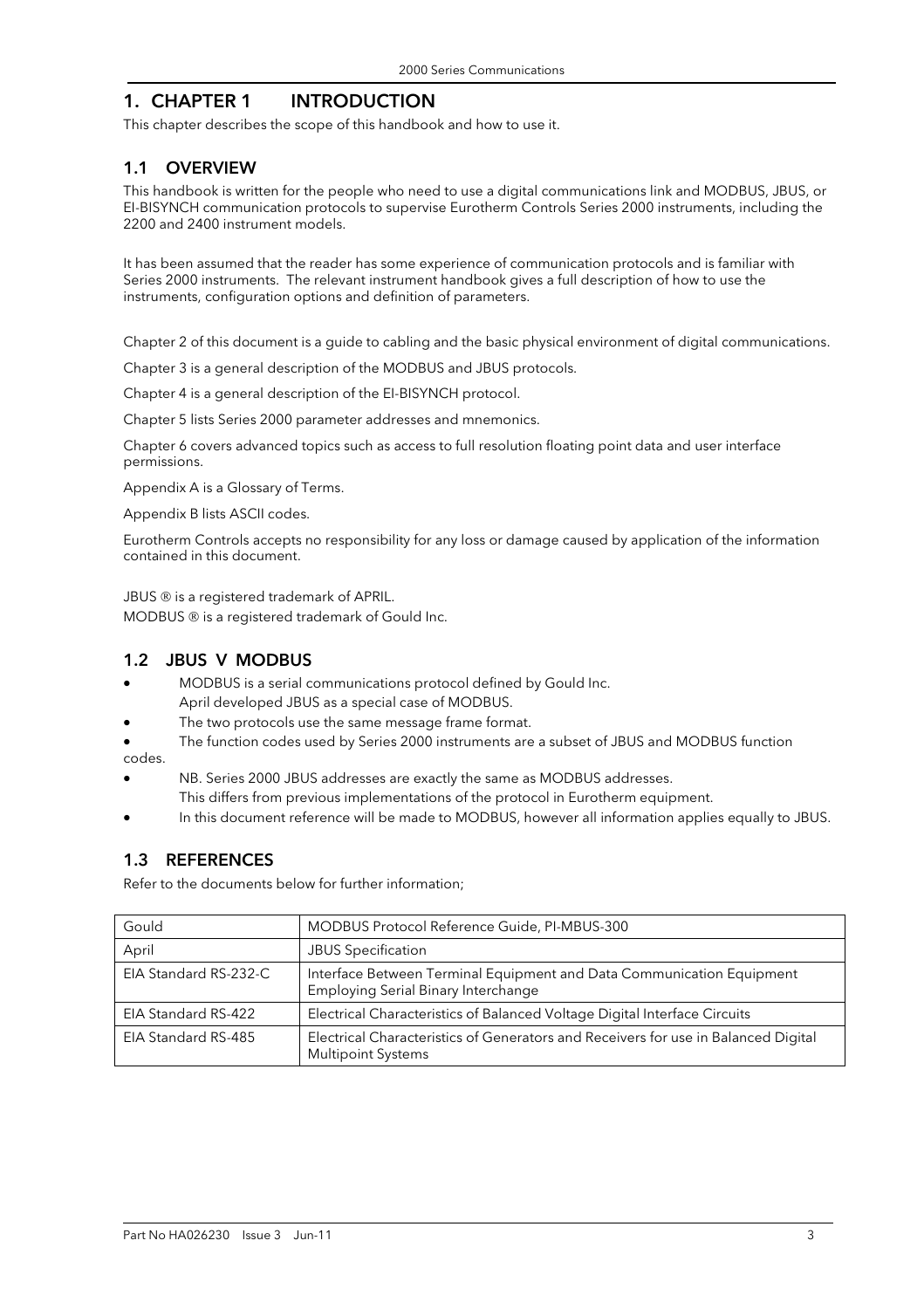# 1. CHAPTER 1 INTRODUCTION

This chapter describes the scope of this handbook and how to use it.

#### 1.1 OVERVIEW

This handbook is written for the people who need to use a digital communications link and MODBUS, JBUS, or EI-BISYNCH communication protocols to supervise Eurotherm Controls Series 2000 instruments, including the 2200 and 2400 instrument models.

It has been assumed that the reader has some experience of communication protocols and is familiar with Series 2000 instruments. The relevant instrument handbook gives a full description of how to use the instruments, configuration options and definition of parameters.

Chapter 2 of this document is a guide to cabling and the basic physical environment of digital communications.

Chapter 3 is a general description of the MODBUS and JBUS protocols.

Chapter 4 is a general description of the EI-BISYNCH protocol.

Chapter 5 lists Series 2000 parameter addresses and mnemonics.

Chapter 6 covers advanced topics such as access to full resolution floating point data and user interface permissions.

Appendix A is a Glossary of Terms.

Appendix B lists ASCII codes.

Eurotherm Controls accepts no responsibility for any loss or damage caused by application of the information contained in this document.

JBUS ® is a registered trademark of APRIL.

MODBUS ® is a registered trademark of Gould Inc.

#### 1.2 JBUS V MODBUS

- MODBUS is a serial communications protocol defined by Gould Inc.
- April developed JBUS as a special case of MODBUS.
- The two protocols use the same message frame format.
- The function codes used by Series 2000 instruments are a subset of JBUS and MODBUS function codes.
- NB. Series 2000 JBUS addresses are exactly the same as MODBUS addresses. This differs from previous implementations of the protocol in Eurotherm equipment.
- In this document reference will be made to MODBUS, however all information applies equally to JBUS.

#### 1.3 REFERENCES

Refer to the documents below for further information;

| Gould                 | MODBUS Protocol Reference Guide, PI-MBUS-300                                                                    |
|-----------------------|-----------------------------------------------------------------------------------------------------------------|
| April                 | <b>JBUS Specification</b>                                                                                       |
| EIA Standard RS-232-C | Interface Between Terminal Equipment and Data Communication Equipment<br>Employing Serial Binary Interchange    |
| EIA Standard RS-422   | Electrical Characteristics of Balanced Voltage Digital Interface Circuits                                       |
| EIA Standard RS-485   | Electrical Characteristics of Generators and Receivers for use in Balanced Digital<br><b>Multipoint Systems</b> |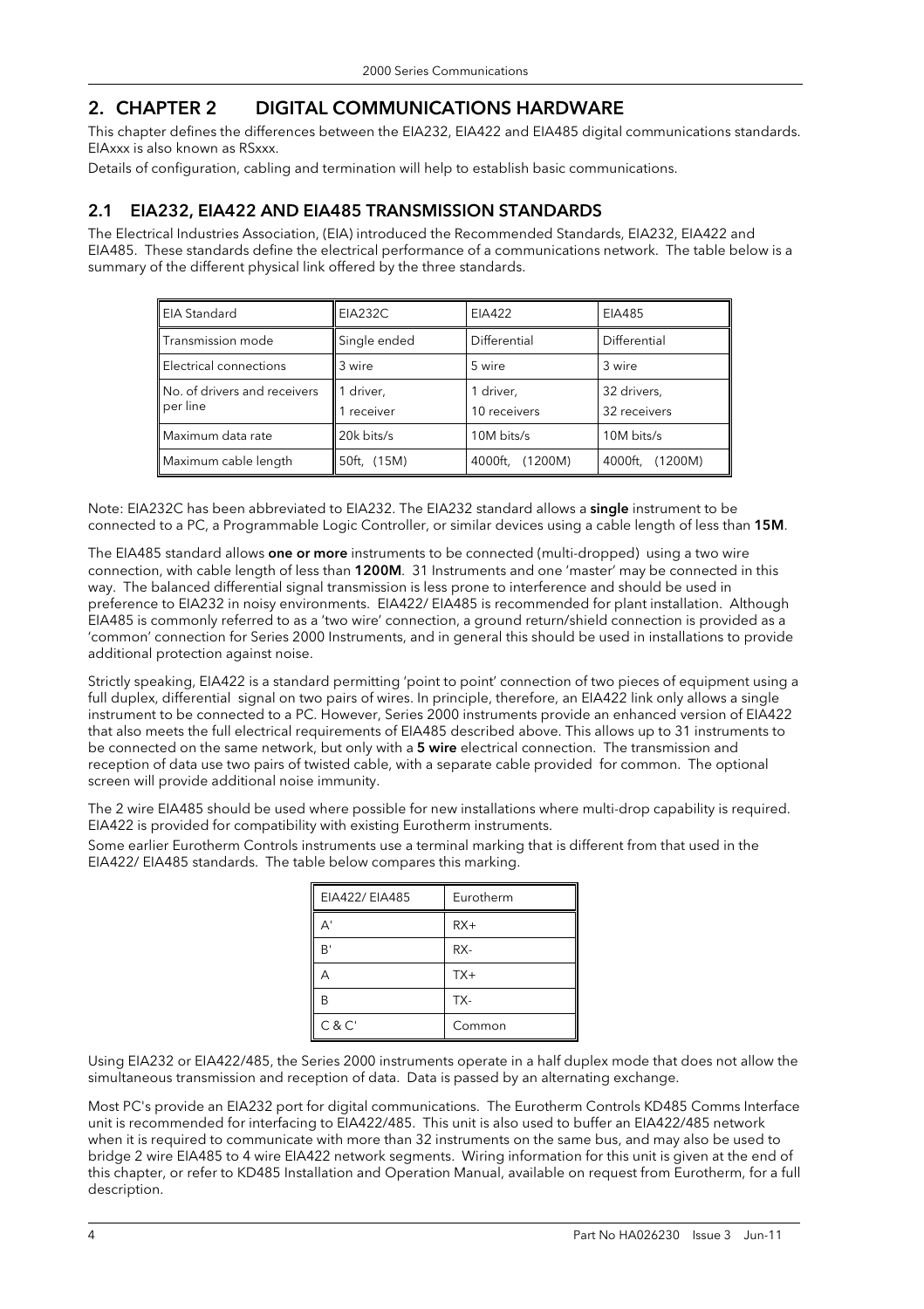# 2. CHAPTER 2 DIGITAL COMMUNICATIONS HARDWARE

This chapter defines the differences between the EIA232, EIA422 and EIA485 digital communications standards. EIAxxx is also known as RSxxx.

Details of configuration, cabling and termination will help to establish basic communications.

# 2.1 EIA232, EIA422 AND EIA485 TRANSMISSION STANDARDS

The Electrical Industries Association, (EIA) introduced the Recommended Standards, EIA232, EIA422 and EIA485. These standards define the electrical performance of a communications network. The table below is a summary of the different physical link offered by the three standards.

| <b>EIA Standard</b>                      | <b>EIA232C</b>      | EIA422                    | EIA485                      |  |
|------------------------------------------|---------------------|---------------------------|-----------------------------|--|
| <b>Transmission mode</b>                 | Single ended        | Differential              | Differential                |  |
| <b>Electrical connections</b>            | 3 wire              | 5 wire                    | 3 wire                      |  |
| No. of drivers and receivers<br>per line | driver,<br>receiver | 1 driver,<br>10 receivers | 32 drivers,<br>32 receivers |  |
| Maximum data rate                        | 20k bits/s          | 10M bits/s                | 10M bits/s                  |  |
| Maximum cable length                     | 50ft, (15M)         | 4000ft, (1200M)           | 4000ft,<br>(1200M)          |  |

Note: EIA232C has been abbreviated to EIA232. The EIA232 standard allows a single instrument to be connected to a PC, a Programmable Logic Controller, or similar devices using a cable length of less than 15M.

The EIA485 standard allows **one or more** instruments to be connected (multi-dropped) using a two wire connection, with cable length of less than 1200M. 31 Instruments and one 'master' may be connected in this way. The balanced differential signal transmission is less prone to interference and should be used in preference to EIA232 in noisy environments. EIA422/ EIA485 is recommended for plant installation. Although EIA485 is commonly referred to as a 'two wire' connection, a ground return/shield connection is provided as a 'common' connection for Series 2000 Instruments, and in general this should be used in installations to provide additional protection against noise.

Strictly speaking, EIA422 is a standard permitting 'point to point' connection of two pieces of equipment using a full duplex, differential signal on two pairs of wires. In principle, therefore, an EIA422 link only allows a single instrument to be connected to a PC. However, Series 2000 instruments provide an enhanced version of EIA422 that also meets the full electrical requirements of EIA485 described above. This allows up to 31 instruments to be connected on the same network, but only with a 5 wire electrical connection. The transmission and reception of data use two pairs of twisted cable, with a separate cable provided for common. The optional screen will provide additional noise immunity.

The 2 wire EIA485 should be used where possible for new installations where multi-drop capability is required. EIA422 is provided for compatibility with existing Eurotherm instruments.

Some earlier Eurotherm Controls instruments use a terminal marking that is different from that used in the EIA422/ EIA485 standards. The table below compares this marking.

| EIA422/ EIA485 | Eurotherm |
|----------------|-----------|
| А'             | $RX+$     |
| B'             | RX-       |
| д              | $TX+$     |
| В              | TX-       |
| C & C'         | Common    |

Using EIA232 or EIA422/485, the Series 2000 instruments operate in a half duplex mode that does not allow the simultaneous transmission and reception of data. Data is passed by an alternating exchange.

Most PC's provide an EIA232 port for digital communications. The Eurotherm Controls KD485 Comms Interface unit is recommended for interfacing to EIA422/485. This unit is also used to buffer an EIA422/485 network when it is required to communicate with more than 32 instruments on the same bus, and may also be used to bridge 2 wire EIA485 to 4 wire EIA422 network segments. Wiring information for this unit is given at the end of this chapter, or refer to KD485 Installation and Operation Manual, available on request from Eurotherm, for a full description.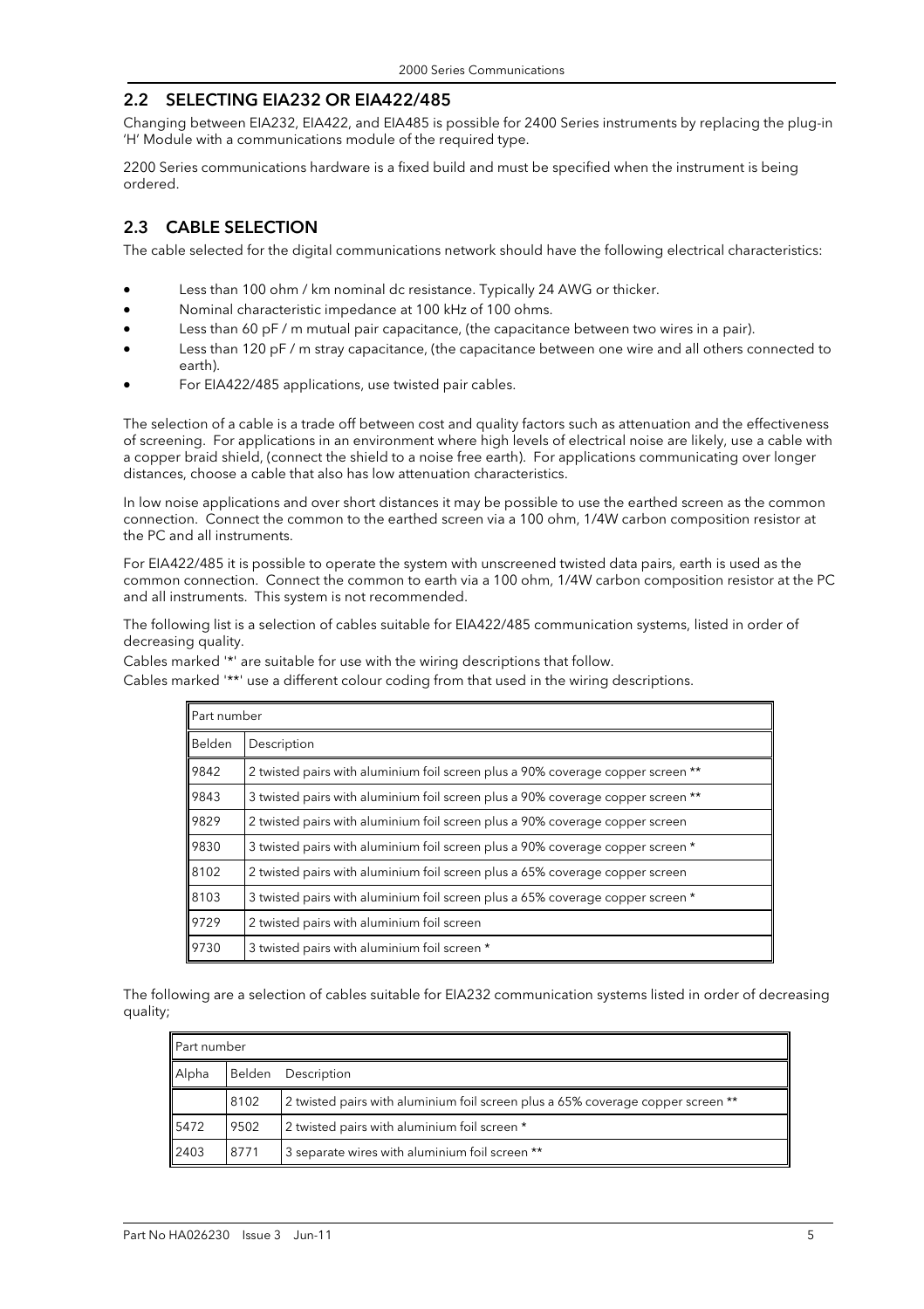#### 2.2 SELECTING EIA232 OR EIA422/485

Changing between EIA232, EIA422, and EIA485 is possible for 2400 Series instruments by replacing the plug-in 'H' Module with a communications module of the required type.

2200 Series communications hardware is a fixed build and must be specified when the instrument is being ordered.

# 2.3 CABLE SELECTION

The cable selected for the digital communications network should have the following electrical characteristics:

- Less than 100 ohm / km nominal dc resistance. Typically 24 AWG or thicker.
- Nominal characteristic impedance at 100 kHz of 100 ohms.
- Less than 60 pF / m mutual pair capacitance, (the capacitance between two wires in a pair).
- Less than 120 pF / m stray capacitance, (the capacitance between one wire and all others connected to earth).
- For EIA422/485 applications, use twisted pair cables.

The selection of a cable is a trade off between cost and quality factors such as attenuation and the effectiveness of screening. For applications in an environment where high levels of electrical noise are likely, use a cable with a copper braid shield, (connect the shield to a noise free earth). For applications communicating over longer distances, choose a cable that also has low attenuation characteristics.

In low noise applications and over short distances it may be possible to use the earthed screen as the common connection. Connect the common to the earthed screen via a 100 ohm, 1/4W carbon composition resistor at the PC and all instruments.

For EIA422/485 it is possible to operate the system with unscreened twisted data pairs, earth is used as the common connection. Connect the common to earth via a 100 ohm, 1/4W carbon composition resistor at the PC and all instruments. This system is not recommended.

The following list is a selection of cables suitable for EIA422/485 communication systems, listed in order of decreasing quality.

Cables marked '\*' are suitable for use with the wiring descriptions that follow.

|                                                                                        | Part number                                                                     |  |  |  |  |  |
|----------------------------------------------------------------------------------------|---------------------------------------------------------------------------------|--|--|--|--|--|
| Belden                                                                                 | Description                                                                     |  |  |  |  |  |
| 9842                                                                                   | 2 twisted pairs with aluminium foil screen plus a 90% coverage copper screen ** |  |  |  |  |  |
| 9843                                                                                   | 3 twisted pairs with aluminium foil screen plus a 90% coverage copper screen ** |  |  |  |  |  |
| 9829                                                                                   | 2 twisted pairs with aluminium foil screen plus a 90% coverage copper screen    |  |  |  |  |  |
| 9830                                                                                   | 3 twisted pairs with aluminium foil screen plus a 90% coverage copper screen *  |  |  |  |  |  |
| 8102                                                                                   | 2 twisted pairs with aluminium foil screen plus a 65% coverage copper screen    |  |  |  |  |  |
| 8103<br>3 twisted pairs with aluminium foil screen plus a 65% coverage copper screen * |                                                                                 |  |  |  |  |  |
| 9729                                                                                   | 2 twisted pairs with aluminium foil screen                                      |  |  |  |  |  |
| 9730                                                                                   | 3 twisted pairs with aluminium foil screen *                                    |  |  |  |  |  |

Cables marked '\*\*' use a different colour coding from that used in the wiring descriptions.

The following are a selection of cables suitable for EIA232 communication systems listed in order of decreasing quality;

| Part number |        |                                                                                 |  |  |  |  |
|-------------|--------|---------------------------------------------------------------------------------|--|--|--|--|
| Alpha       | Belden | Description                                                                     |  |  |  |  |
|             | 8102   | 2 twisted pairs with aluminium foil screen plus a 65% coverage copper screen ** |  |  |  |  |
| 5472        | 9502   | 2 twisted pairs with aluminium foil screen *                                    |  |  |  |  |
| 2403        | 8771   | 3 separate wires with aluminium foil screen **                                  |  |  |  |  |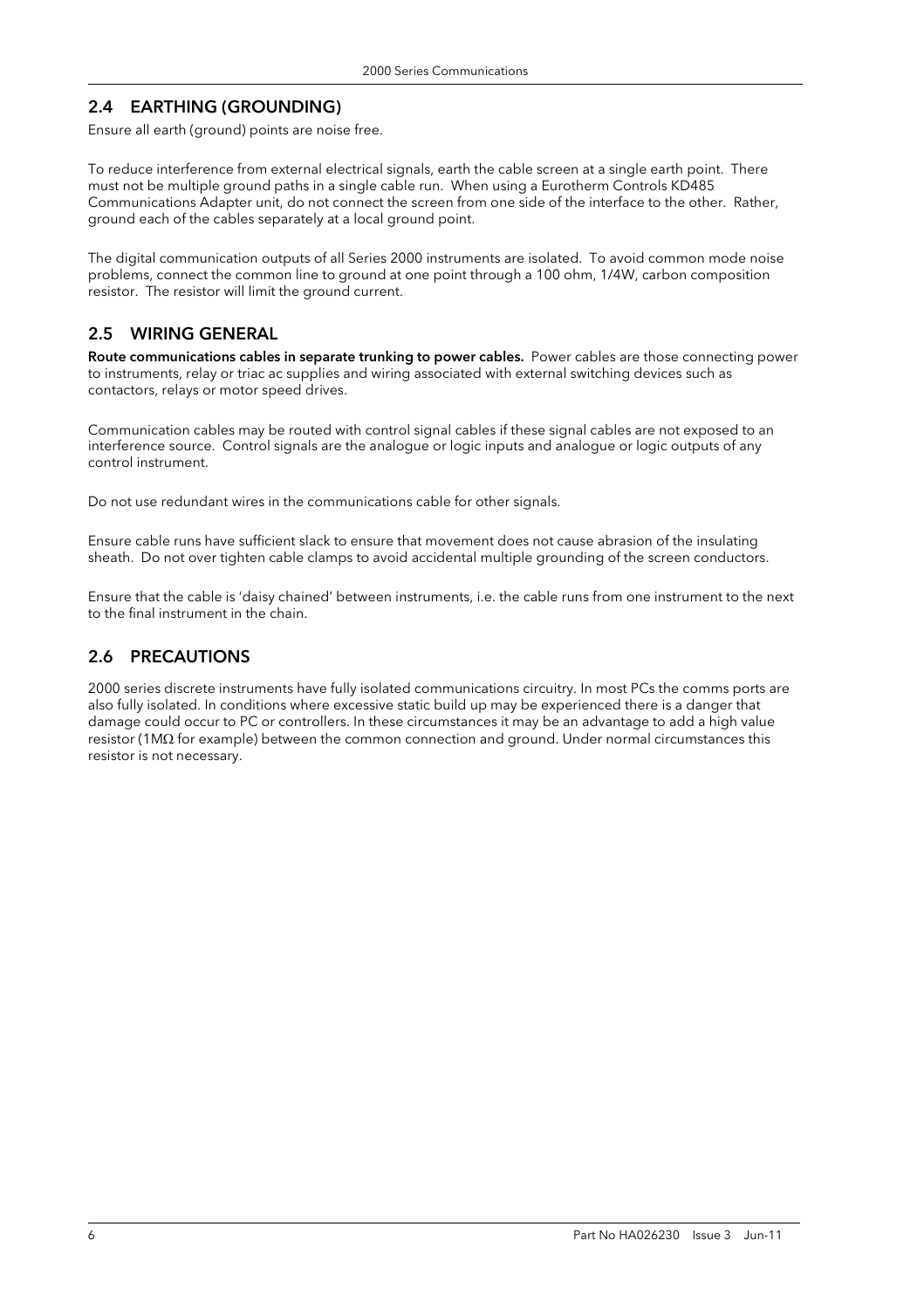# 2.4 EARTHING (GROUNDING)

Ensure all earth (ground) points are noise free.

To reduce interference from external electrical signals, earth the cable screen at a single earth point. There must not be multiple ground paths in a single cable run. When using a Eurotherm Controls KD485 Communications Adapter unit, do not connect the screen from one side of the interface to the other. Rather, ground each of the cables separately at a local ground point.

The digital communication outputs of all Series 2000 instruments are isolated. To avoid common mode noise problems, connect the common line to ground at one point through a 100 ohm, 1/4W, carbon composition resistor. The resistor will limit the ground current.

#### 2.5 WIRING GENERAL

Route communications cables in separate trunking to power cables. Power cables are those connecting power to instruments, relay or triac ac supplies and wiring associated with external switching devices such as contactors, relays or motor speed drives.

Communication cables may be routed with control signal cables if these signal cables are not exposed to an interference source. Control signals are the analogue or logic inputs and analogue or logic outputs of any control instrument.

Do not use redundant wires in the communications cable for other signals.

Ensure cable runs have sufficient slack to ensure that movement does not cause abrasion of the insulating sheath. Do not over tighten cable clamps to avoid accidental multiple grounding of the screen conductors.

Ensure that the cable is 'daisy chained' between instruments, i.e. the cable runs from one instrument to the next to the final instrument in the chain.

# 2.6 PRECAUTIONS

2000 series discrete instruments have fully isolated communications circuitry. In most PCs the comms ports are also fully isolated. In conditions where excessive static build up may be experienced there is a danger that damage could occur to PC or controllers. In these circumstances it may be an advantage to add a high value resistor (1MΩ for example) between the common connection and ground. Under normal circumstances this resistor is not necessary.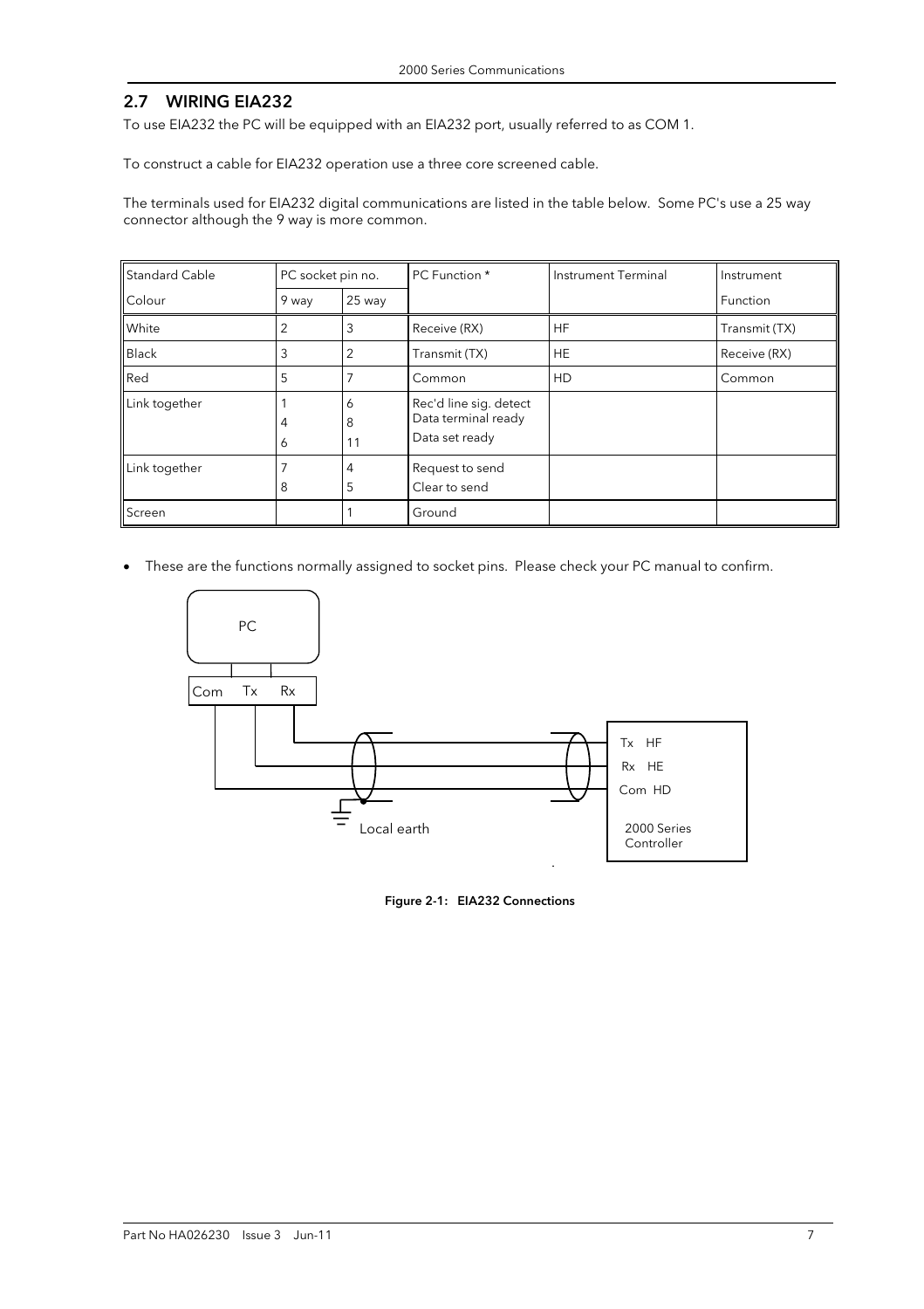#### 2.7 WIRING EIA232

To use EIA232 the PC will be equipped with an EIA232 port, usually referred to as COM 1.

To construct a cable for EIA232 operation use a three core screened cable.

The terminals used for EIA232 digital communications are listed in the table below. Some PC's use a 25 way connector although the 9 way is more common.

| <b>Standard Cable</b> | PC socket pin no. |              | <b>PC</b> Function *                                            | Instrument Terminal | Instrument    |  |
|-----------------------|-------------------|--------------|-----------------------------------------------------------------|---------------------|---------------|--|
| Colour                | 9 way             | 25 way       |                                                                 |                     | Function      |  |
| White                 | 2                 | 3            | Receive (RX)                                                    | <b>HF</b>           | Transmit (TX) |  |
| <b>Black</b>          | 3                 | 2            | Transmit (TX)                                                   | <b>HE</b>           | Receive (RX)  |  |
| Red                   | 5                 |              | Common                                                          | HD                  | Common        |  |
| Link together         | 4<br>Ô            | 6<br>8<br>11 | Rec'd line sig. detect<br>Data terminal ready<br>Data set ready |                     |               |  |
| Link together         | 8                 | 4<br>5       | Request to send<br>Clear to send                                |                     |               |  |
| Screen                |                   |              | Ground                                                          |                     |               |  |

• These are the functions normally assigned to socket pins. Please check your PC manual to confirm.



Figure 2-1: EIA232 Connections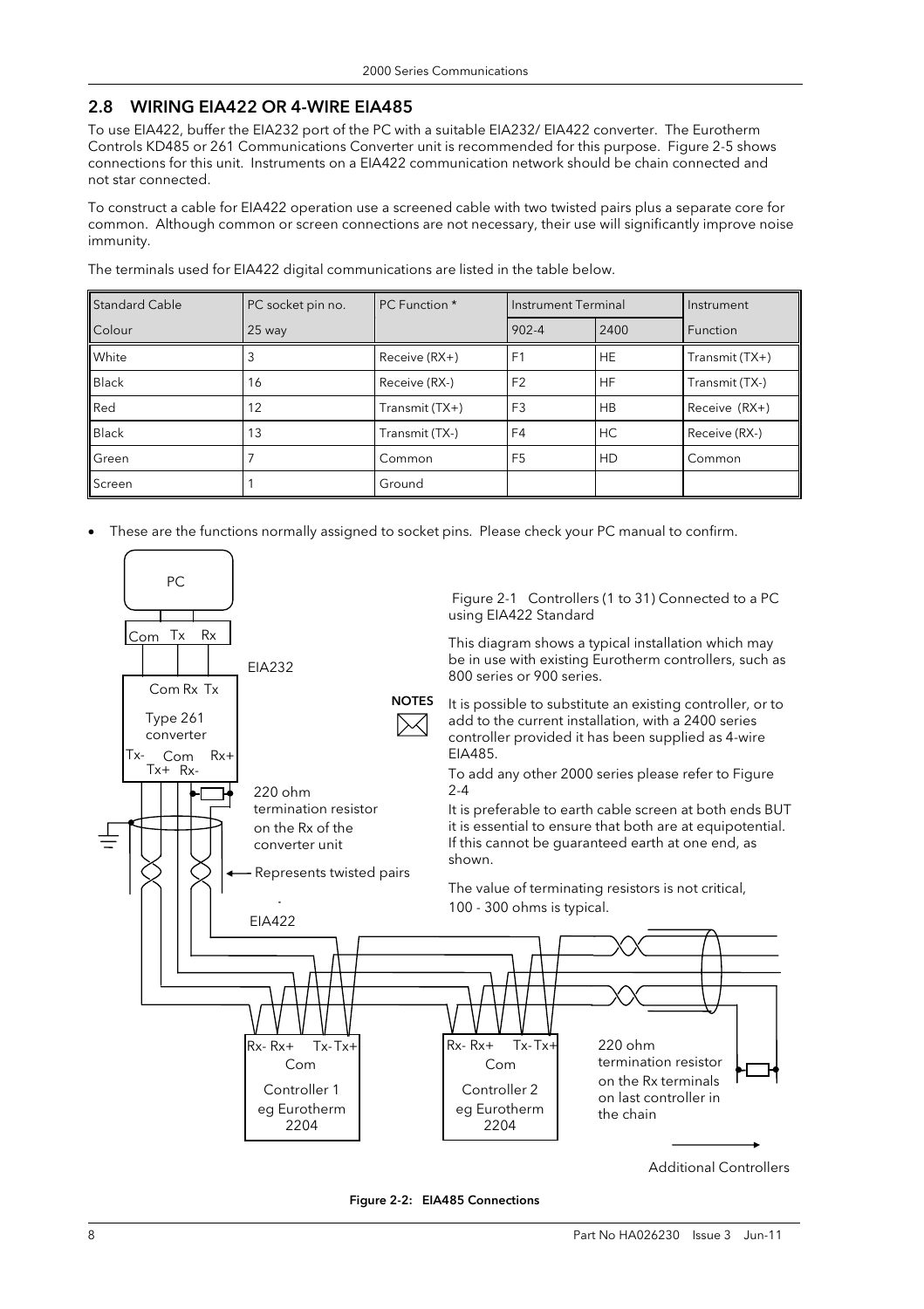#### 2.8 WIRING EIA422 OR 4-WIRE EIA485

To use EIA422, buffer the EIA232 port of the PC with a suitable EIA232/ EIA422 converter. The Eurotherm Controls KD485 or 261 Communications Converter unit is recommended for this purpose. Figure 2-5 shows connections for this unit. Instruments on a EIA422 communication network should be chain connected and not star connected.

To construct a cable for EIA422 operation use a screened cable with two twisted pairs plus a separate core for common. Although common or screen connections are not necessary, their use will significantly improve noise immunity.

The terminals used for EIA422 digital communications are listed in the table below.

| <b>Standard Cable</b> | PC socket pin no. | PC Function *  | Instrument Terminal |           | Instrument      |
|-----------------------|-------------------|----------------|---------------------|-----------|-----------------|
| Colour                | 25 way            |                | $902 - 4$           | 2400      | <b>Function</b> |
| White                 |                   | Receive (RX+)  | F <sub>1</sub>      | <b>HE</b> | Transmit (TX+)  |
| <b>Black</b>          | 16                | Receive (RX-)  | F <sub>2</sub>      | <b>HF</b> | Transmit (TX-)  |
| Red                   | 12                | Transmit (TX+) | F <sub>3</sub>      | <b>HB</b> | Receive (RX+)   |
| <b>Black</b>          | 13                | Transmit (TX-) | F <sub>4</sub>      | HC        | Receive (RX-)   |
| Green                 |                   | Common         | F <sub>5</sub>      | HD        | Common          |
| Screen                |                   | Ground         |                     |           |                 |

• These are the functions normally assigned to socket pins. Please check your PC manual to confirm.



Figure 2-2: EIA485 Connections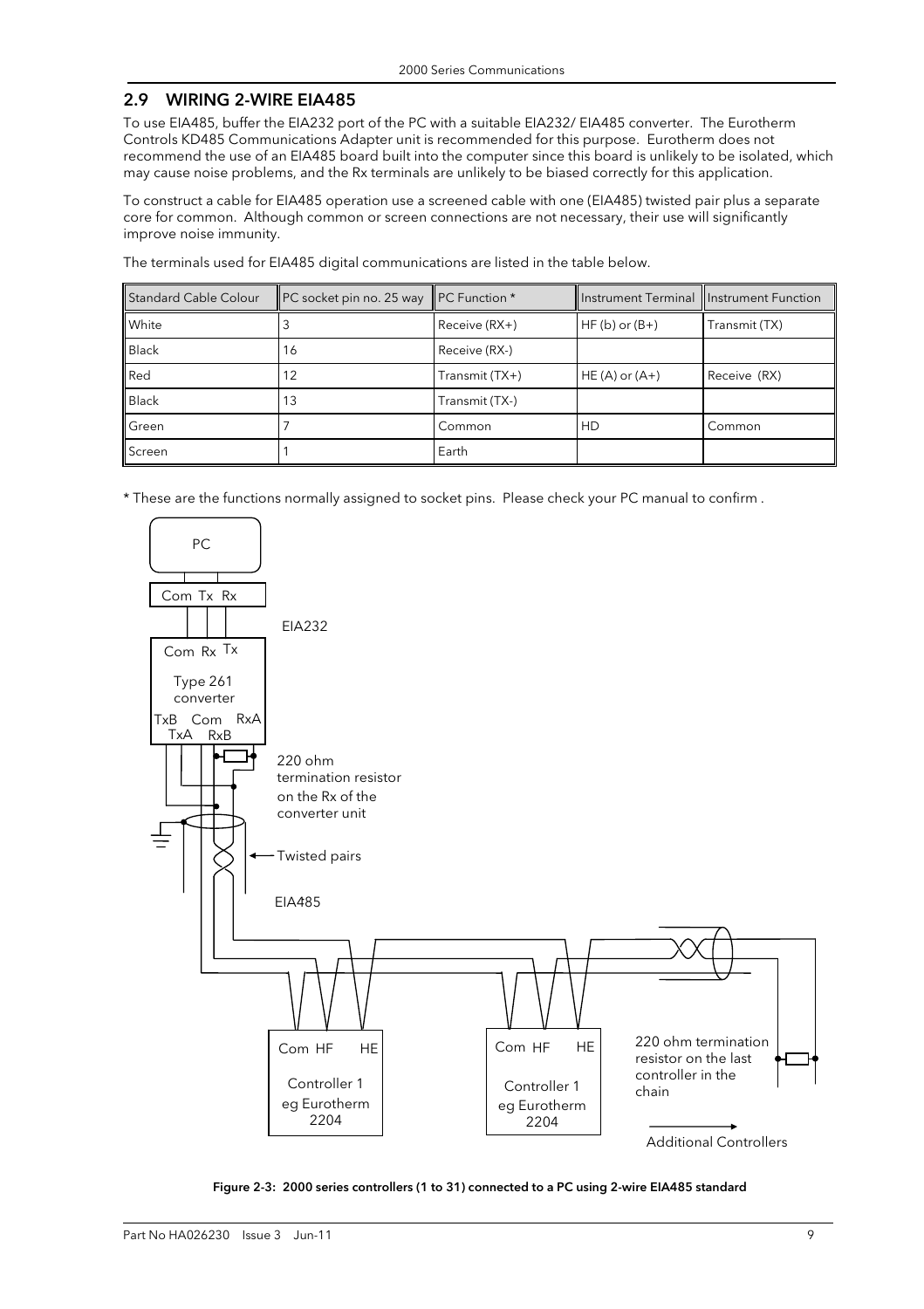#### 2.9 WIRING 2-WIRE EIA485

To use EIA485, buffer the EIA232 port of the PC with a suitable EIA232/ EIA485 converter. The Eurotherm Controls KD485 Communications Adapter unit is recommended for this purpose. Eurotherm does not recommend the use of an EIA485 board built into the computer since this board is unlikely to be isolated, which may cause noise problems, and the Rx terminals are unlikely to be biased correctly for this application.

To construct a cable for EIA485 operation use a screened cable with one (EIA485) twisted pair plus a separate core for common. Although common or screen connections are not necessary, their use will significantly improve noise immunity.

The terminals used for EIA485 digital communications are listed in the table below.

| Standard Cable Colour | PC socket pin no. 25 way PC Function * |                | Instrument Terminal Instrument Function |               |
|-----------------------|----------------------------------------|----------------|-----------------------------------------|---------------|
| <b>White</b>          |                                        | Receive (RX+)  | $HF(b)$ or $(B+)$                       | Transmit (TX) |
| <b>Black</b>          | 16                                     | Receive (RX-)  |                                         |               |
| Red                   | 12                                     | Transmit (TX+) | $HE(A)$ or $(A+)$                       | Receive (RX)  |
| <b>Black</b>          | 13                                     | Transmit (TX-) |                                         |               |
| Green                 |                                        | Common         | HD                                      | Common        |
| Screen                |                                        | Earth          |                                         |               |

\* These are the functions normally assigned to socket pins. Please check your PC manual to confirm .



Figure 2-3: 2000 series controllers (1 to 31) connected to a PC using 2-wire EIA485 standard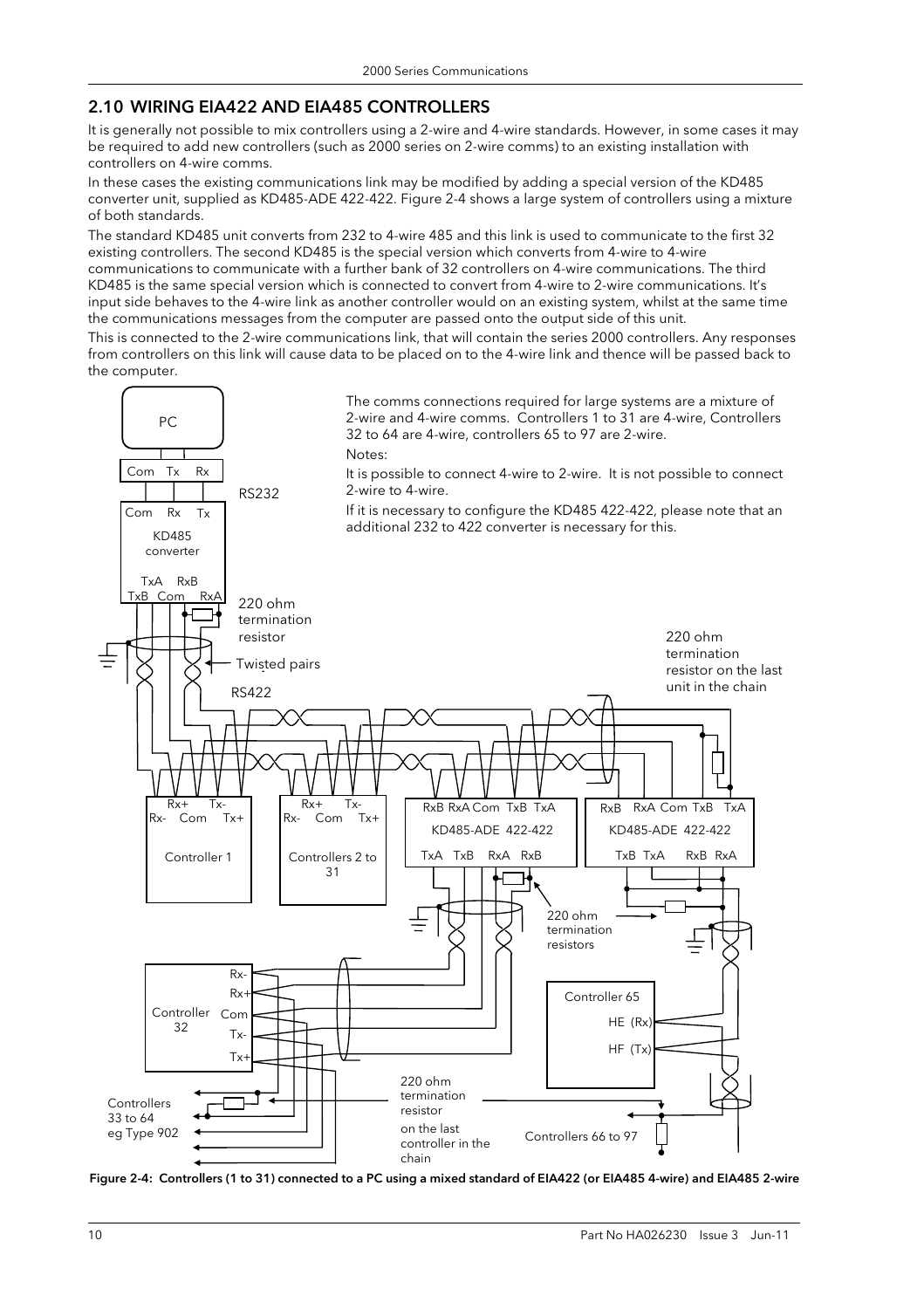#### 2.10 WIRING EIA422 AND EIA485 CONTROLLERS

It is generally not possible to mix controllers using a 2-wire and 4-wire standards. However, in some cases it may be required to add new controllers (such as 2000 series on 2-wire comms) to an existing installation with controllers on 4-wire comms.

In these cases the existing communications link may be modified by adding a special version of the KD485 converter unit, supplied as KD485-ADE 422-422. Figure 2-4 shows a large system of controllers using a mixture of both standards.

The standard KD485 unit converts from 232 to 4-wire 485 and this link is used to communicate to the first 32 existing controllers. The second KD485 is the special version which converts from 4-wire to 4-wire communications to communicate with a further bank of 32 controllers on 4-wire communications. The third KD485 is the same special version which is connected to convert from 4-wire to 2-wire communications. It's input side behaves to the 4-wire link as another controller would on an existing system, whilst at the same time the communications messages from the computer are passed onto the output side of this unit.

This is connected to the 2-wire communications link, that will contain the series 2000 controllers. Any responses from controllers on this link will cause data to be placed on to the 4-wire link and thence will be passed back to the computer.



Figure 2-4: Controllers (1 to 31) connected to a PC using a mixed standard of EIA422 (or EIA485 4-wire) and EIA485 2-wire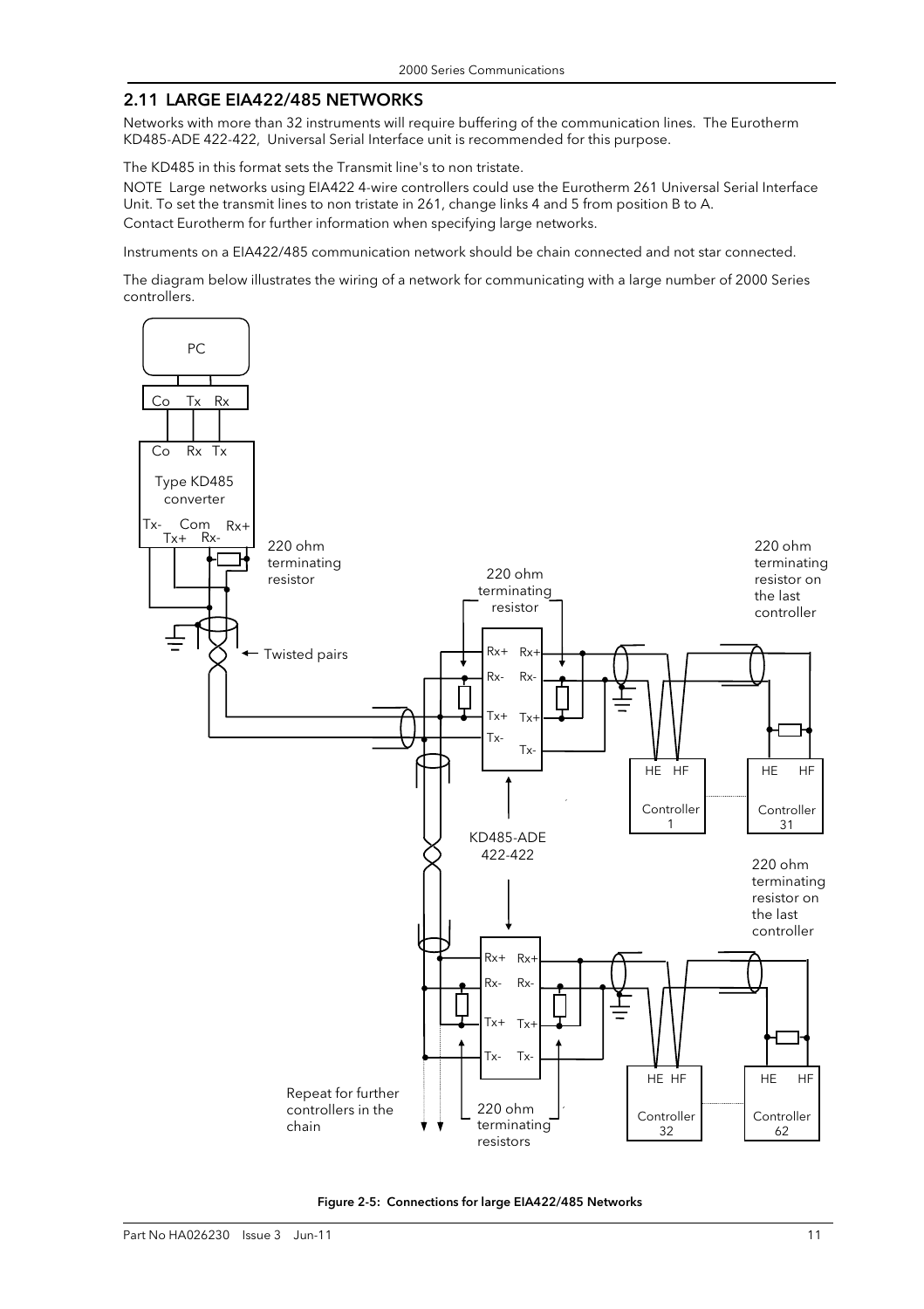#### 2.11 LARGE EIA422/485 NETWORKS

Networks with more than 32 instruments will require buffering of the communication lines. The Eurotherm KD485-ADE 422-422, Universal Serial Interface unit is recommended for this purpose.

The KD485 in this format sets the Transmit line's to non tristate.

NOTE Large networks using EIA422 4-wire controllers could use the Eurotherm 261 Universal Serial Interface Unit. To set the transmit lines to non tristate in 261, change links 4 and 5 from position B to A. Contact Eurotherm for further information when specifying large networks.

Instruments on a EIA422/485 communication network should be chain connected and not star connected.

The diagram below illustrates the wiring of a network for communicating with a large number of 2000 Series controllers.



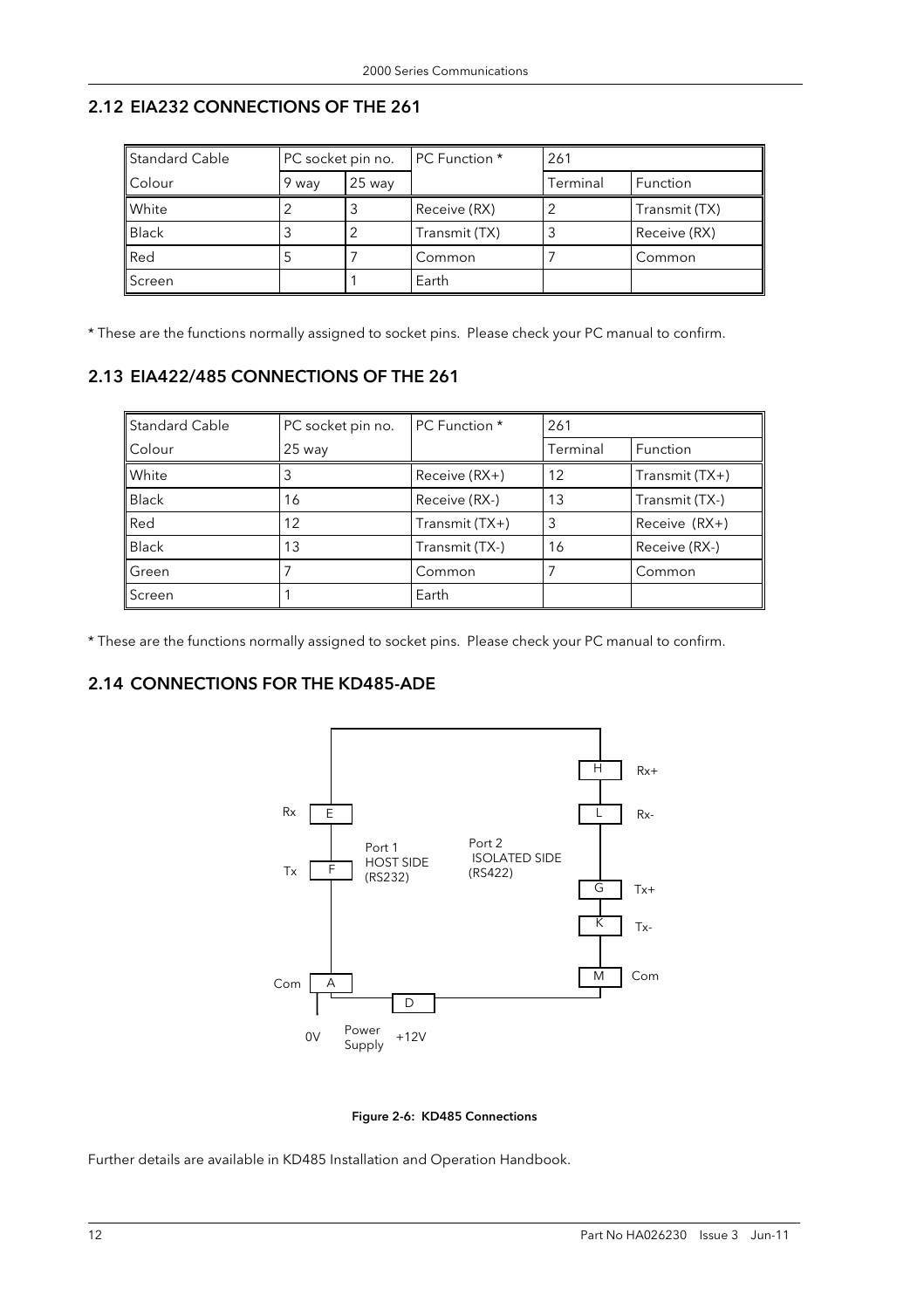# 2.12 EIA232 CONNECTIONS OF THE 261

l.

| <b>Standard Cable</b> | PC socket pin no. |          | <b>PC</b> Function * | 261      |               |
|-----------------------|-------------------|----------|----------------------|----------|---------------|
| Colour                | 9 way             | $25$ way |                      | Terminal | Function      |
| White                 |                   | J        | Receive (RX)         |          | Transmit (TX) |
| <b>Black</b>          |                   |          | Transmit (TX)        | 3        | Receive (RX)  |
| Red                   |                   |          | Common               |          | Common        |
| Screen                |                   |          | Earth                |          |               |

\* These are the functions normally assigned to socket pins. Please check your PC manual to confirm.

# 2.13 EIA422/485 CONNECTIONS OF THE 261

| <b>Standard Cable</b> | PC socket pin no. | <b>PC Function *</b> | 261      |                  |
|-----------------------|-------------------|----------------------|----------|------------------|
| Colour                | $25$ way          |                      | Terminal | Function         |
| White                 |                   | $Receive (RX+)$      | 12       | Transmit $(TX+)$ |
| <b>Black</b>          | 16                | Receive (RX-)        | 13       | Transmit (TX-)   |
| Red                   | 12                | Transmit (TX+)       |          | Receive (RX+)    |
| <b>Black</b>          | 13                | Transmit (TX-)       | 16       | Receive (RX-)    |
| Green                 |                   | Common               |          | Common           |
| Screen                |                   | Earth                |          |                  |

\* These are the functions normally assigned to socket pins. Please check your PC manual to confirm.

# 2.14 CONNECTIONS FOR THE KD485-ADE



Figure 2-6: KD485 Connections

Further details are available in KD485 Installation and Operation Handbook.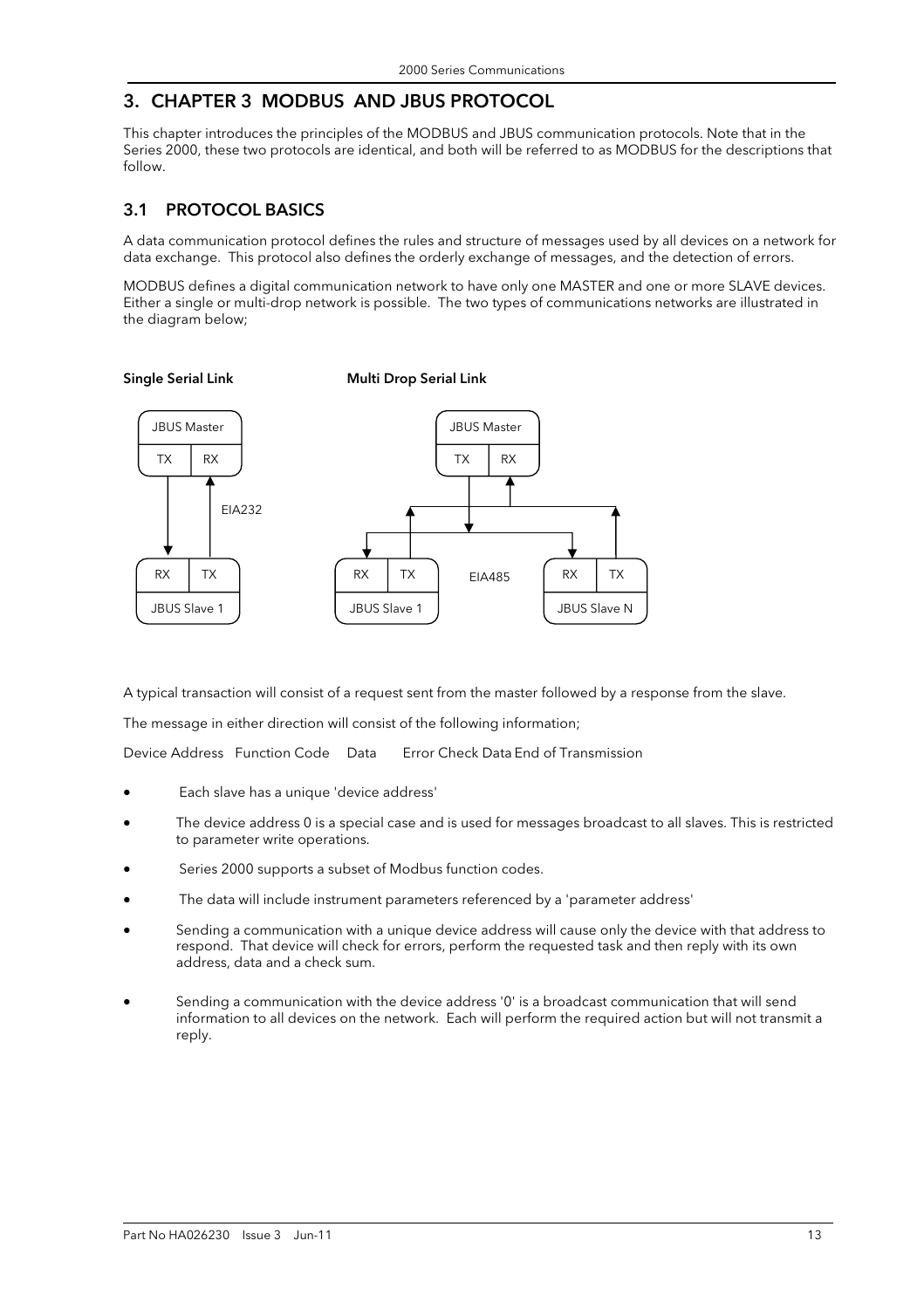# 3. CHAPTER 3 MODBUS AND JBUS PROTOCOL

Single Serial Link Multi Drop Serial Link

This chapter introduces the principles of the MODBUS and JBUS communication protocols. Note that in the Series 2000, these two protocols are identical, and both will be referred to as MODBUS for the descriptions that follow.

### 3.1 PROTOCOL BASICS

A data communication protocol defines the rules and structure of messages used by all devices on a network for data exchange. This protocol also defines the orderly exchange of messages, and the detection of errors.

MODBUS defines a digital communication network to have only one MASTER and one or more SLAVE devices. Either a single or multi-drop network is possible. The two types of communications networks are illustrated in the diagram below;

#### JBUS Slave 1  $RX$  TX JBUS Slave N RX TX JBUS Master  $TX$  RX EIA485 EIA232 JBUS Master  $TX$  RX JBUS Slave 1 RX TX

A typical transaction will consist of a request sent from the master followed by a response from the slave.

The message in either direction will consist of the following information;

Device Address Function Code Data Error Check Data End of Transmission

- Each slave has a unique 'device address'
- The device address 0 is a special case and is used for messages broadcast to all slaves. This is restricted to parameter write operations.
- Series 2000 supports a subset of Modbus function codes.
- The data will include instrument parameters referenced by a 'parameter address'
- Sending a communication with a unique device address will cause only the device with that address to respond. That device will check for errors, perform the requested task and then reply with its own address, data and a check sum.
- Sending a communication with the device address '0' is a broadcast communication that will send information to all devices on the network. Each will perform the required action but will not transmit a reply.

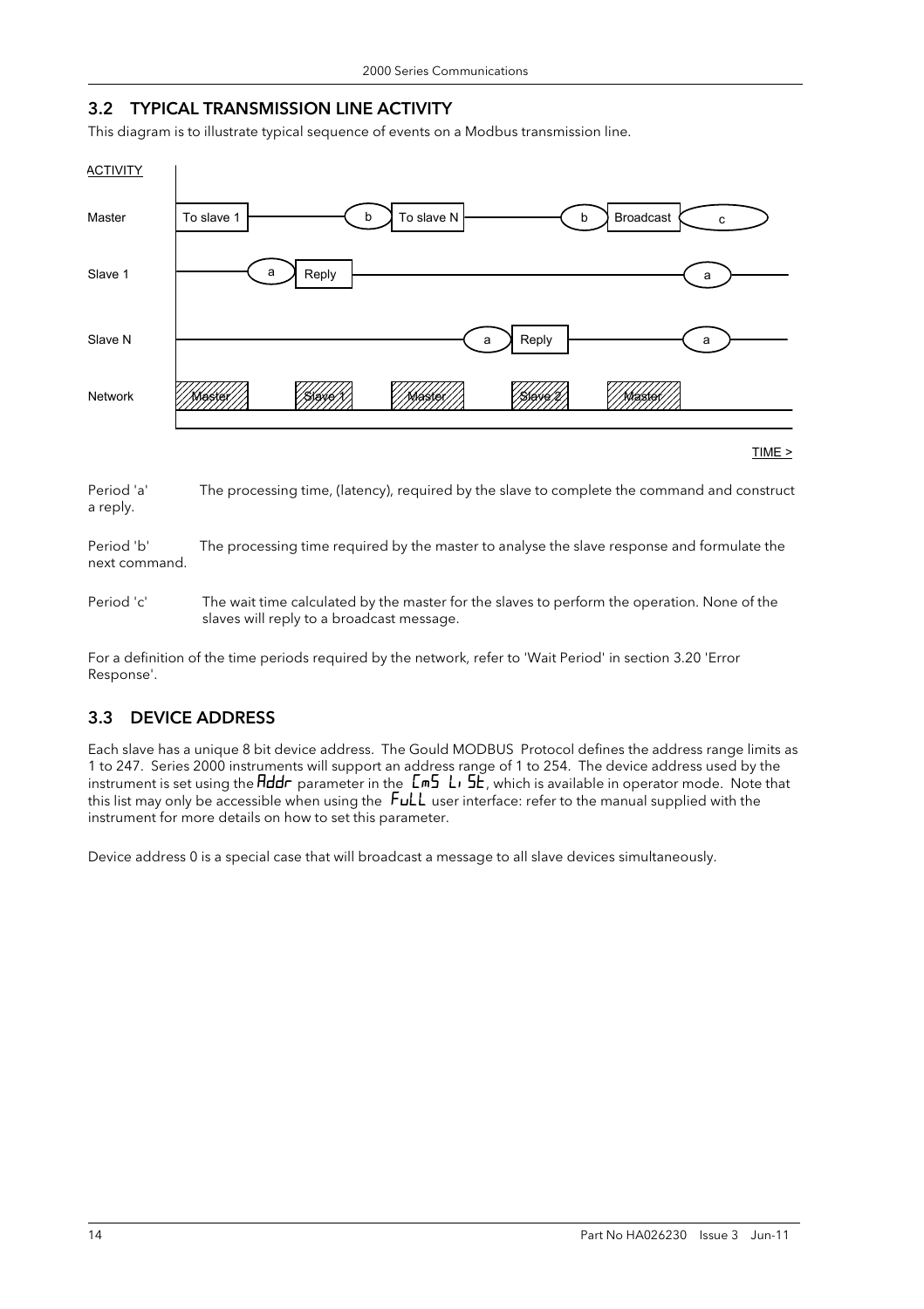#### 3.2 TYPICAL TRANSMISSION LINE ACTIVITY

This diagram is to illustrate typical sequence of events on a Modbus transmission line.



Period 'a' The processing time, (latency), required by the slave to complete the command and construct a reply.

Period 'b' The processing time required by the master to analyse the slave response and formulate the next command.

Period 'c' The wait time calculated by the master for the slaves to perform the operation. None of the slaves will reply to a broadcast message.

For a definition of the time periods required by the network, refer to 'Wait Period' in section 3.20 'Error Response'.

#### 3.3 DEVICE ADDRESS

Each slave has a unique 8 bit device address. The Gould MODBUS Protocol defines the address range limits as 1 to 247. Series 2000 instruments will support an address range of 1 to 254. The device address used by the instrument is set using the  $Hddr$  parameter in the  $\textsf{Lm5 L}$ , which is available in operator mode. Note that this list may only be accessible when using the FuLL user interface: refer to the manual supplied with the instrument for more details on how to set this parameter.

Device address 0 is a special case that will broadcast a message to all slave devices simultaneously.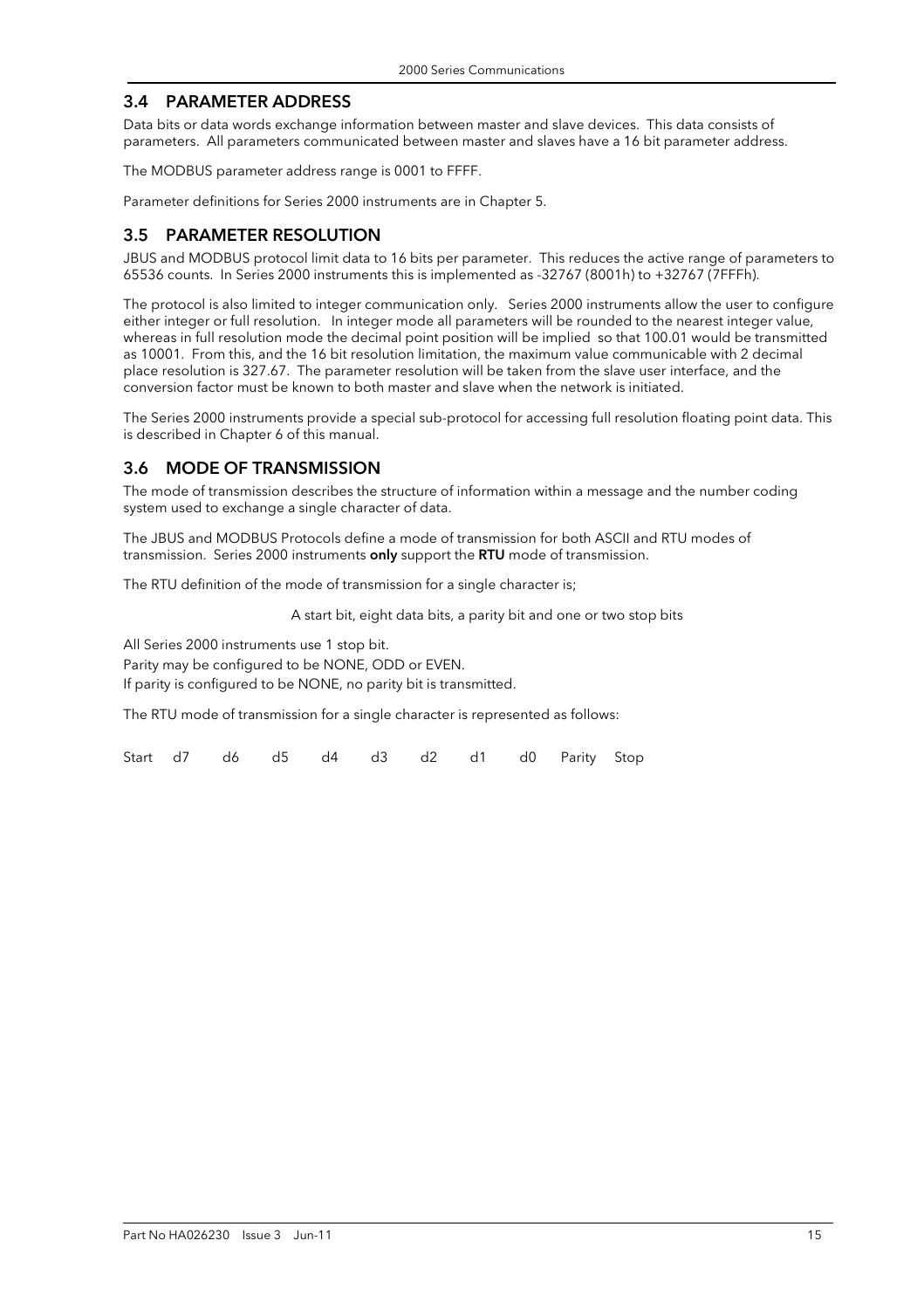#### 3.4 PARAMETER ADDRESS

Data bits or data words exchange information between master and slave devices. This data consists of parameters. All parameters communicated between master and slaves have a 16 bit parameter address.

The MODBUS parameter address range is 0001 to FFFF.

Parameter definitions for Series 2000 instruments are in Chapter 5.

#### 3.5 PARAMETER RESOLUTION

JBUS and MODBUS protocol limit data to 16 bits per parameter. This reduces the active range of parameters to 65536 counts. In Series 2000 instruments this is implemented as -32767 (8001h) to +32767 (7FFFh).

The protocol is also limited to integer communication only. Series 2000 instruments allow the user to configure either integer or full resolution. In integer mode all parameters will be rounded to the nearest integer value, whereas in full resolution mode the decimal point position will be implied so that 100.01 would be transmitted as 10001. From this, and the 16 bit resolution limitation, the maximum value communicable with 2 decimal place resolution is 327.67. The parameter resolution will be taken from the slave user interface, and the conversion factor must be known to both master and slave when the network is initiated.

The Series 2000 instruments provide a special sub-protocol for accessing full resolution floating point data. This is described in Chapter 6 of this manual.

#### 3.6 MODE OF TRANSMISSION

The mode of transmission describes the structure of information within a message and the number coding system used to exchange a single character of data.

The JBUS and MODBUS Protocols define a mode of transmission for both ASCII and RTU modes of transmission. Series 2000 instruments only support the RTU mode of transmission.

The RTU definition of the mode of transmission for a single character is;

A start bit, eight data bits, a parity bit and one or two stop bits

All Series 2000 instruments use 1 stop bit.

Parity may be configured to be NONE, ODD or EVEN.

If parity is configured to be NONE, no parity bit is transmitted.

The RTU mode of transmission for a single character is represented as follows:

Start d7 d6 d5 d4 d3 d2 d1 d0 Parity Stop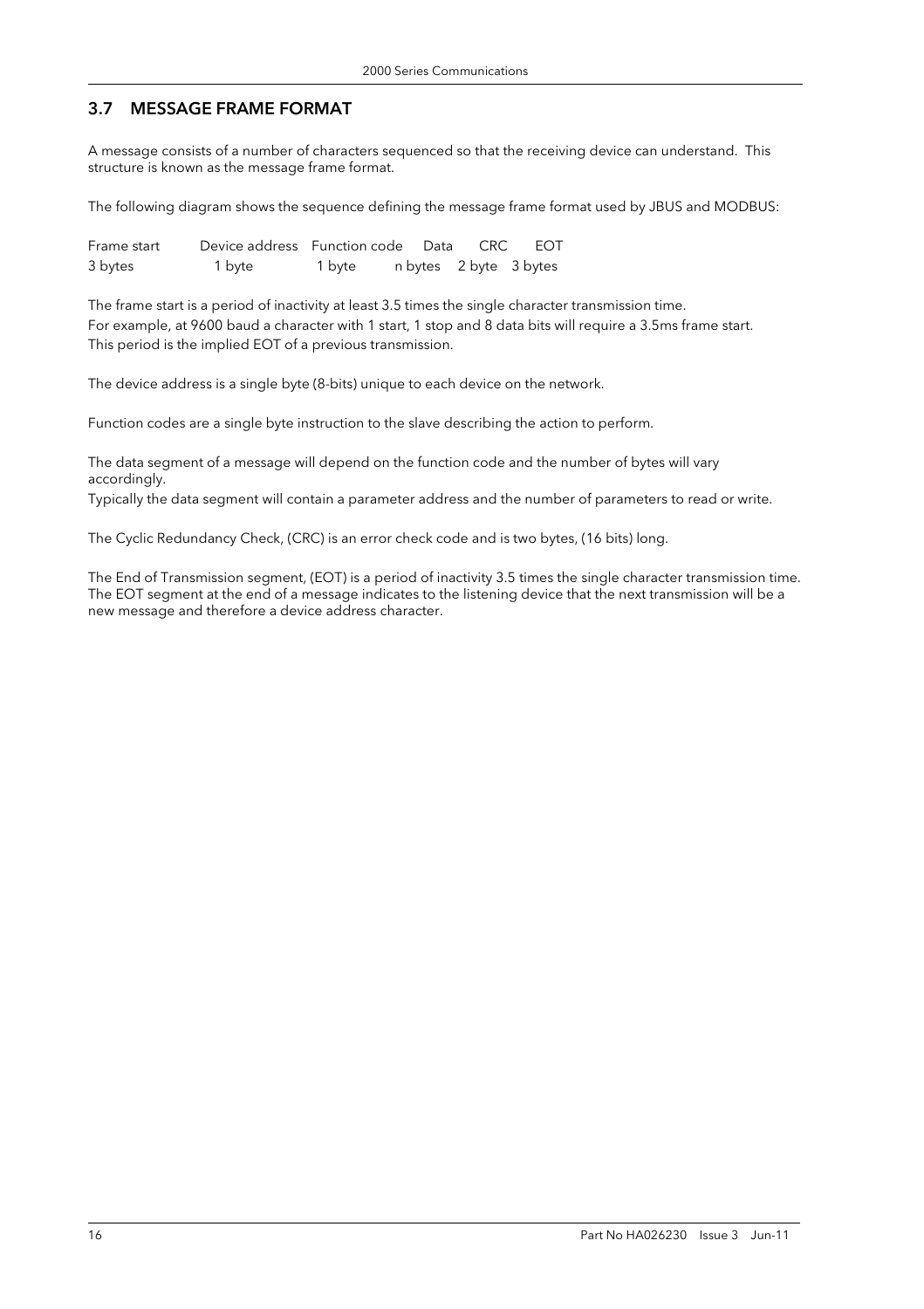# 3.7 MESSAGE FRAME FORMAT

A message consists of a number of characters sequenced so that the receiving device can understand. This structure is known as the message frame format.

The following diagram shows the sequence defining the message frame format used by JBUS and MODBUS:

| Frame start | Device address Function code Data |        |  | CRC | EOT                    |
|-------------|-----------------------------------|--------|--|-----|------------------------|
| 3 bytes     | 1 byte                            | 1 byte |  |     | n bytes 2 byte 3 bytes |

The frame start is a period of inactivity at least 3.5 times the single character transmission time. For example, at 9600 baud a character with 1 start, 1 stop and 8 data bits will require a 3.5ms frame start. This period is the implied EOT of a previous transmission.

The device address is a single byte (8-bits) unique to each device on the network.

Function codes are a single byte instruction to the slave describing the action to perform.

The data segment of a message will depend on the function code and the number of bytes will vary accordingly.

Typically the data segment will contain a parameter address and the number of parameters to read or write.

The Cyclic Redundancy Check, (CRC) is an error check code and is two bytes, (16 bits) long.

The End of Transmission segment, (EOT) is a period of inactivity 3.5 times the single character transmission time. The EOT segment at the end of a message indicates to the listening device that the next transmission will be a new message and therefore a device address character.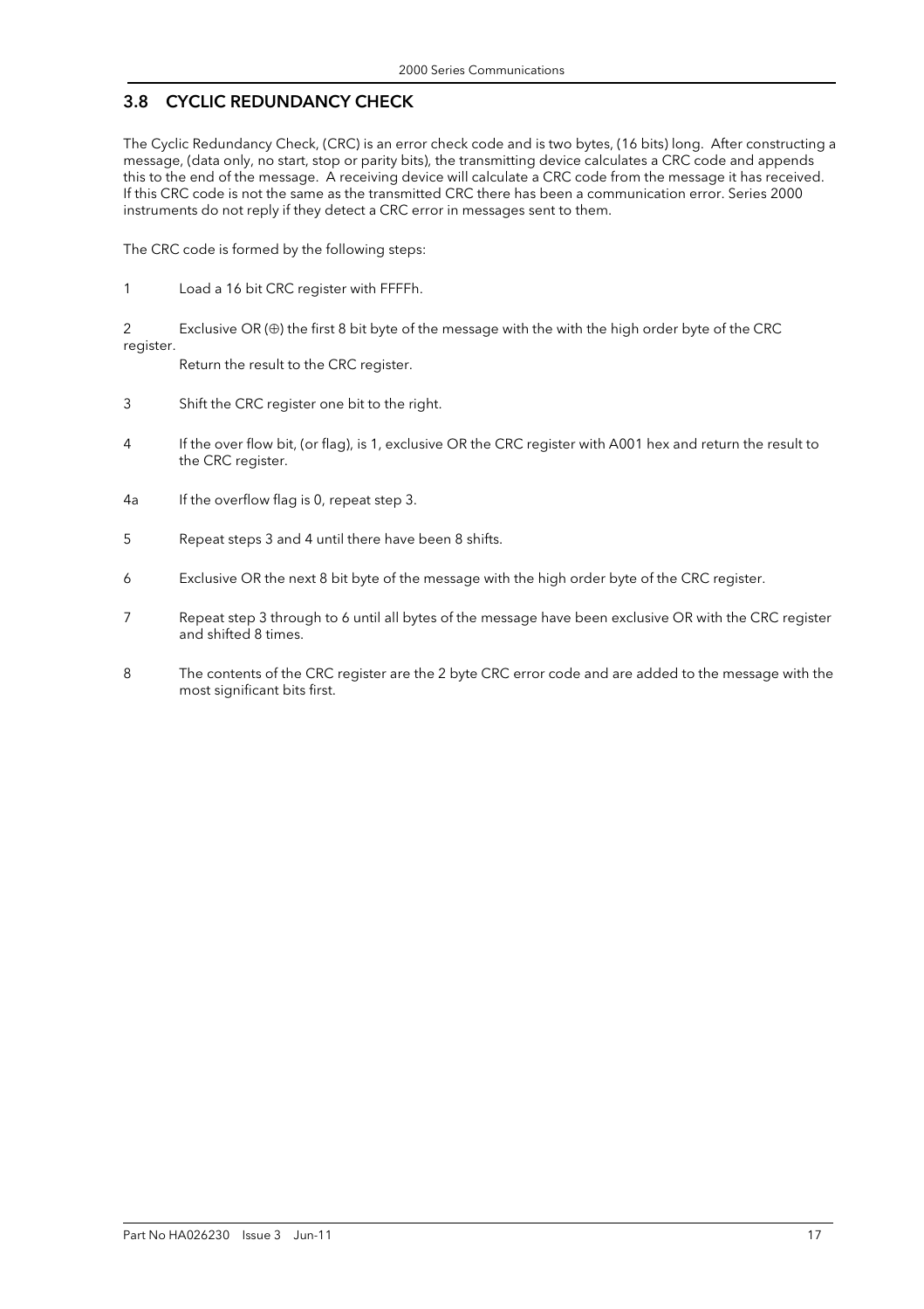### 3.8 CYCLIC REDUNDANCY CHECK

The Cyclic Redundancy Check, (CRC) is an error check code and is two bytes, (16 bits) long. After constructing a message, (data only, no start, stop or parity bits), the transmitting device calculates a CRC code and appends this to the end of the message. A receiving device will calculate a CRC code from the message it has received. If this CRC code is not the same as the transmitted CRC there has been a communication error. Series 2000 instruments do not reply if they detect a CRC error in messages sent to them.

The CRC code is formed by the following steps:

1 Load a 16 bit CRC register with FFFFh.

2 Exclusive OR (⊕) the first 8 bit byte of the message with the with the high order byte of the CRC register.

Return the result to the CRC register.

- 3 Shift the CRC register one bit to the right.
- 4 If the over flow bit, (or flag), is 1, exclusive OR the CRC register with A001 hex and return the result to the CRC register.
- 4a If the overflow flag is 0, repeat step 3.
- 5 Repeat steps 3 and 4 until there have been 8 shifts.
- 6 Exclusive OR the next 8 bit byte of the message with the high order byte of the CRC register.
- 7 Repeat step 3 through to 6 until all bytes of the message have been exclusive OR with the CRC register and shifted 8 times.
- 8 The contents of the CRC register are the 2 byte CRC error code and are added to the message with the most significant bits first.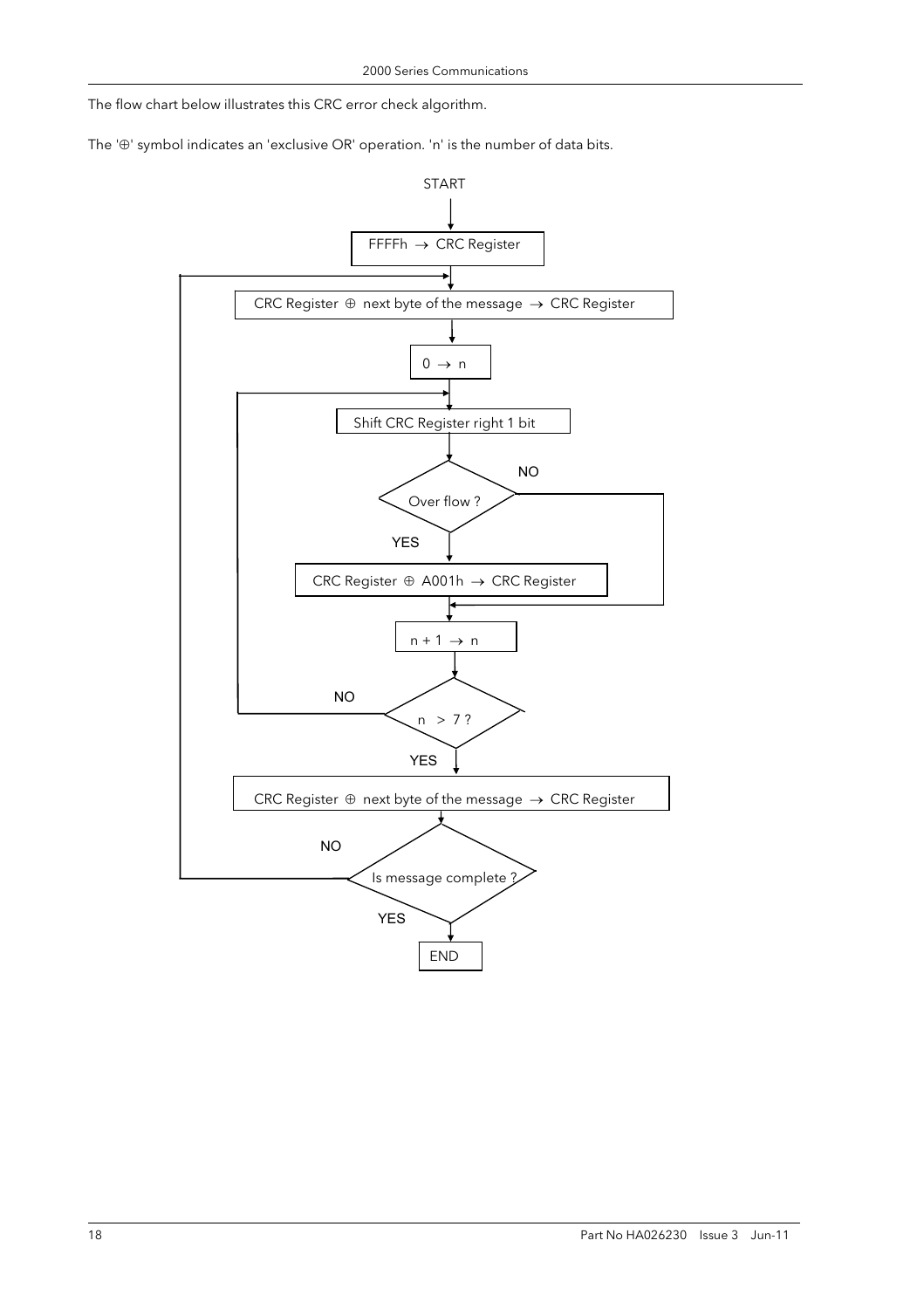The flow chart below illustrates this CRC error check algorithm.

The '⊕' symbol indicates an 'exclusive OR' operation. 'n' is the number of data bits.

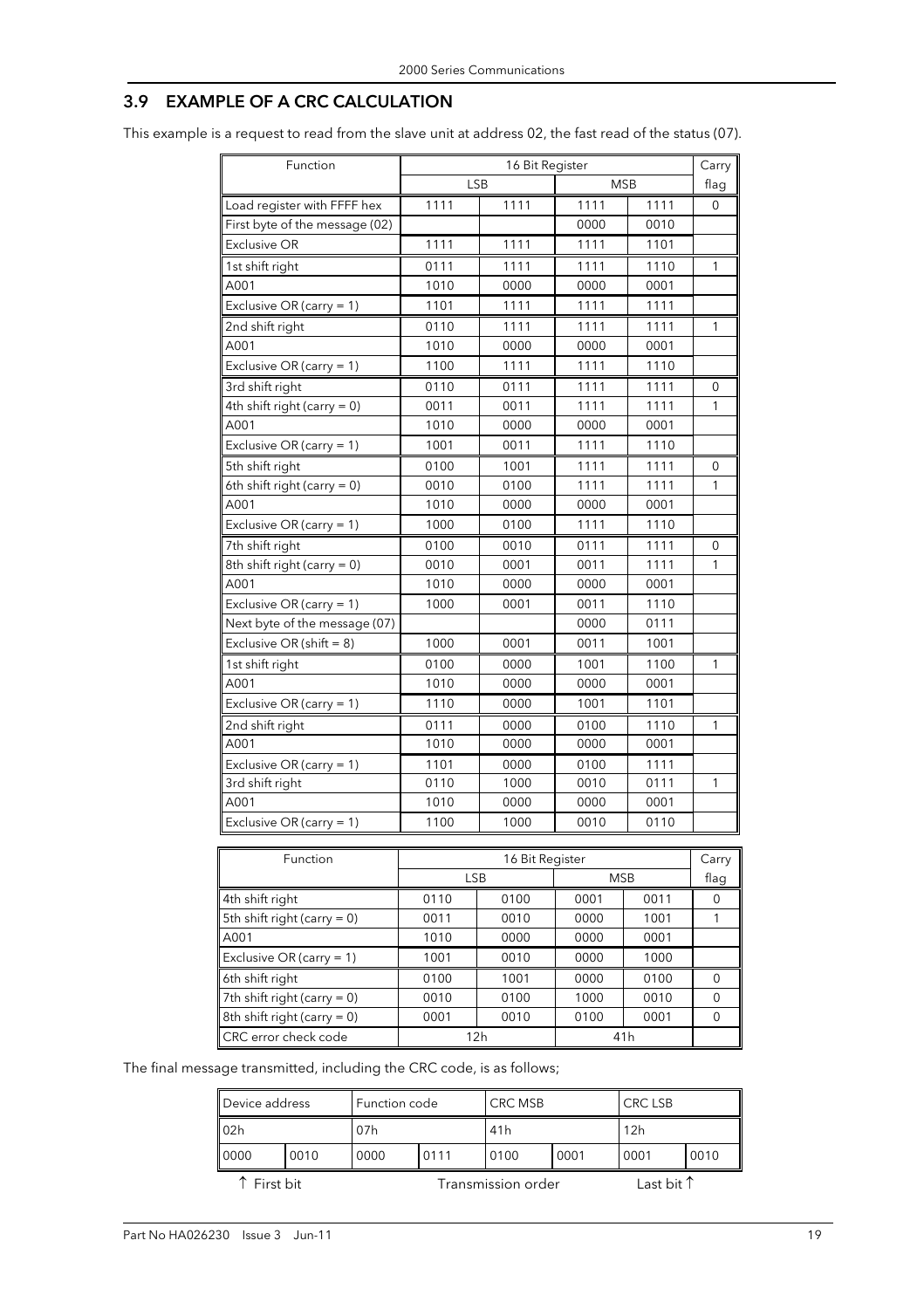### 3.9 EXAMPLE OF A CRC CALCULATION

This example is a request to read from the slave unit at address 02, the fast read of the status (07).

| Function                       |            | 16 Bit Register |                 |      | Carry |
|--------------------------------|------------|-----------------|-----------------|------|-------|
|                                |            | <b>LSB</b>      | <b>MSB</b>      |      | flag  |
| Load register with FFFF hex    | 1111       | 1111            | 1111            | 1111 | 0     |
| First byte of the message (02) |            |                 | 0000            | 0010 |       |
| <b>Exclusive OR</b>            | 1111       | 1111            | 1111            | 1101 |       |
| 1st shift right                | 0111       | 1111            | 1111            | 1110 | 1     |
| A001                           | 1010       | 0000            | 0000            | 0001 |       |
| Exclusive OR (carry = 1)       | 1101       | 1111            | 1111            | 1111 |       |
| 2nd shift right                | 0110       | 1111            | 1111            | 1111 | 1     |
| A001                           | 1010       | 0000            | 0000            | 0001 |       |
| Exclusive OR (carry = 1)       | 1100       | 1111            | 1111            | 1110 |       |
| 3rd shift right                | 0110       | 0111            | 1111            | 1111 | 0     |
| 4th shift right (carry = 0)    | 0011       | 0011            | 1111            | 1111 | 1     |
| A001                           | 1010       | 0000            | 0000            | 0001 |       |
| Exclusive OR (carry = 1)       | 1001       | 0011            | 1111            | 1110 |       |
| 5th shift right                | 0100       | 1001            | 1111            | 1111 | 0     |
| 6th shift right (carry $= 0$ ) | 0010       | 0100            | 1111            | 1111 | 1     |
| A001                           | 1010       | 0000            | 0000            | 0001 |       |
| Exclusive OR (carry = $1$ )    | 1000       | 0100            | 1111            | 1110 |       |
| 7th shift right                | 0100       | 0010            | 0111            | 1111 | 0     |
| 8th shift right (carry $= 0$ ) | 0010       | 0001            | 0011            | 1111 | 1     |
| A001                           | 1010       | 0000            | 0000            | 0001 |       |
| Exclusive OR (carry = $1$ )    | 1000       | 0001            | 0011            | 1110 |       |
| Next byte of the message (07)  |            |                 | 0000            | 0111 |       |
| Exclusive OR (shift = $8$ )    | 1000       | 0001            | 0011            | 1001 |       |
| 1st shift right                | 0100       | 0000            | 1001            | 1100 | 1     |
| A001                           | 1010       | 0000            | 0000            | 0001 |       |
| Exclusive OR (carry = $1$ )    | 1110       | 0000            | 1001            | 1101 |       |
| 2nd shift right                | 0111       | 0000            | 0100            | 1110 | 1     |
| A001                           | 1010       | 0000            | 0000            | 0001 |       |
| Exclusive OR (carry = $1$ )    | 1101       | 0000            | 0100            | 1111 |       |
| 3rd shift right                | 0110       | 1000            | 0010            | 0111 | 1     |
| A001                           | 1010       | 0000            | 0000            | 0001 |       |
| Exclusive OR (carry = 1)       | 1100       | 1000            | 0010            | 0110 |       |
| Function                       |            | 16 Bit Register |                 |      | Carry |
|                                | <b>LSB</b> |                 | <b>MSB</b>      |      | flaq  |
| 4th shift right                | 0110       | 0100            | 0001            | 0011 | 0     |
| 5th shift right (carry = $0$ ) | 0011       | 0010            | 0000            | 1001 | 1     |
| A001                           | 1010       | 0000            | 0000            | 0001 |       |
| Exclusive OR (carry = $1$ )    | 1001       | 0010            | 0000            | 1000 |       |
| 6th shift right                | 0100       | 1001            | 0000            | 0100 | 0     |
| 7th shift right (carry $= 0$ ) | 0010       | 0100            | 1000            | 0010 | 0     |
| 8th shift right (carry $= 0$ ) | 0001       | 0010            | 0100            | 0001 | 0     |
| CRC error check code           |            | 12h             | 41 <sub>h</sub> |      |       |

The final message transmitted, including the CRC code, is as follows;

| Device address  |  |      | Function code |                    | <b>CRC LSB</b><br>CRC MSB |                     |      |
|-----------------|--|------|---------------|--------------------|---------------------------|---------------------|------|
| 02 <sub>h</sub> |  | 07h  |               |                    | 41 <sub>h</sub>           |                     |      |
| 0000<br>0010    |  | 0000 | 0111          |                    | 0001                      | 0001                | 0010 |
| ↑ First bit     |  |      |               | Transmission order |                           | Last bit $\uparrow$ |      |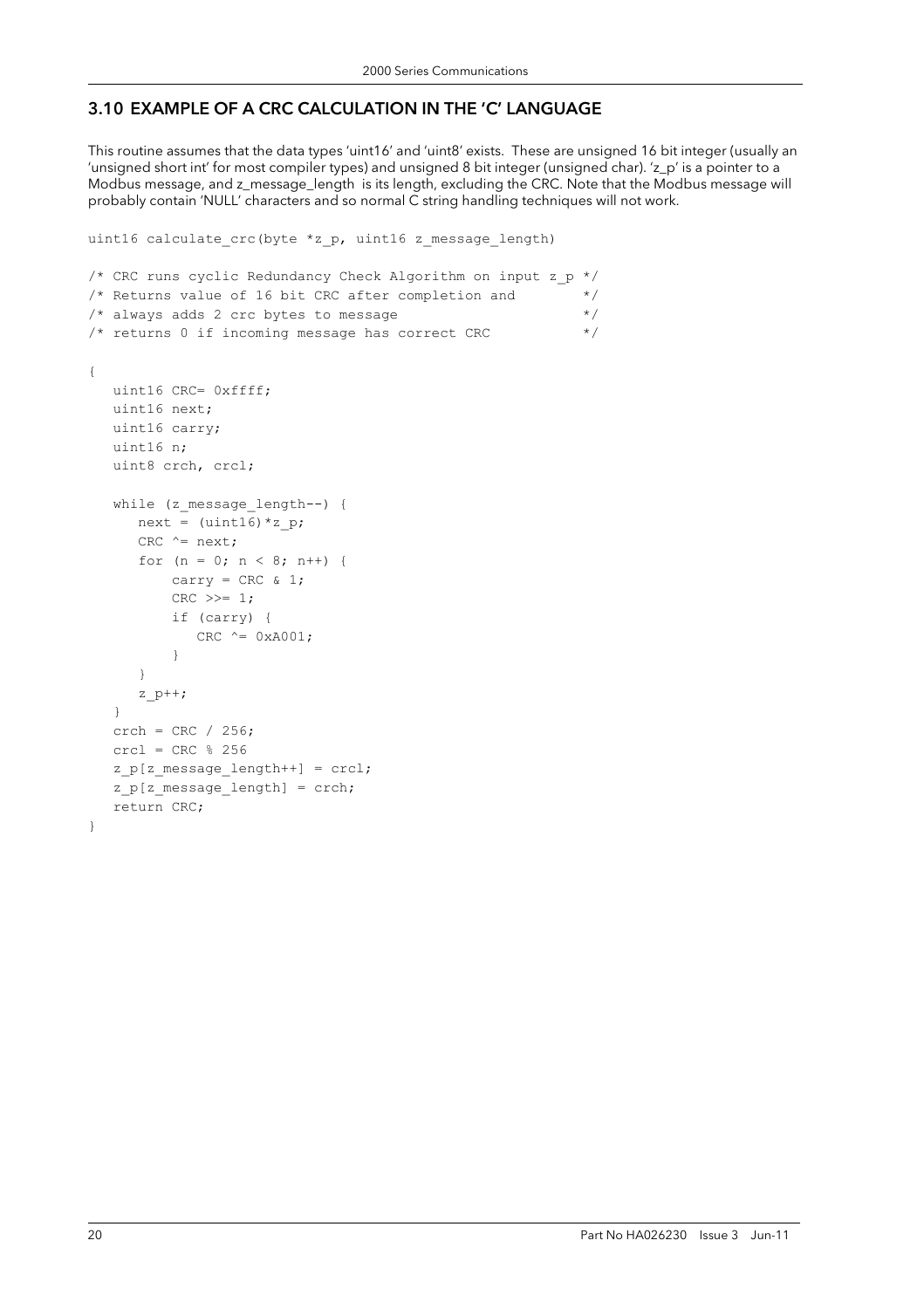# 3.10 EXAMPLE OF A CRC CALCULATION IN THE 'C' LANGUAGE

This routine assumes that the data types 'uint16' and 'uint8' exists. These are unsigned 16 bit integer (usually an 'unsigned short int' for most compiler types) and unsigned 8 bit integer (unsigned char). 'z\_p' is a pointer to a Modbus message, and z\_message\_length is its length, excluding the CRC. Note that the Modbus message will probably contain 'NULL' characters and so normal C string handling techniques will not work.

```
uint16 calculate crc(byte *z p, uint16 z message length)
/* CRC runs cyclic Redundancy Check Algorithm on input z_p */ 
/* Returns value of 16 bit CRC after completion and *//* always adds 2 crc bytes to message *//* returns 0 if incoming message has correct CRC * /{ 
   uint16 CRC= 0xffff; 
   uint16 next; 
   uint16 carry; 
   uint16 n; 
   uint8 crch, crcl; 
  while (z message length--) {
     next = (uint16)*z p;
     CRC ^{\wedge}= next;
      for (n = 0; n < 8; n++) {
         carry = CRC \& 1;CRC >>= 1;
           if (carry) { 
             CRC ^{\wedge} = 0xA001;
 } 
       } 
      z_p++; } 
   crch = CRC / 256;crcl = CRC % 256 z_p[z_message_length++] = crcl; 
   z p[z message length] = crch;
    return CRC; 
}
```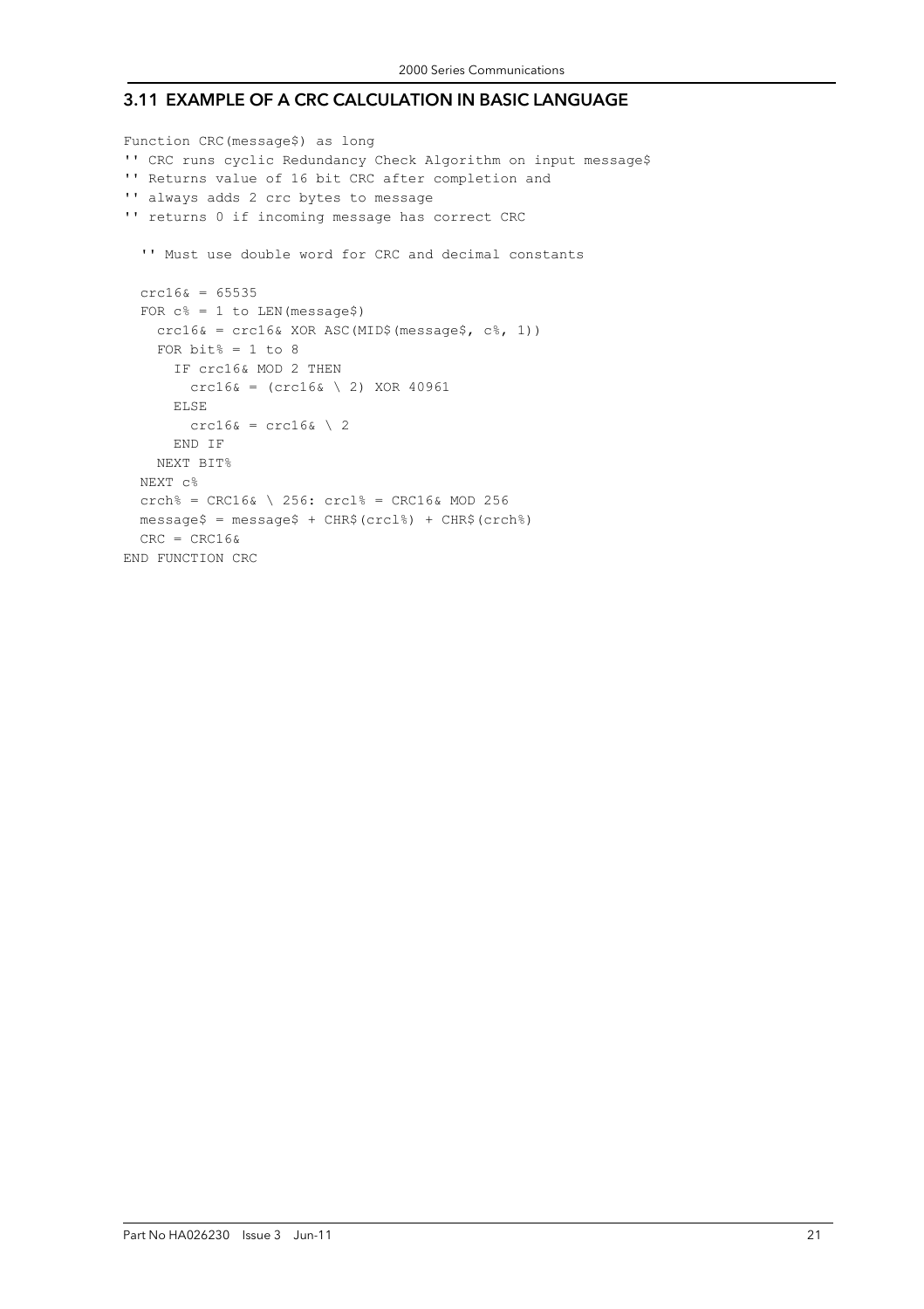#### 3.11 EXAMPLE OF A CRC CALCULATION IN BASIC LANGUAGE

```
Function CRC(message$) as long 
'' CRC runs cyclic Redundancy Check Algorithm on input message$ 
'' Returns value of 16 bit CRC after completion and 
'' always adds 2 crc bytes to message 
'' returns 0 if incoming message has correct CRC 
   '' Must use double word for CRC and decimal constants 
  crc16& = 65535FOR c^{\circ} = 1 to LEN (message$)
    crc16& = crc16& XOR ASC(MID$(message$, c$, 1))FOR bit% = 1 to 8 IF crc16& MOD 2 THEN 
        crc16& = (crc16& \setminus 2) XOR 40961
       ELSE 
        crc16\& = crc16\& \ 2
       END IF 
     NEXT BIT% 
   NEXT c% 
  crch<sup>8</sup> = CRC16& \ 256: crcl<sup>8</sup> = CRC16& MOD 256
  message$ = message$ + CHR$(crcl$) + CHR$(crcl$)CRC = CRC16&END FUNCTION CRC
```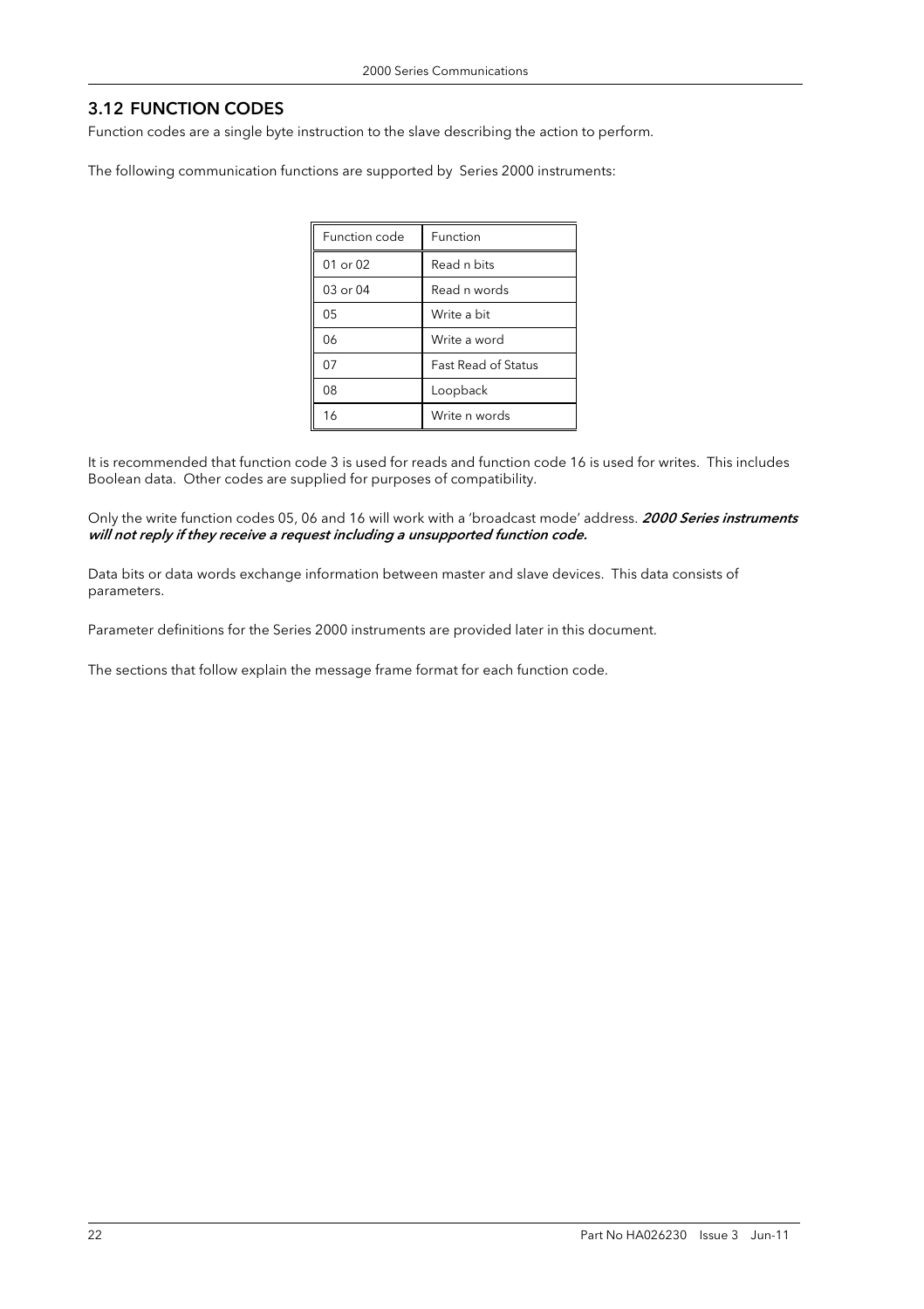### 3.12 FUNCTION CODES

Function codes are a single byte instruction to the slave describing the action to perform.

The following communication functions are supported by Series 2000 instruments:

| Function code | Function                   |
|---------------|----------------------------|
| $01$ or $02$  | Read n bits                |
| 03 or 04      | Read n words               |
| 05            | Write a bit                |
| 06            | Write a word               |
| 07            | <b>Fast Read of Status</b> |
| 08            | Loopback                   |
| 16            | Write n words              |

It is recommended that function code 3 is used for reads and function code 16 is used for writes. This includes Boolean data. Other codes are supplied for purposes of compatibility.

Only the write function codes 05, 06 and 16 will work with a 'broadcast mode' address. 2000 Series instruments will not reply if they receive a request including a unsupported function code.

Data bits or data words exchange information between master and slave devices. This data consists of parameters.

Parameter definitions for the Series 2000 instruments are provided later in this document.

The sections that follow explain the message frame format for each function code.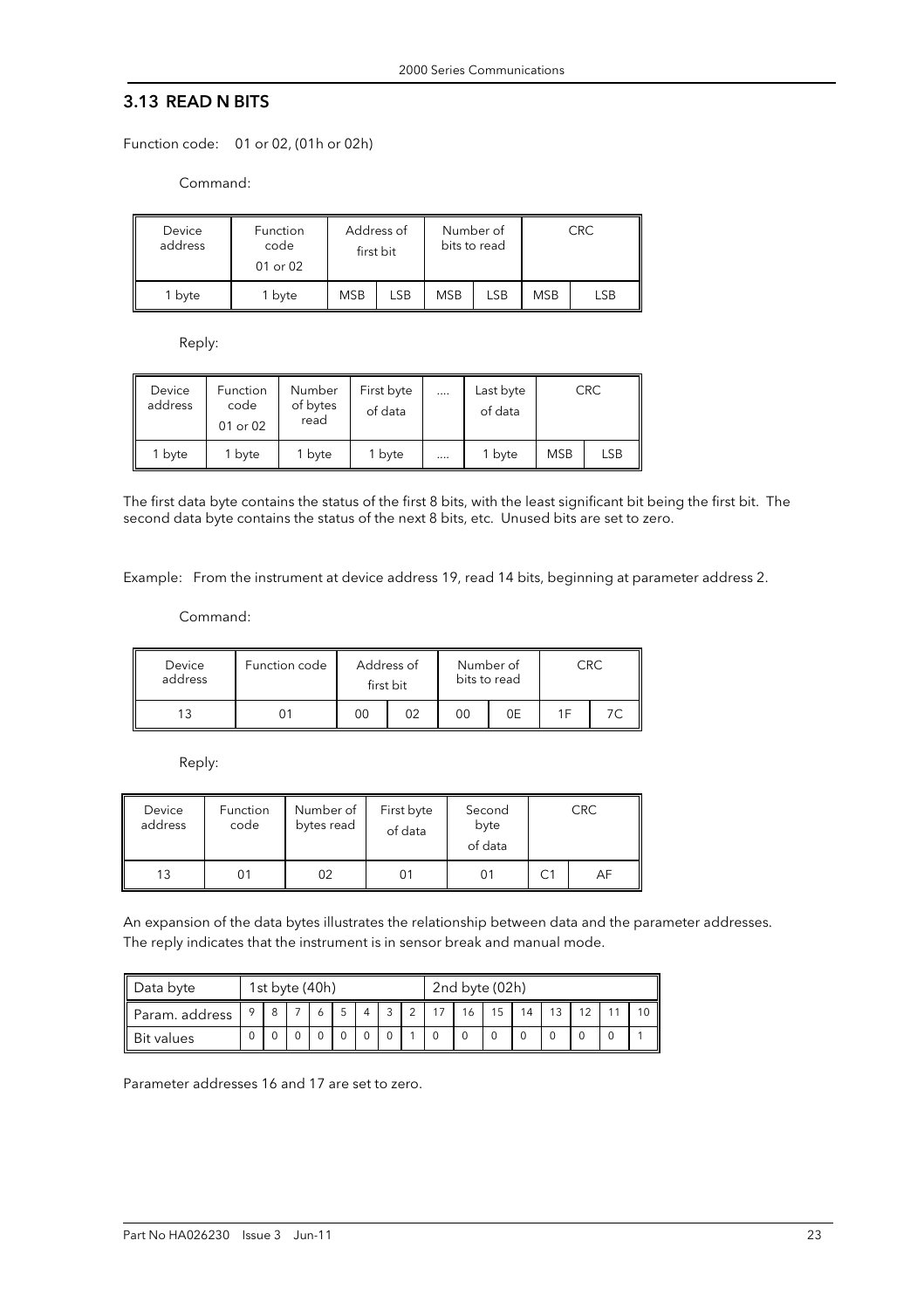#### 3.13 READ N BITS

Function code: 01 or 02, (01h or 02h)

Command:

| Device<br>address | Function<br>code<br>01 or 02 | Address of<br>first bit |     |            | Number of<br>bits to read |            | <b>CRC</b> |
|-------------------|------------------------------|-------------------------|-----|------------|---------------------------|------------|------------|
| 1 byte            | 1 byte                       | <b>MSB</b>              | LSB | <b>MSB</b> | <b>LSB</b>                | <b>MSB</b> | <b>LSB</b> |

Reply:

| Device<br>address | Function<br>code<br>01 or 02 | Number<br>of bytes<br>read | First byte<br>of data | <br>Last byte<br>of data |            | <b>CRC</b> |
|-------------------|------------------------------|----------------------------|-----------------------|--------------------------|------------|------------|
| 1 byte            | 1 byte                       | 1 byte                     | 1 byte                | <br>1 byte               | <b>MSB</b> | <b>LSB</b> |

The first data byte contains the status of the first 8 bits, with the least significant bit being the first bit. The second data byte contains the status of the next 8 bits, etc. Unused bits are set to zero.

Example: From the instrument at device address 19, read 14 bits, beginning at parameter address 2.

Command:

| Device<br>address | Function code | Address of<br>first bit |  | Number of<br>bits to read |    |     | CRC |
|-------------------|---------------|-------------------------|--|---------------------------|----|-----|-----|
|                   |               | 00                      |  | 00                        | 0E | 1 F |     |

Reply:

| Device<br>address | Function<br>code | Number of<br>bytes read | First byte<br>of data | Second<br>byte<br>of data | <b>CRC</b> |
|-------------------|------------------|-------------------------|-----------------------|---------------------------|------------|
| 13                |                  | 02                      | 01                    |                           | AF         |

An expansion of the data bytes illustrates the relationship between data and the parameter addresses. The reply indicates that the instrument is in sensor break and manual mode.

| Data byte         | 1st byte (40h) |  |  |  | 2nd byte (02h) |  |                |  |    |    |    |    |  |  |
|-------------------|----------------|--|--|--|----------------|--|----------------|--|----|----|----|----|--|--|
| Param. address    |                |  |  |  |                |  | $\overline{a}$ |  | 15 | 14 | 13 | 12 |  |  |
| <b>Bit values</b> |                |  |  |  |                |  |                |  |    |    |    |    |  |  |

Parameter addresses 16 and 17 are set to zero.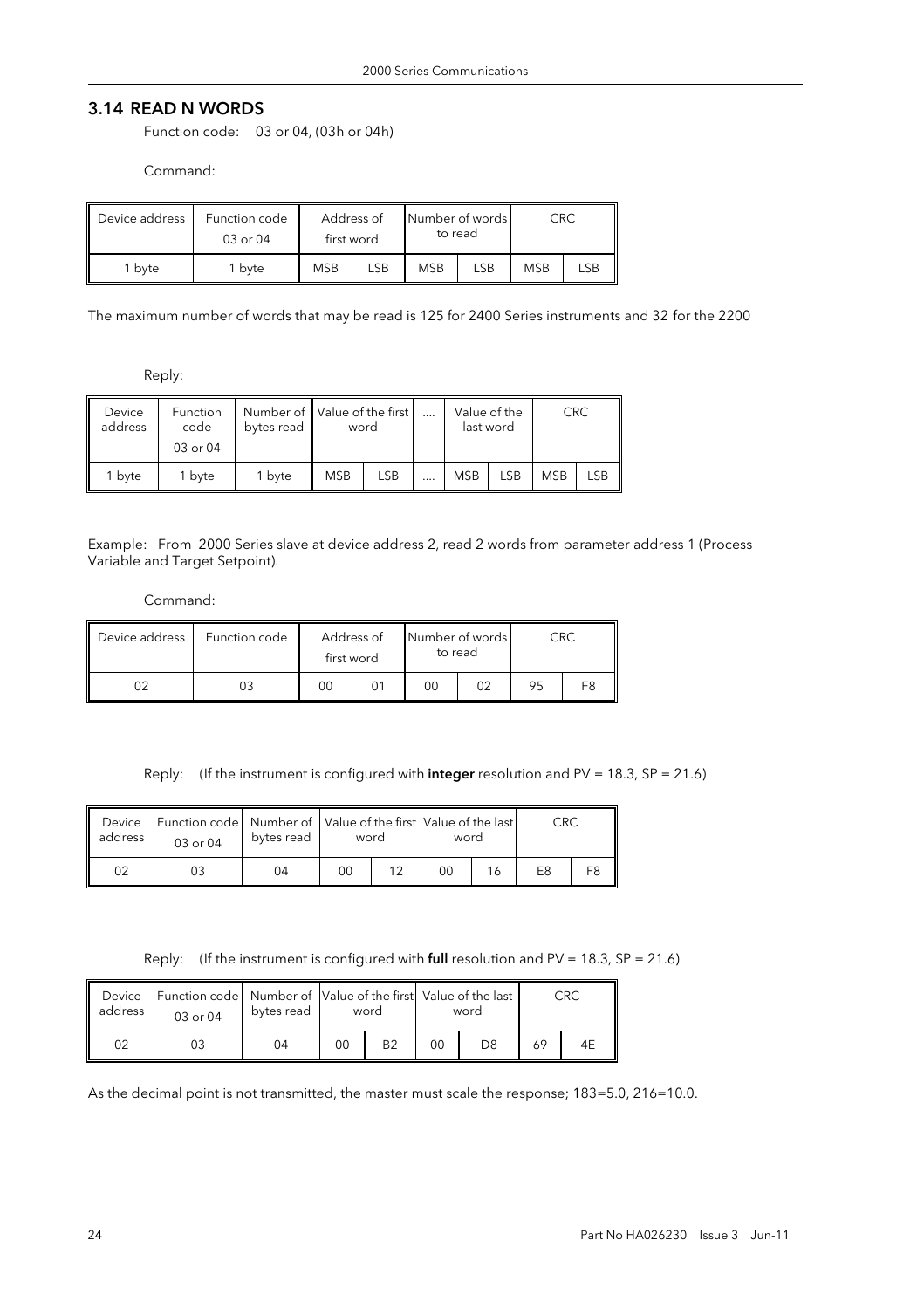### 3.14 READ N WORDS

Function code: 03 or 04, (03h or 04h)

Command:

| Device address | Function code<br>03 or 04 |                   | Address of<br>first word |            | Number of words<br>to read |            | CRC |
|----------------|---------------------------|-------------------|--------------------------|------------|----------------------------|------------|-----|
| 1 bvte         | <sup>1</sup> byte         | <b>MSB</b><br>LSB |                          | <b>MSB</b> | LSB                        | <b>MSB</b> |     |

The maximum number of words that may be read is 125 for 2400 Series instruments and 32 for the 2200

Reply:

| Device<br>address | Function<br>code<br>03 or 04 | bytes read | Number of Value of the first I<br>word |            |                | Value of the<br>last word | CRC        |     |
|-------------------|------------------------------|------------|----------------------------------------|------------|----------------|---------------------------|------------|-----|
| 1 byte            | 1 bvte                       | 1 byte     | <b>MSB</b>                             | <b>LSB</b> | <br><b>MSB</b> | LSB                       | <b>MSB</b> | LSB |

Example: From 2000 Series slave at device address 2, read 2 words from parameter address 1 (Process Variable and Target Setpoint).

#### Command:

| Device address | Function code | Address of<br>first word |  | to read | Number of words |    | CRC            |
|----------------|---------------|--------------------------|--|---------|-----------------|----|----------------|
|                |               | 00                       |  |         | 02              | 95 | F <sub>8</sub> |

Reply: (If the instrument is configured with integer resolution and PV = 18.3, SP = 21.6)

| Device<br>address | [Function code] Number of   Value of the first   Value of the last<br>03 or 04 | bytes read | word |    | word |    | CRC            |  |
|-------------------|--------------------------------------------------------------------------------|------------|------|----|------|----|----------------|--|
|                   | 03                                                                             | 04         | 00   | 12 | 00   | 16 | F <sub>8</sub> |  |

Reply: (If the instrument is configured with full resolution and PV = 18.3,  $SP = 21.6$ )

| Device<br>address | Function code Number of Value of the first Value of the last<br>$03$ or $04$ | bytes read |    | word           |    | word |    | CRC |
|-------------------|------------------------------------------------------------------------------|------------|----|----------------|----|------|----|-----|
| 02                |                                                                              | 04         | 00 | B <sub>2</sub> | 00 | D8   | 69 | 4E  |

As the decimal point is not transmitted, the master must scale the response; 183=5.0, 216=10.0.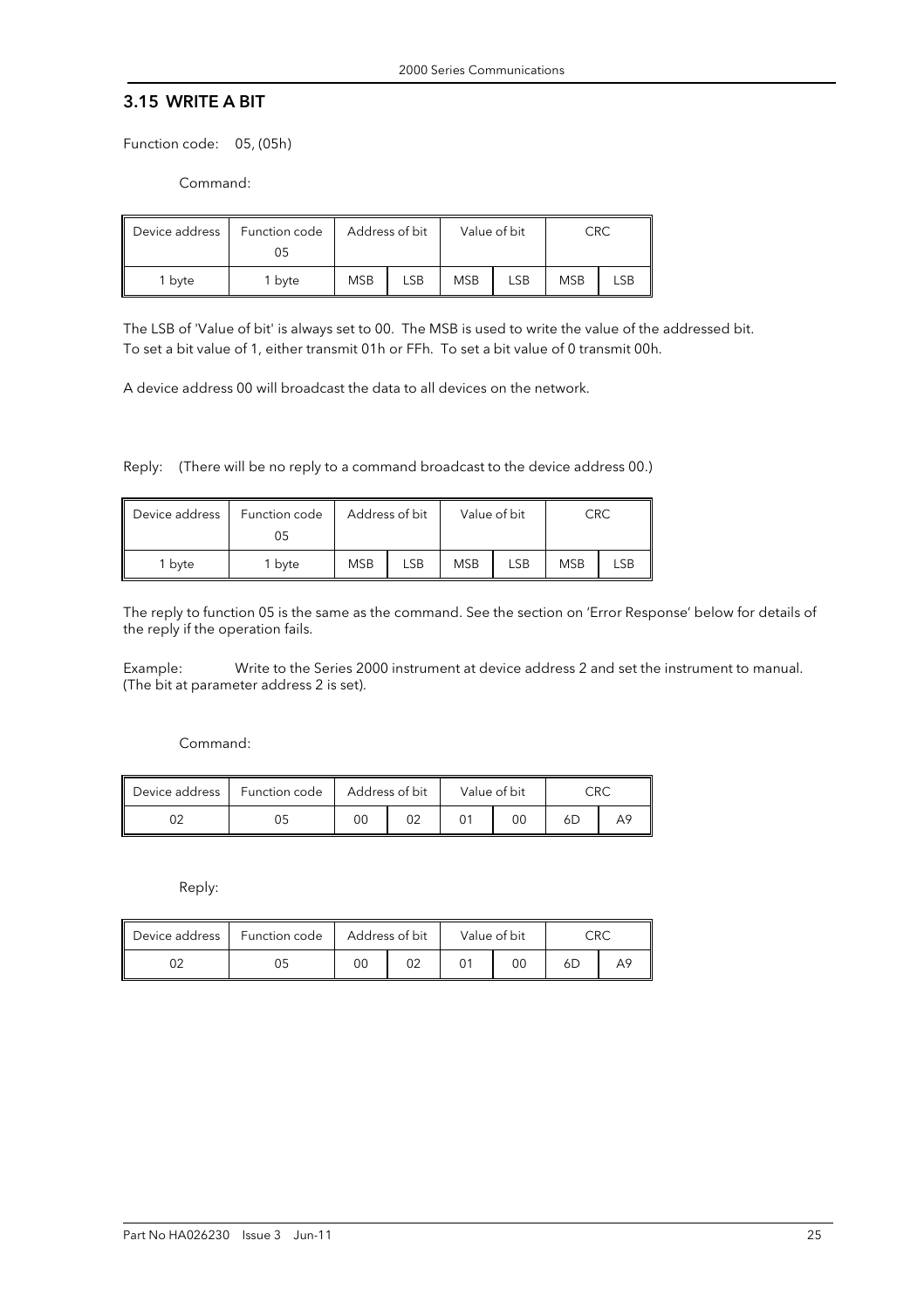#### 3.15 WRITE A BIT

Function code: 05, (05h)

Command:

| Device address | Function code<br>05 | Address of bit |     |            | Value of bit |            | CRC |  |
|----------------|---------------------|----------------|-----|------------|--------------|------------|-----|--|
| 1 byte         | <sup>1</sup> byte   | <b>MSB</b>     | LSB | <b>MSB</b> | LSB          | <b>MSB</b> | LSB |  |

The LSB of 'Value of bit' is always set to 00. The MSB is used to write the value of the addressed bit. To set a bit value of 1, either transmit 01h or FFh. To set a bit value of 0 transmit 00h.

A device address 00 will broadcast the data to all devices on the network.

Reply: (There will be no reply to a command broadcast to the device address 00.)

| Device address | Function code<br>05 | Address of bit |     |            | Value of bit |            | CRC |  |
|----------------|---------------------|----------------|-----|------------|--------------|------------|-----|--|
| 1 byte         | 1 byte              | <b>MSB</b>     | LSB | <b>MSB</b> | <b>LSB</b>   | <b>MSB</b> | ∟SB |  |

The reply to function 05 is the same as the command. See the section on 'Error Response' below for details of the reply if the operation fails.

Example: Write to the Series 2000 instrument at device address 2 and set the instrument to manual. (The bit at parameter address 2 is set).

Command:

| Device address | Function code | Address of bit |  | Value of bit |    | $\subset$ RC |  |
|----------------|---------------|----------------|--|--------------|----|--------------|--|
|                |               | υu             |  |              | 00 | 6D           |  |

Reply:

| Device address | Function code | Address of bit | Value of bit |    | ∩R∩ |  |
|----------------|---------------|----------------|--------------|----|-----|--|
|                |               | OΟ             |              | 0C | 6L  |  |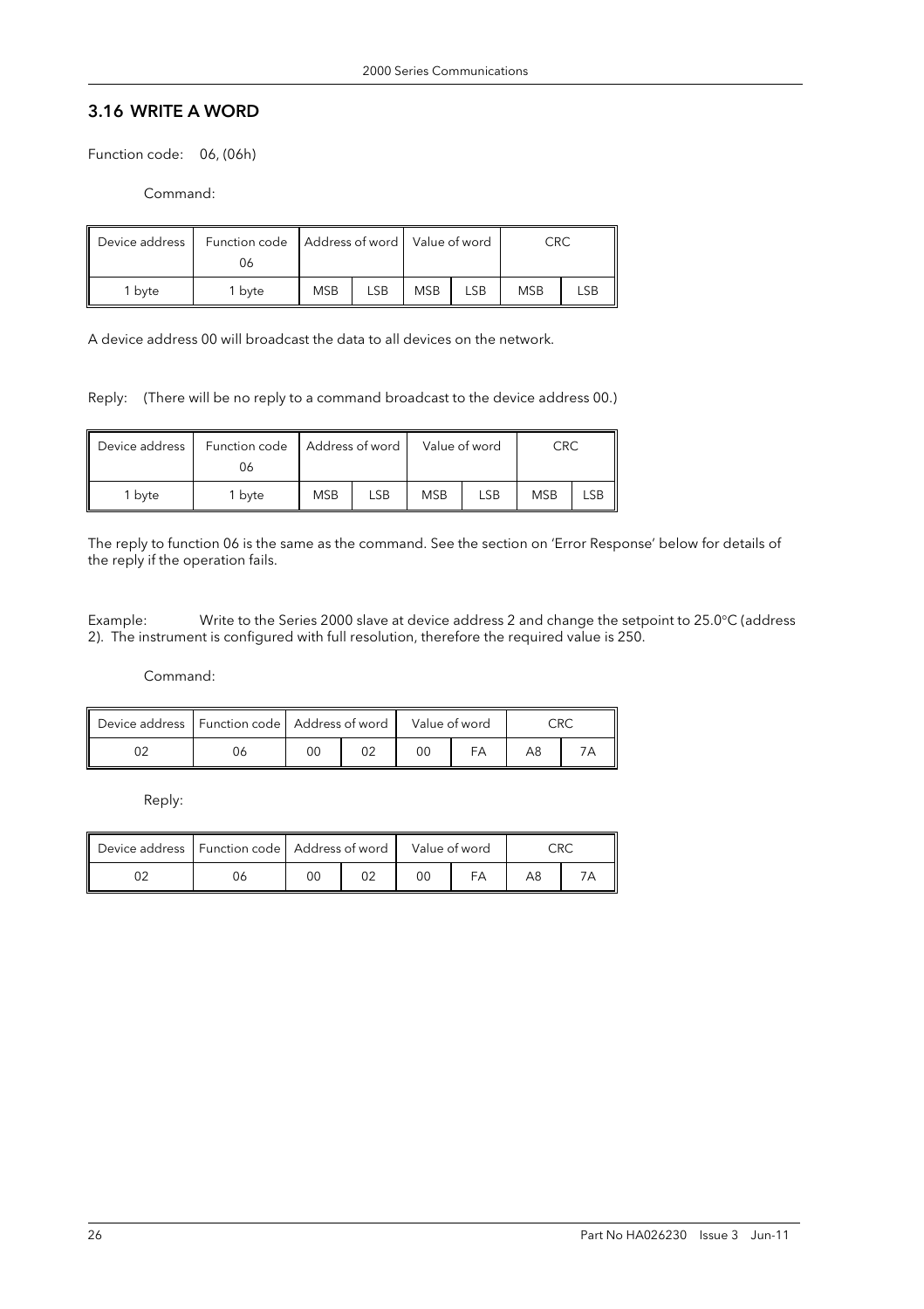# 3.16 WRITE A WORD

Function code: 06, (06h)

Command:

| Ш<br>Device address | Function code<br>06 | Address of word   Value of word |     |            |     |            | CRC |  |
|---------------------|---------------------|---------------------------------|-----|------------|-----|------------|-----|--|
| 1 bvte              | 1 byte              | <b>MSB</b>                      | LSB | <b>MSB</b> | LSB | <b>MSB</b> | LSB |  |

A device address 00 will broadcast the data to all devices on the network.

Reply: (There will be no reply to a command broadcast to the device address 00.)

| Device address | Function code<br>06 | Address of word |     |            | Value of word |            | CRC |  |
|----------------|---------------------|-----------------|-----|------------|---------------|------------|-----|--|
| 1 bvte         | 1 byte              | <b>MSB</b>      | LSB | <b>MSB</b> | LSB           | <b>MSB</b> | LSB |  |

The reply to function 06 is the same as the command. See the section on 'Error Response' below for details of the reply if the operation fails.

Example: Write to the Series 2000 slave at device address 2 and change the setpoint to 25.0°C (address 2). The instrument is configured with full resolution, therefore the required value is 250.

Command:

|  | Device address   Function code   Address of word |  | Value of word |  |  |
|--|--------------------------------------------------|--|---------------|--|--|
|  |                                                  |  | DС            |  |  |

Reply:

|  | Device address   Function code   Address of word |  | Value of word |  |  |
|--|--------------------------------------------------|--|---------------|--|--|
|  |                                                  |  | ЭC            |  |  |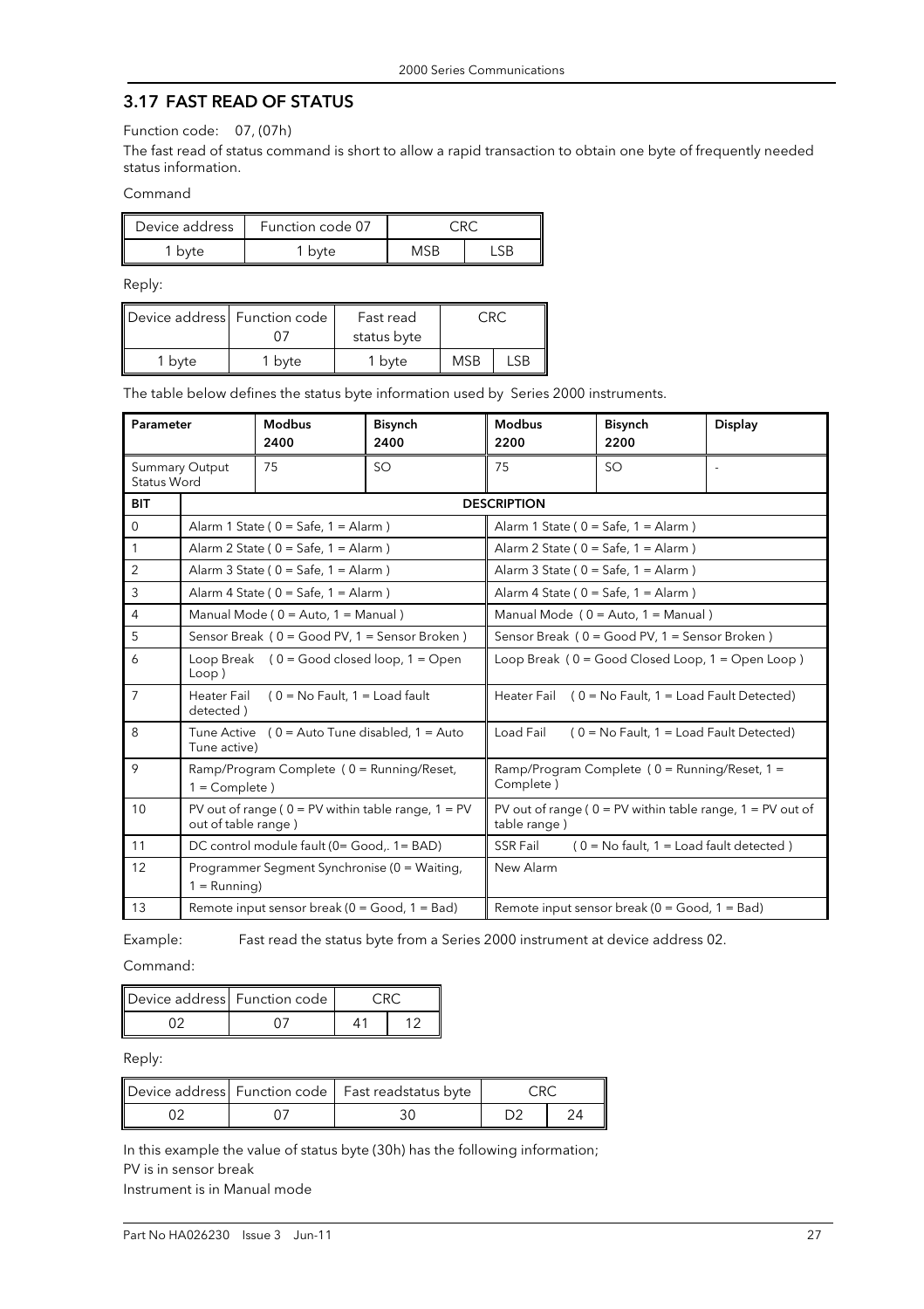### 3.17 FAST READ OF STATUS

Function code: 07, (07h)

The fast read of status command is short to allow a rapid transaction to obtain one byte of frequently needed status information.

Command

| Device address | Function code 07 |     |  |  |
|----------------|------------------|-----|--|--|
| byte           | ' byte           | MSB |  |  |

Reply:

| Device address Function code |      | Fast read         |            |  |
|------------------------------|------|-------------------|------------|--|
|                              |      | status byte       |            |  |
| byte                         | byte | <sup>1</sup> byte | <b>MSB</b> |  |

The table below defines the status byte information used by Series 2000 instruments.

| Parameter      |                                                                                        | <b>Modbus</b><br>2400                                   | <b>Bisynch</b><br>2400 | <b>Modbus</b><br>2200                                             | <b>Bisynch</b><br>2200                               | <b>Display</b>                                                 |  |  |
|----------------|----------------------------------------------------------------------------------------|---------------------------------------------------------|------------------------|-------------------------------------------------------------------|------------------------------------------------------|----------------------------------------------------------------|--|--|
| Status Word    | <b>Summary Output</b>                                                                  | 75                                                      | SO                     | 75                                                                | SO                                                   | ÷.                                                             |  |  |
| <b>BIT</b>     |                                                                                        |                                                         |                        | <b>DESCRIPTION</b>                                                |                                                      |                                                                |  |  |
| $\Omega$       |                                                                                        | Alarm 1 State ( $0 =$ Safe, $1 =$ Alarm )               |                        |                                                                   | Alarm 1 State ( $0 =$ Safe, $1 =$ Alarm )            |                                                                |  |  |
| 1              |                                                                                        | Alarm 2 State ( $0 =$ Safe, $1 =$ Alarm )               |                        |                                                                   | Alarm 2 State ( $0 =$ Safe, $1 =$ Alarm )            |                                                                |  |  |
| 2              |                                                                                        | Alarm 3 State ( $0 =$ Safe, $1 =$ Alarm )               |                        |                                                                   | Alarm 3 State ( $0 =$ Safe, $1 =$ Alarm )            |                                                                |  |  |
| 3              | Alarm 4 State ( $0 =$ Safe, $1 =$ Alarm )<br>Alarm 4 State ( $0 =$ Safe, $1 =$ Alarm ) |                                                         |                        |                                                                   |                                                      |                                                                |  |  |
| $\overline{4}$ |                                                                                        | Manual Mode (0 = Auto, 1 = Manual)                      |                        | Manual Mode (0 = Auto, 1 = Manual)                                |                                                      |                                                                |  |  |
| 5              |                                                                                        | Sensor Break (0 = Good PV, 1 = Sensor Broken)           |                        |                                                                   | Sensor Break (0 = Good PV, 1 = Sensor Broken)        |                                                                |  |  |
| 6              | Loop)                                                                                  | Loop Break $(0 = Good closed loop, 1 = Open$            |                        | Loop Break (0 = Good Closed Loop, 1 = Open Loop)                  |                                                      |                                                                |  |  |
| $\overline{7}$ | Heater Fail<br>detected)                                                               | $(0 = No$ Fault, $1 = Load$ fault                       |                        | <b>Heater Fail</b><br>$(0 = No$ Fault, $1 = Load$ Fault Detected) |                                                      |                                                                |  |  |
| 8              | Tune active)                                                                           | Tune Active $(0 =$ Auto Tune disabled, $1 =$ Auto       |                        | $(0 = No$ Fault, $1 = Load$ Fault Detected)<br>Load Fail          |                                                      |                                                                |  |  |
| 9              | $1 =$ Complete)                                                                        | $Ramp/Program Complete (0 = Running/Reset,$             |                        | Ramp/Program Complete (0 = Running/Reset, 1 =<br>Complete)        |                                                      |                                                                |  |  |
| 10             | out of table range)                                                                    | PV out of range ( $0 = PV$ within table range, $1 = PV$ |                        | table range)                                                      |                                                      | PV out of range ( $0 = PV$ within table range, $1 = PV$ out of |  |  |
| 11             |                                                                                        | DC control module fault (0= Good,. 1= BAD)              |                        | <b>SSR Fail</b>                                                   | $(0 = No$ fault, $1 = Load$ fault detected)          |                                                                |  |  |
| 12             | $1 =$ Running)                                                                         | Programmer Segment Synchronise (0 = Waiting,            |                        | New Alarm                                                         |                                                      |                                                                |  |  |
| 13             |                                                                                        | Remote input sensor break ( $0 = Good$ , 1 = Bad)       |                        |                                                                   | Remote input sensor break ( $0 = Good$ , $1 = Bad$ ) |                                                                |  |  |

Example: Fast read the status byte from a Series 2000 instrument at device address 02.

Command:

| Device address Function code |  |  |  |
|------------------------------|--|--|--|
|                              |  |  |  |

Reply:

|  | Device address Function code   Fast readstatus byte |  |
|--|-----------------------------------------------------|--|
|  |                                                     |  |

In this example the value of status byte (30h) has the following information; PV is in sensor break Instrument is in Manual mode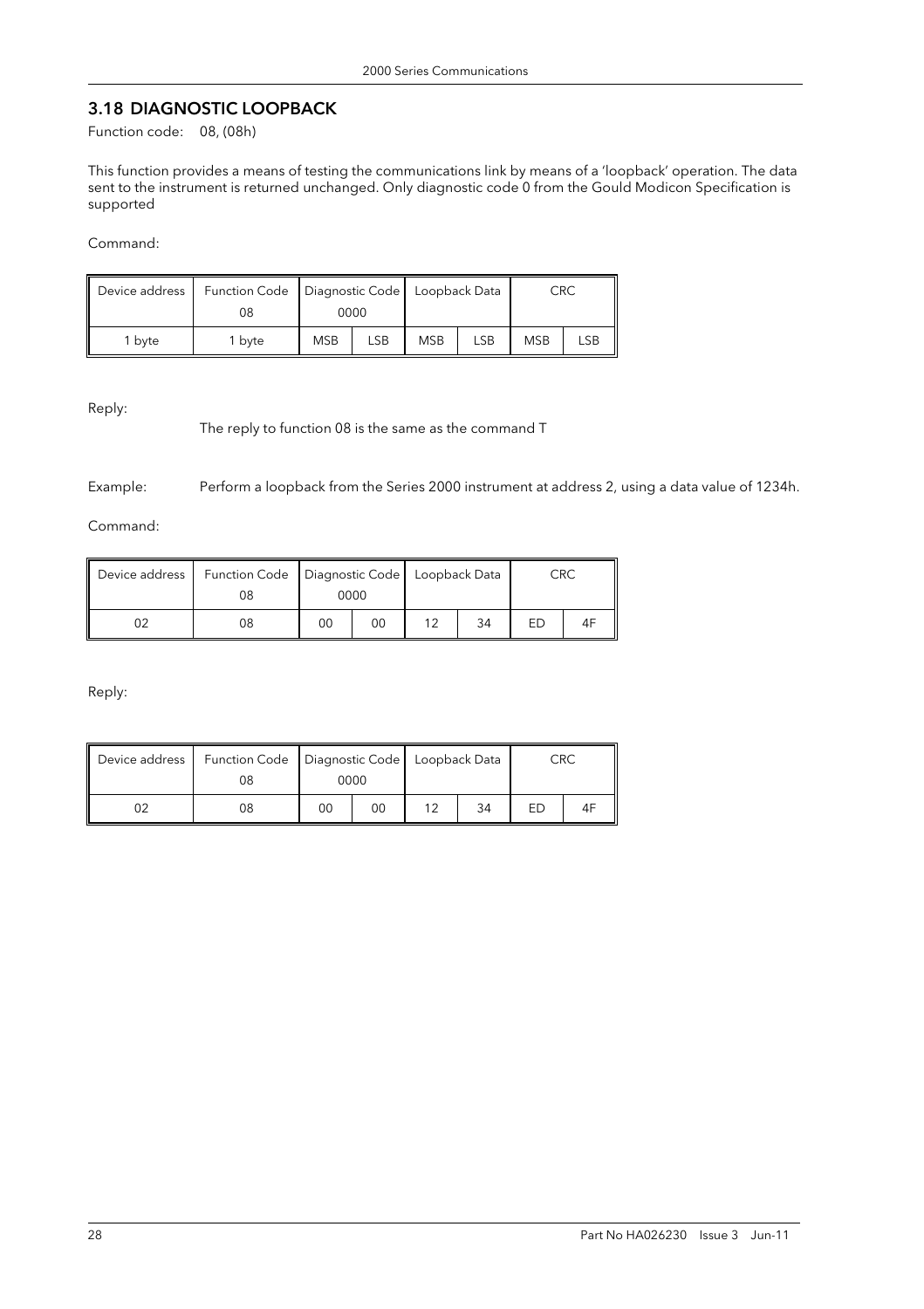# 3.18 DIAGNOSTIC LOOPBACK

Function code: 08, (08h)

This function provides a means of testing the communications link by means of a 'loopback' operation. The data sent to the instrument is returned unchanged. Only diagnostic code 0 from the Gould Modicon Specification is supported

Command:

| Device address |        | Function Code   Diagnostic Code   Loopback Data |     |            |     | CRC        |            |
|----------------|--------|-------------------------------------------------|-----|------------|-----|------------|------------|
|                | 08     | 0000                                            |     |            |     |            |            |
| 1 byte         | 1 bvte | <b>MSB</b>                                      | LSB | <b>MSB</b> | LSB | <b>MSB</b> | <b>LSB</b> |

Reply:

The reply to function 08 is the same as the command T

Example: Perform a loopback from the Series 2000 instrument at address 2, using a data value of 1234h.

Command:

| Device address |    | Function Code   Diagnostic Code   Loopback Data |    |    |    | CRC |  |
|----------------|----|-------------------------------------------------|----|----|----|-----|--|
|                | 08 | 0000                                            |    |    |    |     |  |
|                | 08 | 00                                              | 00 | 1つ | 34 | FD  |  |

Reply:

| Device address | 08 | Function Code   Diagnostic Code   Loopback Data<br>0000 |    |  |    | CRC |    |
|----------------|----|---------------------------------------------------------|----|--|----|-----|----|
|                | 08 | 00                                                      | 00 |  | 34 |     | 4F |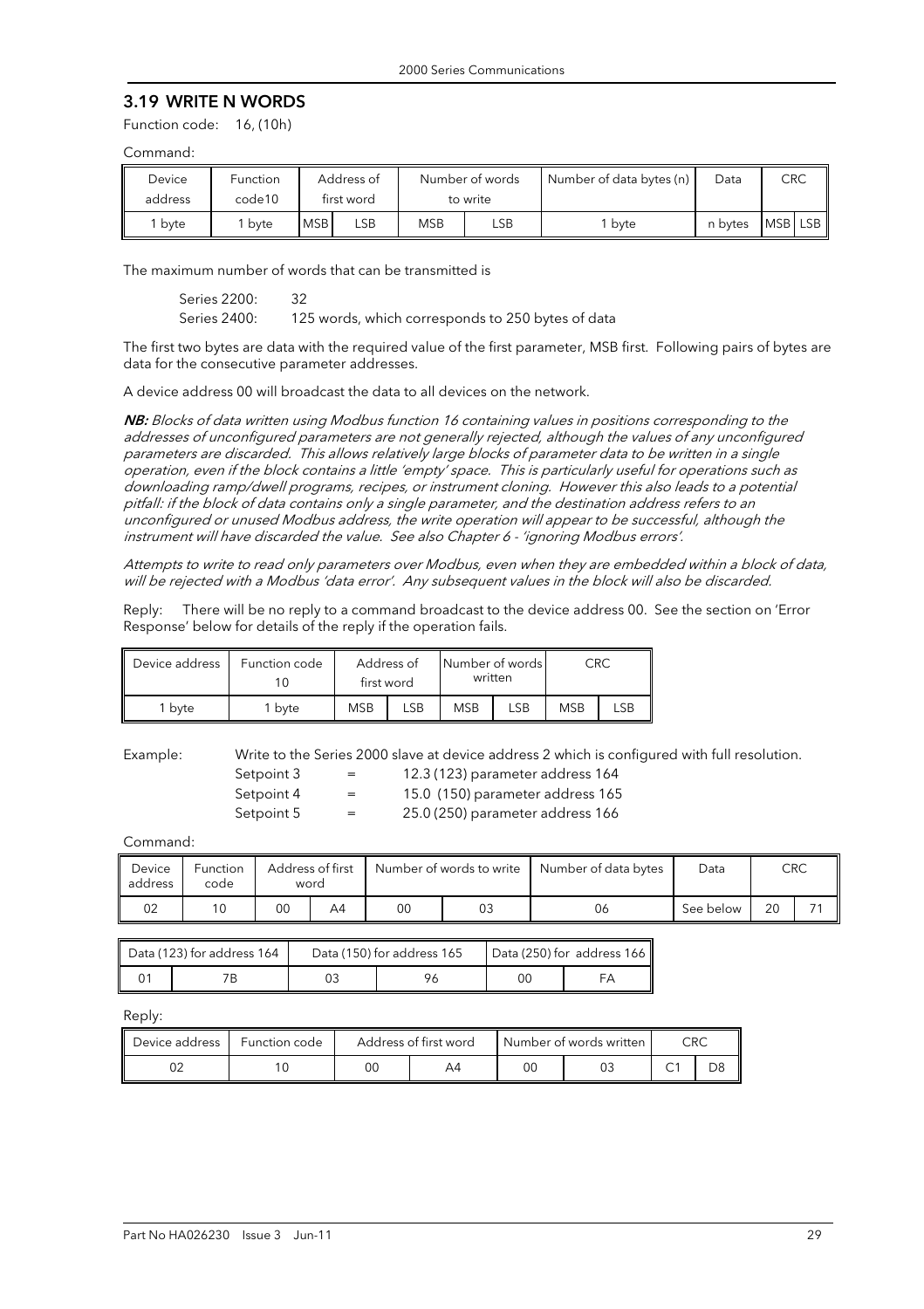#### 3.19 WRITE N WORDS

Function code: 16, (10h)

#### Command:

| Device<br>address | Function<br>code10 |            | Address of<br>first word |     | Number of words<br>to write | Number of data bytes (n) | Data    | <b>CRC</b> |  |
|-------------------|--------------------|------------|--------------------------|-----|-----------------------------|--------------------------|---------|------------|--|
| byte              | bvte               | <b>MSB</b> | ∟SB.                     | MSB | LSB                         | bvte                     | n bytes | MSB LSB    |  |

The maximum number of words that can be transmitted is

 Series 2200: 32 Series 2400: 125 words, which corresponds to 250 bytes of data

The first two bytes are data with the required value of the first parameter, MSB first. Following pairs of bytes are data for the consecutive parameter addresses.

A device address 00 will broadcast the data to all devices on the network.

NB: Blocks of data written using Modbus function 16 containing values in positions corresponding to the addresses of unconfigured parameters are not generally rejected, although the values of any unconfigured parameters are discarded. This allows relatively large blocks of parameter data to be written in a single operation, even if the block contains a little 'empty' space. This is particularly useful for operations such as downloading ramp/dwell programs, recipes, or instrument cloning. However this also leads to a potential pitfall: if the block of data contains only a single parameter, and the destination address refers to an unconfigured or unused Modbus address, the write operation will appear to be successful, although the instrument will have discarded the value. See also Chapter 6 - 'ignoring Modbus errors'.

Attempts to write to read only parameters over Modbus, even when they are embedded within a block of data, will be rejected with a Modbus 'data error'. Any subsequent values in the block will also be discarded.

Reply: There will be no reply to a command broadcast to the device address 00. See the section on 'Error Response' below for details of the reply if the operation fails.

| Device address    | Function code | Address of<br>first word |     | Number of words<br>written |     | CRC        |     |
|-------------------|---------------|--------------------------|-----|----------------------------|-----|------------|-----|
| <sup>1</sup> byte | ' byte        | <b>MSB</b>               | _SB | <b>MSB</b>                 | LSB | <b>MSB</b> | LSB |

Example: Write to the Series 2000 slave at device address 2 which is configured with full resolution.

| Setpoint 3 | $=$ | 12.3 (123) parameter address 164 |
|------------|-----|----------------------------------|
| Setpoint 4 | $=$ | 15.0 (150) parameter address 165 |
| Setpoint 5 | $=$ | 25.0 (250) parameter address 166 |

Command:

| Device<br>address | <b>Function</b><br>code |    | Address of first<br>word | Number of words to write |    | Number of data bytes | Data      | <b>CRC</b> |  |
|-------------------|-------------------------|----|--------------------------|--------------------------|----|----------------------|-----------|------------|--|
| 02                | 10                      | 00 | A4                       | 00                       | 03 | 06                   | See below | 20         |  |

| Data (123) for address 164 | Data (150) for address 165 | Data (250) for address 166 |  |  |
|----------------------------|----------------------------|----------------------------|--|--|
|                            |                            | 00                         |  |  |

Reply:

| Device address | Function code | Address of first word |    | Number of words written | CRC |  |  |
|----------------|---------------|-----------------------|----|-------------------------|-----|--|--|
|                |               | ОC                    | Д4 | OC                      |     |  |  |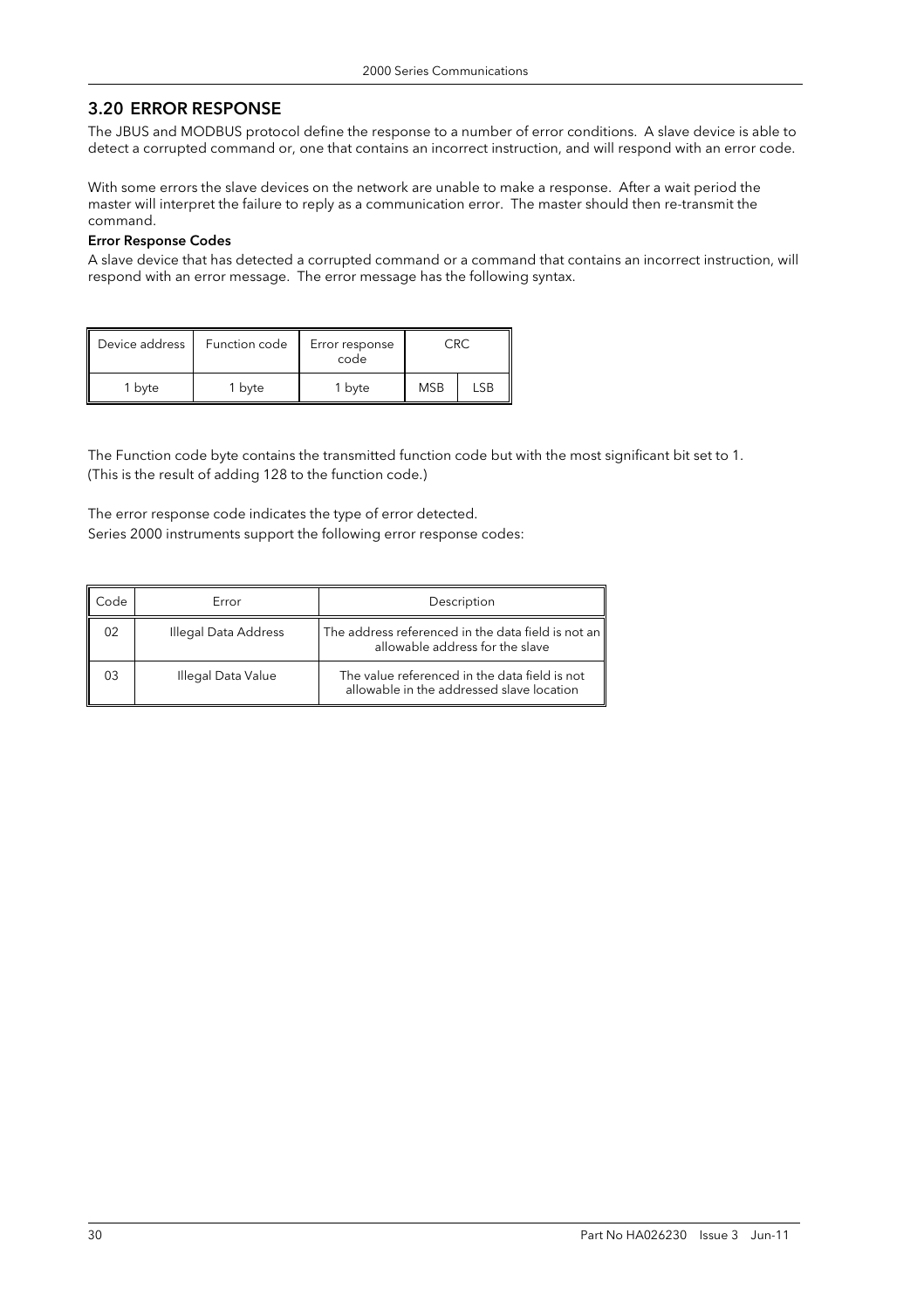# 3.20 ERROR RESPONSE

The JBUS and MODBUS protocol define the response to a number of error conditions. A slave device is able to detect a corrupted command or, one that contains an incorrect instruction, and will respond with an error code.

With some errors the slave devices on the network are unable to make a response. After a wait period the master will interpret the failure to reply as a communication error. The master should then re-transmit the command.

#### Error Response Codes

A slave device that has detected a corrupted command or a command that contains an incorrect instruction, will respond with an error message. The error message has the following syntax.

| Device address | Function code | Error response<br>code | ≘R∩        |     |
|----------------|---------------|------------------------|------------|-----|
| bvte           | 1 byte        | 1 byte                 | <b>MSB</b> | LSB |

The Function code byte contains the transmitted function code but with the most significant bit set to 1. (This is the result of adding 128 to the function code.)

The error response code indicates the type of error detected. Series 2000 instruments support the following error response codes:

| Code | Error                | Description                                                                                |
|------|----------------------|--------------------------------------------------------------------------------------------|
| 02   | Illegal Data Address | The address referenced in the data field is not an<br>allowable address for the slave      |
| 03   | Illegal Data Value   | The value referenced in the data field is not<br>allowable in the addressed slave location |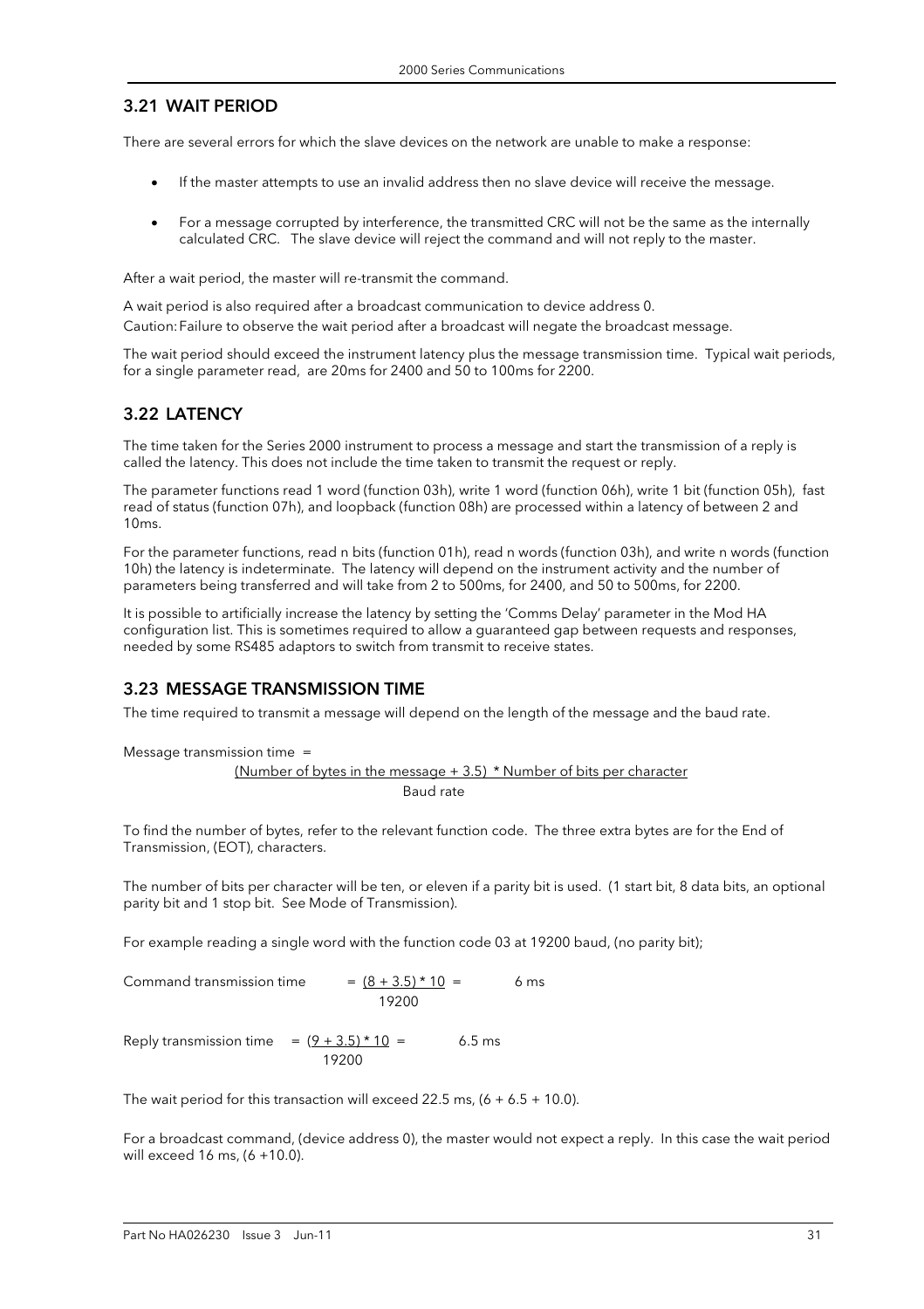#### 3.21 WAIT PERIOD

There are several errors for which the slave devices on the network are unable to make a response:

- If the master attempts to use an invalid address then no slave device will receive the message.
- For a message corrupted by interference, the transmitted CRC will not be the same as the internally calculated CRC. The slave device will reject the command and will not reply to the master.

After a wait period, the master will re-transmit the command.

A wait period is also required after a broadcast communication to device address 0. Caution: Failure to observe the wait period after a broadcast will negate the broadcast message.

The wait period should exceed the instrument latency plus the message transmission time. Typical wait periods, for a single parameter read, are 20ms for 2400 and 50 to 100ms for 2200.

#### 3.22 LATENCY

The time taken for the Series 2000 instrument to process a message and start the transmission of a reply is called the latency. This does not include the time taken to transmit the request or reply.

The parameter functions read 1 word (function 03h), write 1 word (function 06h), write 1 bit (function 05h), fast read of status (function 07h), and loopback (function 08h) are processed within a latency of between 2 and 10ms.

For the parameter functions, read n bits (function 01h), read n words (function 03h), and write n words (function 10h) the latency is indeterminate. The latency will depend on the instrument activity and the number of parameters being transferred and will take from 2 to 500ms, for 2400, and 50 to 500ms, for 2200.

It is possible to artificially increase the latency by setting the 'Comms Delay' parameter in the Mod HA configuration list. This is sometimes required to allow a guaranteed gap between requests and responses, needed by some RS485 adaptors to switch from transmit to receive states.

#### 3.23 MESSAGE TRANSMISSION TIME

The time required to transmit a message will depend on the length of the message and the baud rate.

Message transmission time =

(Number of bytes in the message  $+ 3.5$ )  $*$  Number of bits per character Baud rate

To find the number of bytes, refer to the relevant function code. The three extra bytes are for the End of Transmission, (EOT), characters.

The number of bits per character will be ten, or eleven if a parity bit is used. (1 start bit, 8 data bits, an optional parity bit and 1 stop bit. See Mode of Transmission).

For example reading a single word with the function code 03 at 19200 baud, (no parity bit);

Command transmission time  $= (8 + 3.5) * 10 = 6$  ms 19200

Reply transmission time =  $(9 + 3.5) * 10 = 6.5$  ms 19200

The wait period for this transaction will exceed 22.5 ms,  $(6 + 6.5 + 10.0)$ .

For a broadcast command, (device address 0), the master would not expect a reply. In this case the wait period will exceed 16 ms, (6 +10.0).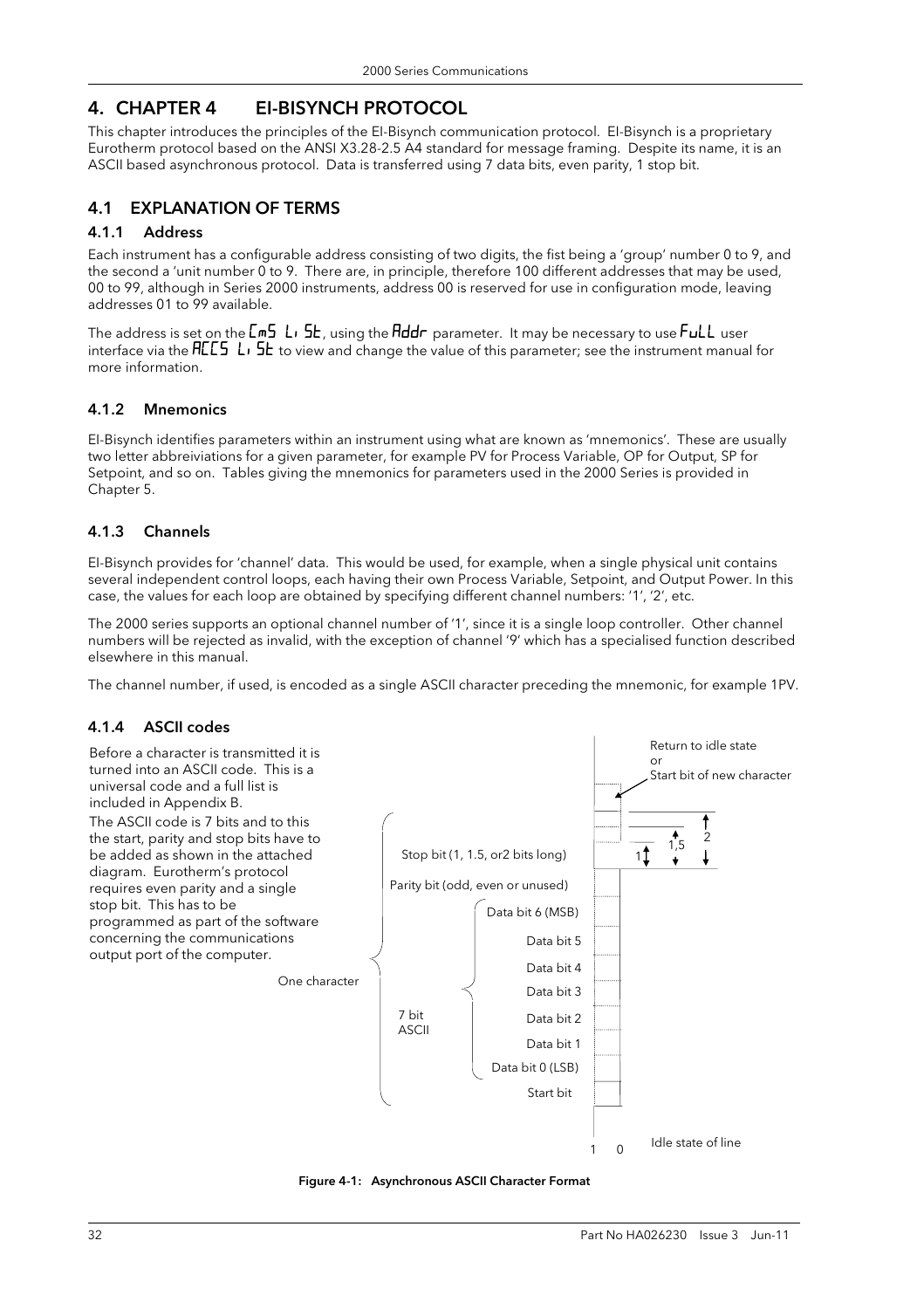# 4. CHAPTER 4 EI-BISYNCH PROTOCOL

This chapter introduces the principles of the EI-Bisynch communication protocol. EI-Bisynch is a proprietary Eurotherm protocol based on the ANSI X3.28-2.5 A4 standard for message framing. Despite its name, it is an ASCII based asynchronous protocol. Data is transferred using 7 data bits, even parity, 1 stop bit.

### 4.1 EXPLANATION OF TERMS

#### 4.1.1 Address

Each instrument has a configurable address consisting of two digits, the fist being a 'group' number 0 to 9, and the second a 'unit number 0 to 9. There are, in principle, therefore 100 different addresses that may be used, 00 to 99, although in Series 2000 instruments, address 00 is reserved for use in configuration mode, leaving addresses 01 to 99 available.

The address is set on the  $\textsf{Ln}_2$  L<sub>i</sub>  $\textsf{5L}$ , using the Addr parameter. It may be necessary to use FuLL user interface via the  $HLES$  L<sub>i</sub> S<sub>k</sub> to view and change the value of this parameter; see the instrument manual for more information.

#### 4.1.2 Mnemonics

EI-Bisynch identifies parameters within an instrument using what are known as 'mnemonics'. These are usually two letter abbreiviations for a given parameter, for example PV for Process Variable, OP for Output, SP for Setpoint, and so on. Tables giving the mnemonics for parameters used in the 2000 Series is provided in Chapter 5.

#### 4.1.3 Channels

EI-Bisynch provides for 'channel' data. This would be used, for example, when a single physical unit contains several independent control loops, each having their own Process Variable, Setpoint, and Output Power. In this case, the values for each loop are obtained by specifying different channel numbers: '1', '2', etc.

The 2000 series supports an optional channel number of '1', since it is a single loop controller. Other channel numbers will be rejected as invalid, with the exception of channel '9' which has a specialised function described elsewhere in this manual.

The channel number, if used, is encoded as a single ASCII character preceding the mnemonic, for example 1PV.

#### 4.1.4 ASCII codes



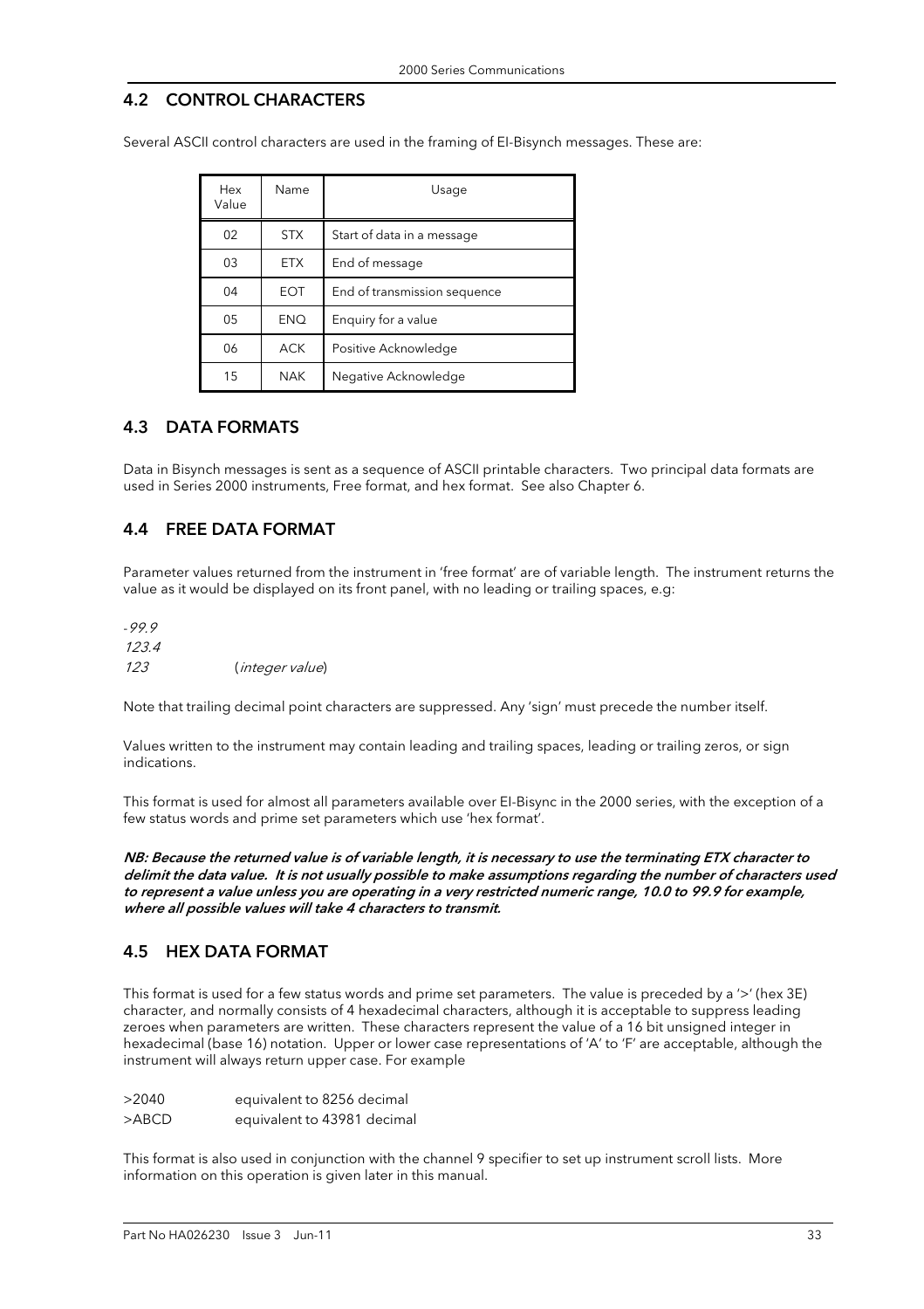### 4.2 CONTROL CHARACTERS

Several ASCII control characters are used in the framing of EI-Bisynch messages. These are:

| Hex<br>Value | Name       | Usage                        |
|--------------|------------|------------------------------|
| 02           | <b>STX</b> | Start of data in a message   |
| 03           | <b>ETX</b> | End of message               |
| 04           | EOT        | End of transmission sequence |
| 05           | <b>ENQ</b> | Enquiry for a value          |
| 06           | <b>ACK</b> | Positive Acknowledge         |
| 15           | <b>NAK</b> | Negative Acknowledge         |

#### 4.3 DATA FORMATS

Data in Bisynch messages is sent as a sequence of ASCII printable characters. Two principal data formats are used in Series 2000 instruments, Free format, and hex format. See also Chapter 6.

### 4.4 FREE DATA FORMAT

Parameter values returned from the instrument in 'free format' are of variable length. The instrument returns the value as it would be displayed on its front panel, with no leading or trailing spaces, e.g:

-99.9 123.4 123 (integer value)

Note that trailing decimal point characters are suppressed. Any 'sign' must precede the number itself.

Values written to the instrument may contain leading and trailing spaces, leading or trailing zeros, or sign indications.

This format is used for almost all parameters available over EI-Bisync in the 2000 series, with the exception of a few status words and prime set parameters which use 'hex format'.

NB: Because the returned value is of variable length, it is necessary to use the terminating ETX character to delimit the data value. It is not usually possible to make assumptions regarding the number of characters used to represent a value unless you are operating in a very restricted numeric range, 10.0 to 99.9 for example, where all possible values will take 4 characters to transmit.

#### 4.5 HEX DATA FORMAT

This format is used for a few status words and prime set parameters. The value is preceded by a '>' (hex 3E) character, and normally consists of 4 hexadecimal characters, although it is acceptable to suppress leading zeroes when parameters are written. These characters represent the value of a 16 bit unsigned integer in hexadecimal (base 16) notation. Upper or lower case representations of 'A' to 'F' are acceptable, although the instrument will always return upper case. For example

| >2040 | equivalent to 8256 decimal  |
|-------|-----------------------------|
| >ABCD | equivalent to 43981 decimal |

This format is also used in conjunction with the channel 9 specifier to set up instrument scroll lists. More information on this operation is given later in this manual.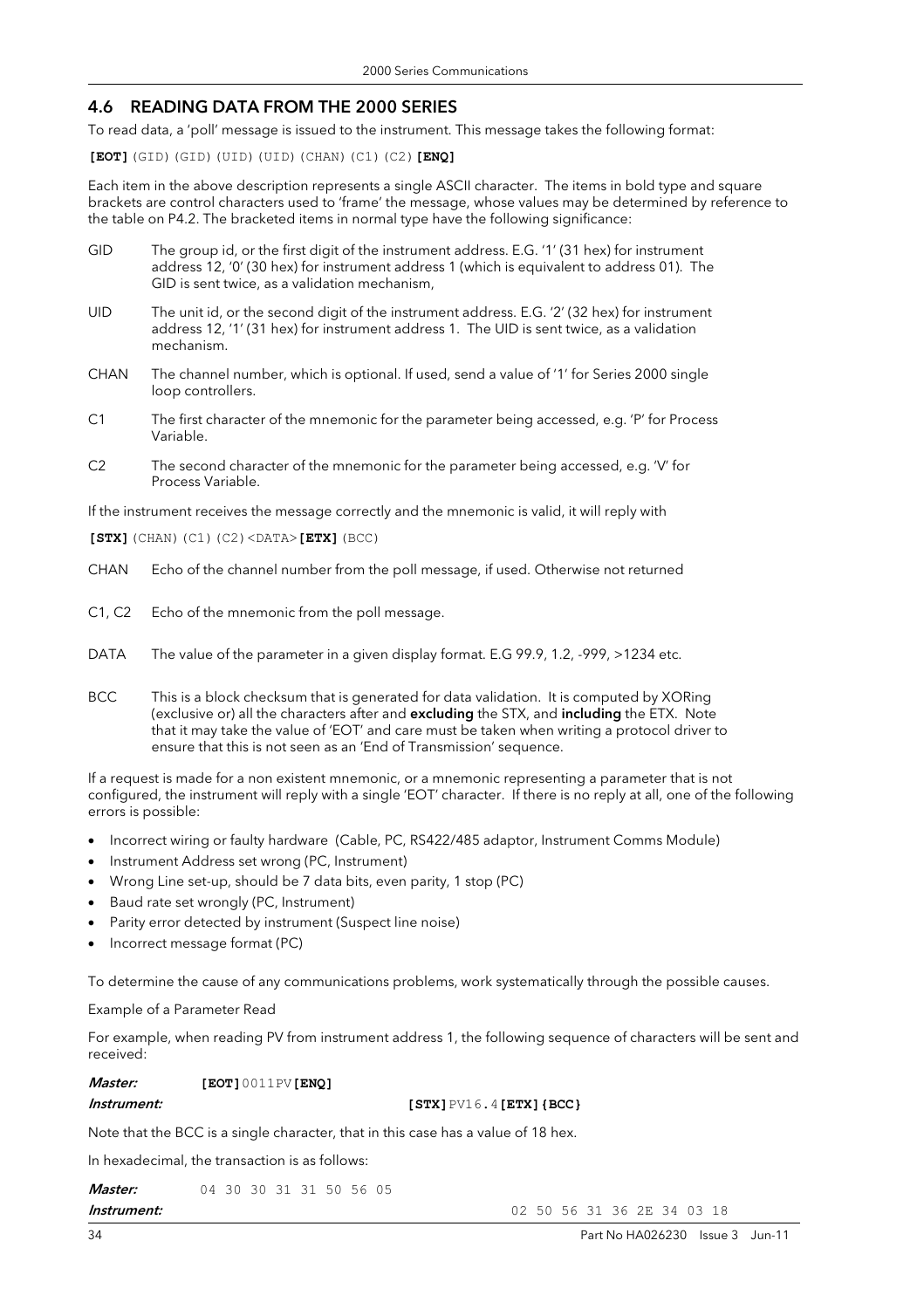#### 4.6 READING DATA FROM THE 2000 SERIES

To read data, a 'poll' message is issued to the instrument. This message takes the following format:

**[EOT]**(GID)(GID)(UID)(UID)(CHAN)(C1)(C2)**[ENQ]** 

Each item in the above description represents a single ASCII character. The items in bold type and square brackets are control characters used to 'frame' the message, whose values may be determined by reference to the table on P4.2. The bracketed items in normal type have the following significance:

- GID The group id, or the first digit of the instrument address. E.G. '1' (31 hex) for instrument address 12, '0' (30 hex) for instrument address 1 (which is equivalent to address 01). The GID is sent twice, as a validation mechanism,
- UID The unit id, or the second digit of the instrument address. E.G. '2' (32 hex) for instrument address 12, '1' (31 hex) for instrument address 1. The UID is sent twice, as a validation mechanism.
- CHAN The channel number, which is optional. If used, send a value of '1' for Series 2000 single loop controllers.
- C1 The first character of the mnemonic for the parameter being accessed, e.g. 'P' for Process Variable.
- C2 The second character of the mnemonic for the parameter being accessed, e.g. 'V' for Process Variable.

If the instrument receives the message correctly and the mnemonic is valid, it will reply with

**[STX]**(CHAN)(C1)(C2)<DATA>**[ETX]**(BCC)

- CHAN Echo of the channel number from the poll message, if used. Otherwise not returned
- C1, C2 Echo of the mnemonic from the poll message.
- DATA The value of the parameter in a given display format. E.G 99.9, 1.2, -999, >1234 etc.
- BCC This is a block checksum that is generated for data validation. It is computed by XORing (exclusive or) all the characters after and excluding the STX, and including the ETX. Note that it may take the value of 'EOT' and care must be taken when writing a protocol driver to ensure that this is not seen as an 'End of Transmission' sequence.

If a request is made for a non existent mnemonic, or a mnemonic representing a parameter that is not configured, the instrument will reply with a single 'EOT' character. If there is no reply at all, one of the following errors is possible:

- Incorrect wiring or faulty hardware (Cable, PC, RS422/485 adaptor, Instrument Comms Module)
- Instrument Address set wrong (PC, Instrument)
- Wrong Line set-up, should be 7 data bits, even parity, 1 stop (PC)
- Baud rate set wrongly (PC, Instrument)
- Parity error detected by instrument (Suspect line noise)
- Incorrect message format (PC)

To determine the cause of any communications problems, work systematically through the possible causes.

Example of a Parameter Read

For example, when reading PV from instrument address 1, the following sequence of characters will be sent and received:

#### Master: **[EOT]**0011PV**[ENQ]**

#### **Instrument: [STX]**  $PV16.4$  **[ETX]**  ${BCC}$

Note that the BCC is a single character, that in this case has a value of 18 hex.

In hexadecimal, the transaction is as follows:

| <i>Master:</i>   | 04 30 30 31 31 50 56 05 |  |  |  |  |
|------------------|-------------------------|--|--|--|--|
| La adversa a adv |                         |  |  |  |  |

34 Part No HA026230 Issue 3 Jun-11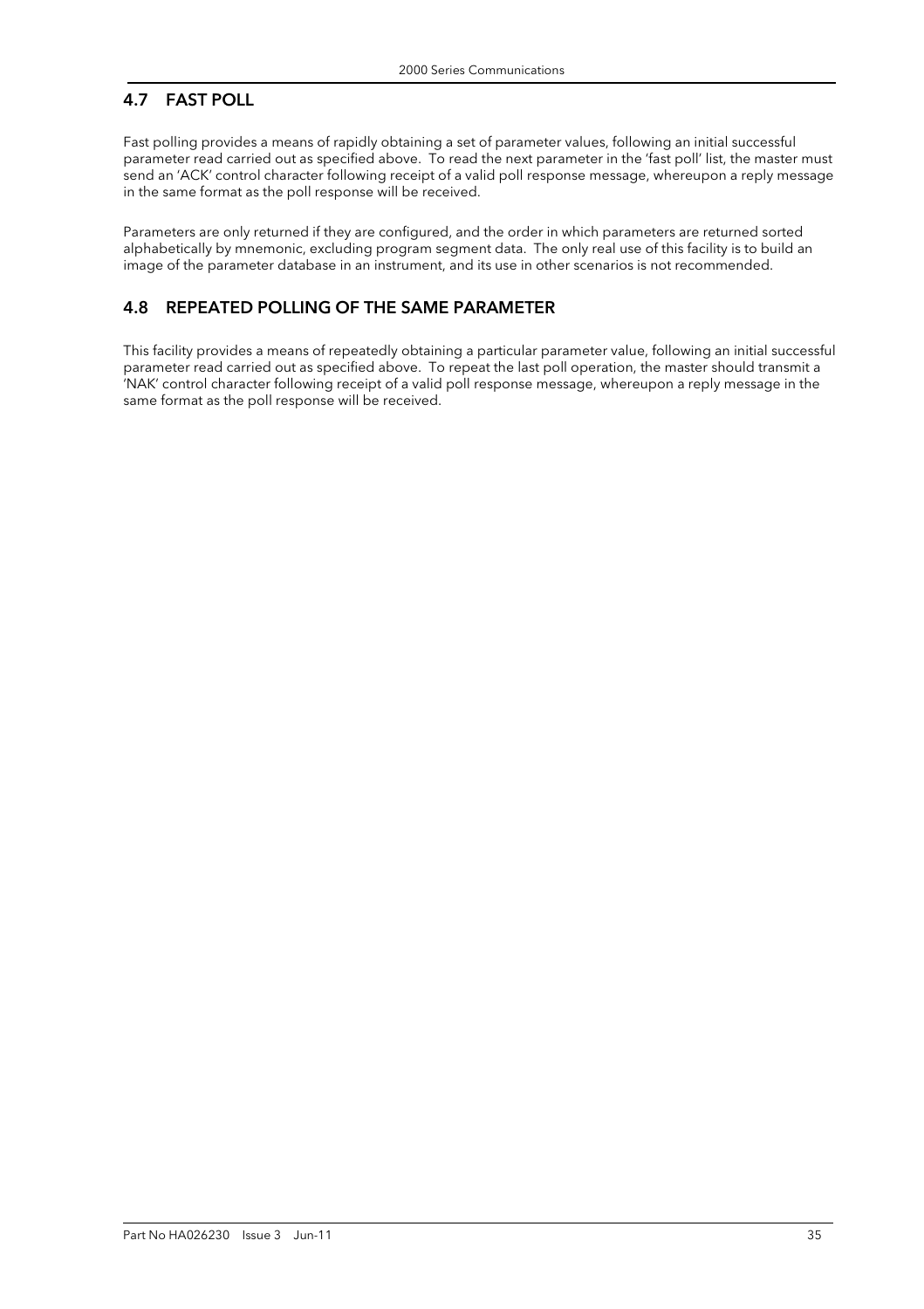# 4.7 FAST POLL

Fast polling provides a means of rapidly obtaining a set of parameter values, following an initial successful parameter read carried out as specified above. To read the next parameter in the 'fast poll' list, the master must send an 'ACK' control character following receipt of a valid poll response message, whereupon a reply message in the same format as the poll response will be received.

Parameters are only returned if they are configured, and the order in which parameters are returned sorted alphabetically by mnemonic, excluding program segment data. The only real use of this facility is to build an image of the parameter database in an instrument, and its use in other scenarios is not recommended.

### 4.8 REPEATED POLLING OF THE SAME PARAMETER

This facility provides a means of repeatedly obtaining a particular parameter value, following an initial successful parameter read carried out as specified above. To repeat the last poll operation, the master should transmit a 'NAK' control character following receipt of a valid poll response message, whereupon a reply message in the same format as the poll response will be received.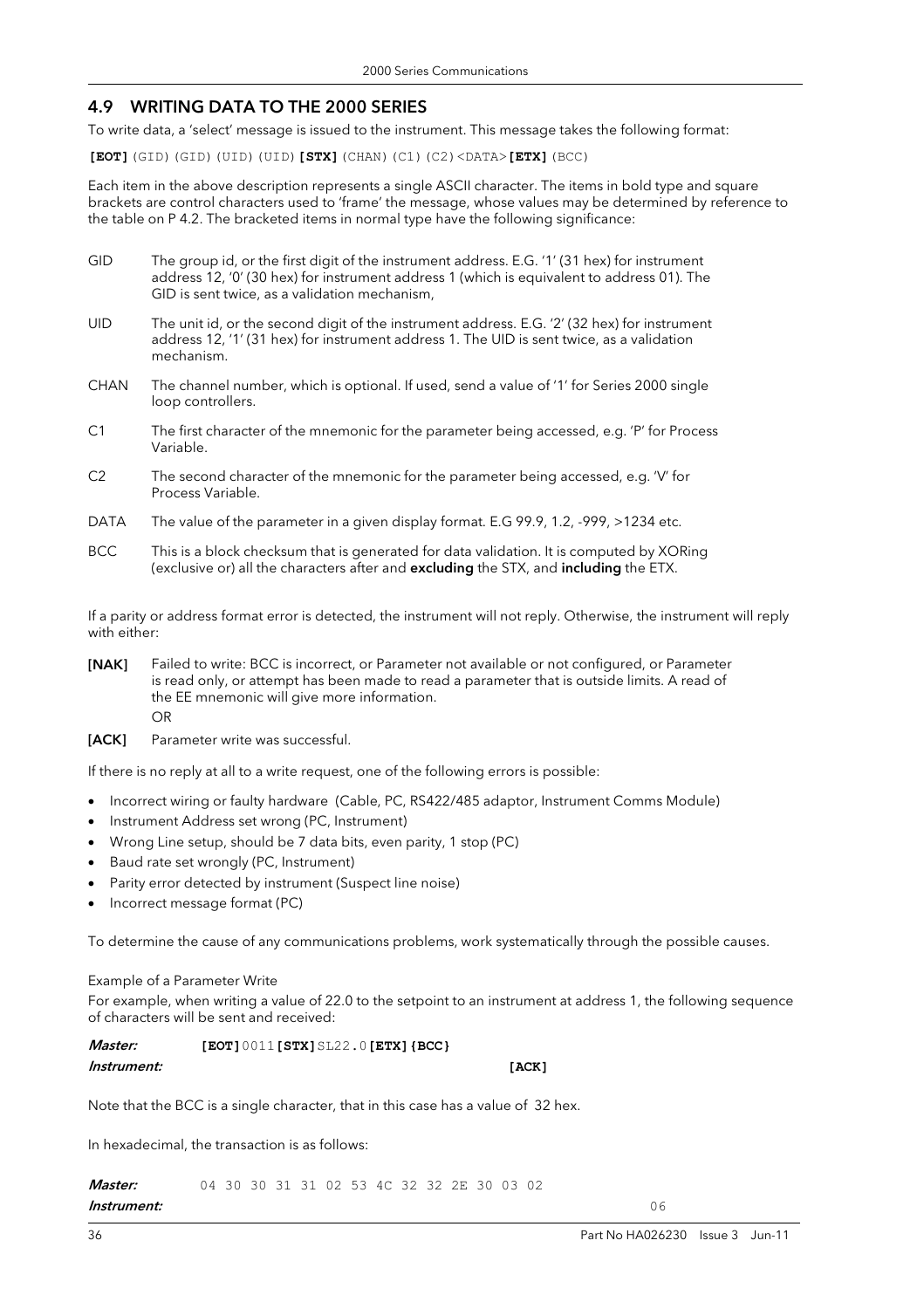#### 4.9 WRITING DATA TO THE 2000 SERIES

To write data, a 'select' message is issued to the instrument. This message takes the following format:

**[EOT]**(GID)(GID)(UID)(UID)**[STX]**(CHAN)(C1)(C2)<DATA>**[ETX]**(BCC)

Each item in the above description represents a single ASCII character. The items in bold type and square brackets are control characters used to 'frame' the message, whose values may be determined by reference to the table on P 4.2. The bracketed items in normal type have the following significance:

- GID The group id, or the first digit of the instrument address. E.G. '1' (31 hex) for instrument address 12, '0' (30 hex) for instrument address 1 (which is equivalent to address 01). The GID is sent twice, as a validation mechanism,
- UID The unit id, or the second digit of the instrument address. E.G. '2' (32 hex) for instrument address 12, '1' (31 hex) for instrument address 1. The UID is sent twice, as a validation mechanism.
- CHAN The channel number, which is optional. If used, send a value of '1' for Series 2000 single loop controllers.
- C1 The first character of the mnemonic for the parameter being accessed, e.g. 'P' for Process Variable.
- C2 The second character of the mnemonic for the parameter being accessed, e.g. 'V' for Process Variable.
- DATA The value of the parameter in a given display format. E.G 99.9, 1.2, -999, >1234 etc.
- BCC This is a block checksum that is generated for data validation. It is computed by XORing (exclusive or) all the characters after and excluding the STX, and including the ETX.

If a parity or address format error is detected, the instrument will not reply. Otherwise, the instrument will reply with either:

- [NAK] Failed to write: BCC is incorrect, or Parameter not available or not configured, or Parameter is read only, or attempt has been made to read a parameter that is outside limits. A read of the EE mnemonic will give more information. OR
- [ACK] Parameter write was successful.

If there is no reply at all to a write request, one of the following errors is possible:

- Incorrect wiring or faulty hardware (Cable, PC, RS422/485 adaptor, Instrument Comms Module)
- Instrument Address set wrong (PC, Instrument)
- Wrong Line setup, should be 7 data bits, even parity, 1 stop (PC)
- Baud rate set wrongly (PC, Instrument)
- Parity error detected by instrument (Suspect line noise)
- Incorrect message format (PC)

To determine the cause of any communications problems, work systematically through the possible causes.

#### Example of a Parameter Write

For example, when writing a value of 22.0 to the setpoint to an instrument at address 1, the following sequence of characters will be sent and received:

| <i>Master:</i> | $[ECT 1 0 0 1 1 [ STX] SL22.0 [ETX] { BCC} ]$ |       |
|----------------|-----------------------------------------------|-------|
| Instrument:    |                                               | [ACK] |

Note that the BCC is a single character, that in this case has a value of 32 hex.

In hexadecimal, the transaction is as follows:

**Master:** 04 30 30 31 31 02 53 4C 32 32 2E 30 03 02 **Instrument:** 06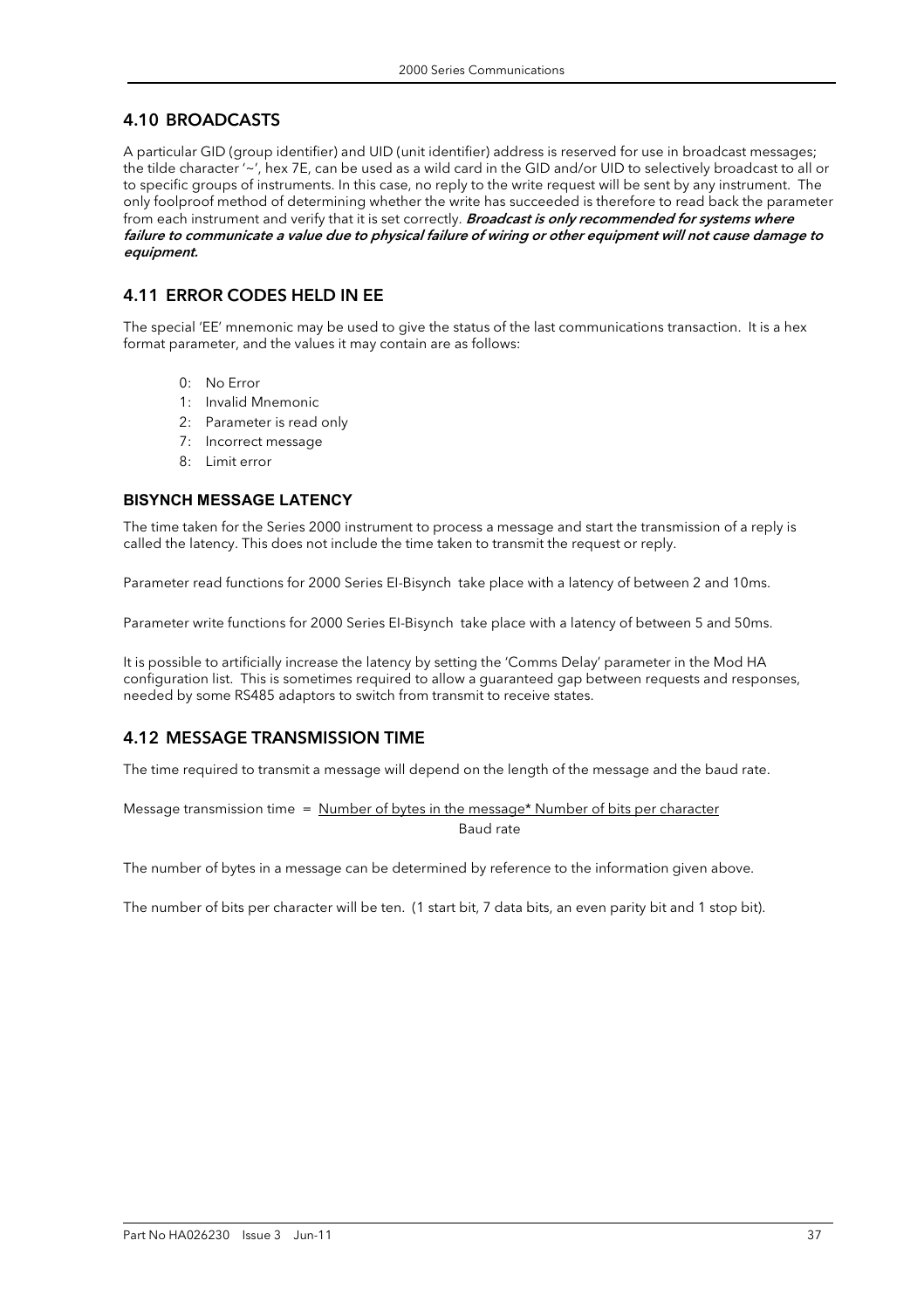## 4.10 BROADCASTS

A particular GID (group identifier) and UID (unit identifier) address is reserved for use in broadcast messages; the tilde character '~', hex 7E, can be used as a wild card in the GID and/or UID to selectively broadcast to all or to specific groups of instruments. In this case, no reply to the write request will be sent by any instrument. The only foolproof method of determining whether the write has succeeded is therefore to read back the parameter from each instrument and verify that it is set correctly. **Broadcast is only recommended for systems where** failure to communicate a value due to physical failure of wiring or other equipment will not cause damage to equipment.

## 4.11 ERROR CODES HELD IN EE

The special 'EE' mnemonic may be used to give the status of the last communications transaction. It is a hex format parameter, and the values it may contain are as follows:

- 0: No Error
- 1: Invalid Mnemonic
- 2: Parameter is read only
- 7: Incorrect message
- 8: Limit error

#### **BISYNCH MESSAGE LATENCY**

The time taken for the Series 2000 instrument to process a message and start the transmission of a reply is called the latency. This does not include the time taken to transmit the request or reply.

Parameter read functions for 2000 Series EI-Bisynch take place with a latency of between 2 and 10ms.

Parameter write functions for 2000 Series EI-Bisynch take place with a latency of between 5 and 50ms.

It is possible to artificially increase the latency by setting the 'Comms Delay' parameter in the Mod HA configuration list. This is sometimes required to allow a guaranteed gap between requests and responses, needed by some RS485 adaptors to switch from transmit to receive states.

## 4.12 MESSAGE TRANSMISSION TIME

The time required to transmit a message will depend on the length of the message and the baud rate.

Message transmission time = Number of bytes in the message\* Number of bits per character Baud rate

The number of bytes in a message can be determined by reference to the information given above.

The number of bits per character will be ten. (1 start bit, 7 data bits, an even parity bit and 1 stop bit).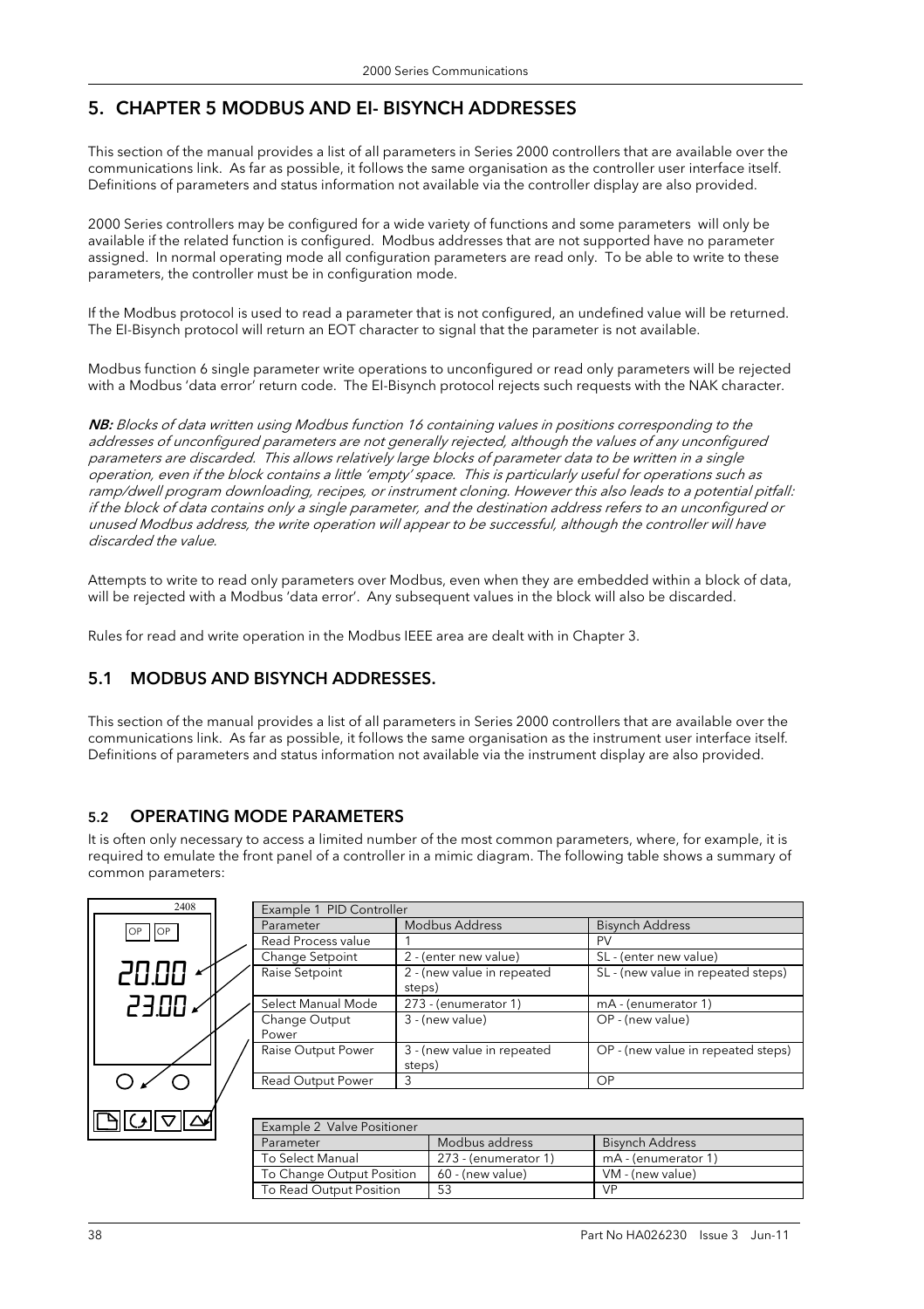## 5. CHAPTER 5 MODBUS AND EI- BISYNCH ADDRESSES

This section of the manual provides a list of all parameters in Series 2000 controllers that are available over the communications link. As far as possible, it follows the same organisation as the controller user interface itself. Definitions of parameters and status information not available via the controller display are also provided.

2000 Series controllers may be configured for a wide variety of functions and some parameters will only be available if the related function is configured. Modbus addresses that are not supported have no parameter assigned. In normal operating mode all configuration parameters are read only. To be able to write to these parameters, the controller must be in configuration mode.

If the Modbus protocol is used to read a parameter that is not configured, an undefined value will be returned. The EI-Bisynch protocol will return an EOT character to signal that the parameter is not available.

Modbus function 6 single parameter write operations to unconfigured or read only parameters will be rejected with a Modbus 'data error' return code. The EI-Bisynch protocol rejects such requests with the NAK character.

NB: Blocks of data written using Modbus function 16 containing values in positions corresponding to the addresses of unconfigured parameters are not generally rejected, although the values of any unconfigured parameters are discarded. This allows relatively large blocks of parameter data to be written in a single operation, even if the block contains a little 'empty' space. This is particularly useful for operations such as ramp/dwell program downloading, recipes, or instrument cloning. However this also leads to a potential pitfall: if the block of data contains only a single parameter, and the destination address refers to an unconfigured or unused Modbus address, the write operation will appear to be successful, although the controller will have discarded the value.

Attempts to write to read only parameters over Modbus, even when they are embedded within a block of data, will be rejected with a Modbus 'data error'. Any subsequent values in the block will also be discarded.

Rules for read and write operation in the Modbus IEEE area are dealt with in Chapter 3.

## 5.1 MODBUS AND BISYNCH ADDRESSES.

This section of the manual provides a list of all parameters in Series 2000 controllers that are available over the communications link. As far as possible, it follows the same organisation as the instrument user interface itself. Definitions of parameters and status information not available via the instrument display are also provided.

## 5.2 OPERATING MODE PARAMETERS

It is often only necessary to access a limited number of the most common parameters, where, for example, it is required to emulate the front panel of a controller in a mimic diagram. The following table shows a summary of common parameters:



| Example 1 PID Controller |                                      |                                    |  |  |
|--------------------------|--------------------------------------|------------------------------------|--|--|
| Parameter                | <b>Modbus Address</b>                | <b>Bisynch Address</b>             |  |  |
| Read Process value       |                                      | <b>PV</b>                          |  |  |
| Change Setpoint          | 2 - (enter new value)                | SL - (enter new value)             |  |  |
| Raise Setpoint           | 2 - (new value in repeated<br>steps) | SL - (new value in repeated steps) |  |  |
| Select Manual Mode       | 273 - (enumerator 1)                 | mA - (enumerator 1)                |  |  |
| Change Output<br>Power   | 3 - (new value)                      | OP - (new value)                   |  |  |
| Raise Output Power       | 3 - (new value in repeated<br>steps) | OP - (new value in repeated steps) |  |  |
| Read Output Power        |                                      | OP                                 |  |  |
|                          |                                      |                                    |  |  |

| Example 2 Valve Positioner |                      |                        |  |  |  |  |  |  |
|----------------------------|----------------------|------------------------|--|--|--|--|--|--|
| Parameter                  | Modbus address       | <b>Bisynch Address</b> |  |  |  |  |  |  |
| To Select Manual           | 273 - (enumerator 1) | mA - (enumerator 1)    |  |  |  |  |  |  |
| To Change Output Position  | 60 - (new value)     | VM - (new value)       |  |  |  |  |  |  |
| To Read Output Position    | 53                   | <b>VP</b>              |  |  |  |  |  |  |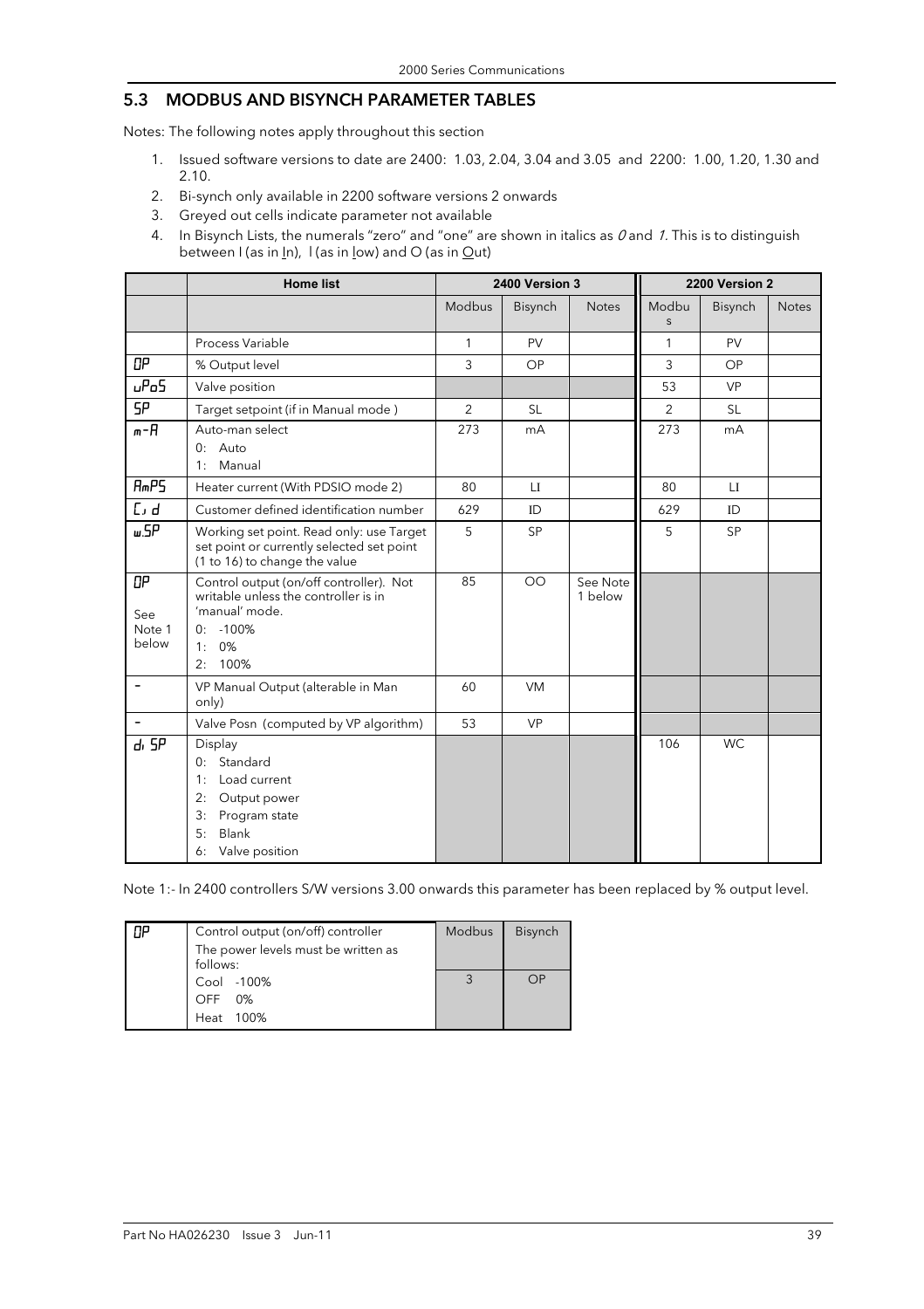## 5.3 MODBUS AND BISYNCH PARAMETER TABLES

Notes: The following notes apply throughout this section

- 1. Issued software versions to date are 2400: 1.03, 2.04, 3.04 and 3.05 and 2200: 1.00, 1.20, 1.30 and 2.10.
- 2. Bi-synch only available in 2200 software versions 2 onwards
- 3. Greyed out cells indicate parameter not available
- 4. In Bisynch Lists, the numerals "zero" and "one" are shown in italics as  $0$  and 1. This is to distinguish between I (as in In), I (as in low) and O (as in Out)

|                              | <b>Home list</b>                                                                                                                          |                | 2400 Version 3 |                     |                | 2200 Version 2 |              |
|------------------------------|-------------------------------------------------------------------------------------------------------------------------------------------|----------------|----------------|---------------------|----------------|----------------|--------------|
|                              |                                                                                                                                           | Modbus         | Bisynch        | <b>Notes</b>        | Modbu<br>S     | Bisynch        | <b>Notes</b> |
|                              | Process Variable                                                                                                                          | 1              | PV             |                     | 1              | PV             |              |
| OP                           | % Output level                                                                                                                            | 3              | OP             |                     | 3              | OP             |              |
| uP <sub>0</sub> 5            | Valve position                                                                                                                            |                |                |                     | 53             | <b>VP</b>      |              |
| <b>SP</b>                    | Target setpoint (if in Manual mode)                                                                                                       | $\overline{2}$ | <b>SL</b>      |                     | $\overline{2}$ | <b>SL</b>      |              |
| m-A                          | Auto-man select<br>0: Auto<br>Manual<br>1:                                                                                                | 273            | mA             |                     | 273            | mA             |              |
| RmPS                         | Heater current (With PDSIO mode 2)                                                                                                        | 80             | LI             |                     | 80             | LI             |              |
| L, d                         | Customer defined identification number                                                                                                    | 629            | ID             |                     | 629            | ID             |              |
| <b>w.SP</b>                  | Working set point. Read only: use Target<br>set point or currently selected set point<br>(1 to 16) to change the value                    | 5              | <b>SP</b>      |                     | 5              | <b>SP</b>      |              |
| OP<br>See<br>Note 1<br>below | Control output (on/off controller). Not<br>writable unless the controller is in<br>'manual' mode.<br>$-100%$<br>0:<br>0%<br>1:<br>2: 100% | 85             | <b>OO</b>      | See Note<br>1 below |                |                |              |
| $\qquad \qquad \blacksquare$ | VP Manual Output (alterable in Man<br>only)                                                                                               | 60             | <b>VM</b>      |                     |                |                |              |
|                              | Valve Posn (computed by VP algorithm)                                                                                                     | 53             | <b>VP</b>      |                     |                |                |              |
| d <sub>1</sub> SP            | Display<br>Standard<br>0:<br>Load current<br>1:<br>2:<br>Output power<br>3:<br>Program state<br>Blank<br>5:<br>Valve position<br>6:       |                |                |                     | 106            | <b>WC</b>      |              |

Note 1:- In 2400 controllers S/W versions 3.00 onwards this parameter has been replaced by % output level.

| Control output (on/off) controller<br>The power levels must be written as<br>follows: | Modbus | <b>Bisynch</b> |
|---------------------------------------------------------------------------------------|--------|----------------|
| Cool -100%<br>OFF 0%                                                                  |        |                |
| Heat 100%                                                                             |        |                |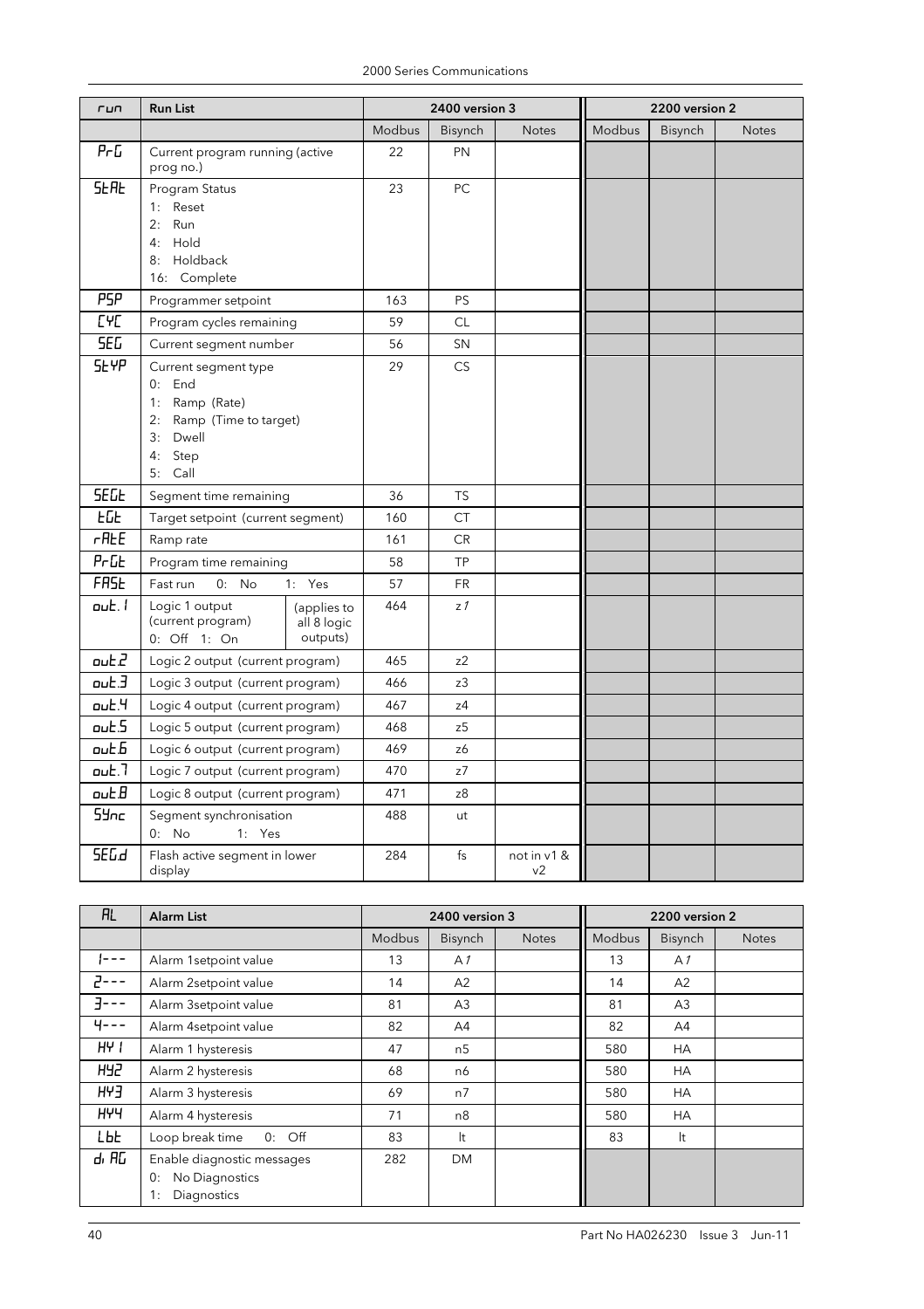| run                          | <b>Run List</b>                               |                            |        | 2400 version 3 |                               |        | 2200 version 2 |              |  |
|------------------------------|-----------------------------------------------|----------------------------|--------|----------------|-------------------------------|--------|----------------|--------------|--|
|                              |                                               |                            | Modbus | Bisynch        | <b>Notes</b>                  | Modbus | Bisynch        | <b>Notes</b> |  |
| Pr <sub>G</sub>              | Current program running (active<br>prog no.)  |                            | 22     | PN             |                               |        |                |              |  |
| <b>SEAL</b>                  | Program Status                                |                            | 23     | PC             |                               |        |                |              |  |
|                              | 1: Reset<br>2:<br>Run                         |                            |        |                |                               |        |                |              |  |
|                              | 4: Hold                                       |                            |        |                |                               |        |                |              |  |
|                              | 8: Holdback                                   |                            |        |                |                               |        |                |              |  |
|                              | 16: Complete                                  |                            |        |                |                               |        |                |              |  |
| <b>PSP</b>                   | Programmer setpoint                           |                            | 163    | PS             |                               |        |                |              |  |
| <b>LAC</b>                   | Program cycles remaining                      |                            | 59     | <b>CL</b>      |                               |        |                |              |  |
| <b>SEG</b>                   | Current segment number                        |                            | 56     | SN             |                               |        |                |              |  |
| <b>SEYP</b>                  | Current segment type                          |                            | 29     | <b>CS</b>      |                               |        |                |              |  |
|                              | $0:$ End                                      |                            |        |                |                               |        |                |              |  |
|                              | Ramp (Rate)<br>1:<br>2: Ramp (Time to target) |                            |        |                |                               |        |                |              |  |
|                              | 3: Dwell                                      |                            |        |                |                               |        |                |              |  |
|                              | Step<br>4:                                    |                            |        |                |                               |        |                |              |  |
|                              | 5: Call                                       |                            |        |                |                               |        |                |              |  |
| <b>SEGE</b>                  | Segment time remaining                        |                            | 36     | <b>TS</b>      |                               |        |                |              |  |
| <b>EGE</b>                   | Target setpoint (current segment)             |                            | 160    | <b>CT</b>      |                               |        |                |              |  |
| $r$ REE                      | Ramp rate                                     |                            | 161    | CR             |                               |        |                |              |  |
| $Pr$ <sub>D</sub>            | Program time remaining                        |                            | 58     | <b>TP</b>      |                               |        |                |              |  |
| <b>FR5E</b>                  | Fast run<br>$0:$ No                           | 1: Yes                     | 57     | <b>FR</b>      |                               |        |                |              |  |
| out.1                        | Logic 1 output<br>(current program)           | (applies to<br>all 8 logic | 464    | z <sub>1</sub> |                               |        |                |              |  |
|                              | 0: Off 1: On                                  | outputs)                   |        |                |                               |        |                |              |  |
| out2                         | Logic 2 output (current program)              |                            | 465    | z2             |                               |        |                |              |  |
| out.3                        | Logic 3 output (current program)              |                            | 466    | z3             |                               |        |                |              |  |
| $\mathsf{out}.\mathsf{H}$    | Logic 4 output (current program)              |                            | 467    | z4             |                               |        |                |              |  |
| out.5                        | Logic 5 output (current program)              |                            | 468    | z5             |                               |        |                |              |  |
| $o$ ut $b$                   | Logic 6 output (current program)              |                            | 469    | z6             |                               |        |                |              |  |
| $\omega$ <sub>c</sub> $\sim$ | Logic 7 output (current program)              |                            | 470    | z7             |                               |        |                |              |  |
| $o$ ut $B$                   | Logic 8 output (current program)              |                            | 471    | z8             |                               |        |                |              |  |
| 5Ync                         | Segment synchronisation                       |                            | 488    | ut             |                               |        |                |              |  |
|                              | $0:$ No<br>1: Yes                             |                            |        |                |                               |        |                |              |  |
| SEG.d                        | Flash active segment in lower<br>display      |                            | 284    | fs             | not in v1 &<br>v <sub>2</sub> |        |                |              |  |

| <b>RL</b>  | <b>Alarm List</b>           | 2400 version 3 |                |              | 2200 version 2 |                |              |
|------------|-----------------------------|----------------|----------------|--------------|----------------|----------------|--------------|
|            |                             | <b>Modbus</b>  | Bisynch        | <b>Notes</b> | <b>Modbus</b>  | Bisynch        | <b>Notes</b> |
| !---       | Alarm 1setpoint value       | 13             | A <sub>1</sub> |              | 13             | A <sub>1</sub> |              |
| - - - ح    | Alarm 2setpoint value       | 14             | A2             |              | 14             | A2             |              |
| $7 - - -$  | Alarm 3setpoint value       | 81             | A <sub>3</sub> |              | 81             | A <sub>3</sub> |              |
| $4 - - -$  | Alarm 4setpoint value       | 82             | A4             |              | 82             | A4             |              |
| $H + I$    | Alarm 1 hysteresis          | 47             | n <sub>5</sub> |              | 580            | <b>HA</b>      |              |
| <b>H42</b> | Alarm 2 hysteresis          | 68             | n6             |              | 580            | <b>HA</b>      |              |
| EAH        | Alarm 3 hysteresis          | 69             | n7             |              | 580            | <b>HA</b>      |              |
| <b>HYY</b> | Alarm 4 hysteresis          | 71             | n8             |              | 580            | <b>HA</b>      |              |
| LЫE        | Loop break time<br>$0:$ Off | 83             | It             |              | 83             | It             |              |
| d, AG      | Enable diagnostic messages  | 282            | DM.            |              |                |                |              |
|            | No Diagnostics<br>0:        |                |                |              |                |                |              |
|            | 1:<br>Diagnostics           |                |                |              |                |                |              |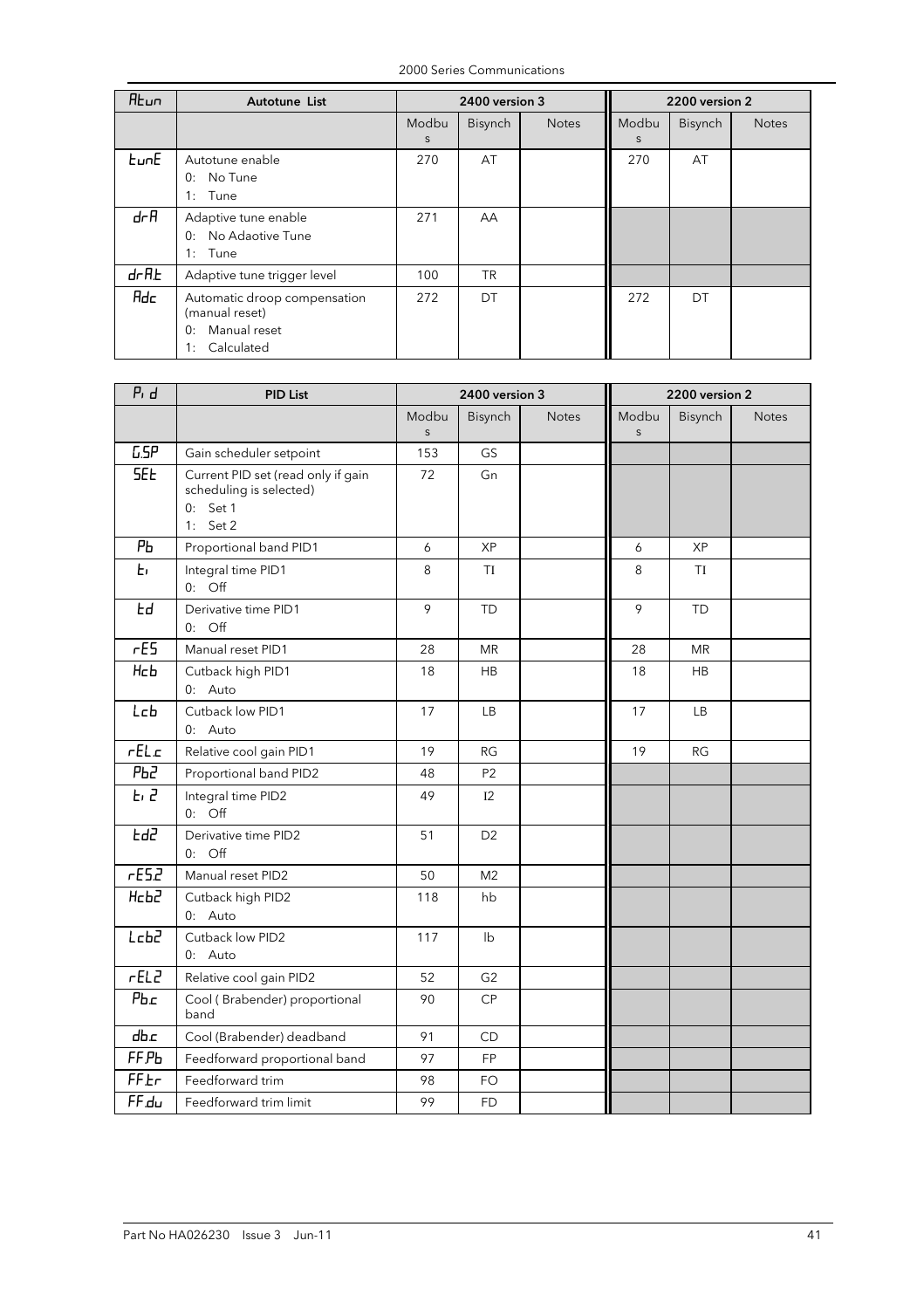2000 Series Communications

| <b>A</b> bun  | Autotune List                  |       | 2400 version 3 |              | 2200 version 2 |         |              |
|---------------|--------------------------------|-------|----------------|--------------|----------------|---------|--------------|
|               |                                | Modbu | <b>Bisynch</b> | <b>Notes</b> | Modbu          | Bisynch | <b>Notes</b> |
|               |                                | S     |                |              | S              |         |              |
| <b>EunE</b>   | Autotune enable                | 270   | AT             |              | 270            | AT      |              |
|               | No Tune<br>0:                  |       |                |              |                |         |              |
|               | 1:<br>Tune                     |       |                |              |                |         |              |
| drR           | Adaptive tune enable           | 271   | AA             |              |                |         |              |
|               | No Adaotive Tune<br>$\Omega$ : |       |                |              |                |         |              |
|               | 1: Tune                        |       |                |              |                |         |              |
| $d$ r $H$ $E$ | Adaptive tune trigger level    | 100   | <b>TR</b>      |              |                |         |              |
| Adc           | Automatic droop compensation   | 272   | DT             |              | 272            | DT      |              |
|               | (manual reset)                 |       |                |              |                |         |              |
|               | Manual reset<br>0:             |       |                |              |                |         |              |
|               | Calculated<br>1:               |       |                |              |                |         |              |

| $Pi$ $d$          | <b>PID List</b>                                                                           | 2400 version 3        |                           |              | 2200 version 2        |           |              |  |
|-------------------|-------------------------------------------------------------------------------------------|-----------------------|---------------------------|--------------|-----------------------|-----------|--------------|--|
|                   |                                                                                           | Modbu<br>$\mathsf{S}$ | Bisynch                   | <b>Notes</b> | Modbu<br>$\mathsf{s}$ | Bisynch   | <b>Notes</b> |  |
| LSP               | Gain scheduler setpoint                                                                   | 153                   | <b>GS</b>                 |              |                       |           |              |  |
| <b>SEE</b>        | Current PID set (read only if gain<br>scheduling is selected)<br>$0:$ Set 1<br>1: Set $2$ | 72                    | Gn                        |              |                       |           |              |  |
| PЬ                | Proportional band PID1                                                                    | 6                     | <b>XP</b>                 |              | 6                     | <b>XP</b> |              |  |
| Ł۱                | Integral time PID1<br>$0:$ Off                                                            | 8                     | TI                        |              | 8                     | TI        |              |  |
| Fq                | Derivative time PID1<br>$0:$ Off                                                          | 9                     | <b>TD</b>                 |              | 9                     | <b>TD</b> |              |  |
| rE5               | Manual reset PID1                                                                         | 28                    | <b>MR</b>                 |              | 28                    | <b>MR</b> |              |  |
| <b>Hcb</b>        | Cutback high PID1<br>0: Auto                                                              | 18                    | <b>HB</b>                 |              | 18                    | <b>HB</b> |              |  |
| Lcb               | Cutback low PID1<br>0: Auto                                                               | 17                    | <b>LB</b>                 |              | 17                    | LB.       |              |  |
| rELc              | Relative cool gain PID1                                                                   | 19                    | RG                        |              | 19                    | <b>RG</b> |              |  |
| РЬ2               | Proportional band PID2                                                                    | 48                    | P <sub>2</sub>            |              |                       |           |              |  |
| E, 2              | Integral time PID2<br>$0:$ Off                                                            | 49                    | I2                        |              |                       |           |              |  |
| F95               | Derivative time PID2<br>$0:$ Off                                                          | 51                    | D <sub>2</sub>            |              |                       |           |              |  |
| rE52              | Manual reset PID2                                                                         | 50                    | M <sub>2</sub>            |              |                       |           |              |  |
| Hcb2              | Cutback high PID2<br>0: Auto                                                              | 118                   | hb                        |              |                       |           |              |  |
| Lcb2              | Cutback low PID2<br>0: Auto                                                               | 117                   | $\mathsf{I}^{\mathsf{b}}$ |              |                       |           |              |  |
| rELZ              | Relative cool gain PID2                                                                   | 52                    | G <sub>2</sub>            |              |                       |           |              |  |
| $P$ <sub>bc</sub> | Cool (Brabender) proportional<br>band                                                     | 90                    | CP                        |              |                       |           |              |  |
| dbc               | Cool (Brabender) deadband                                                                 | 91                    | CD                        |              |                       |           |              |  |
| FF <sub>Pb</sub>  | Feedforward proportional band                                                             | 97                    | <b>FP</b>                 |              |                       |           |              |  |
| FFEr              | Feedforward trim                                                                          | 98                    | FO                        |              |                       |           |              |  |
| $FF$ du           | Feedforward trim limit                                                                    | 99                    | <b>FD</b>                 |              |                       |           |              |  |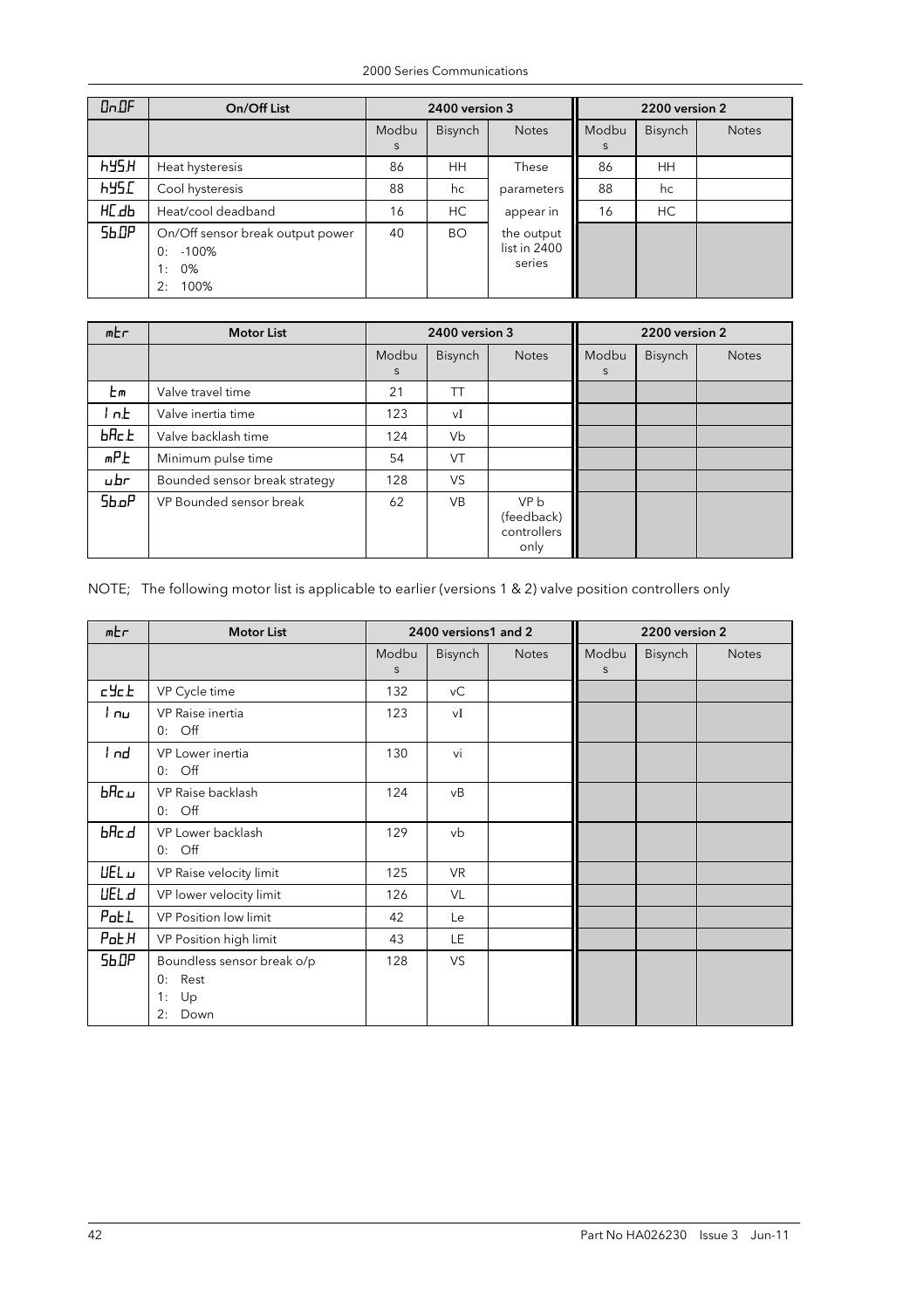| $0-0F$       | On/Off List                                                                 | 2400 version 3 |           |                                      | 2200 version 2 |                |              |
|--------------|-----------------------------------------------------------------------------|----------------|-----------|--------------------------------------|----------------|----------------|--------------|
|              |                                                                             | Modbu<br>S     | Bisynch   | <b>Notes</b>                         | Modbu<br>S     | <b>Bisynch</b> | <b>Notes</b> |
| <b>H32H</b>  | Heat hysteresis                                                             | 86             | HH.       | These                                | 86             | HH.            |              |
| <b>HYS.C</b> | Cool hysteresis                                                             | 88             | hc        | parameters                           | 88             | hc             |              |
| HC.db        | Heat/cool deadband                                                          | 16             | HC        | appear in                            | 16             | HC             |              |
| Sb.DP        | On/Off sensor break output power<br>$-100%$<br>0:<br>0%<br>1:<br>2:<br>100% | 40             | <b>BO</b> | the output<br>list in 2400<br>series |                |                |              |

| mEr            | <b>Motor List</b>             |            | 2400 version 3 |                                           | 2200 version 2 |                |              |
|----------------|-------------------------------|------------|----------------|-------------------------------------------|----------------|----------------|--------------|
|                |                               | Modbu<br>S | <b>Bisynch</b> | <b>Notes</b>                              | Modbu<br>S     | <b>Bisynch</b> | <b>Notes</b> |
| Еm             | Valve travel time             | 21         | ТT             |                                           |                |                |              |
| l n.E.         | Valve inertia time            | 123        | vI             |                                           |                |                |              |
| $b$ $Hc$ . $b$ | Valve backlash time           | 124        | Vb             |                                           |                |                |              |
| mPE            | Minimum pulse time            | 54         | VT             |                                           |                |                |              |
| u.br           | Bounded sensor break strategy | 128        | VS.            |                                           |                |                |              |
| Sb.oP          | VP Bounded sensor break       | 62         | <b>VB</b>      | VP b<br>(feedback)<br>controllers<br>only |                |                |              |

# NOTE; The following motor list is applicable to earlier (versions 1 & 2) valve position controllers only

| mEr                     | <b>Motor List</b>                                                  |                  | 2400 versions1 and 2 |              |            | 2200 version 2 |              |
|-------------------------|--------------------------------------------------------------------|------------------|----------------------|--------------|------------|----------------|--------------|
|                         |                                                                    | Modbu<br>$\sf S$ | Bisynch              | <b>Notes</b> | Modbu<br>S | Bisynch        | <b>Notes</b> |
| cyck                    | VP Cycle time                                                      | 132              | vC                   |              |            |                |              |
| i nul                   | VP Raise inertia<br>$0:$ Off                                       | 123              | vI                   |              |            |                |              |
| l nd                    | VP Lower inertia<br>$0:$ Off                                       | 130              | vi                   |              |            |                |              |
| $b$ Rc $\mu$            | VP Raise backlash<br>$0:$ Off                                      | 124              | vΒ                   |              |            |                |              |
| bAc.d                   | VP Lower backlash<br>$0:$ Off                                      | 129              | vb                   |              |            |                |              |
| <b>UEL</b>              | VP Raise velocity limit                                            | 125              | <b>VR</b>            |              |            |                |              |
| <b>UEL</b> <sub>d</sub> | VP lower velocity limit                                            | 126              | VL                   |              |            |                |              |
| PoEL                    | VP Position low limit                                              | 42               | Le                   |              |            |                |              |
| $P$ o $E$ $H$           | VP Position high limit                                             | 43               | LE.                  |              |            |                |              |
| Sb.DP                   | Boundless sensor break o/p<br>0:<br>Rest<br>1:<br>Up<br>2:<br>Down | 128              | <b>VS</b>            |              |            |                |              |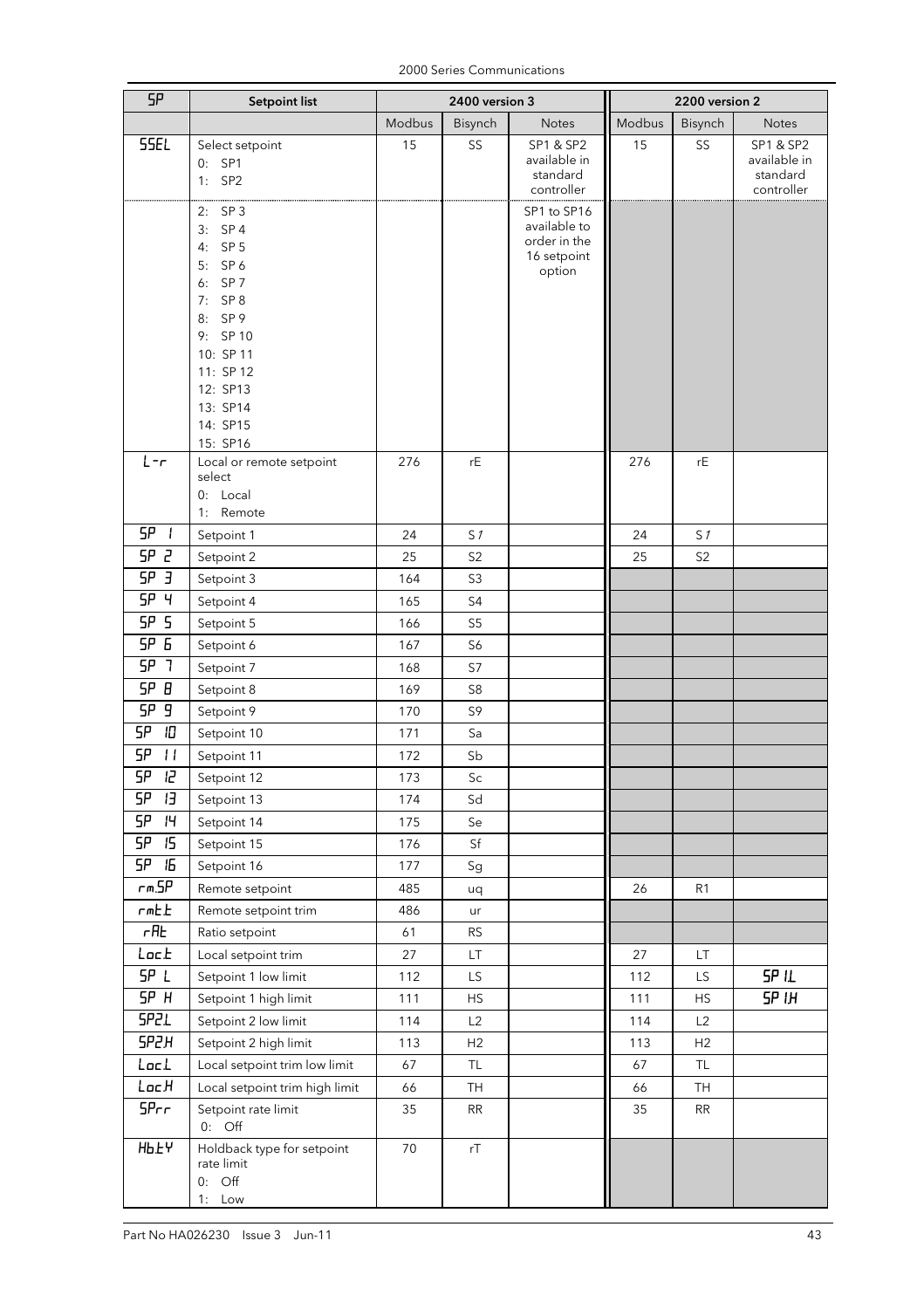2000 Series Communications

| 5Ρ                 | <b>Setpoint list</b>                                                                                                                                                                                                    | 2400 version 3 |                        |                                                                      | 2200 version 2 |                            |                                                     |
|--------------------|-------------------------------------------------------------------------------------------------------------------------------------------------------------------------------------------------------------------------|----------------|------------------------|----------------------------------------------------------------------|----------------|----------------------------|-----------------------------------------------------|
|                    |                                                                                                                                                                                                                         | Modbus         | Bisynch                | <b>Notes</b>                                                         | Modbus         | Bisynch                    | <b>Notes</b>                                        |
| <b>55EL</b>        | Select setpoint<br>$0:$ SP1<br>$1:$ SP2                                                                                                                                                                                 | 15             | SS                     | SP1 & SP2<br>available in<br>standard<br>controller                  | 15             | SS                         | SP1 & SP2<br>available in<br>standard<br>controller |
| $L - r$            | SP 3<br>2:<br>$3:$ SP4<br>SP <sub>5</sub><br>4:<br>5: SP 6<br>6: SP 7<br>7: SP 8<br>8: SP 9<br>9: SP 10<br>10: SP 11<br>11: SP 12<br>12: SP13<br>13: SP14<br>14: SP15<br>15: SP16<br>Local or remote setpoint<br>select | 276            | rE                     | SP1 to SP16<br>available to<br>order in the<br>16 setpoint<br>option | 276            | rE                         |                                                     |
|                    | 0: Local<br>1: Remote                                                                                                                                                                                                   |                |                        |                                                                      |                |                            |                                                     |
| SP<br>$\mathbf{I}$ | Setpoint 1                                                                                                                                                                                                              | 24             | S <sub>1</sub>         |                                                                      | 24             | S <sub>1</sub>             |                                                     |
| SP 2               | Setpoint 2                                                                                                                                                                                                              | 25             | S <sub>2</sub>         |                                                                      | 25             | S <sub>2</sub>             |                                                     |
| SP <sub>3</sub>    | Setpoint 3                                                                                                                                                                                                              | 164            | S <sub>3</sub>         |                                                                      |                |                            |                                                     |
| SP <sub>4</sub>    | Setpoint 4                                                                                                                                                                                                              | 165            | S4                     |                                                                      |                |                            |                                                     |
| 5P <sub>5</sub>    | Setpoint 5                                                                                                                                                                                                              | 166            | S <sub>5</sub>         |                                                                      |                |                            |                                                     |
| SP <sub>5</sub>    | Setpoint 6                                                                                                                                                                                                              | 167            | S6                     |                                                                      |                |                            |                                                     |
| <b>SP 7</b>        | Setpoint 7                                                                                                                                                                                                              | 168            | S7                     |                                                                      |                |                            |                                                     |
| SP B               | Setpoint 8                                                                                                                                                                                                              | 169            | S <sub>8</sub>         |                                                                      |                |                            |                                                     |
| SP <sub>9</sub>    | Setpoint 9                                                                                                                                                                                                              | 170            | S9                     |                                                                      |                |                            |                                                     |
| SP.<br>10          | Setpoint 10                                                                                                                                                                                                             | 171            | Sa                     |                                                                      |                |                            |                                                     |
| 5Ρ<br>$\mathbf{H}$ | Setpoint 11                                                                                                                                                                                                             | 172            | Sb                     |                                                                      |                |                            |                                                     |
| <b>SP</b><br>I2    | Setpoint 12                                                                                                                                                                                                             | 173            | Sc                     |                                                                      |                |                            |                                                     |
| 5P<br>ΙЭ           | Setpoint 13                                                                                                                                                                                                             | 174            | Sd                     |                                                                      |                |                            |                                                     |
| 5P<br>14           | Setpoint 14                                                                                                                                                                                                             | 175            | Se                     |                                                                      |                |                            |                                                     |
| 5P<br>15           | Setpoint 15                                                                                                                                                                                                             | 176            | $\mathsf{S}\mathsf{f}$ |                                                                      |                |                            |                                                     |
| SP<br>15           | Setpoint 16                                                                                                                                                                                                             | 177            | Sg                     |                                                                      |                |                            |                                                     |
| $r$ m. $5P$        | Remote setpoint                                                                                                                                                                                                         | 485            | uq                     |                                                                      | 26             | R1                         |                                                     |
| rmE                | Remote setpoint trim                                                                                                                                                                                                    | 486            | ur                     |                                                                      |                |                            |                                                     |
| $r$ RE             | Ratio setpoint                                                                                                                                                                                                          | 61             | <b>RS</b>              |                                                                      |                |                            |                                                     |
| Loc. E             | Local setpoint trim                                                                                                                                                                                                     | 27             | LT.                    |                                                                      | 27             | $\ensuremath{\mathsf{LT}}$ |                                                     |
| SP L               | Setpoint 1 low limit                                                                                                                                                                                                    | 112            | LS.                    |                                                                      | 112            | LS.                        | SP <sub>IL</sub>                                    |
| SP H               | Setpoint 1 high limit                                                                                                                                                                                                   | 111            | <b>HS</b>              |                                                                      | 111            | HS                         | $5P$ IH                                             |
| SP2L               | Setpoint 2 low limit                                                                                                                                                                                                    | 114            | L2                     |                                                                      | 114            | L2                         |                                                     |
| SP2H               | Setpoint 2 high limit                                                                                                                                                                                                   | 113            | H2                     |                                                                      | 113            | H2                         |                                                     |
| Loc.L              | Local setpoint trim low limit                                                                                                                                                                                           | 67             | TL.                    |                                                                      | 67             | <b>TL</b>                  |                                                     |
| LocH               | Local setpoint trim high limit                                                                                                                                                                                          | 66             | TH                     |                                                                      | 66             | TH                         |                                                     |
| SPrr               | Setpoint rate limit<br>$0:$ Off                                                                                                                                                                                         | 35             | <b>RR</b>              |                                                                      | 35             | <b>RR</b>                  |                                                     |
| <b>Hb.LY</b>       | Holdback type for setpoint<br>rate limit<br>$0:$ Off<br>1: Low                                                                                                                                                          | 70             | rT                     |                                                                      |                |                            |                                                     |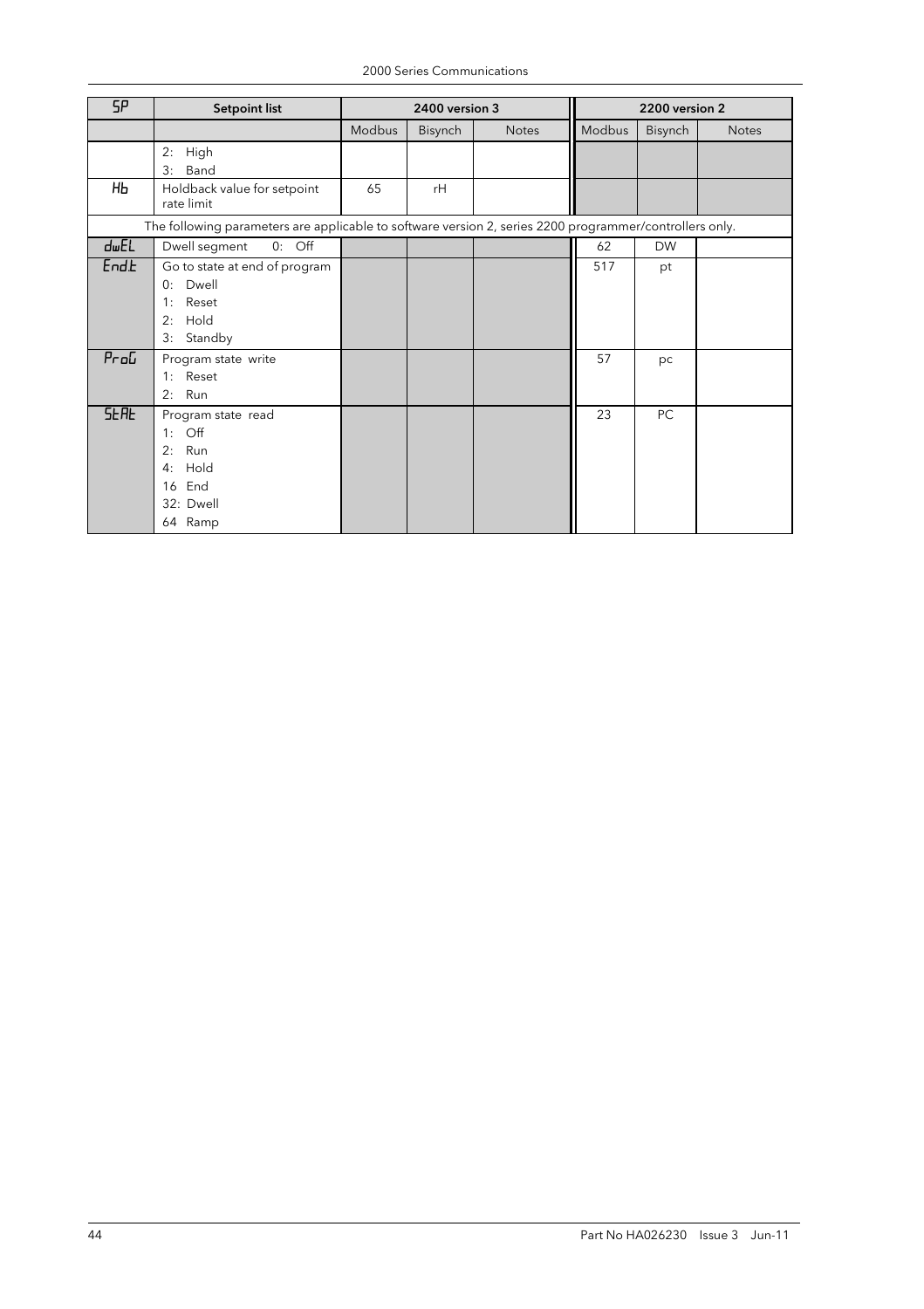| SP                 | <b>Setpoint list</b>                                                                                      |        | 2400 version 3 |              | 2200 version 2 |                |              |
|--------------------|-----------------------------------------------------------------------------------------------------------|--------|----------------|--------------|----------------|----------------|--------------|
|                    |                                                                                                           | Modbus | <b>Bisynch</b> | <b>Notes</b> | Modbus         | <b>Bisynch</b> | <b>Notes</b> |
|                    | 2:<br>High<br>Band<br>3:                                                                                  |        |                |              |                |                |              |
| HЬ                 | Holdback value for setpoint<br>rate limit                                                                 | 65     | rH             |              |                |                |              |
|                    | The following parameters are applicable to software version 2, series 2200 programmer/controllers only.   |        |                |              |                |                |              |
| dwEL               | $0:$ Off<br>Dwell segment                                                                                 |        |                |              | 62             | <b>DW</b>      |              |
| End.b              | Go to state at end of program<br>Dwell<br>0:<br>Reset<br>1:<br>Hold<br>2:<br>3:<br>Standby                |        |                |              | 517            | pt             |              |
| $P_{\Gamma}$ o $L$ | Program state write<br>1: Reset<br>Run<br>2:                                                              |        |                |              | 57             | pc             |              |
| <b>SERE</b>        | Program state read<br>$\overline{Off}$<br>1:<br>Run<br>2:<br>Hold<br>4:<br>16 End<br>32: Dwell<br>64 Ramp |        |                |              | 23             | PC             |              |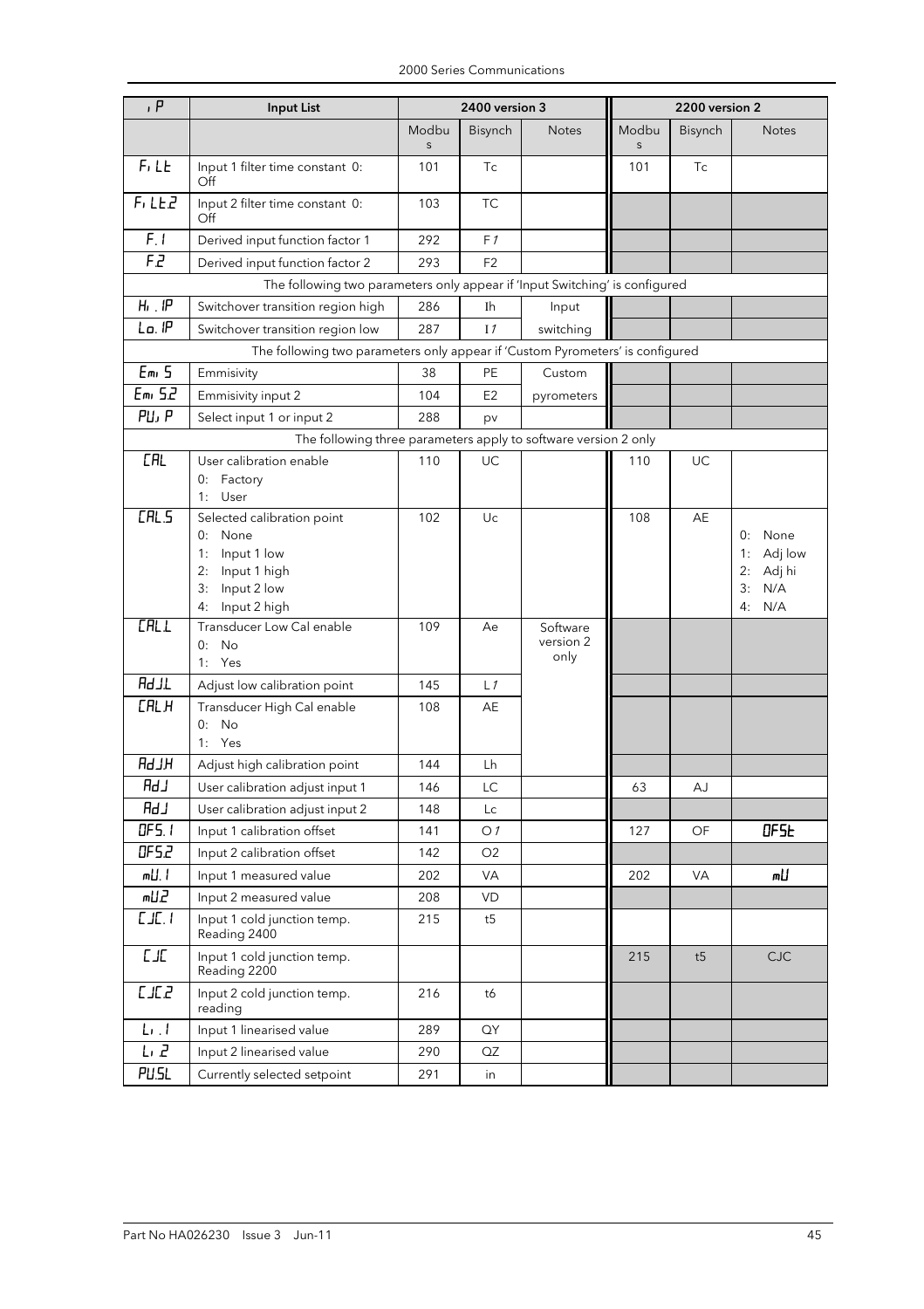| P                             | <b>Input List</b>                                                             | 2400 version 3   |                | 2200 version 2    |            |         |                          |
|-------------------------------|-------------------------------------------------------------------------------|------------------|----------------|-------------------|------------|---------|--------------------------|
|                               |                                                                               | Modbu<br>$\sf S$ | Bisynch        | <b>Notes</b>      | Modbu<br>S | Bisynch | <b>Notes</b>             |
| F <sub>1</sub> L <sub>E</sub> | Input 1 filter time constant 0:<br>Off                                        | 101              | Tc             |                   | 101        | Tc      |                          |
| F, LEZ                        | Input 2 filter time constant 0:<br>Off                                        | 103              | <b>TC</b>      |                   |            |         |                          |
| F.1                           | Derived input function factor 1                                               | 292              | F1             |                   |            |         |                          |
| F.2                           | Derived input function factor 2                                               | 293              | F <sub>2</sub> |                   |            |         |                          |
|                               | The following two parameters only appear if 'Input Switching' is configured   |                  |                |                   |            |         |                          |
| $H_1$ . $IP$                  | Switchover transition region high                                             | 286              | Ih             | Input             |            |         |                          |
| Lo. IP                        | Switchover transition region low                                              | 287              | I <sub>1</sub> | switching         |            |         |                          |
|                               | The following two parameters only appear if 'Custom Pyrometers' is configured |                  |                |                   |            |         |                          |
| Em <sub>5</sub>               | Emmisivity                                                                    | 38               | PE             | Custom            |            |         |                          |
| Emi 52                        | Emmisivity input 2                                                            | 104              | E <sub>2</sub> | pyrometers        |            |         |                          |
| PU, P                         | Select input 1 or input 2                                                     | 288              | pv             |                   |            |         |                          |
|                               | The following three parameters apply to software version 2 only               |                  |                |                   |            |         |                          |
| <b>CAL</b>                    | User calibration enable                                                       | 110              | UC             |                   | 110        | UC      |                          |
|                               | 0: Factory                                                                    |                  |                |                   |            |         |                          |
|                               | 1: User                                                                       |                  |                |                   |            |         |                          |
| LHL.5                         | Selected calibration point                                                    | 102              | Uc             |                   | 108        | AE      |                          |
|                               | 0: None<br>Input 1 low<br>1:                                                  |                  |                |                   |            |         | 0: None<br>Adj low<br>1: |
|                               | Input 1 high<br>2:                                                            |                  |                |                   |            |         | Adj hi<br>2:             |
|                               | Input 2 low<br>3:                                                             |                  |                |                   |            |         | 3:<br>N/A                |
|                               | Input 2 high<br>4:                                                            |                  |                |                   |            |         | 4: N/A                   |
| <b>CALL</b>                   | Transducer Low Cal enable                                                     | 109              | Ae             | Software          |            |         |                          |
|                               | No<br>0:                                                                      |                  |                | version 2<br>only |            |         |                          |
|                               | 1: Yes                                                                        |                  |                |                   |            |         |                          |
| <b>Rd JL</b>                  | Adjust low calibration point                                                  | 145              | L1             |                   |            |         |                          |
| <b>CALH</b>                   | Transducer High Cal enable                                                    | 108              | AE             |                   |            |         |                          |
|                               | No<br>0:<br>1: Yes                                                            |                  |                |                   |            |         |                          |
| HLbR                          | Adjust high calibration point                                                 | 144              | Lh             |                   |            |         |                          |
| RdJ                           | User calibration adjust input 1                                               |                  | $\mathsf{LC}$  |                   | 63         |         |                          |
| Rd」                           | User calibration adjust input 2                                               | 146<br>148       | Lc             |                   |            | AJ      |                          |
| DF5.1                         | Input 1 calibration offset                                                    |                  |                |                   |            |         | DF <sub>5</sub>          |
| OF 5.2                        |                                                                               | 141              | O <sub>1</sub> |                   | 127        | OF      |                          |
| m∐. I                         | Input 2 calibration offset                                                    | 142              | O2             |                   |            |         | m∐                       |
|                               | Input 1 measured value                                                        | 202              | VA             |                   | 202        | VA      |                          |
| <b>FITM</b>                   | Input 2 measured value                                                        | 208              | VD             |                   |            |         |                          |
| LJL.1                         | Input 1 cold junction temp.<br>Reading 2400                                   | 215              | t5             |                   |            |         |                          |
| L/L                           | Input 1 cold junction temp.<br>Reading 2200                                   |                  |                |                   | 215        | t5      | CJC                      |
| EJE2                          | Input 2 cold junction temp.<br>reading                                        | 216              | t6             |                   |            |         |                          |
| $L_{\rm L}$                   | Input 1 linearised value                                                      | 289              | QY             |                   |            |         |                          |
| ር፣ 5                          | Input 2 linearised value                                                      | 290              | QZ             |                   |            |         |                          |
| PU.SL                         | Currently selected setpoint                                                   | 291              | in             |                   |            |         |                          |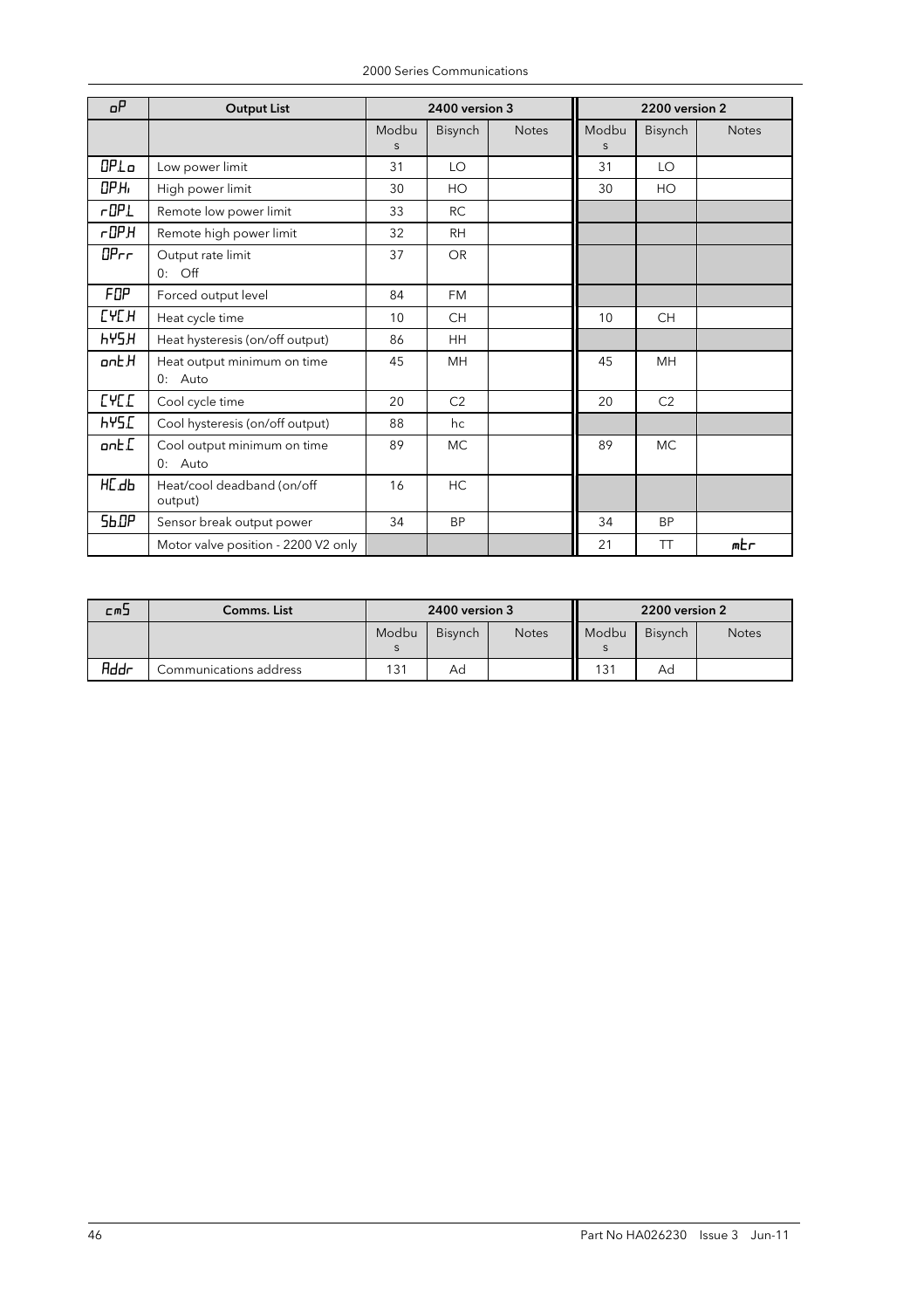|  | 2000 Series Communications |
|--|----------------------------|
|  |                            |

| oΡ           | <b>Output List</b>                       |            | 2400 version 3 |              | 2200 version 2 |           |              |
|--------------|------------------------------------------|------------|----------------|--------------|----------------|-----------|--------------|
|              |                                          | Modbu<br>S | Bisynch        | <b>Notes</b> | Modbu<br>S.    | Bisynch   | <b>Notes</b> |
| OPLo         | Low power limit                          | 31         | LO             |              | 31             | LO        |              |
| ОРН,         | High power limit                         | 30         | HO             |              | 30             | HO        |              |
| $r$ OP $L$   | Remote low power limit                   | 33         | RC             |              |                |           |              |
| r0PH         | Remote high power limit                  | 32         | <b>RH</b>      |              |                |           |              |
| DPrr         | Output rate limit<br>$0:$ Off            | 37         | <b>OR</b>      |              |                |           |              |
| FOP          | Forced output level                      | 84         | <b>FM</b>      |              |                |           |              |
| <b>ГЧЕН</b>  | Heat cycle time                          | 10         | <b>CH</b>      |              | 10             | <b>CH</b> |              |
| <b>HAZH</b>  | Heat hysteresis (on/off output)          | 86         | <b>HH</b>      |              |                |           |              |
| ont H        | Heat output minimum on time<br>$0:$ Auto | 45         | MН             |              | 45             | MH        |              |
| <b>LACT</b>  | Cool cycle time                          | 20         | C2             |              | 20             | C2        |              |
| <b>HYS.C</b> | Cool hysteresis (on/off output)          | 88         | hc             |              |                |           |              |
| ont.[        | Cool output minimum on time<br>0: Auto   | 89         | <b>MC</b>      |              | 89             | <b>MC</b> |              |
| HC.db        | Heat/cool deadband (on/off<br>output)    | 16         | HC             |              |                |           |              |
| <b>Sb.OP</b> | Sensor break output power                | 34         | <b>BP</b>      |              | 34             | <b>BP</b> |              |
|              | Motor valve position - 2200 V2 only      |            |                |              | 21             | <b>TT</b> | mbr          |

| にのコ         | Comms. List            | 2400 version 3 |                |              |       | 2200 version 2 |              |
|-------------|------------------------|----------------|----------------|--------------|-------|----------------|--------------|
|             |                        | Modbu          | <b>Bisynch</b> | <b>Notes</b> | Modbu | <b>Bisynch</b> | <b>Notes</b> |
|             |                        |                |                |              |       |                |              |
| <b>Addr</b> | Communications address | 131            | Ad             |              | 131   | Ad             |              |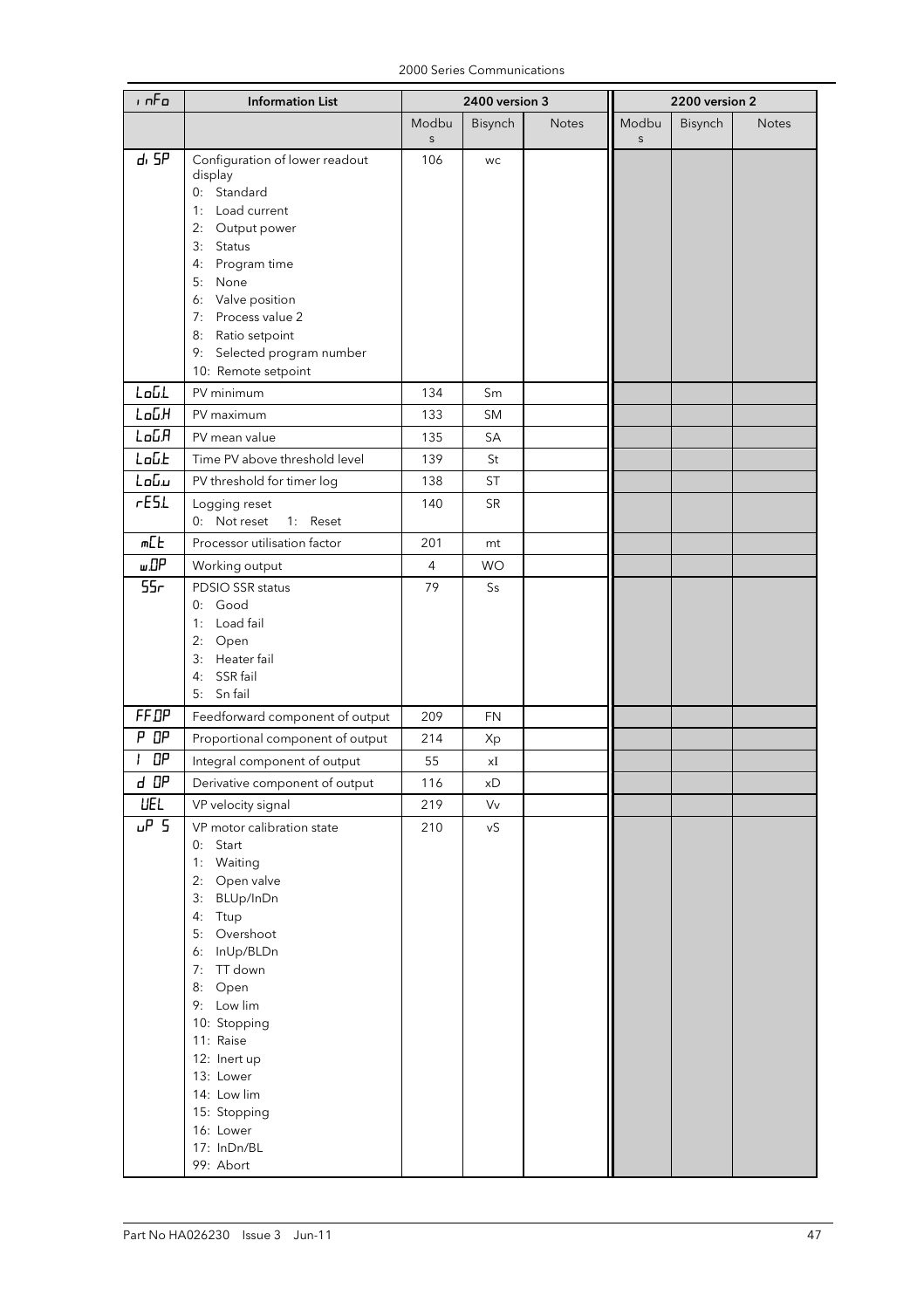|  | 2000 Series Communications |
|--|----------------------------|
|--|----------------------------|

| ه ۱ م           | <b>Information List</b>                                                                                                                                                                                                                                                                               | 2400 version 3       |           | 2200 version 2 |                       |         |              |
|-----------------|-------------------------------------------------------------------------------------------------------------------------------------------------------------------------------------------------------------------------------------------------------------------------------------------------------|----------------------|-----------|----------------|-----------------------|---------|--------------|
|                 |                                                                                                                                                                                                                                                                                                       | Modbu<br>$\mathsf S$ | Bisynch   | <b>Notes</b>   | Modbu<br>$\mathsf{s}$ | Bisynch | <b>Notes</b> |
| d, 5P           | Configuration of lower readout<br>display<br>0: Standard<br>1: Load current<br>2: Output power<br>3: Status<br>Program time<br>4:                                                                                                                                                                     | 106                  | WC        |                |                       |         |              |
|                 | 5: None<br>6: Valve position<br>7: Process value 2<br>8: Ratio setpoint<br>9: Selected program number<br>10: Remote setpoint                                                                                                                                                                          |                      |           |                |                       |         |              |
| LoGL            | PV minimum                                                                                                                                                                                                                                                                                            | 134                  | Sm        |                |                       |         |              |
| LoGH            | PV maximum                                                                                                                                                                                                                                                                                            | 133                  | <b>SM</b> |                |                       |         |              |
| LoGA            | PV mean value                                                                                                                                                                                                                                                                                         | 135                  | SA        |                |                       |         |              |
| LoGE            | Time PV above threshold level                                                                                                                                                                                                                                                                         | 139                  | St        |                |                       |         |              |
| Լօնս            | PV threshold for timer log                                                                                                                                                                                                                                                                            | 138                  | <b>ST</b> |                |                       |         |              |
| rE5L            | Logging reset<br>0: Not reset<br>1: Reset                                                                                                                                                                                                                                                             | 140                  | <b>SR</b> |                |                       |         |              |
| m <sub>th</sub> | Processor utilisation factor                                                                                                                                                                                                                                                                          | 201                  | mt        |                |                       |         |              |
| шΩР             | Working output                                                                                                                                                                                                                                                                                        | $\overline{4}$       | <b>WO</b> |                |                       |         |              |
| 55 <sub>r</sub> | PDSIO SSR status<br>0: Good<br>1: Load fail<br>2: Open<br>3: Heater fail<br>4: SSR fail<br>5: Sn fail                                                                                                                                                                                                 | 79                   | Ss        |                |                       |         |              |
| FF.DP           | Feedforward component of output                                                                                                                                                                                                                                                                       | 209                  | <b>FN</b> |                |                       |         |              |
| P OP            | Proportional component of output                                                                                                                                                                                                                                                                      | 214                  | Xp        |                |                       |         |              |
| OΡ              | Integral component of output                                                                                                                                                                                                                                                                          | 55                   | хI        |                |                       |         |              |
| d DP            | Derivative component of output                                                                                                                                                                                                                                                                        | 116                  | хD        |                |                       |         |              |
| <b>UEL</b>      | VP velocity signal                                                                                                                                                                                                                                                                                    | 219                  | Vv        |                |                       |         |              |
| P <sub>5</sub>  | VP motor calibration state<br>Start<br>0:<br>1: Waiting<br>2:<br>Open valve<br>3: BLUp/InDn<br>Ttup<br>4:<br>5: Overshoot<br>6: InUp/BLDn<br>7: TT down<br>8: Open<br>9: Low lim<br>10: Stopping<br>11: Raise<br>12: Inert up<br>13: Lower<br>14: Low lim<br>15: Stopping<br>16: Lower<br>17: InDn/BL | 210                  | νS        |                |                       |         |              |
|                 | 99: Abort                                                                                                                                                                                                                                                                                             |                      |           |                |                       |         |              |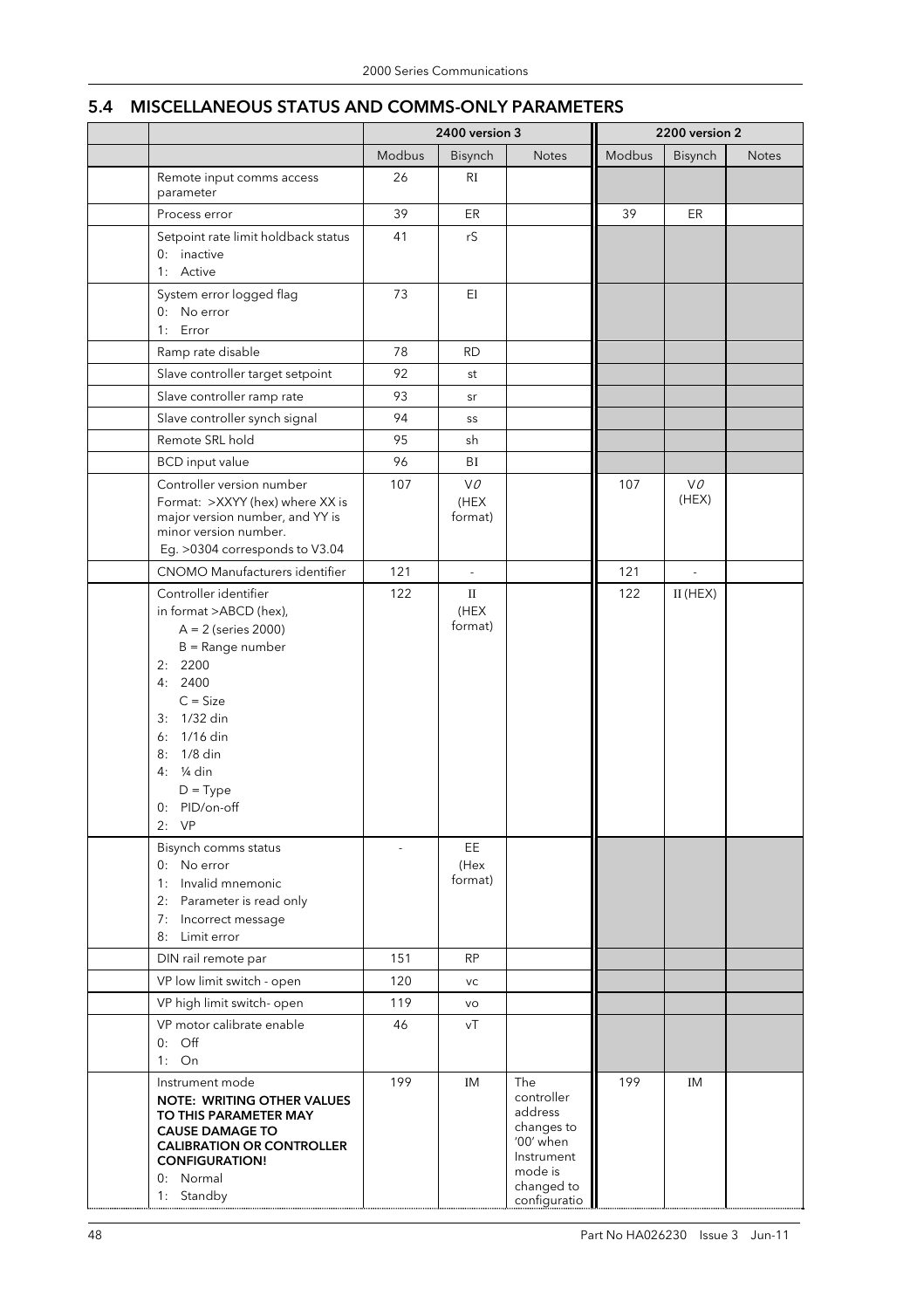## 5.4 MISCELLANEOUS STATUS AND COMMS-ONLY PARAMETERS

|                                                                                                                                                                                                                                        | 2400 version 3 |                       | 2200 version 2                                                                                                 |        |                          |              |
|----------------------------------------------------------------------------------------------------------------------------------------------------------------------------------------------------------------------------------------|----------------|-----------------------|----------------------------------------------------------------------------------------------------------------|--------|--------------------------|--------------|
|                                                                                                                                                                                                                                        | Modbus         | Bisynch               | <b>Notes</b>                                                                                                   | Modbus | Bisynch                  | <b>Notes</b> |
| Remote input comms access<br>parameter                                                                                                                                                                                                 | 26             | RI                    |                                                                                                                |        |                          |              |
| Process error                                                                                                                                                                                                                          | 39             | ER                    |                                                                                                                | 39     | ER                       |              |
| Setpoint rate limit holdback status<br>0: inactive<br>1: Active                                                                                                                                                                        | 41             | rS                    |                                                                                                                |        |                          |              |
| System error logged flag<br>0: No error<br>1: Error                                                                                                                                                                                    | 73             | El                    |                                                                                                                |        |                          |              |
| Ramp rate disable                                                                                                                                                                                                                      | 78             | <b>RD</b>             |                                                                                                                |        |                          |              |
| Slave controller target setpoint                                                                                                                                                                                                       | 92             | st                    |                                                                                                                |        |                          |              |
| Slave controller ramp rate                                                                                                                                                                                                             | 93             | sr                    |                                                                                                                |        |                          |              |
| Slave controller synch signal                                                                                                                                                                                                          | 94             | SS                    |                                                                                                                |        |                          |              |
| Remote SRL hold                                                                                                                                                                                                                        | 95             | sh                    |                                                                                                                |        |                          |              |
| <b>BCD</b> input value                                                                                                                                                                                                                 | 96             | BI                    |                                                                                                                |        |                          |              |
| Controller version number<br>Format: >XXYY (hex) where XX is<br>major version number, and YY is<br>minor version number.<br>Eg. > 0304 corresponds to V3.04                                                                            | 107            | VO<br>(HEX<br>format) |                                                                                                                | 107    | VO.<br>(HEX)             |              |
| CNOMO Manufacturers identifier                                                                                                                                                                                                         | 121            | ÷,                    |                                                                                                                | 121    | $\overline{\phantom{a}}$ |              |
| Controller identifier<br>in format >ABCD (hex),<br>$A = 2$ (series 2000)<br>$B = Range$ number<br>2: 2200<br>4:2400<br>$C = Size$<br>3: 1/32 din<br>6: 1/16 din<br>1/8 din<br>8:<br>4: 1/4 din<br>$D = Type$<br>0: PID/on-off<br>2: VP | 122            | П<br>(HEX<br>format)  |                                                                                                                | 122    | $II$ (HEX)               |              |
| Bisynch comms status<br>0: No error<br>1: Invalid mnemonic<br>2: Parameter is read only<br>7: Incorrect message<br>8:<br>Limit error                                                                                                   |                | EE<br>(Hex<br>format) |                                                                                                                |        |                          |              |
| DIN rail remote par                                                                                                                                                                                                                    | 151            | <b>RP</b>             |                                                                                                                |        |                          |              |
| VP low limit switch - open                                                                                                                                                                                                             | 120            | VC                    |                                                                                                                |        |                          |              |
| VP high limit switch- open                                                                                                                                                                                                             | 119            | VO                    |                                                                                                                |        |                          |              |
| VP motor calibrate enable<br>$0:$ Off<br>$1:$ On                                                                                                                                                                                       | 46             | νT                    |                                                                                                                |        |                          |              |
| Instrument mode<br><b>NOTE: WRITING OTHER VALUES</b><br>TO THIS PARAMETER MAY<br><b>CAUSE DAMAGE TO</b><br><b>CALIBRATION OR CONTROLLER</b><br><b>CONFIGURATION!</b><br>0: Normal<br>1: Standby                                        | 199            | ΙM                    | The<br>controller<br>address<br>changes to<br>'00' when<br>Instrument<br>mode is<br>changed to<br>configuratio | 199    | ΙM                       |              |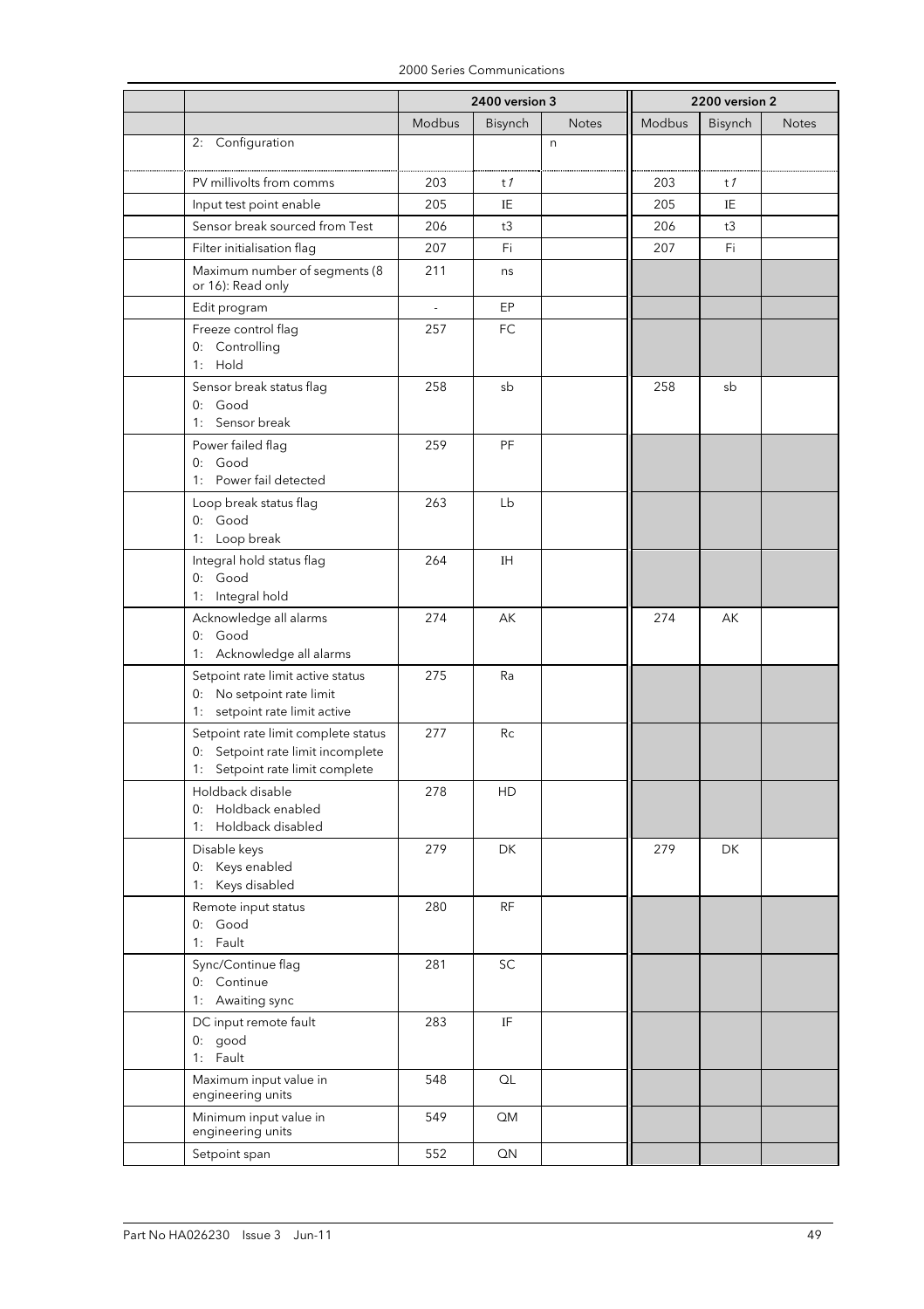|                                                                                                             | 2400 version 3 |                            |              | 2200 version 2 |           |              |
|-------------------------------------------------------------------------------------------------------------|----------------|----------------------------|--------------|----------------|-----------|--------------|
|                                                                                                             | Modbus         | Bisynch                    | <b>Notes</b> | Modbus         | Bisynch   | <b>Notes</b> |
| 2: Configuration                                                                                            |                |                            | n            |                |           |              |
| PV millivolts from comms                                                                                    | 203            | t1                         |              | 203            | t1        |              |
| Input test point enable                                                                                     | 205            | IE                         |              | 205            | ΙE        |              |
| Sensor break sourced from Test                                                                              | 206            | t3                         |              | 206            | t3        |              |
| Filter initialisation flag                                                                                  | 207            | Fi                         |              | 207            | Fi.       |              |
| Maximum number of segments (8<br>or 16): Read only                                                          | 211            | ns                         |              |                |           |              |
| Edit program                                                                                                | ÷,             | EP                         |              |                |           |              |
| Freeze control flag<br>0: Controlling<br>1: Hold                                                            | 257            | <b>FC</b>                  |              |                |           |              |
| Sensor break status flag<br>0: Good<br>1: Sensor break                                                      | 258            | sb                         |              | 258            | sb        |              |
| Power failed flag<br>0: Good<br>1: Power fail detected                                                      | 259            | PF                         |              |                |           |              |
| Loop break status flag<br>0: Good<br>1: Loop break                                                          | 263            | Lb                         |              |                |           |              |
| Integral hold status flag<br>0: Good<br>1: Integral hold                                                    | 264            | ΙH                         |              |                |           |              |
| Acknowledge all alarms<br>0: Good<br>1: Acknowledge all alarms                                              | 274            | AK                         |              | 274            | АK        |              |
| Setpoint rate limit active status<br>0: No setpoint rate limit<br>1: setpoint rate limit active             | 275            | Ra                         |              |                |           |              |
| Setpoint rate limit complete status<br>0: Setpoint rate limit incomplete<br>1: Setpoint rate limit complete | 277            | Rc                         |              |                |           |              |
| Holdback disable<br>0: Holdback enabled<br>1: Holdback disabled                                             | 278            | HD                         |              |                |           |              |
| Disable keys<br>0: Keys enabled<br>1: Keys disabled                                                         | 279            | DK                         |              | 279            | <b>DK</b> |              |
| Remote input status<br>0: Good<br>1: Fault                                                                  | 280            | <b>RF</b>                  |              |                |           |              |
| Sync/Continue flag<br>0: Continue<br>1: Awaiting sync                                                       | 281            | SC                         |              |                |           |              |
| DC input remote fault<br>0: good<br>1: Fault                                                                | 283            | $\ensuremath{\mathsf{IF}}$ |              |                |           |              |
| Maximum input value in<br>engineering units                                                                 | 548            | QL                         |              |                |           |              |
| Minimum input value in<br>engineering units                                                                 | 549            | QM                         |              |                |           |              |
| Setpoint span                                                                                               | 552            | QN                         |              |                |           |              |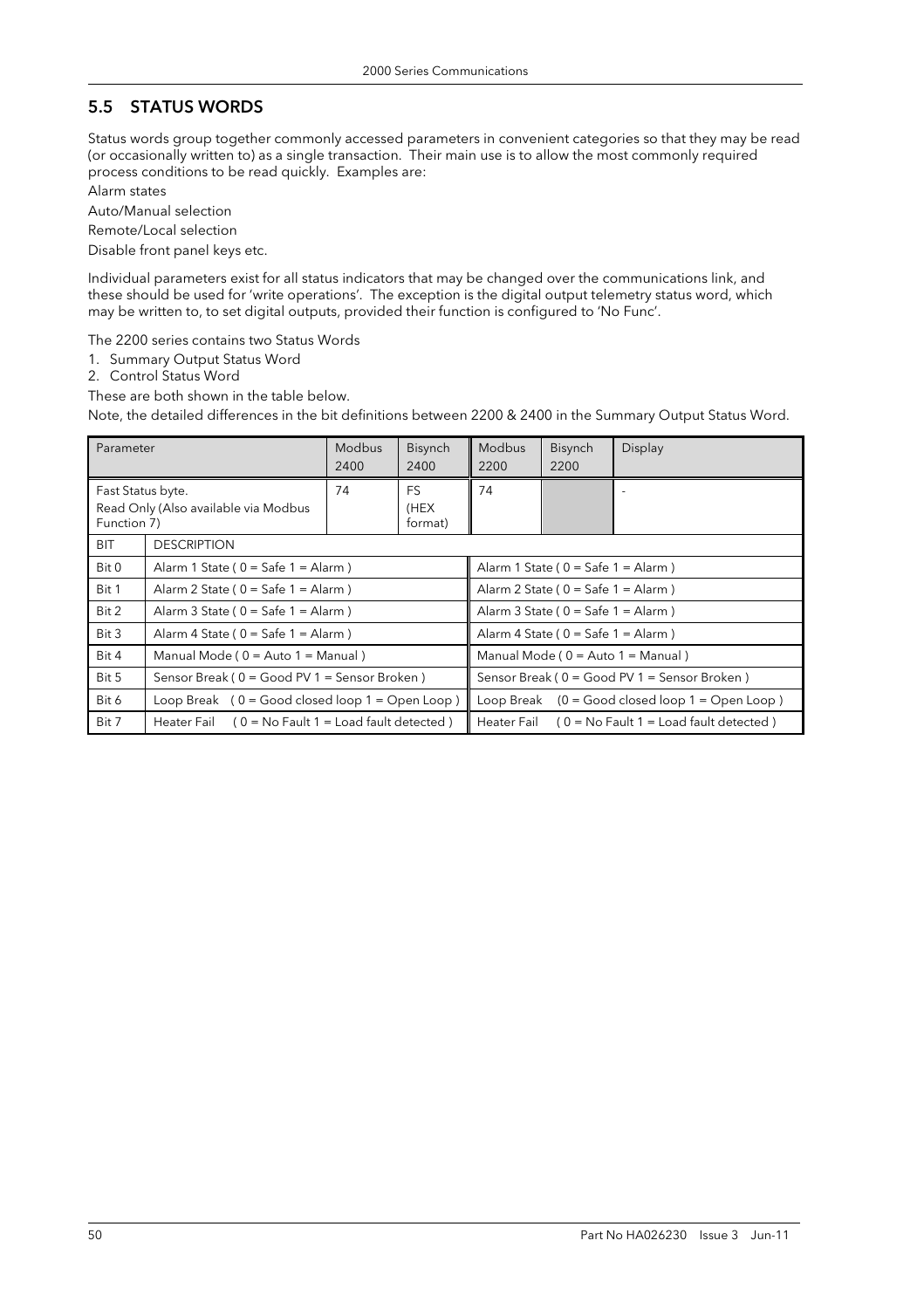## 5.5 STATUS WORDS

Status words group together commonly accessed parameters in convenient categories so that they may be read (or occasionally written to) as a single transaction. Their main use is to allow the most commonly required process conditions to be read quickly. Examples are:

Alarm states

Auto/Manual selection

Remote/Local selection

Disable front panel keys etc.

Individual parameters exist for all status indicators that may be changed over the communications link, and these should be used for 'write operations'. The exception is the digital output telemetry status word, which may be written to, to set digital outputs, provided their function is configured to 'No Func'.

The 2200 series contains two Status Words

- 1. Summary Output Status Word
- 2. Control Status Word

These are both shown in the table below.

Note, the detailed differences in the bit definitions between 2200 & 2400 in the Summary Output Status Word.

| Parameter                        |                                                   | <b>Modbus</b><br>2400                                | <b>Bisynch</b><br>2400 | Modbus<br>2200                               | <b>Bisynch</b><br>2200 | Display                                              |
|----------------------------------|---------------------------------------------------|------------------------------------------------------|------------------------|----------------------------------------------|------------------------|------------------------------------------------------|
| Fast Status byte.<br>Function 7) | Read Only (Also available via Modbus              | 74                                                   | FS.<br>(HEX<br>format) | 74                                           |                        |                                                      |
| <b>BIT</b><br><b>DESCRIPTION</b> |                                                   |                                                      |                        |                                              |                        |                                                      |
| Bit 0                            | Alarm 1 State ( $0 =$ Safe 1 = Alarm )            |                                                      |                        | Alarm 1 State ( $0 =$ Safe 1 = Alarm )       |                        |                                                      |
| Bit 1                            | Alarm 2 State ( $0 =$ Safe 1 = Alarm )            |                                                      |                        | Alarm 2 State ( $0 =$ Safe 1 = Alarm )       |                        |                                                      |
| Bit 2                            | Alarm 3 State ( $0 =$ Safe 1 = Alarm )            |                                                      |                        | Alarm 3 State ( $0 =$ Safe 1 = Alarm )       |                        |                                                      |
| Bit 3                            | Alarm 4 State ( $0 =$ Safe 1 = Alarm )            |                                                      |                        | Alarm 4 State ( $0 =$ Safe 1 = Alarm )       |                        |                                                      |
| Bit 4                            | Manual Mode (0 = Auto 1 = Manual)                 |                                                      |                        | Manual Mode (0 = Auto 1 = Manual)            |                        |                                                      |
| Bit 5                            | Sensor Break (0 = Good PV 1 = Sensor Broken)      |                                                      |                        | Sensor Break (0 = Good PV 1 = Sensor Broken) |                        |                                                      |
| Bit 6                            | Loop Break $(0 = Good closed loop 1 = Open Loop)$ |                                                      |                        |                                              |                        | Loop Break $(0 = Good closed loop 1 = Open Loop)$    |
| Bit 7                            |                                                   | Heater Fail $(0 = No$ Fault 1 = Load fault detected) |                        |                                              |                        | Heater Fail $(0 = No$ Fault 1 = Load fault detected) |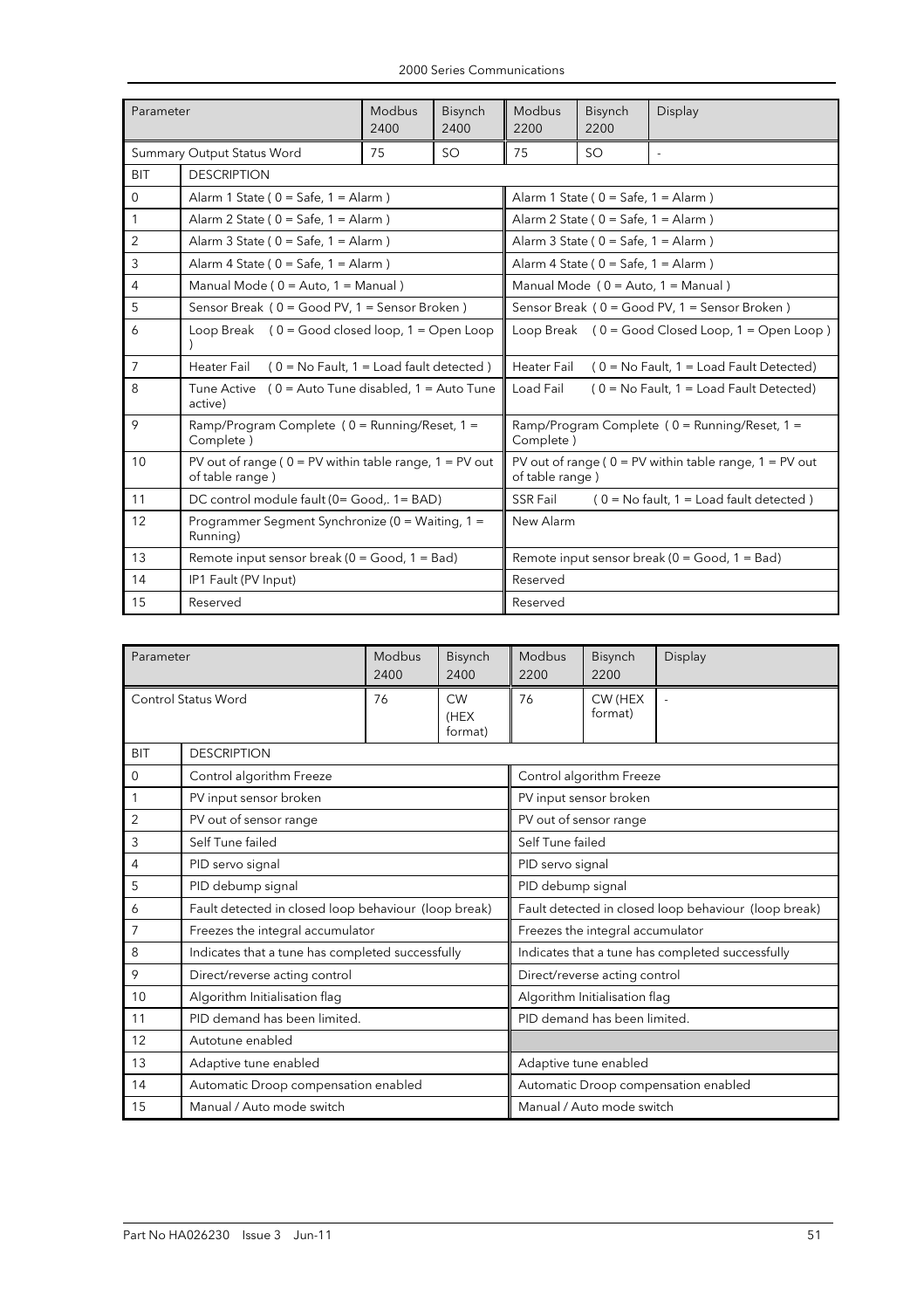|  |  | 2000 Series Communications |
|--|--|----------------------------|
|--|--|----------------------------|

| Parameter      |                                                                                | Modbus | Bisynch   | Modbus                                                            | <b>Bisynch</b>                            | Display                                                     |  |  |
|----------------|--------------------------------------------------------------------------------|--------|-----------|-------------------------------------------------------------------|-------------------------------------------|-------------------------------------------------------------|--|--|
|                |                                                                                | 2400   | 2400      | 2200                                                              | 2200                                      |                                                             |  |  |
|                | Summary Output Status Word                                                     | 75     | <b>SO</b> | 75<br><b>SO</b>                                                   |                                           |                                                             |  |  |
| <b>BIT</b>     | <b>DESCRIPTION</b>                                                             |        |           |                                                                   |                                           |                                                             |  |  |
| $\mathbf 0$    | Alarm 1 State ( $0 =$ Safe, $1 =$ Alarm )                                      |        |           |                                                                   | Alarm 1 State ( $0 =$ Safe, $1 =$ Alarm ) |                                                             |  |  |
| $\mathbf{1}$   | Alarm 2 State ( $0 =$ Safe, $1 =$ Alarm )                                      |        |           |                                                                   | Alarm 2 State ( $0 =$ Safe, $1 =$ Alarm ) |                                                             |  |  |
| 2              | Alarm 3 State ( $0 =$ Safe, $1 =$ Alarm )                                      |        |           |                                                                   | Alarm 3 State ( $0 =$ Safe, $1 =$ Alarm ) |                                                             |  |  |
| 3              | Alarm 4 State ( $0 =$ Safe, $1 =$ Alarm )                                      |        |           |                                                                   | Alarm 4 State ( $0 =$ Safe, $1 =$ Alarm ) |                                                             |  |  |
| $\overline{4}$ | Manual Mode (0 = Auto, 1 = Manual)                                             |        |           |                                                                   |                                           | Manual Mode $(0 = Auto, 1 = Manual)$                        |  |  |
| 5              | Sensor Break (0 = Good PV, 1 = Sensor Broken)                                  |        |           | Sensor Break (0 = Good PV, 1 = Sensor Broken)                     |                                           |                                                             |  |  |
| 6              | Loop Break $(0 = Good closed loop, 1 = Open Loop$                              |        |           | Loop Break $(0 = Good Closed Loop, 1 = Open Loop)$                |                                           |                                                             |  |  |
| $\overline{7}$ | Heater Fail $(0 = No \text{ Fault}, 1 = Load \text{ fault} \text{ detected})$  |        |           | <b>Heater Fail</b><br>$(0 = No$ Fault, $1 = Load$ Fault Detected) |                                           |                                                             |  |  |
| 8              | Tune Active $(0 =$ Auto Tune disabled, $1 =$ Auto Tune<br>active)              |        |           | Load Fail<br>$(0 = No$ Fault, $1 = Load$ Fault Detected)          |                                           |                                                             |  |  |
| 9              | Ramp/Program Complete (0 = Running/Reset, 1 =<br>Complete)                     |        |           | Ramp/Program Complete $(0)$ = Running/Reset, 1 =<br>Complete)     |                                           |                                                             |  |  |
| 10             | PV out of range ( $0 = PV$ within table range, $1 = PV$ out<br>of table range) |        |           | of table range)                                                   |                                           | PV out of range ( $0 = PV$ within table range, $1 = PV$ out |  |  |
| 11             | DC control module fault (0= Good,. 1= BAD)                                     |        |           | SSR Fail                                                          |                                           | $(0 = No$ fault, $1 = Load$ fault detected)                 |  |  |
| 12             | Programmer Segment Synchronize (0 = Waiting, 1 =<br>Running)                   |        |           | New Alarm                                                         |                                           |                                                             |  |  |
| 13             | Remote input sensor break ( $0 = Good$ , $1 = Bad$ )                           |        |           | Remote input sensor break ( $0 = Good$ , $1 = Bad$ )              |                                           |                                                             |  |  |
| 14             | IP1 Fault (PV Input)                                                           |        |           | Reserved                                                          |                                           |                                                             |  |  |
| 15             | Reserved                                                                       |        |           | Reserved                                                          |                                           |                                                             |  |  |

| Parameter           |                                                      | <b>Modbus</b><br>2400 | Bisynch<br>2400              | Modbus<br>2200                                       | Bisynch<br>2200               | Display |  |
|---------------------|------------------------------------------------------|-----------------------|------------------------------|------------------------------------------------------|-------------------------------|---------|--|
| Control Status Word |                                                      | 76                    | <b>CW</b><br>(HEX<br>format) | 76                                                   | CW (HEX<br>format)            |         |  |
| <b>BIT</b>          | <b>DESCRIPTION</b>                                   |                       |                              |                                                      |                               |         |  |
| $\Omega$            | Control algorithm Freeze                             |                       |                              |                                                      | Control algorithm Freeze      |         |  |
| 1                   | PV input sensor broken                               |                       |                              |                                                      | PV input sensor broken        |         |  |
| 2                   | PV out of sensor range                               |                       |                              |                                                      | PV out of sensor range        |         |  |
| 3                   | Self Tune failed                                     |                       |                              | Self Tune failed                                     |                               |         |  |
| 4                   | PID servo signal                                     |                       |                              | PID servo signal                                     |                               |         |  |
| 5                   | PID debump signal                                    |                       |                              | PID debump signal                                    |                               |         |  |
| 6                   | Fault detected in closed loop behaviour (loop break) |                       |                              | Fault detected in closed loop behaviour (loop break) |                               |         |  |
| 7                   | Freezes the integral accumulator                     |                       |                              | Freezes the integral accumulator                     |                               |         |  |
| 8                   | Indicates that a tune has completed successfully     |                       |                              | Indicates that a tune has completed successfully     |                               |         |  |
| 9                   | Direct/reverse acting control                        |                       |                              |                                                      | Direct/reverse acting control |         |  |
| 10                  | Algorithm Initialisation flag                        |                       |                              |                                                      | Algorithm Initialisation flag |         |  |
| 11                  | PID demand has been limited.                         |                       |                              |                                                      | PID demand has been limited.  |         |  |
| 12                  | Autotune enabled                                     |                       |                              |                                                      |                               |         |  |
| 13                  | Adaptive tune enabled                                |                       |                              |                                                      | Adaptive tune enabled         |         |  |
| 14                  | Automatic Droop compensation enabled                 |                       |                              | Automatic Droop compensation enabled                 |                               |         |  |
| 15                  | Manual / Auto mode switch                            |                       |                              | Manual / Auto mode switch                            |                               |         |  |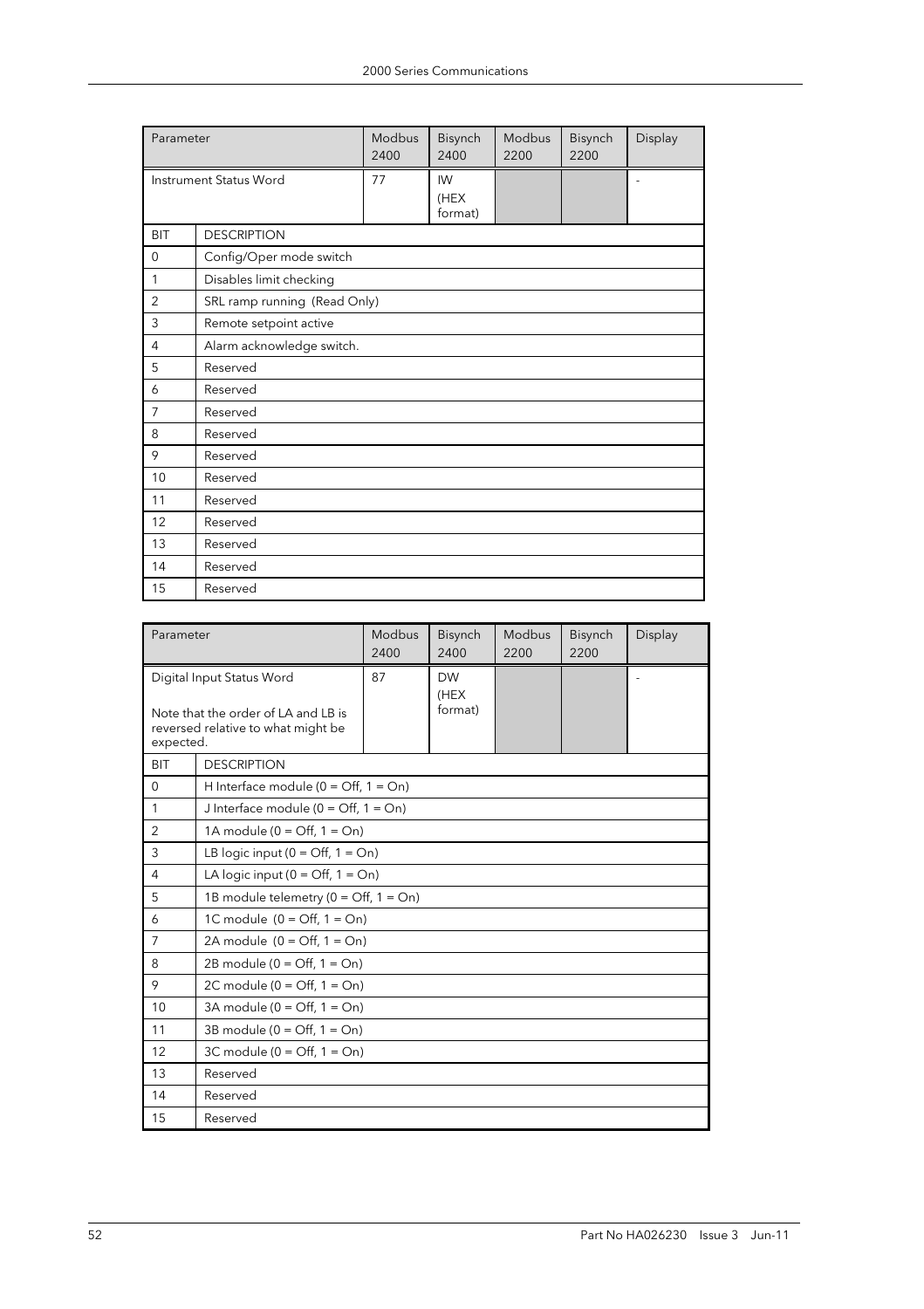| Parameter   |                               | Modbus<br>2400 | Bisynch<br>2400       | Modbus<br>2200 | Bisynch<br>2200 | Display |  |
|-------------|-------------------------------|----------------|-----------------------|----------------|-----------------|---------|--|
|             | <b>Instrument Status Word</b> | 77             | IW<br>(HEX<br>format) |                |                 |         |  |
| <b>BIT</b>  | <b>DESCRIPTION</b>            |                |                       |                |                 |         |  |
| $\mathbf 0$ | Config/Oper mode switch       |                |                       |                |                 |         |  |
| 1           | Disables limit checking       |                |                       |                |                 |         |  |
| 2           | SRL ramp running (Read Only)  |                |                       |                |                 |         |  |
| 3           | Remote setpoint active        |                |                       |                |                 |         |  |
| 4           | Alarm acknowledge switch.     |                |                       |                |                 |         |  |
| 5           | Reserved                      |                |                       |                |                 |         |  |
| 6           | Reserved                      |                |                       |                |                 |         |  |
| 7           | Reserved                      |                |                       |                |                 |         |  |
| 8           | Reserved                      |                |                       |                |                 |         |  |
| 9           | Reserved                      |                |                       |                |                 |         |  |
| 10          | Reserved                      |                |                       |                |                 |         |  |
| 11          | Reserved                      |                |                       |                |                 |         |  |
| 12          | Reserved                      |                |                       |                |                 |         |  |
| 13          | Reserved                      |                |                       |                |                 |         |  |
| 14          | Reserved                      |                |                       |                |                 |         |  |
| 15          | Reserved                      |                |                       |                |                 |         |  |

| Parameter                                                                              | Modbus<br>2400                                          |    | Bisynch<br>2400   | Modbus<br>2200 | Bisynch<br>2200 | Display |
|----------------------------------------------------------------------------------------|---------------------------------------------------------|----|-------------------|----------------|-----------------|---------|
|                                                                                        | Digital Input Status Word                               | 87 | <b>DW</b><br>(HEX |                |                 |         |
| Note that the order of LA and LB is<br>reversed relative to what might be<br>expected. |                                                         |    | format)           |                |                 |         |
| <b>BIT</b>                                                                             | <b>DESCRIPTION</b>                                      |    |                   |                |                 |         |
| $\mathbf 0$                                                                            | H Interface module ( $0 = \text{Off}, 1 = \text{On}$ )  |    |                   |                |                 |         |
| $\mathbf{1}$                                                                           | J Interface module ( $0 = \text{Off}, 1 = \text{On}$ )  |    |                   |                |                 |         |
| 2                                                                                      | 1A module ( $0 = \text{Off}, 1 = \text{On}$ )           |    |                   |                |                 |         |
| 3                                                                                      | LB logic input $(0 = \text{Off}, 1 = \text{On})$        |    |                   |                |                 |         |
| 4                                                                                      | LA logic input ( $0 = \text{Off}, 1 = \text{On}$ )      |    |                   |                |                 |         |
| 5                                                                                      | 1B module telemetry ( $0 = \text{Off}, 1 = \text{On}$ ) |    |                   |                |                 |         |
| 6                                                                                      | 1C module $(0 = \text{Off}, 1 = \text{On})$             |    |                   |                |                 |         |
| $\overline{7}$                                                                         | 2A module $(0 = \text{Off}, 1 = \text{On})$             |    |                   |                |                 |         |
| 8                                                                                      | 2B module ( $0 = \text{Off}, 1 = \text{On}$ )           |    |                   |                |                 |         |
| 9                                                                                      | 2C module ( $0 = \text{Off}, 1 = \text{On}$ )           |    |                   |                |                 |         |
| 10                                                                                     | 3A module ( $0 = \text{Off}, 1 = \text{On}$ )           |    |                   |                |                 |         |
| 11                                                                                     | 3B module $(0 = \text{Off}, 1 = \text{On})$             |    |                   |                |                 |         |
| 12                                                                                     | 3C module ( $0 = \text{Off}$ , $1 = \text{On}$ )        |    |                   |                |                 |         |
| 13                                                                                     | Reserved                                                |    |                   |                |                 |         |
| 14                                                                                     | Reserved                                                |    |                   |                |                 |         |
| 15                                                                                     | Reserved                                                |    |                   |                |                 |         |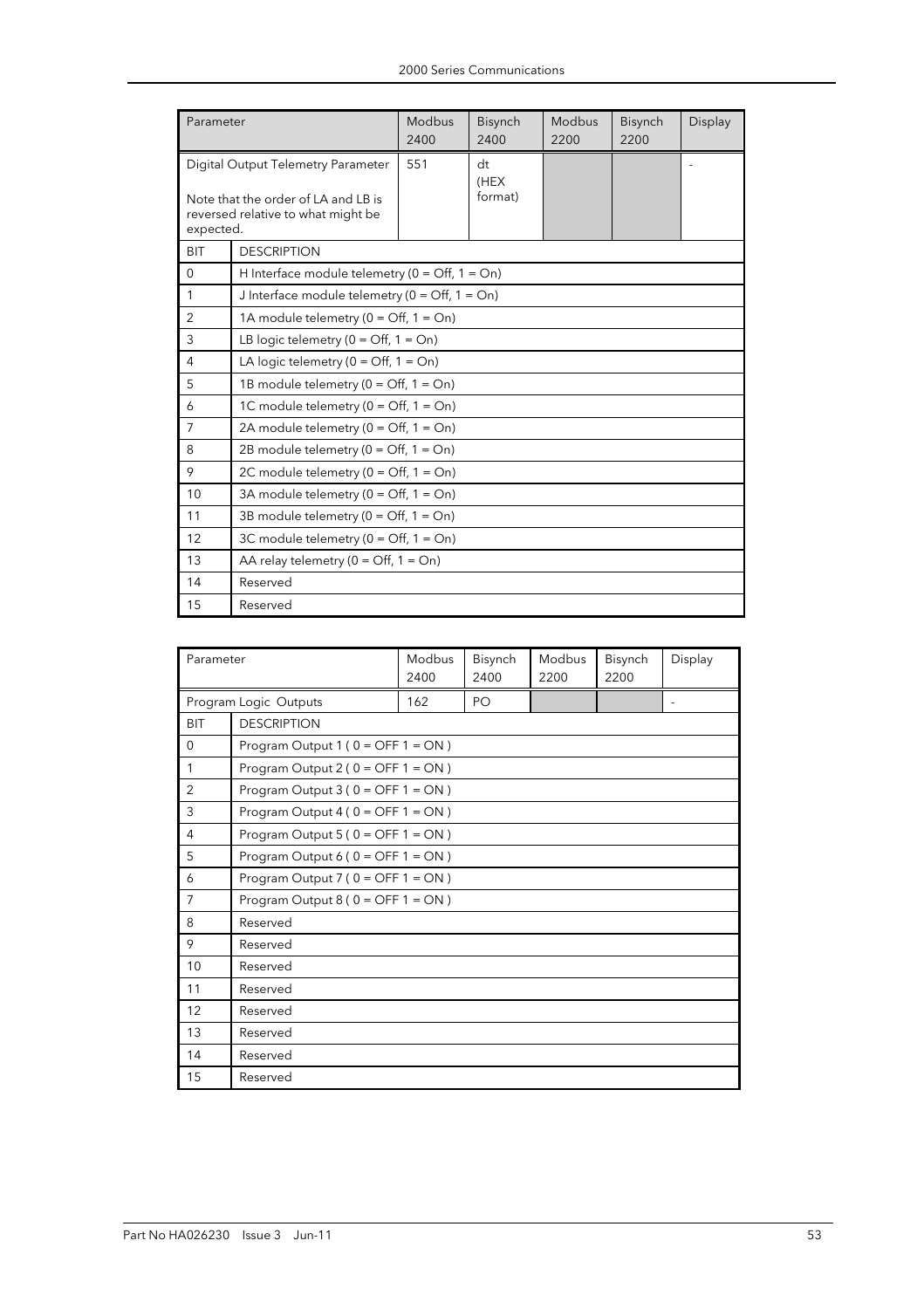|                                                                                                                              | Parameter                                                        |     | Bisynch<br>2400       | Modbus<br>2200 | Bisynch<br>2200 | Display |
|------------------------------------------------------------------------------------------------------------------------------|------------------------------------------------------------------|-----|-----------------------|----------------|-----------------|---------|
| Digital Output Telemetry Parameter<br>Note that the order of LA and LB is<br>reversed relative to what might be<br>expected. |                                                                  | 551 | dt<br>(HEX<br>format) |                |                 |         |
| <b>BIT</b>                                                                                                                   | <b>DESCRIPTION</b>                                               |     |                       |                |                 |         |
| $\mathbf{0}$                                                                                                                 | H Interface module telemetry ( $0 = \text{Off}, 1 = \text{On}$ ) |     |                       |                |                 |         |
| $\mathbf{1}$                                                                                                                 | J Interface module telemetry ( $0 = \text{Off}, 1 = \text{On}$ ) |     |                       |                |                 |         |
| $\overline{2}$                                                                                                               | 1A module telemetry ( $0 = \text{Off}, 1 = \text{On}$ )          |     |                       |                |                 |         |
| 3                                                                                                                            | LB logic telemetry ( $0 = \text{Off}, 1 = \text{On}$ )           |     |                       |                |                 |         |
| $\overline{4}$                                                                                                               | LA logic telemetry ( $0 = \text{Off}, 1 = \text{On}$ )           |     |                       |                |                 |         |
| 5                                                                                                                            | 1B module telemetry ( $0 = \text{Off}, 1 = \text{On}$ )          |     |                       |                |                 |         |
| 6                                                                                                                            | 1C module telemetry ( $0 = \text{Off}, 1 = \text{On}$ )          |     |                       |                |                 |         |
| 7                                                                                                                            | 2A module telemetry ( $0 = \text{Off}, 1 = \text{On}$ )          |     |                       |                |                 |         |
| 8                                                                                                                            | 2B module telemetry ( $0 = \text{Off}, 1 = \text{On}$ )          |     |                       |                |                 |         |
| 9                                                                                                                            | 2C module telemetry ( $0 = \text{Off}, 1 = \text{On}$ )          |     |                       |                |                 |         |
| 10                                                                                                                           | 3A module telemetry ( $0 = \text{Off}, 1 = \text{On}$ )          |     |                       |                |                 |         |
| 11                                                                                                                           | 3B module telemetry ( $0 = \text{Off}, 1 = \text{On}$ )          |     |                       |                |                 |         |
| 12                                                                                                                           | 3C module telemetry ( $0 = \text{Off}, 1 = \text{On}$ )          |     |                       |                |                 |         |
| 13                                                                                                                           | AA relay telemetry ( $0 = \text{Off}, 1 = \text{On}$ )           |     |                       |                |                 |         |
| 14                                                                                                                           | Reserved                                                         |     |                       |                |                 |         |
| 15                                                                                                                           | Reserved                                                         |     |                       |                |                 |         |

| Parameter      |                                    | Modbus<br>2400 | Bisynch<br>2400 | Modbus<br>2200 | Bisynch<br>2200 | Display |
|----------------|------------------------------------|----------------|-----------------|----------------|-----------------|---------|
|                | Program Logic Outputs              | 162            | PO              |                |                 |         |
| <b>BIT</b>     | <b>DESCRIPTION</b>                 |                |                 |                |                 |         |
| $\Omega$       | Program Output $1(0 = OFF 1 = ON)$ |                |                 |                |                 |         |
| 1              | Program Output $2(0 = OFF 1 = ON)$ |                |                 |                |                 |         |
| $\overline{2}$ | Program Output $3(0 = OFF 1 = ON)$ |                |                 |                |                 |         |
| 3              | Program Output $4(0 = OFF 1 = ON)$ |                |                 |                |                 |         |
| 4              | Program Output $5(0 = OFF 1 = ON)$ |                |                 |                |                 |         |
| 5              | Program Output $6(0 = OFF 1 = ON)$ |                |                 |                |                 |         |
| 6              | Program Output $7(0 = OFF 1 = ON)$ |                |                 |                |                 |         |
| $\overline{7}$ | Program Output $8(0 = OFF 1 = ON)$ |                |                 |                |                 |         |
| 8              | Reserved                           |                |                 |                |                 |         |
| 9              | Reserved                           |                |                 |                |                 |         |
| 10             | Reserved                           |                |                 |                |                 |         |
| 11             | Reserved                           |                |                 |                |                 |         |
| 12             | Reserved                           |                |                 |                |                 |         |
| 13             | Reserved                           |                |                 |                |                 |         |
| 14             | Reserved                           |                |                 |                |                 |         |
| 15             | Reserved                           |                |                 |                |                 |         |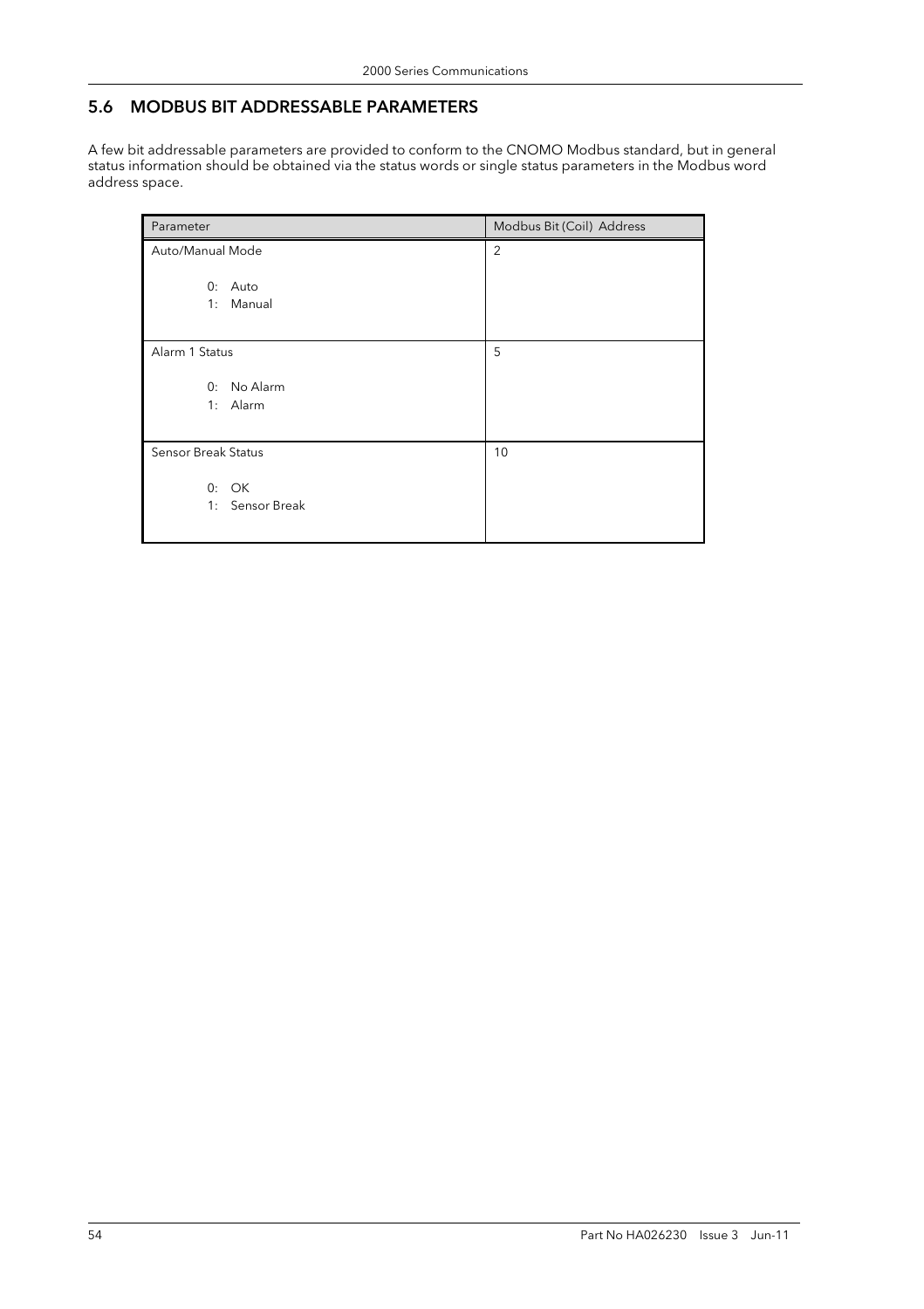## 5.6 MODBUS BIT ADDRESSABLE PARAMETERS

A few bit addressable parameters are provided to conform to the CNOMO Modbus standard, but in general status information should be obtained via the status words or single status parameters in the Modbus word address space.

| Parameter                  | Modbus Bit (Coil) Address |
|----------------------------|---------------------------|
| Auto/Manual Mode           | 2                         |
| 0: Auto<br>1: Manual       |                           |
| Alarm 1 Status             | 5                         |
| 0: No Alarm<br>1: Alarm    |                           |
| <b>Sensor Break Status</b> | 10                        |
| 0: OK<br>1: Sensor Break   |                           |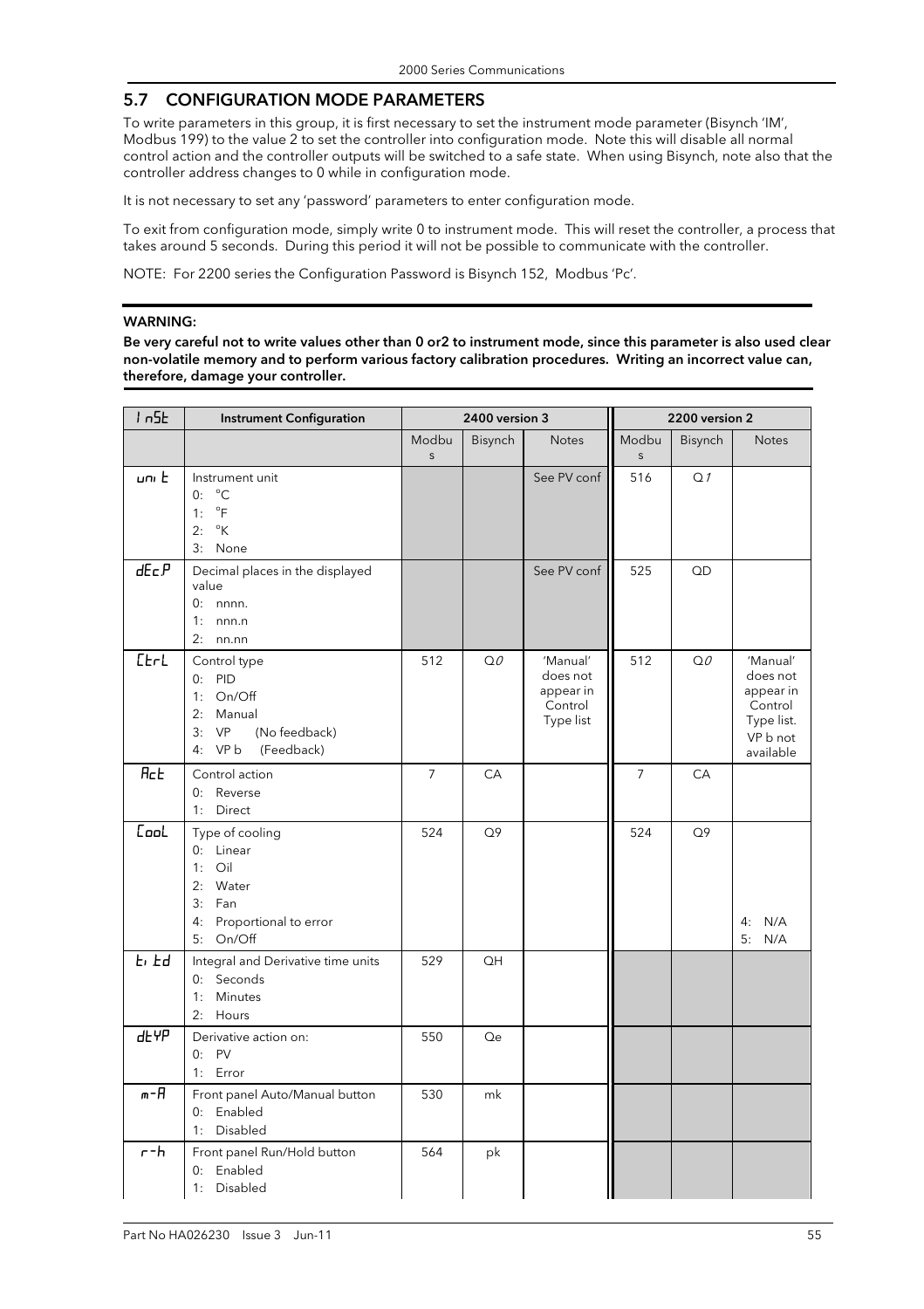## 5.7 CONFIGURATION MODE PARAMETERS

To write parameters in this group, it is first necessary to set the instrument mode parameter (Bisynch 'IM', Modbus 199) to the value 2 to set the controller into configuration mode. Note this will disable all normal control action and the controller outputs will be switched to a safe state. When using Bisynch, note also that the controller address changes to 0 while in configuration mode.

It is not necessary to set any 'password' parameters to enter configuration mode.

To exit from configuration mode, simply write 0 to instrument mode. This will reset the controller, a process that takes around 5 seconds. During this period it will not be possible to communicate with the controller.

NOTE: For 2200 series the Configuration Password is Bisynch 152, Modbus 'Pc'.

#### WARNING:

Be very careful not to write values other than 0 or2 to instrument mode, since this parameter is also used clear non-volatile memory and to perform various factory calibration procedures. Writing an incorrect value can, therefore, damage your controller.

| 1n5k                 | <b>Instrument Configuration</b>                                                                            |                       | 2400 version 3 |                                                           |                       | 2200 version 2 |                                                                                     |
|----------------------|------------------------------------------------------------------------------------------------------------|-----------------------|----------------|-----------------------------------------------------------|-----------------------|----------------|-------------------------------------------------------------------------------------|
|                      |                                                                                                            | Modbu<br>$\mathsf{s}$ | Bisynch        | Notes                                                     | Modbu<br>$\mathsf{s}$ | Bisynch        | <b>Notes</b>                                                                        |
| uni E                | Instrument unit<br>$^{\circ}C$<br>0:<br>$\mathrm{P}$<br>1:<br>$^{\circ}\mathsf{K}$<br>2:<br>3: None        |                       |                | See PV conf                                               | 516                   | Q <sub>1</sub> |                                                                                     |
| dE <sub>C</sub> P    | Decimal places in the displayed<br>value<br>$0:$ nnnn.<br>$1:$ nnn.n<br>$2:$ nn.nn                         |                       |                | See PV conf                                               | 525                   | QD             |                                                                                     |
| $E$ <sub>r</sub> $L$ | Control type<br>$0:$ PID<br>1: On/Off<br>2: Manual<br>3:VP<br>(No feedback)<br>4: VP b<br>(Feedback)       | 512                   | QO             | 'Manual'<br>does not<br>appear in<br>Control<br>Type list | 512                   | QQ             | 'Manual'<br>does not<br>appear in<br>Control<br>Type list.<br>VP b not<br>available |
| <b>Rct</b>           | Control action<br>0: Reverse<br>1: Direct                                                                  | 7                     | CA             |                                                           | 7                     | CA             |                                                                                     |
| <b>Cool</b>          | Type of cooling<br>0: Linear<br>$1:$ Oil<br>2: Water<br>3: Fan<br>Proportional to error<br>4:<br>5: On/Off | 524                   | Q <sub>9</sub> |                                                           | 524                   | Q <sub>9</sub> | 4: N/A<br>5:<br>N/A                                                                 |
| $E$ , $Ed$           | Integral and Derivative time units<br>0: Seconds<br>1:<br>Minutes<br>2:<br>Hours                           | 529                   | QH             |                                                           |                       |                |                                                                                     |
| dt YP                | Derivative action on:<br>0: PV<br>1: Error                                                                 | 550                   | Qe             |                                                           |                       |                |                                                                                     |
| m-A                  | Front panel Auto/Manual button<br>0: Enabled<br>Disabled<br>1:                                             | 530                   | mk             |                                                           |                       |                |                                                                                     |
| $r - h$              | Front panel Run/Hold button<br>0: Enabled<br>1:<br>Disabled                                                | 564                   | pk             |                                                           |                       |                |                                                                                     |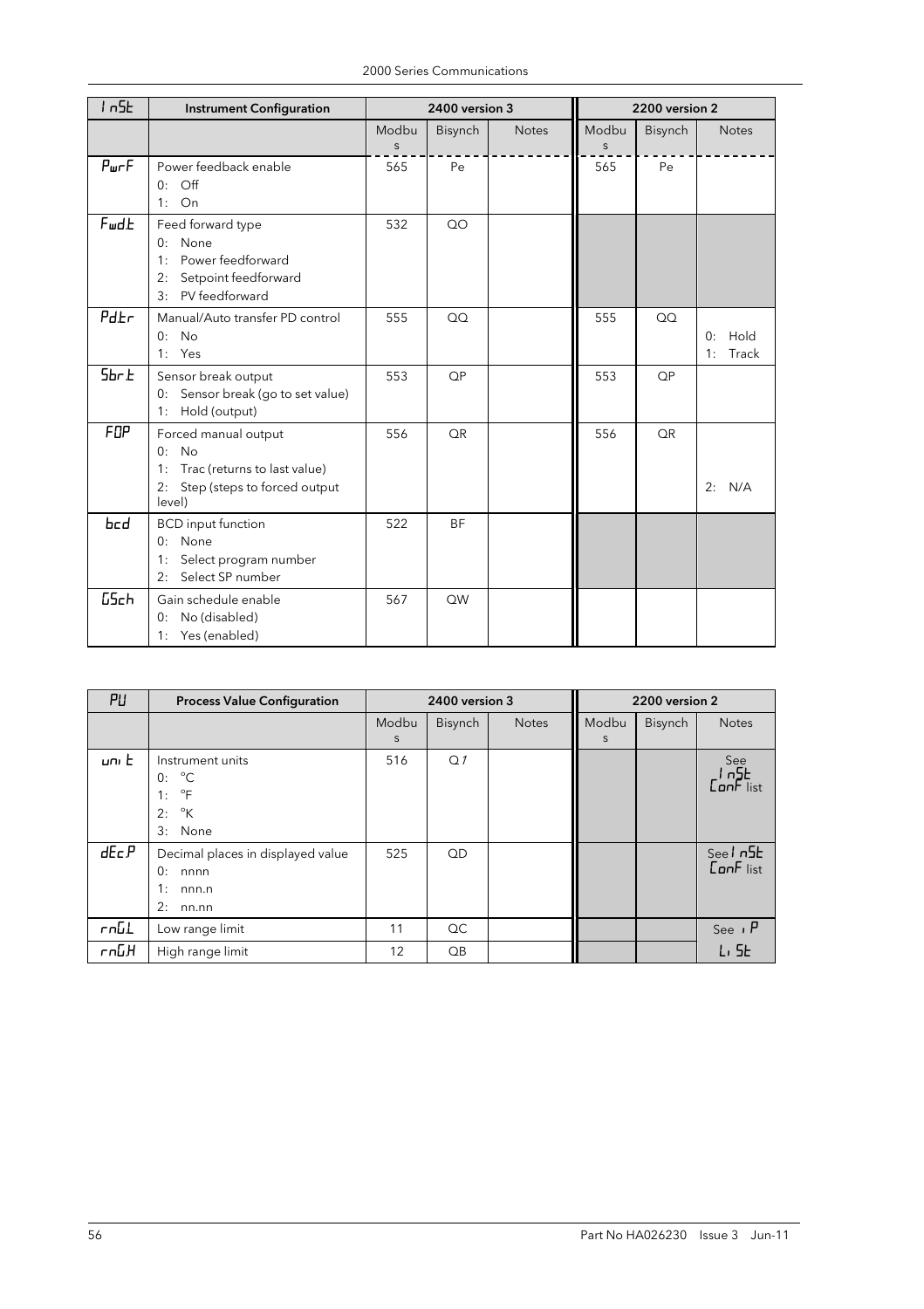| 1n5k              | <b>Instrument Configuration</b>                                                                                        |                  | 2400 version 3 |              |                  | 2200 version 2 |                           |
|-------------------|------------------------------------------------------------------------------------------------------------------------|------------------|----------------|--------------|------------------|----------------|---------------------------|
|                   |                                                                                                                        | Modbu<br>$\sf S$ | Bisynch        | <b>Notes</b> | Modbu<br>$\sf S$ | Bisynch        | <b>Notes</b>              |
| P <sub>ur</sub> F | Power feedback enable<br>Off<br>0:<br>On<br>1:                                                                         | 565              | Pe             |              | 565              | Pe             |                           |
| FwdL              | Feed forward type<br>None<br>0:<br>Power feedforward<br>1:<br>Setpoint feedforward<br>2:<br>PV feedforward<br>3:       | 532              | QO             |              |                  |                |                           |
| $P_{dE}$          | Manual/Auto transfer PD control<br><b>No</b><br>0:<br>1: Yes                                                           | 555              | QQ             |              | 555              | OO             | 0:<br>Hold<br>Track<br>1: |
| 5 <sub>br</sub>   | Sensor break output<br>Sensor break (go to set value)<br>0:<br>Hold (output)<br>1:                                     | 553              | QP             |              | 553              | <b>QP</b>      |                           |
| FOP               | Forced manual output<br>No<br>0:<br>Trac (returns to last value)<br>1:<br>2:<br>Step (steps to forced output<br>level) | 556              | QR             |              | 556              | <b>QR</b>      | N/A<br>2:                 |
| bed               | <b>BCD</b> input function<br>0: None<br>Select program number<br>1:<br>Select SP number<br>2:                          | 522              | <b>BF</b>      |              |                  |                |                           |
| <b>GSch</b>       | Gain schedule enable<br>No (disabled)<br>0:<br>1: Yes (enabled)                                                        | 567              | QW             |              |                  |                |                           |

| PU    | <b>Process Value Configuration</b>                                                         |            | 2400 version 3  |              |            | 2200 version 2 |                                       |
|-------|--------------------------------------------------------------------------------------------|------------|-----------------|--------------|------------|----------------|---------------------------------------|
|       |                                                                                            | Modbu<br>S | Bisynch         | <b>Notes</b> | Modbu<br>S | Bisynch        | <b>Notes</b>                          |
| uni E | Instrument units<br>0: C<br>$\circ$ F<br>1:<br>$\mathcal{C}^{\circ}$ K<br>2:<br>3:<br>None | 516        | Q <sub>1</sub>  |              |            |                | See<br>In <sup>5</sup> E<br>Conf list |
| dEc.P | Decimal places in displayed value<br>0:<br>nnnn<br>1:<br>nnn.n<br>2:<br>nn.nn              | 525        | QD              |              |            |                | $See \sqrt{5}ConF list$               |
| ւսըT  | Low range limit                                                                            | 11         | QC              |              |            |                | See $P$                               |
| Րոնዘ  | High range limit                                                                           | 12         | $\overline{OB}$ |              |            |                | L <sub>1</sub> SE                     |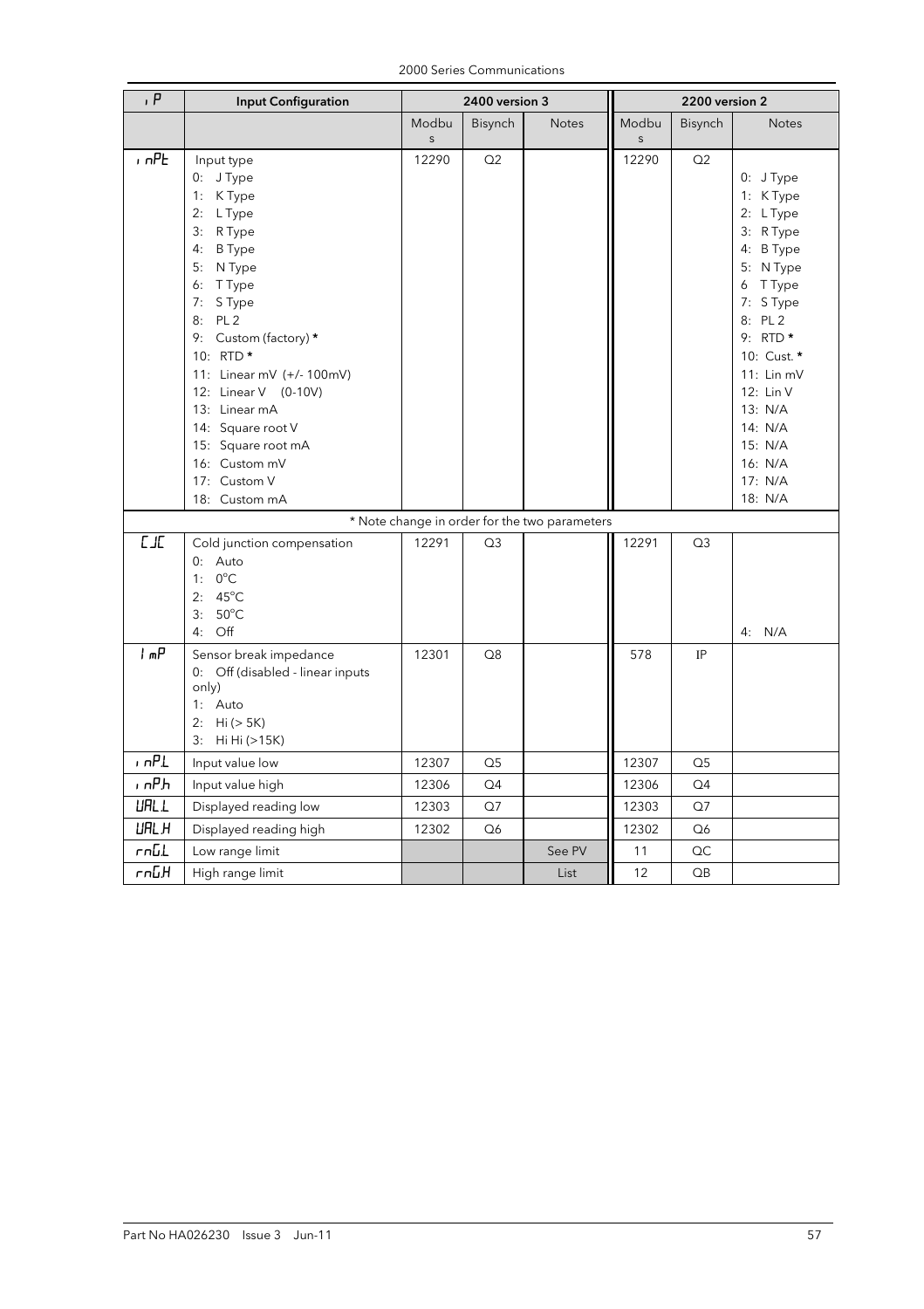| P           | <b>Input Configuration</b>                                                                                                                                                                                                                                                                                                     |                  | 2400 version 3 |                                               | 2200 version 2        |                |                                                                                                                                                                                                                              |
|-------------|--------------------------------------------------------------------------------------------------------------------------------------------------------------------------------------------------------------------------------------------------------------------------------------------------------------------------------|------------------|----------------|-----------------------------------------------|-----------------------|----------------|------------------------------------------------------------------------------------------------------------------------------------------------------------------------------------------------------------------------------|
|             |                                                                                                                                                                                                                                                                                                                                | Modbu            | Bisynch        | <b>Notes</b>                                  | Modbu                 | Bisynch        | <b>Notes</b>                                                                                                                                                                                                                 |
| $n$ $nPL$   | Input type<br>0: J Type<br>1: K Type<br>2: L Type<br>3: R Type<br><b>B</b> Type<br>4:<br>5: N Type<br>6: TType<br>7: S Type<br>8: PL 2<br>9: Custom (factory) *<br>10: RTD *<br>11: Linear mV (+/- 100mV)<br>12: Linear V (0-10V)<br>13: Linear mA<br>14: Square root V<br>15: Square root mA<br>16: Custom mV<br>17: Custom V | $\sf S$<br>12290 | Q2             |                                               | $\mathsf{s}$<br>12290 | Q2             | 0: J Type<br>1: KType<br>2: L Type<br>3: R Type<br>4: B Type<br>5: N Type<br>6 T Type<br>7: S Type<br>8: PL 2<br>9: RTD $*$<br>10: Cust. *<br>11: Lin mV<br>12: Lin V<br>13: N/A<br>14: N/A<br>15: N/A<br>16: N/A<br>17: N/A |
|             | 18: Custom mA                                                                                                                                                                                                                                                                                                                  |                  |                |                                               |                       |                | 18: N/A                                                                                                                                                                                                                      |
| L/L         |                                                                                                                                                                                                                                                                                                                                |                  |                | * Note change in order for the two parameters |                       |                |                                                                                                                                                                                                                              |
|             | Cold junction compensation<br>0: Auto<br>1: $0^{\circ}$ C<br>2: $45^{\circ}$ C<br>$50^{\circ}$ C<br>3:<br>4: Off                                                                                                                                                                                                               | 12291            | Q <sub>3</sub> |                                               | 12291                 | Q <sub>3</sub> | 4: N/A                                                                                                                                                                                                                       |
| ሐሥ          | Sensor break impedance<br>0: Off (disabled - linear inputs<br>only)<br>1: Auto<br>2: Hi (> 5K)<br>3: Hi Hi (>15K)                                                                                                                                                                                                              | 12301            | Q8             |                                               | 578                   | IP             |                                                                                                                                                                                                                              |
| $n$ n $PL$  | Input value low                                                                                                                                                                                                                                                                                                                | 12307            | $\Omega$       |                                               | 12307                 | $\Omega$       |                                                                                                                                                                                                                              |
| , nPh       | Input value high                                                                                                                                                                                                                                                                                                               | 12306            | Q4             |                                               | 12306                 | Q4             |                                                                                                                                                                                                                              |
| <b>URLL</b> | Displayed reading low                                                                                                                                                                                                                                                                                                          | 12303            | Q7             |                                               | 12303                 | Q7             |                                                                                                                                                                                                                              |
| URL H       | Displayed reading high                                                                                                                                                                                                                                                                                                         | 12302            | Q6             |                                               | 12302                 | Q6             |                                                                                                                                                                                                                              |
| <b>rnGL</b> | Low range limit                                                                                                                                                                                                                                                                                                                |                  |                | See PV                                        | 11                    | QC             |                                                                                                                                                                                                                              |
| եմո-        | High range limit                                                                                                                                                                                                                                                                                                               |                  |                | List                                          | 12                    | QB             |                                                                                                                                                                                                                              |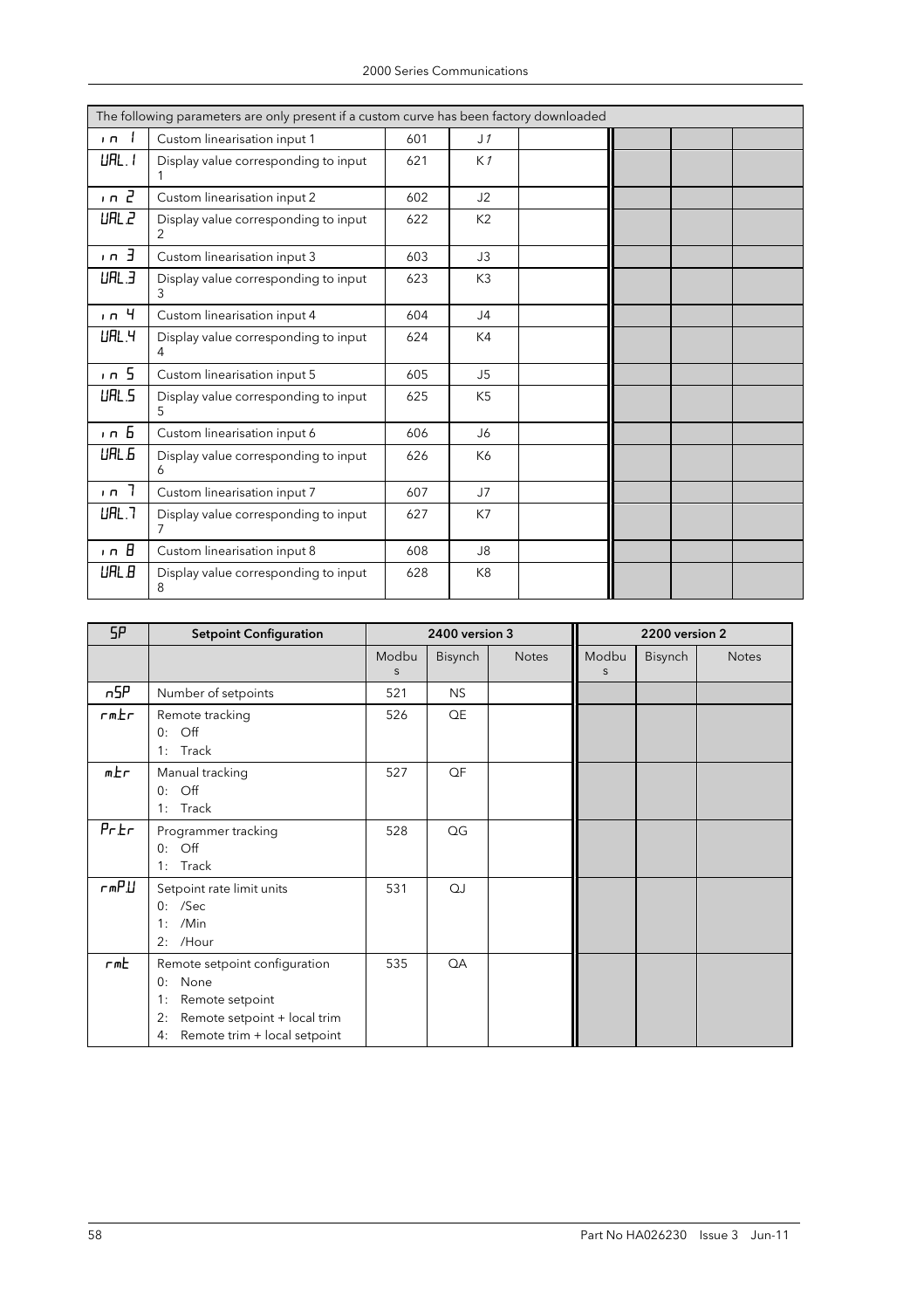|            | The following parameters are only present if a custom curve has been factory downloaded |     |                |  |  |  |  |  |  |  |
|------------|-----------------------------------------------------------------------------------------|-----|----------------|--|--|--|--|--|--|--|
| $\sqrt{ }$ | Custom linearisation input 1                                                            | 601 | J <sub>1</sub> |  |  |  |  |  |  |  |
| UHL.1      | Display value corresponding to input                                                    | 621 | K1             |  |  |  |  |  |  |  |
| $n - 2$    | Custom linearisation input 2                                                            | 602 | J2             |  |  |  |  |  |  |  |
| UAL 2      | Display value corresponding to input                                                    | 622 | K2             |  |  |  |  |  |  |  |
| $n - 3$    | Custom linearisation input 3                                                            | 603 | J3             |  |  |  |  |  |  |  |
| URL.3      | Display value corresponding to input                                                    | 623 | K <sub>3</sub> |  |  |  |  |  |  |  |
| 1n4        | Custom linearisation input 4                                                            | 604 | J <sub>4</sub> |  |  |  |  |  |  |  |
| UAL.4      | Display value corresponding to input<br>4                                               | 624 | K4             |  |  |  |  |  |  |  |
| $n - 5$    | Custom linearisation input 5                                                            | 605 | J5             |  |  |  |  |  |  |  |
| UAL 5      | Display value corresponding to input<br>5.                                              | 625 | K <sub>5</sub> |  |  |  |  |  |  |  |
| $n - 5$    | Custom linearisation input 6                                                            | 606 | J6             |  |  |  |  |  |  |  |
| UAL 5      | Display value corresponding to input<br>6                                               | 626 | K6             |  |  |  |  |  |  |  |
| $n - 7$    | Custom linearisation input 7                                                            | 607 | J7             |  |  |  |  |  |  |  |
| UHL.7      | Display value corresponding to input<br>7                                               | 627 | K7             |  |  |  |  |  |  |  |
| ın B       | Custom linearisation input 8                                                            | 608 | J8             |  |  |  |  |  |  |  |
| UAL B      | Display value corresponding to input<br>8                                               | 628 | K <sub>8</sub> |  |  |  |  |  |  |  |

| SP    | <b>Setpoint Configuration</b>                                                                                                                    |            | 2400 version 3 |              | 2200 version 2 |         |              |  |
|-------|--------------------------------------------------------------------------------------------------------------------------------------------------|------------|----------------|--------------|----------------|---------|--------------|--|
|       |                                                                                                                                                  | Modbu<br>S | Bisynch        | <b>Notes</b> | Modbu<br>S     | Bisynch | <b>Notes</b> |  |
| n5P   | Number of setpoints                                                                                                                              | 521        | <b>NS</b>      |              |                |         |              |  |
| rm.Er | Remote tracking<br>$\overline{Off}$<br>0:<br>Track<br>1:                                                                                         | 526        | QE             |              |                |         |              |  |
| m.Er  | Manual tracking<br>$\overline{Off}$<br>0:<br>Track<br>1:                                                                                         | 527        | QF             |              |                |         |              |  |
| PrEr  | Programmer tracking<br>$\mathsf{Off}$<br>0:<br>Track<br>1:                                                                                       | 528        | QG             |              |                |         |              |  |
| rmP.U | Setpoint rate limit units<br>$0:$ /Sec<br>/Min<br>1:<br>/Hour<br>2:                                                                              | 531        | QJ             |              |                |         |              |  |
| rmE   | Remote setpoint configuration<br>None<br>0:<br>Remote setpoint<br>1:<br>Remote setpoint + local trim<br>2:<br>Remote trim + local setpoint<br>4: | 535        | QA             |              |                |         |              |  |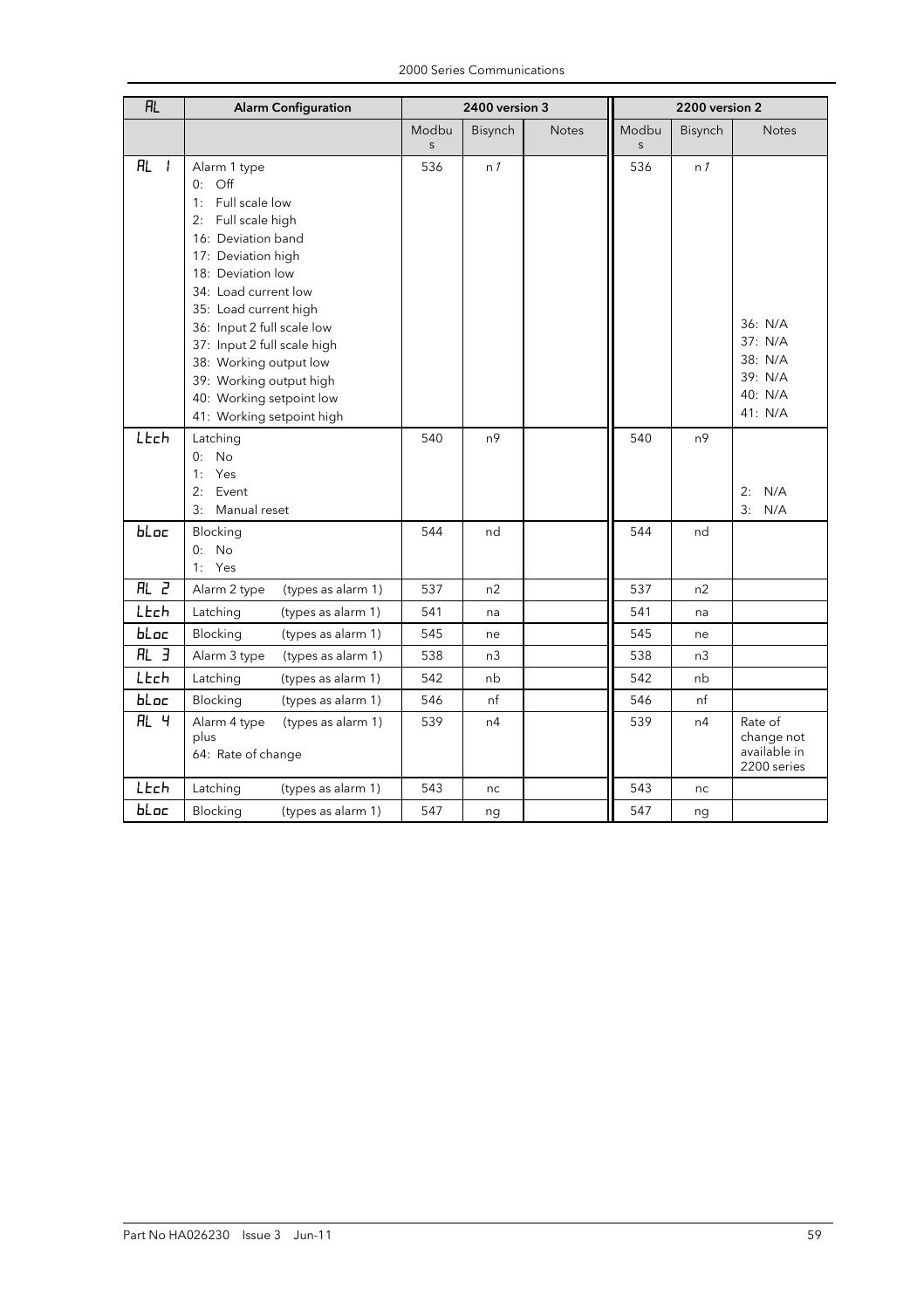| 2000 Series Communications |
|----------------------------|
|----------------------------|

| <b>RL</b>                   | <b>Alarm Configuration</b>                                |                | 2400 version 3 |              |                | 2200 version 2 |                            |  |
|-----------------------------|-----------------------------------------------------------|----------------|----------------|--------------|----------------|----------------|----------------------------|--|
|                             |                                                           | Modbu          | Bisynch        | <b>Notes</b> | Modbu          | Bisynch        | <b>Notes</b>               |  |
| <b>AL</b><br>$\overline{1}$ | Alarm 1 type                                              | $\sf S$<br>536 | n <sub>1</sub> |              | $\sf S$<br>536 | n <sub>1</sub> |                            |  |
|                             | $0:$ Off                                                  |                |                |              |                |                |                            |  |
|                             | 1: Full scale low                                         |                |                |              |                |                |                            |  |
|                             | 2: Full scale high                                        |                |                |              |                |                |                            |  |
|                             | 16: Deviation band                                        |                |                |              |                |                |                            |  |
|                             | 17: Deviation high                                        |                |                |              |                |                |                            |  |
|                             | 18: Deviation low                                         |                |                |              |                |                |                            |  |
|                             | 34: Load current low                                      |                |                |              |                |                |                            |  |
|                             | 35: Load current high                                     |                |                |              |                |                | 36: N/A                    |  |
|                             | 36: Input 2 full scale low<br>37: Input 2 full scale high |                |                |              |                |                | 37: N/A                    |  |
|                             | 38: Working output low                                    |                |                |              |                |                | 38: N/A                    |  |
|                             | 39: Working output high                                   |                |                |              |                |                | 39: N/A                    |  |
|                             | 40: Working setpoint low                                  |                |                |              |                |                | 40: N/A                    |  |
|                             | 41: Working setpoint high                                 |                |                |              |                |                | 41: N/A                    |  |
| LEch                        | Latching                                                  | 540            | n <sup>9</sup> |              | 540            | n <sub>9</sub> |                            |  |
|                             | No<br>0:                                                  |                |                |              |                |                |                            |  |
|                             | Yes<br>1:                                                 |                |                |              |                |                |                            |  |
|                             | 2:<br>Event                                               |                |                |              |                |                | 2:<br>N/A                  |  |
|                             | 3:<br>Manual reset                                        |                |                |              |                |                | 3:<br>N/A                  |  |
| bLoc                        | Blocking                                                  | 544            | nd             |              | 544            | nd             |                            |  |
|                             | $0:$ No                                                   |                |                |              |                |                |                            |  |
|                             | 1: Yes                                                    |                |                |              |                |                |                            |  |
| RL <sub>c</sub>             | Alarm 2 type<br>(types as alarm 1)                        | 537            | n2             |              | 537            | n2             |                            |  |
| LEch                        | Latching<br>(types as alarm 1)                            | 541            | na             |              | 541            | na             |                            |  |
| bloc                        | Blocking<br>(types as alarm 1)                            | 545            | ne             |              | 545            | ne             |                            |  |
| <b>AL 3</b>                 | Alarm 3 type<br>(types as alarm 1)                        | 538            | n <sub>3</sub> |              | 538            | n3             |                            |  |
| LEch                        | Latching<br>(types as alarm 1)                            | 542            | nb             |              | 542            | nb             |                            |  |
| bloc                        | Blocking<br>(types as alarm 1)                            | 546            | nf             |              | 546            | nf             |                            |  |
| AL 4                        | Alarm 4 type<br>(types as alarm 1)                        | 539            | n4             |              | 539            | n4             | Rate of                    |  |
|                             | plus<br>64: Rate of change                                |                |                |              |                |                | change not<br>available in |  |
|                             |                                                           |                |                |              |                |                | 2200 series                |  |
| LEch                        | Latching<br>(types as alarm 1)                            | 543            | nc             |              | 543            | nc             |                            |  |
| bloc                        | Blocking<br>(types as alarm 1)                            | 547            | ng             |              | 547            | ng             |                            |  |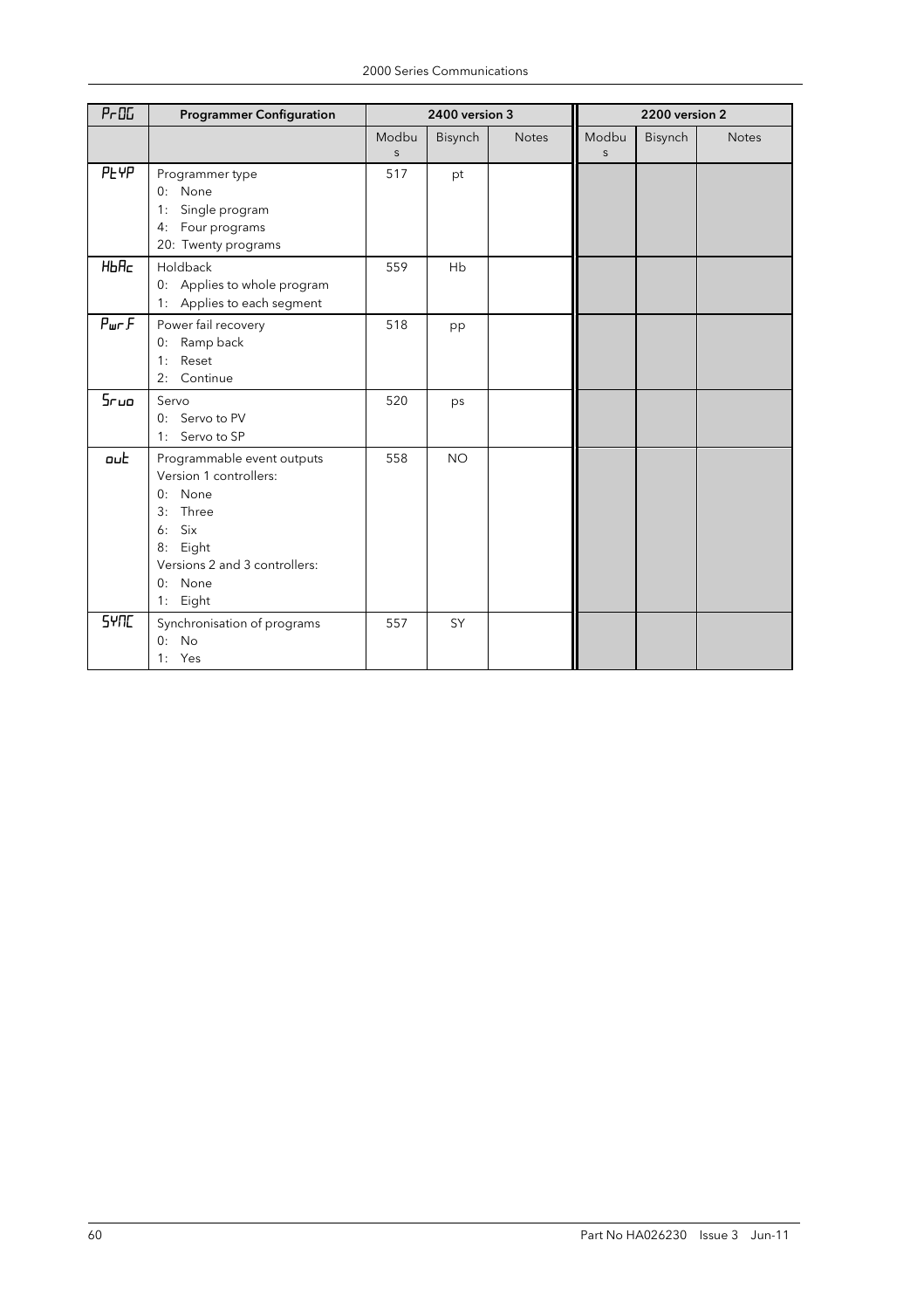| P <sub>0</sub>    | <b>Programmer Configuration</b>                                                                                                                                 |                       | 2400 version 3 |              |                       | 2200 version 2 |              |
|-------------------|-----------------------------------------------------------------------------------------------------------------------------------------------------------------|-----------------------|----------------|--------------|-----------------------|----------------|--------------|
|                   |                                                                                                                                                                 | Modbu<br>$\mathsf{S}$ | Bisynch        | <b>Notes</b> | Modbu<br>$\mathsf{S}$ | Bisynch        | <b>Notes</b> |
| <b>PEYP</b>       | Programmer type<br>0: None<br>Single program<br>1:<br>4: Four programs<br>20: Twenty programs                                                                   | 517                   | pt             |              |                       |                |              |
| HbHc              | Holdback<br>0: Applies to whole program<br>1: Applies to each segment                                                                                           | 559                   | Hb             |              |                       |                |              |
| P <sub>ur</sub> F | Power fail recovery<br>0: Ramp back<br>Reset<br>1:<br>Continue<br>2:                                                                                            | 518                   | pp             |              |                       |                |              |
| 5r <sub>uo</sub>  | Servo<br>0: Servo to PV<br>1: Servo to SP                                                                                                                       | 520                   | ps             |              |                       |                |              |
| out               | Programmable event outputs<br>Version 1 controllers:<br>0: None<br>Three<br>3:<br>Six<br>6:<br>8: Eight<br>Versions 2 and 3 controllers:<br>0: None<br>1: Eight | 558                   | <b>NO</b>      |              |                       |                |              |
| <b>SYNC</b>       | Synchronisation of programs<br>$0:$ No<br>1: Yes                                                                                                                | 557                   | SY             |              |                       |                |              |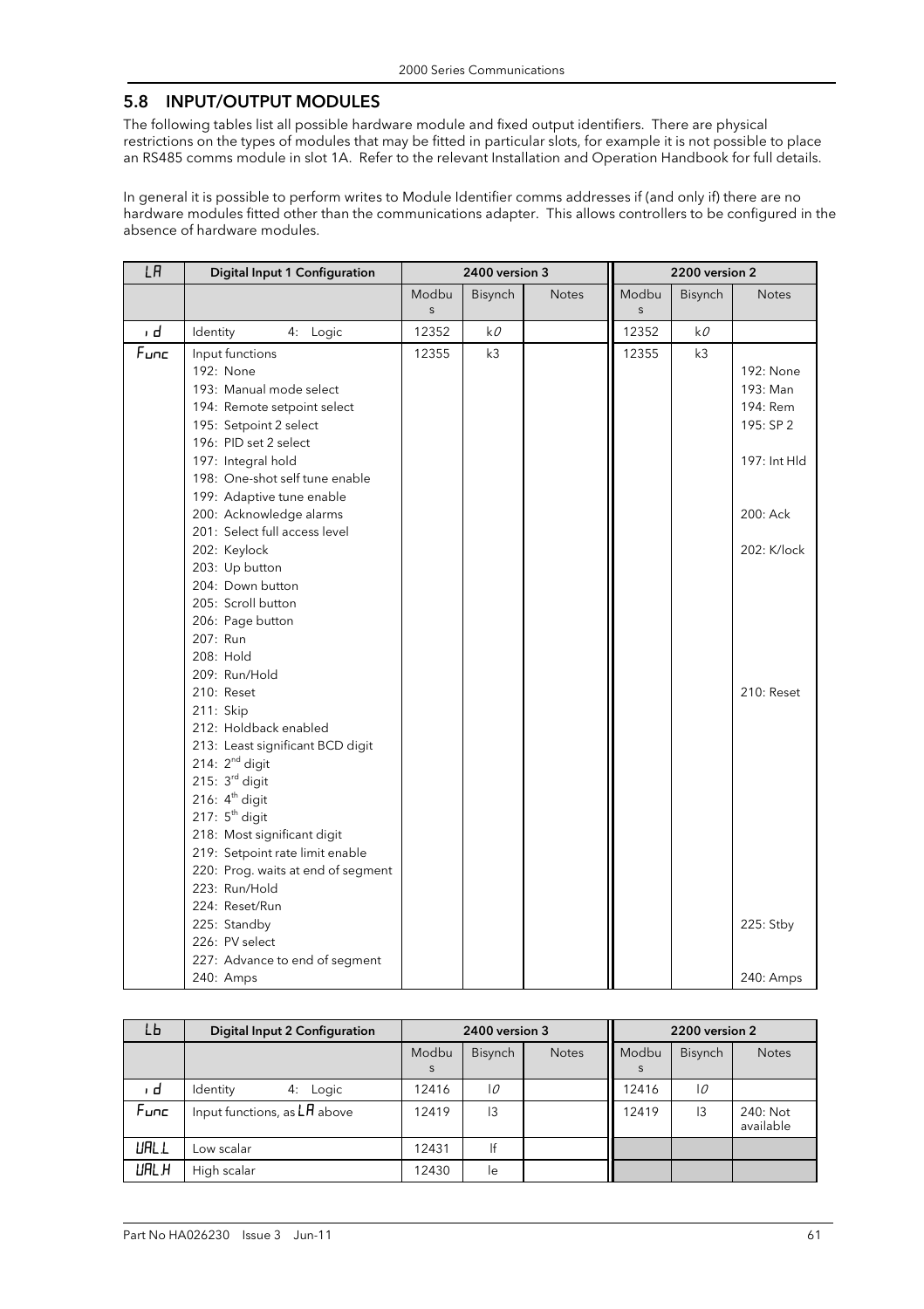## 5.8 INPUT/OUTPUT MODULES

The following tables list all possible hardware module and fixed output identifiers. There are physical restrictions on the types of modules that may be fitted in particular slots, for example it is not possible to place an RS485 comms module in slot 1A. Refer to the relevant Installation and Operation Handbook for full details.

In general it is possible to perform writes to Module Identifier comms addresses if (and only if) there are no hardware modules fitted other than the communications adapter. This allows controllers to be configured in the absence of hardware modules.

| LA   | Digital Input 1 Configuration                                                                                                                                                                                                                       |                       | 2400 version 3 |              |                       | 2200 version 2 |                                                                |
|------|-----------------------------------------------------------------------------------------------------------------------------------------------------------------------------------------------------------------------------------------------------|-----------------------|----------------|--------------|-----------------------|----------------|----------------------------------------------------------------|
|      |                                                                                                                                                                                                                                                     | Modbu<br>$\mathsf{s}$ | Bisynch        | <b>Notes</b> | Modbu<br>$\mathsf{s}$ | Bisynch        | <b>Notes</b>                                                   |
| ı d  | 4: Logic<br>Identity                                                                                                                                                                                                                                | 12352                 | k0             |              | 12352                 | k0             |                                                                |
| Func | Input functions<br>192: None<br>193: Manual mode select<br>194: Remote setpoint select<br>195: Setpoint 2 select<br>196: PID set 2 select<br>197: Integral hold<br>198: One-shot self tune enable                                                   | 12355                 | k3             |              | 12355                 | k <sub>3</sub> | 192: None<br>193: Man<br>194: Rem<br>195: SP 2<br>197: Int HId |
|      | 199: Adaptive tune enable<br>200: Acknowledge alarms<br>201: Select full access level<br>202: Keylock<br>203: Up button                                                                                                                             |                       |                |              |                       |                | 200: Ack<br>202: K/lock                                        |
|      | 204: Down button<br>205: Scroll button<br>206: Page button<br>207: Run<br>208: Hold                                                                                                                                                                 |                       |                |              |                       |                |                                                                |
|      | 209: Run/Hold<br>210: Reset<br>211: Skip<br>212: Holdback enabled                                                                                                                                                                                   |                       |                |              |                       |                | 210: Reset                                                     |
|      | 213: Least significant BCD digit<br>214: $2nd$ digit<br>215: $3rd$ digit<br>216: $4th$ digit<br>217: 5 <sup>th</sup> digit<br>218: Most significant digit<br>219: Setpoint rate limit enable<br>220: Prog. waits at end of segment<br>223: Run/Hold |                       |                |              |                       |                |                                                                |
|      | 224: Reset/Run<br>225: Standby<br>226: PV select                                                                                                                                                                                                    |                       |                |              |                       |                | 225: Stby                                                      |
|      | 227: Advance to end of segment<br>240: Amps                                                                                                                                                                                                         |                       |                |              |                       |                | 240: Amps                                                      |

| LЬ    | Digital Input 2 Configuration  |            | 2400 version 3 |              | 2200 version 2 |         |                       |  |
|-------|--------------------------------|------------|----------------|--------------|----------------|---------|-----------------------|--|
|       |                                | Modbu<br>S | <b>Bisynch</b> | <b>Notes</b> | Modbu<br>S     | Bisynch | <b>Notes</b>          |  |
| , d   | Identity<br>4: Logic           | 12416      | 10             |              | 2416           | 10      |                       |  |
| Func  | Input functions, as $LH$ above | 12419      | $\overline{3}$ |              | 12419          | 3       | 240: Not<br>available |  |
| URL L | Low scalar                     | 12431      | Ιf             |              |                |         |                       |  |
| URL H | High scalar                    | 12430      | le             |              |                |         |                       |  |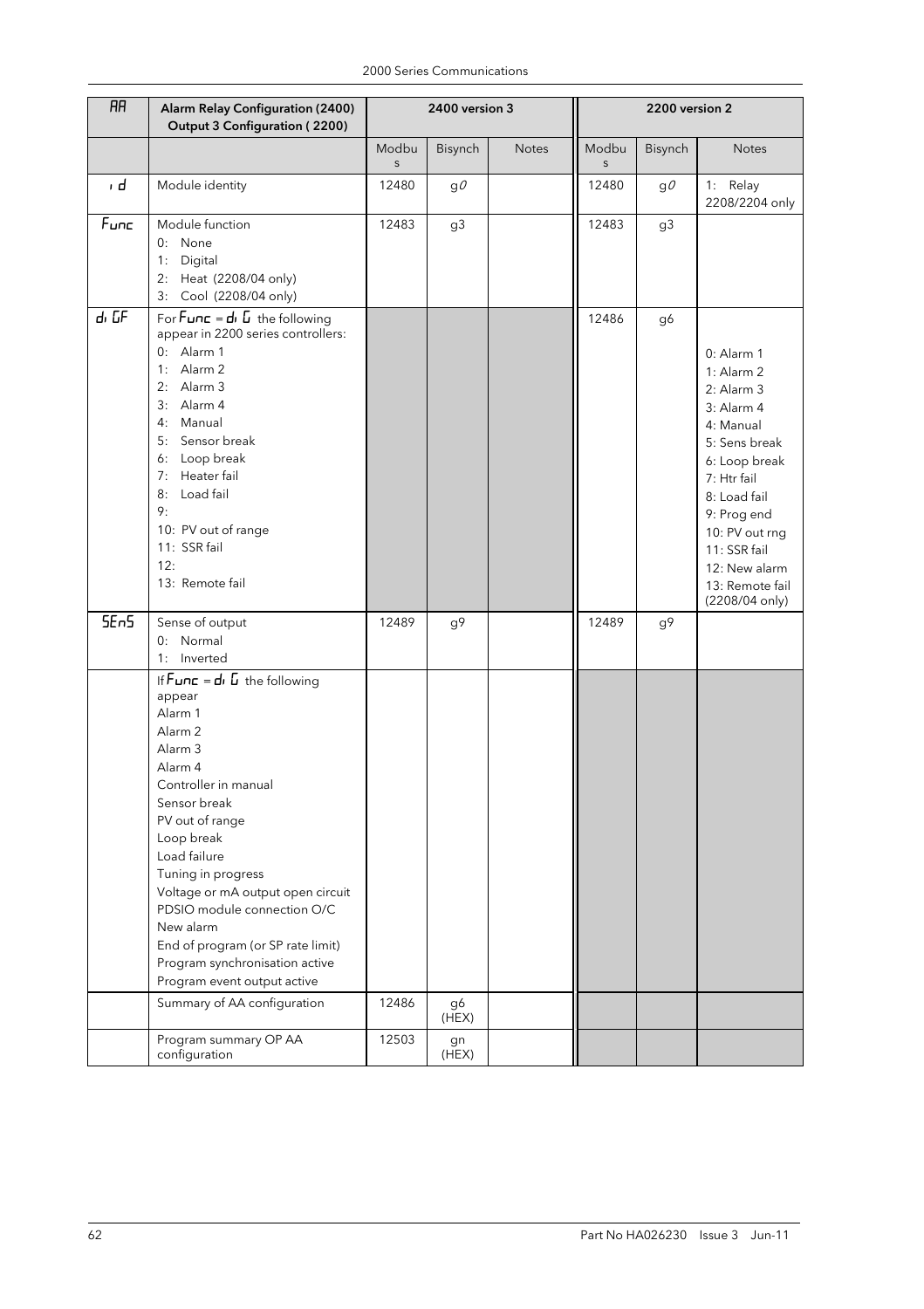| <b>RR</b>        | Alarm Relay Configuration (2400)<br>Output 3 Configuration (2200)                                                                                                                                                                                                                                                                                                                                                                                    |                      | 2400 version 3 |              | 2200 version 2   |         |                                                                                                                                                                                                                                             |  |
|------------------|------------------------------------------------------------------------------------------------------------------------------------------------------------------------------------------------------------------------------------------------------------------------------------------------------------------------------------------------------------------------------------------------------------------------------------------------------|----------------------|----------------|--------------|------------------|---------|---------------------------------------------------------------------------------------------------------------------------------------------------------------------------------------------------------------------------------------------|--|
|                  |                                                                                                                                                                                                                                                                                                                                                                                                                                                      | Modbu<br>$\mathsf S$ | Bisynch        | <b>Notes</b> | Modbu<br>$\sf S$ | Bisynch | <b>Notes</b>                                                                                                                                                                                                                                |  |
| ı d              | Module identity                                                                                                                                                                                                                                                                                                                                                                                                                                      | 12480                | $g\ell$        |              | 12480            | $g\ell$ | 1: Relay<br>2208/2204 only                                                                                                                                                                                                                  |  |
| $F$ unc          | Module function<br>0: None<br>Digital<br>1:<br>2: Heat (2208/04 only)<br>3: Cool (2208/04 only)                                                                                                                                                                                                                                                                                                                                                      | 12483                | g3             |              | 12483            | g3      |                                                                                                                                                                                                                                             |  |
| dı GF            | For $Func = di$ $L$ the following<br>appear in 2200 series controllers:<br>0: Alarm 1<br>1: Alarm 2<br>2: Alarm 3<br>3: Alarm 4<br>4: Manual<br>5: Sensor break<br>6: Loop break<br>Heater fail<br>7:<br>Load fail<br>8:<br>9:<br>10: PV out of range<br>11: SSR fail<br>12:<br>13: Remote fail                                                                                                                                                      |                      |                |              | 12486            | g6      | $0:$ Alarm 1<br>1: Alarm 2<br>2: Alarm 3<br>3: Alarm 4<br>4: Manual<br>5: Sens break<br>6: Loop break<br>7: Htr fail<br>8: Load fail<br>9: Prog end<br>10: PV out rng<br>11: SSR fail<br>12: New alarm<br>13: Remote fail<br>(2208/04 only) |  |
| 5E <sub>n5</sub> | Sense of output<br>0: Normal<br>1: Inverted                                                                                                                                                                                                                                                                                                                                                                                                          | 12489                | $g\,9$         |              | 12489            | g9      |                                                                                                                                                                                                                                             |  |
|                  | If $Func = d \cdot L$ the following<br>appear<br>Alarm 1<br>Alarm <sub>2</sub><br>Alarm <sub>3</sub><br>Alarm 4<br>Controller in manual<br>Sensor break<br>PV out of range<br>Loop break<br>Load failure<br>Tuning in progress<br>Voltage or mA output open circuit<br>PDSIO module connection O/C<br>New alarm<br>End of program (or SP rate limit)<br>Program synchronisation active<br>Program event output active<br>Summary of AA configuration | 12486                | g6<br>(HEX)    |              |                  |         |                                                                                                                                                                                                                                             |  |
|                  | Program summary OP AA<br>configuration                                                                                                                                                                                                                                                                                                                                                                                                               | 12503                | gn<br>(HEX)    |              |                  |         |                                                                                                                                                                                                                                             |  |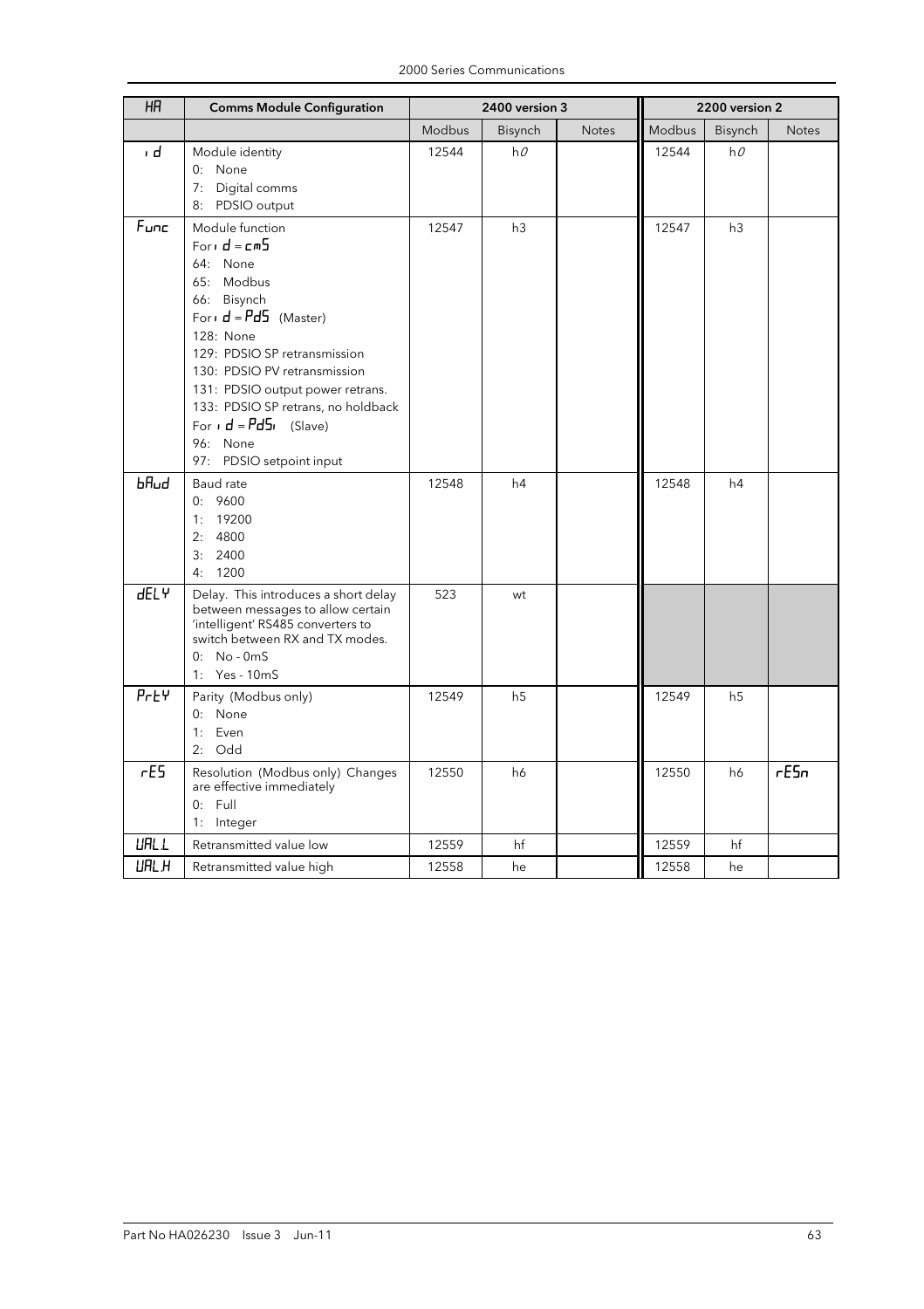| H                | <b>Comms Module Configuration</b>                                                                                                                                                                                                                                                                                                       |        | 2400 version 3 |              |        | 2200 version 2 |       |
|------------------|-----------------------------------------------------------------------------------------------------------------------------------------------------------------------------------------------------------------------------------------------------------------------------------------------------------------------------------------|--------|----------------|--------------|--------|----------------|-------|
|                  |                                                                                                                                                                                                                                                                                                                                         | Modbus | Bisynch        | <b>Notes</b> | Modbus | Bisynch        | Notes |
| ı d              | Module identity<br>0: None<br>7: Digital comms<br>8: PDSIO output                                                                                                                                                                                                                                                                       | 12544  | hO             |              | 12544  | hO             |       |
| $F_{\text{unc}}$ | Module function<br>Forid = $cm5$<br>64: None<br>65: Modbus<br>66: Bisynch<br>For $d = Pd5$ (Master)<br>128: None<br>129: PDSIO SP retransmission<br>130: PDSIO PV retransmission<br>131: PDSIO output power retrans.<br>133: PDSIO SP retrans, no holdback<br>For $\mathbf{d} = P d$ 5, (Slave)<br>96: None<br>97: PDSIO setpoint input | 12547  | h3             |              | 12547  | h3             |       |
| $b$ Rud          | Baud rate<br>0:9600<br>1: 19200<br>2: 4800<br>3: 2400<br>1200<br>4:                                                                                                                                                                                                                                                                     | 12548  | h4             |              | 12548  | h4             |       |
| <b>dELY</b>      | Delay. This introduces a short delay<br>between messages to allow certain<br>'intelligent' RS485 converters to<br>switch between RX and TX modes.<br>$0: No - 0mS$<br>1: Yes - 10mS                                                                                                                                                     | 523    | wt             |              |        |                |       |
| $P$ r $E$ $V$    | Parity (Modbus only)<br>0: None<br>1: Even<br>2: Odd                                                                                                                                                                                                                                                                                    | 12549  | h <sub>5</sub> |              | 12549  | h <sub>5</sub> |       |
| rES              | Resolution (Modbus only) Changes<br>are effective immediately<br>$0:$ Full<br>1: Integer                                                                                                                                                                                                                                                | 12550  | h6             |              | 12550  | h6             | rE5n  |
| <b>URL L</b>     | Retransmitted value low                                                                                                                                                                                                                                                                                                                 | 12559  | hf             |              | 12559  | hf             |       |
| URL H            | Retransmitted value high                                                                                                                                                                                                                                                                                                                | 12558  | he             |              | 12558  | he             |       |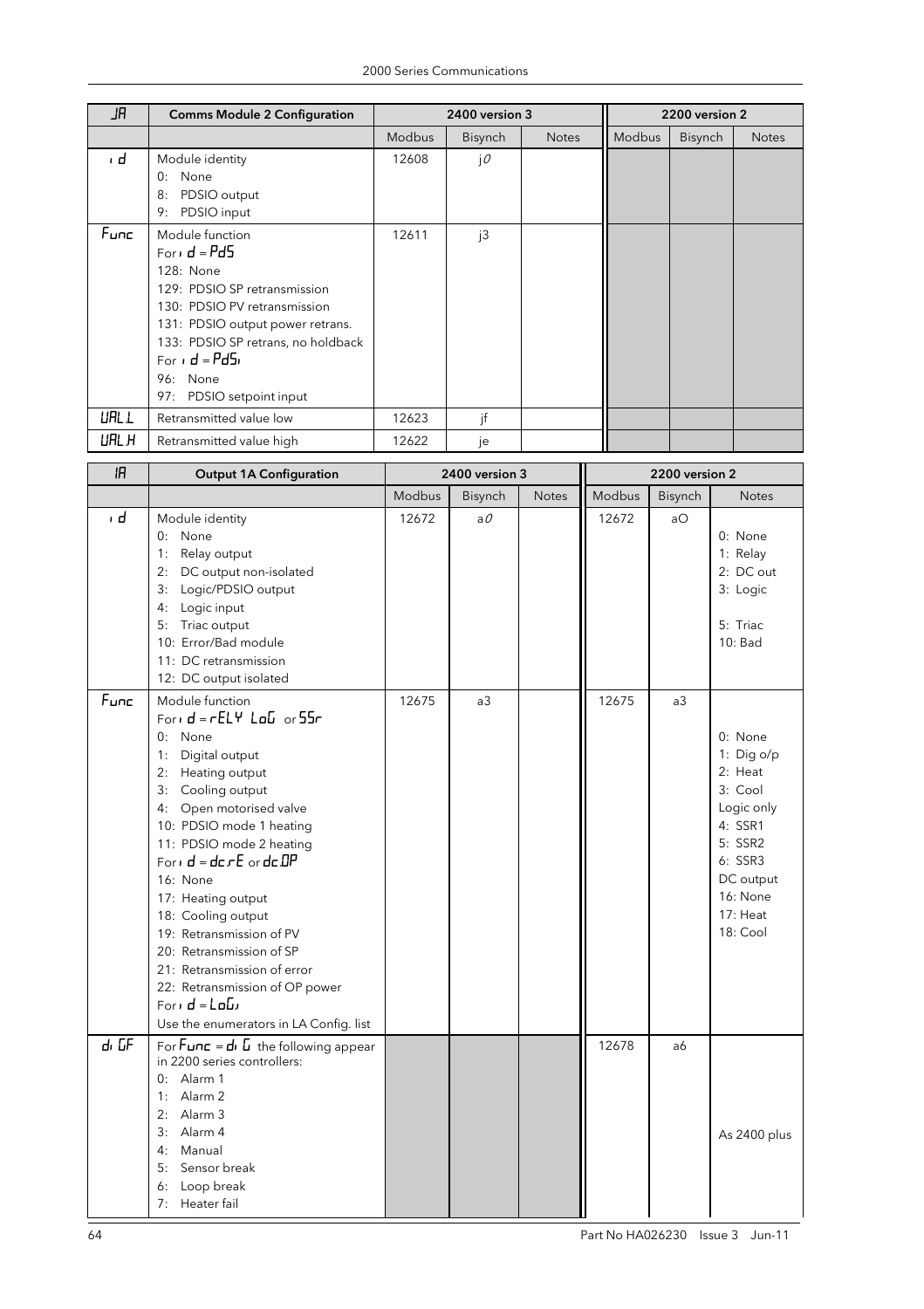| JR           | <b>Comms Module 2 Configuration</b>                                                                                                                                                                                                              |               | 2400 version 3 |              |        | 2200 version 2 |              |
|--------------|--------------------------------------------------------------------------------------------------------------------------------------------------------------------------------------------------------------------------------------------------|---------------|----------------|--------------|--------|----------------|--------------|
|              |                                                                                                                                                                                                                                                  | <b>Modbus</b> | <b>Bisynch</b> | <b>Notes</b> | Modbus | Bisynch        | <b>Notes</b> |
| ı d          | Module identity<br>0:<br>None<br>PDSIO output<br>8:<br>PDSIO input<br>9:                                                                                                                                                                         | 12608         | jO             |              |        |                |              |
| Func         | Module function<br>Forid = $Pd5$<br>128: None<br>129: PDSIO SP retransmission<br>130: PDSIO PV retransmission<br>131: PDSIO output power retrans.<br>133: PDSIO SP retrans, no holdback<br>For $d = Pd5$<br>96: None<br>97: PDSIO setpoint input | 12611         | j3             |              |        |                |              |
| <b>URL L</b> | Retransmitted value low                                                                                                                                                                                                                          | 12623         | if             |              |        |                |              |
| <b>URL H</b> | Retransmitted value high                                                                                                                                                                                                                         | 12622         | je             |              |        |                |              |

| IR                | <b>Output 1A Configuration</b>                                                                                                                                                                                                                                                                                                                                                                                                                                                                   |        | 2400 version 3  |              | 2200 version 2 |                |                                                                                                                                               |  |
|-------------------|--------------------------------------------------------------------------------------------------------------------------------------------------------------------------------------------------------------------------------------------------------------------------------------------------------------------------------------------------------------------------------------------------------------------------------------------------------------------------------------------------|--------|-----------------|--------------|----------------|----------------|-----------------------------------------------------------------------------------------------------------------------------------------------|--|
|                   |                                                                                                                                                                                                                                                                                                                                                                                                                                                                                                  | Modbus | Bisynch         | <b>Notes</b> | Modbus         | <b>Bisynch</b> | <b>Notes</b>                                                                                                                                  |  |
| ı d               | Module identity<br>0: None<br>1: Relay output<br>2: DC output non-isolated<br>3: Logic/PDSIO output<br>4: Logic input<br>5: Triac output<br>10: Error/Bad module<br>11: DC retransmission<br>12: DC output isolated                                                                                                                                                                                                                                                                              | 12672  | $a \mathcal{O}$ |              | 12672          | aO             | 0: None<br>1: Relay<br>2: DC out<br>3: Logic<br>5: Triac<br>10: Bad                                                                           |  |
| $F$ unc           | Module function<br>Form $d = rELY$ $LdV$ or $55r$<br>0: None<br>1: Digital output<br>2: Heating output<br>3: Cooling output<br>4: Open motorised valve<br>10: PDSIO mode 1 heating<br>11: PDSIO mode 2 heating<br>Form $d = d$ c $rE$ or $d$ c DP<br>16: None<br>17: Heating output<br>18: Cooling output<br>19: Retransmission of PV<br>20: Retransmission of SP<br>21: Retransmission of error<br>22: Retransmission of OP power<br>Forid = $L_0L_1$<br>Use the enumerators in LA Config. list | 12675  | a <sub>3</sub>  |              | 12675          | a3             | 0: None<br>1: Dig o/p<br>2: Heat<br>3: Cool<br>Logic only<br>4: SSR1<br>5: SSR2<br>6: SSR3<br>DC output<br>16: None<br>$17:$ Heat<br>18: Cool |  |
| d <sub>1</sub> GF | For $F$ <b>unc</b> = $d$ , $\overline{u}$ the following appear<br>in 2200 series controllers:<br>$0:$ Alarm 1<br>1: Alarm $2$<br>2: Alarm 3<br>3: Alarm 4<br>4: Manual<br>5: Sensor break<br>6: Loop break<br>7:<br>Heater fail                                                                                                                                                                                                                                                                  |        |                 |              | 12678          | a6             | As 2400 plus                                                                                                                                  |  |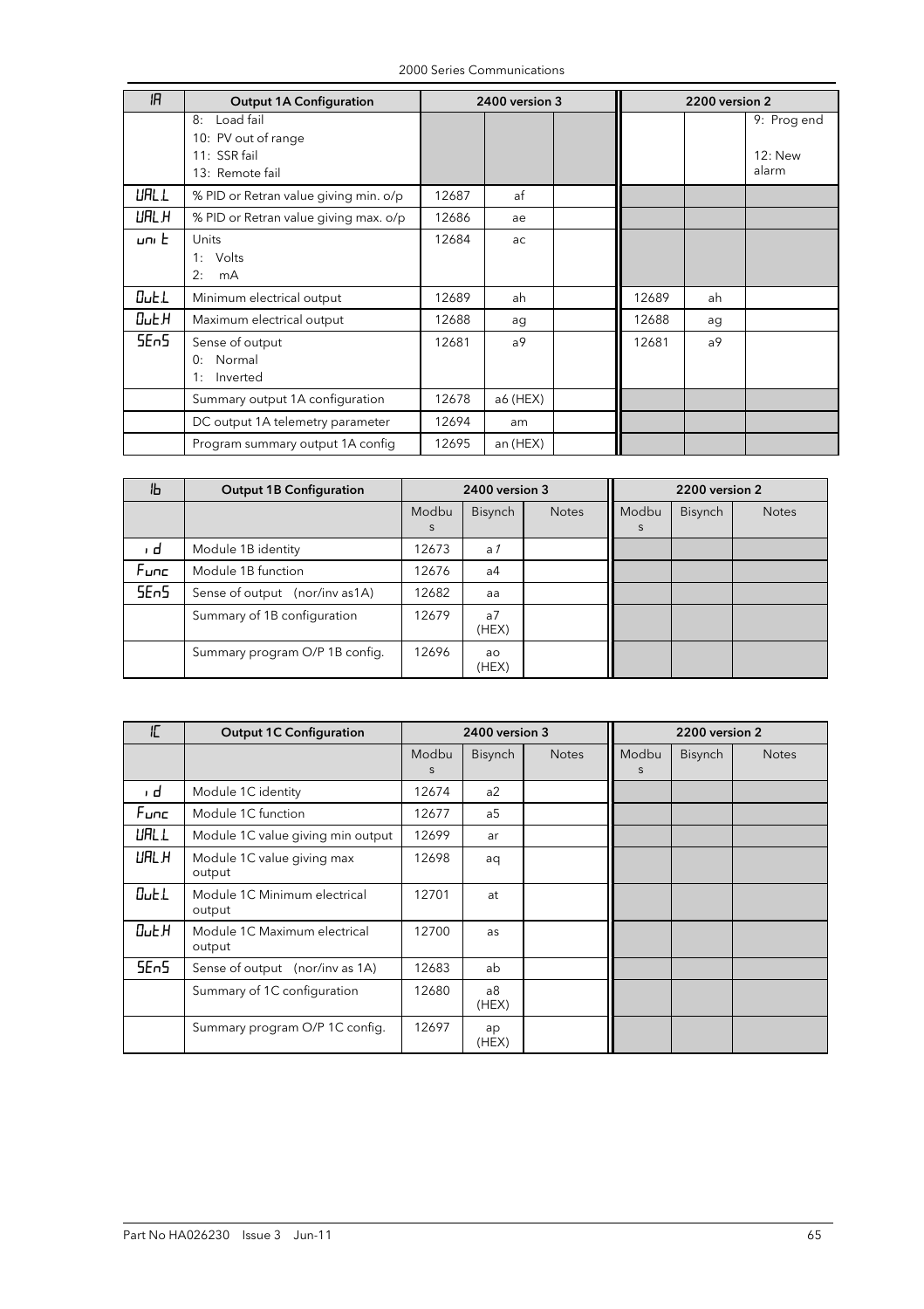| ΙR               | <b>Output 1A Configuration</b>                                            |       | 2400 version 3 |       | 2200 version 2 |                                 |  |
|------------------|---------------------------------------------------------------------------|-------|----------------|-------|----------------|---------------------------------|--|
|                  | Load fail<br>8:<br>10: PV out of range<br>11: SSR fail<br>13: Remote fail |       |                |       |                | 9: Prog end<br>12: New<br>alarm |  |
| <b>URL L</b>     | % PID or Retran value giving min. o/p                                     | 12687 | af             |       |                |                                 |  |
| UAL H            | % PID or Retran value giving max. o/p                                     | 12686 | ae             |       |                |                                 |  |
| uni El           | Units<br>Volts<br>1:<br>2:<br>mA                                          | 12684 | ac             |       |                |                                 |  |
| OutL             | Minimum electrical output                                                 | 12689 | ah             | 12689 | ah             |                                 |  |
| 0uE.H            | Maximum electrical output                                                 | 12688 | ag             | 12688 | ag             |                                 |  |
| 5E <sub>n5</sub> | Sense of output<br>Normal<br>0:<br>Inverted<br>1:                         | 12681 | a9             | 12681 | a9             |                                 |  |
|                  | Summary output 1A configuration                                           | 12678 | a6 (HEX)       |       |                |                                 |  |
|                  | DC output 1A telemetry parameter                                          | 12694 | am             |       |                |                                 |  |
|                  | Program summary output 1A config                                          | 12695 | an (HEX)       |       |                |                                 |  |

| ۱Ь               | <b>Output 1B Configuration</b>  | 2400 version 3 |                         |              | 2200 version 2 |         |              |  |
|------------------|---------------------------------|----------------|-------------------------|--------------|----------------|---------|--------------|--|
|                  |                                 | Modbu<br>S     | <b>Bisynch</b>          | <b>Notes</b> | Modbu<br>S     | Bisynch | <b>Notes</b> |  |
| ı d              | Module 1B identity              | 12673          | a <sub>1</sub>          |              |                |         |              |  |
| Func             | Module 1B function              | 12676          | a4                      |              |                |         |              |  |
| 5E <sub>n5</sub> | Sense of output (nor/inv as 1A) | 12682          | aa                      |              |                |         |              |  |
|                  | Summary of 1B configuration     | 12679          | a <sub>7</sub><br>(HEX) |              |                |         |              |  |
|                  | Summary program O/P 1B config.  | 12696          | ao<br>(HEX)             |              |                |         |              |  |

| IC               | <b>Output 1C Configuration</b>         | 2400 version 3 |                |              | 2200 version 2 |                |              |
|------------------|----------------------------------------|----------------|----------------|--------------|----------------|----------------|--------------|
|                  |                                        | Modbu          | Bisynch        | <b>Notes</b> | Modbu          | <b>Bisynch</b> | <b>Notes</b> |
|                  |                                        | <sub>S</sub>   |                |              | S              |                |              |
| ı d              | Module 1C identity                     | 12674          | a2             |              |                |                |              |
| Func             | Module 1C function                     | 12677          | a <sub>5</sub> |              |                |                |              |
| UALL             | Module 1C value giving min output      | 12699          | ar             |              |                |                |              |
| URL H            | Module 1C value giving max<br>output   | 12698          | aq             |              |                |                |              |
| $0$ utl          | Module 1C Minimum electrical<br>output | 12701          | at             |              |                |                |              |
| $Du \epsilon$    | Module 1C Maximum electrical<br>output | 12700          | as             |              |                |                |              |
| 5E <sub>n5</sub> | Sense of output (nor/inv as 1A)        | 12683          | ab             |              |                |                |              |
|                  | Summary of 1C configuration            | 12680          | a8<br>(HEX)    |              |                |                |              |
|                  | Summary program O/P 1C config.         | 12697          | ap<br>(HEX)    |              |                |                |              |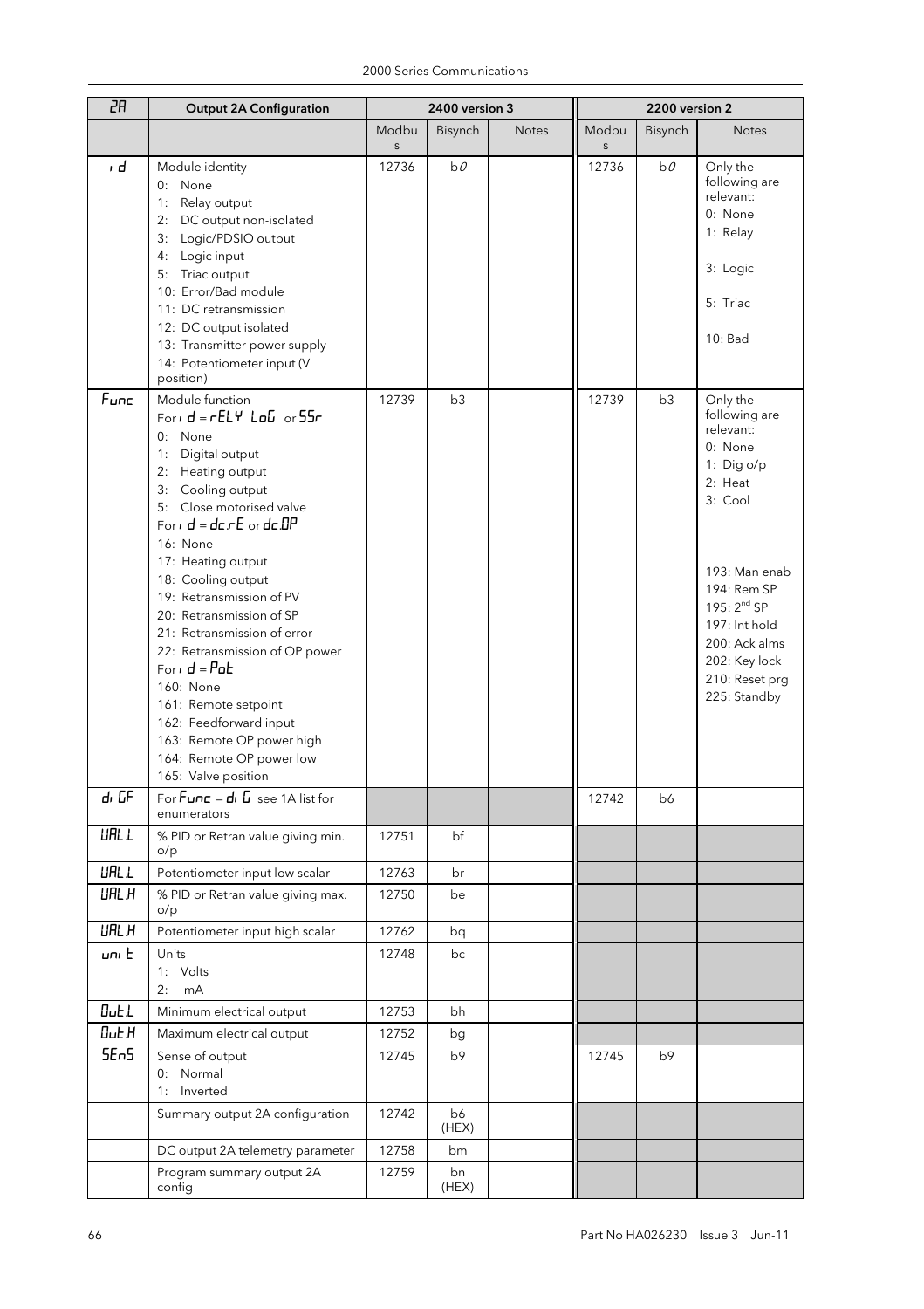| 2R               | <b>Output 2A Configuration</b>                                                                                                                                                                                                                                                                                                                                                                                                                                                                                                                          |            | 2400 version 3 |              | 2200 version 2        |         |                                                                                                                                                                                                                                |
|------------------|---------------------------------------------------------------------------------------------------------------------------------------------------------------------------------------------------------------------------------------------------------------------------------------------------------------------------------------------------------------------------------------------------------------------------------------------------------------------------------------------------------------------------------------------------------|------------|----------------|--------------|-----------------------|---------|--------------------------------------------------------------------------------------------------------------------------------------------------------------------------------------------------------------------------------|
|                  |                                                                                                                                                                                                                                                                                                                                                                                                                                                                                                                                                         | Modbu<br>S | Bisynch        | <b>Notes</b> | Modbu<br>$\mathsf{S}$ | Bisynch | <b>Notes</b>                                                                                                                                                                                                                   |
| ı d              | Module identity<br>0: None<br>1:<br>Relay output<br>DC output non-isolated<br>2:<br>Logic/PDSIO output<br>3:<br>Logic input<br>4:<br>Triac output<br>5:<br>10: Error/Bad module<br>11: DC retransmission<br>12: DC output isolated<br>13: Transmitter power supply<br>14: Potentiometer input (V<br>position)                                                                                                                                                                                                                                           | 12736      | $b\theta$      |              | 12736                 | b0      | Only the<br>following are<br>relevant:<br>0: None<br>1: Relay<br>3: Logic<br>5: Triac<br>10: Bad                                                                                                                               |
| Func             | Module function<br>Form $d = rELY$ $LaD$ or $55r$<br>0: None<br>Digital output<br>1:<br>Heating output<br>2:<br>Cooling output<br>3:<br>5: Close motorised valve<br>Form $d = d$ cr $E$ or $d$ c $DP$<br>16: None<br>17: Heating output<br>18: Cooling output<br>19: Retransmission of PV<br>20: Retransmission of SP<br>21: Retransmission of error<br>22: Retransmission of OP power<br>Forid = $P$ ob<br>160: None<br>161: Remote setpoint<br>162: Feedforward input<br>163: Remote OP power high<br>164: Remote OP power low<br>165: Valve position | 12739      | b3             |              | 12739                 | b3      | Only the<br>following are<br>relevant:<br>0: None<br>1: Dig o/p<br>2: Heat<br>3: Cool<br>193: Man enab<br>194: Rem SP<br>195: $2^{nd}$ SP<br>197: Int hold<br>200: Ack alms<br>202: Key lock<br>210: Reset prg<br>225: Standby |
| dı GF            | For $F$ <b>unc</b> = $d$ , $\overline{u}$ see 1A list for<br>enumerators                                                                                                                                                                                                                                                                                                                                                                                                                                                                                |            |                |              | 12742                 | b6      |                                                                                                                                                                                                                                |
| <b>URL L</b>     | % PID or Retran value giving min.<br>o/p                                                                                                                                                                                                                                                                                                                                                                                                                                                                                                                | 12751      | bf             |              |                       |         |                                                                                                                                                                                                                                |
| <b>URL L</b>     | Potentiometer input low scalar                                                                                                                                                                                                                                                                                                                                                                                                                                                                                                                          | 12763      | br             |              |                       |         |                                                                                                                                                                                                                                |
| <b>URL H</b>     | % PID or Retran value giving max.<br>o/p                                                                                                                                                                                                                                                                                                                                                                                                                                                                                                                | 12750      | be             |              |                       |         |                                                                                                                                                                                                                                |
| <b>URL H</b>     | Potentiometer input high scalar                                                                                                                                                                                                                                                                                                                                                                                                                                                                                                                         | 12762      | bq             |              |                       |         |                                                                                                                                                                                                                                |
| uni E            | Units<br>1: Volts<br>2:<br>mA                                                                                                                                                                                                                                                                                                                                                                                                                                                                                                                           | 12748      | bc             |              |                       |         |                                                                                                                                                                                                                                |
| <b>Out</b> L     | Minimum electrical output                                                                                                                                                                                                                                                                                                                                                                                                                                                                                                                               | 12753      | bh             |              |                       |         |                                                                                                                                                                                                                                |
| $D$ u $E$ $H$    | Maximum electrical output                                                                                                                                                                                                                                                                                                                                                                                                                                                                                                                               | 12752      | bg             |              |                       |         |                                                                                                                                                                                                                                |
| 5E <sub>n5</sub> | Sense of output<br>0: Normal<br>1: Inverted                                                                                                                                                                                                                                                                                                                                                                                                                                                                                                             | 12745      | b9             |              | 12745                 | b9      |                                                                                                                                                                                                                                |
|                  | Summary output 2A configuration                                                                                                                                                                                                                                                                                                                                                                                                                                                                                                                         | 12742      | b6<br>(HEX)    |              |                       |         |                                                                                                                                                                                                                                |
|                  | DC output 2A telemetry parameter                                                                                                                                                                                                                                                                                                                                                                                                                                                                                                                        | 12758      | bm             |              |                       |         |                                                                                                                                                                                                                                |
|                  | Program summary output 2A<br>config                                                                                                                                                                                                                                                                                                                                                                                                                                                                                                                     | 12759      | bn<br>(HEX)    |              |                       |         |                                                                                                                                                                                                                                |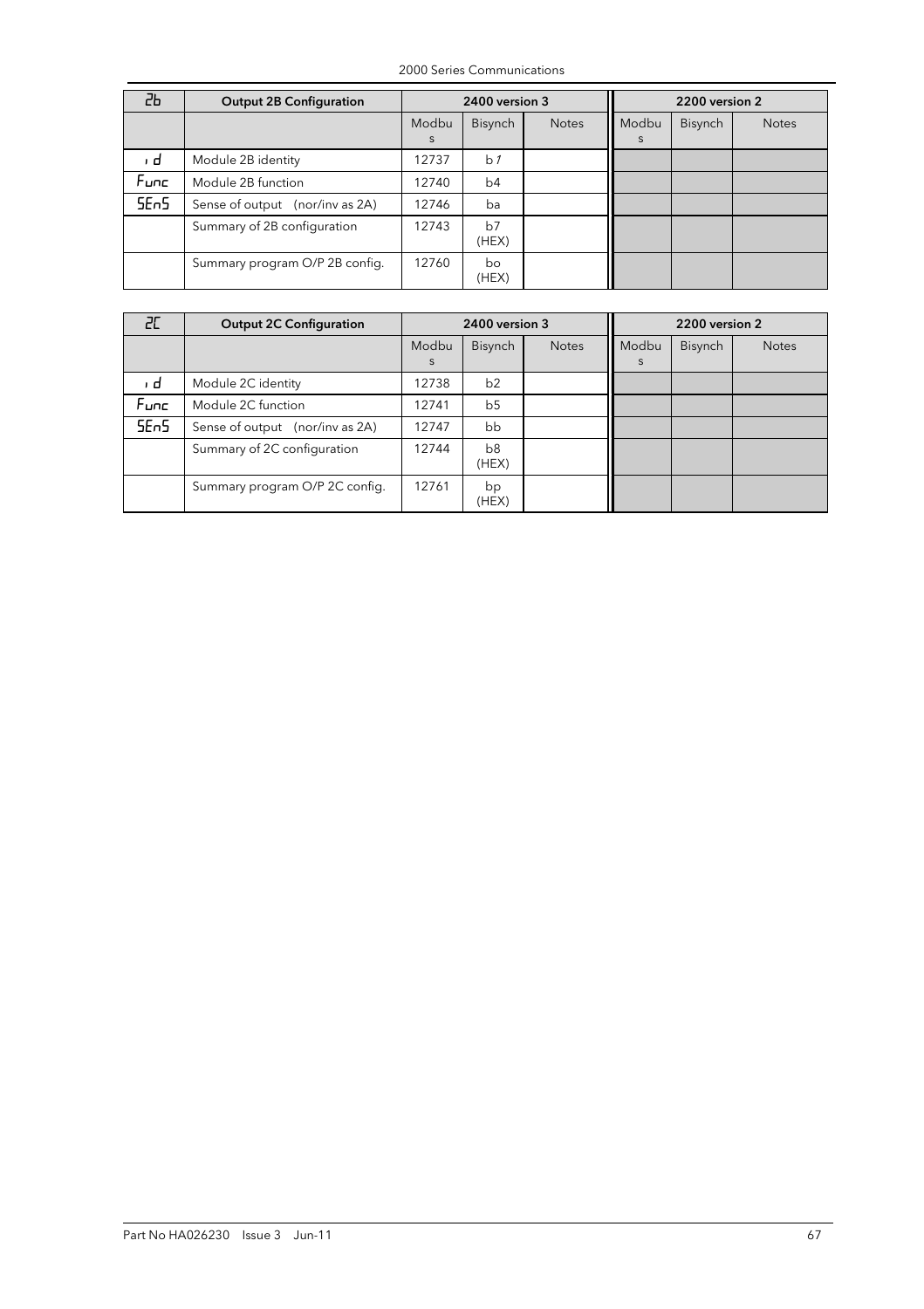| 2Ь               | <b>Output 2B Configuration</b>  | 2400 version 3 |                |              | 2200 version 2 |         |              |  |
|------------------|---------------------------------|----------------|----------------|--------------|----------------|---------|--------------|--|
|                  |                                 | Modbu<br>S     | <b>Bisynch</b> | <b>Notes</b> | Modbu<br>S     | Bisynch | <b>Notes</b> |  |
| ı d              | Module 2B identity              | 12737          | b <sub>1</sub> |              |                |         |              |  |
| Func             | Module 2B function              | 12740          | b4             |              |                |         |              |  |
| 5E <sub>n5</sub> | Sense of output (nor/inv as 2A) | 12746          | ba             |              |                |         |              |  |
|                  | Summary of 2B configuration     | 12743          | b7<br>(HEX)    |              |                |         |              |  |
|                  | Summary program O/P 2B config.  | 12760          | bo<br>(HEX)    |              |                |         |              |  |

| 20               | <b>Output 2C Configuration</b>  |            | 2400 version 3          |              |            | 2200 version 2 |              |  |  |
|------------------|---------------------------------|------------|-------------------------|--------------|------------|----------------|--------------|--|--|
|                  |                                 | Modbu<br>S | Bisynch                 | <b>Notes</b> | Modbu<br>S | Bisynch        | <b>Notes</b> |  |  |
| ı d              | Module 2C identity              | 12738      | b2                      |              |            |                |              |  |  |
| Func             | Module 2C function              | 12741      | b <sub>5</sub>          |              |            |                |              |  |  |
| 5E <sub>n5</sub> | Sense of output (nor/inv as 2A) | 12747      | bb                      |              |            |                |              |  |  |
|                  | Summary of 2C configuration     | 12744      | b <sub>8</sub><br>(HEX) |              |            |                |              |  |  |
|                  | Summary program O/P 2C config.  | 12761      | bp<br>(HEX)             |              |            |                |              |  |  |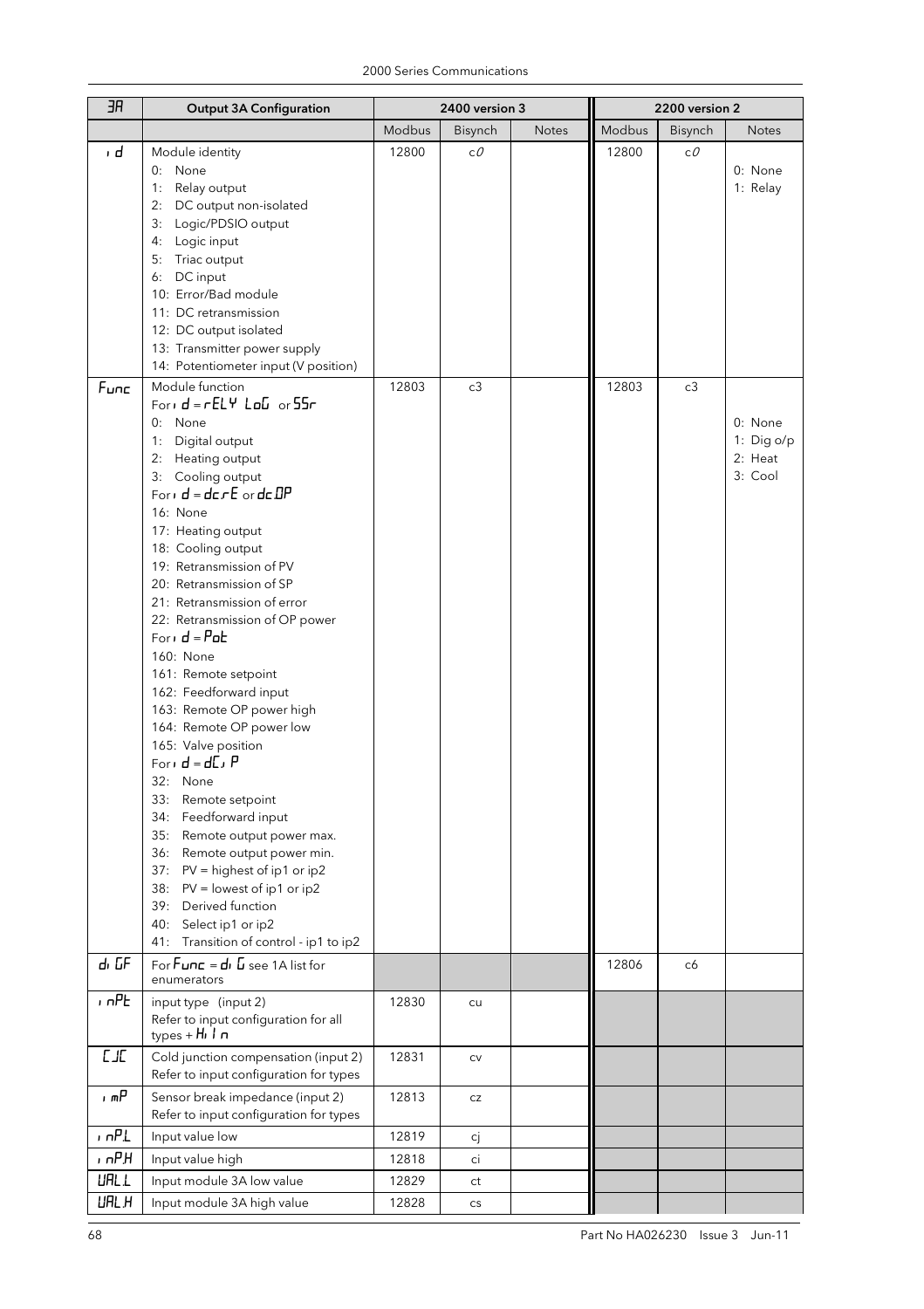| ЭR           | <b>Output 3A Configuration</b>                                                                                                                                                                                                                                                                                                                                                                                                                                                                                                                                                                                                                                                                                                                                                                                                                                                                                                                                                                                                                                                                        |                | 2400 version 3       |              | 2200 version 2 |          |                                                                    |
|--------------|-------------------------------------------------------------------------------------------------------------------------------------------------------------------------------------------------------------------------------------------------------------------------------------------------------------------------------------------------------------------------------------------------------------------------------------------------------------------------------------------------------------------------------------------------------------------------------------------------------------------------------------------------------------------------------------------------------------------------------------------------------------------------------------------------------------------------------------------------------------------------------------------------------------------------------------------------------------------------------------------------------------------------------------------------------------------------------------------------------|----------------|----------------------|--------------|----------------|----------|--------------------------------------------------------------------|
|              |                                                                                                                                                                                                                                                                                                                                                                                                                                                                                                                                                                                                                                                                                                                                                                                                                                                                                                                                                                                                                                                                                                       | Modbus         | Bisynch              | <b>Notes</b> | Modbus         | Bisynch  | <b>Notes</b>                                                       |
| ı d<br>Func  | Module identity<br>None<br>0:<br>Relay output<br>1:<br>2: DC output non-isolated<br>3: Logic/PDSIO output<br>4: Logic input<br>5: Triac output<br>DC input<br>6:<br>10: Error/Bad module<br>11: DC retransmission<br>12: DC output isolated<br>13: Transmitter power supply<br>14: Potentiometer input (V position)<br>Module function<br>Form $d = rELY$ $LaE$ or $55r$<br>0: None<br>Digital output<br>1:<br>Heating output<br>2:<br>3: Cooling output<br>For $d = d$ c $rE$ or $d$ c $IP$<br>16: None<br>17: Heating output<br>18: Cooling output<br>19: Retransmission of PV<br>20: Retransmission of SP<br>21: Retransmission of error<br>22: Retransmission of OP power<br>Forid = $P$ ob<br>160: None<br>161: Remote setpoint<br>162: Feedforward input<br>163: Remote OP power high<br>164: Remote OP power low<br>165: Valve position<br>Forid = $dL$ , P<br>32: None<br>33: Remote setpoint<br>Feedforward input<br>34:<br>Remote output power max.<br>35:<br>Remote output power min.<br>36:<br>37: PV = highest of ip1 or ip2<br>38: PV = lowest of ip1 or ip2<br>Derived function<br>39: | 12800<br>12803 | сO<br>c3             |              | 12800<br>12803 | сO<br>c3 | 0: None<br>1: Relay<br>0: None<br>1: Dig o/p<br>2: Heat<br>3: Cool |
| dı GF        | Select ip1 or ip2<br>Transition of control - ip1 to ip2<br>41:<br>For $F$ <b>unc</b> = $d$ , $\overline{u}$ see 1A list for                                                                                                                                                                                                                                                                                                                                                                                                                                                                                                                                                                                                                                                                                                                                                                                                                                                                                                                                                                           |                |                      |              |                |          |                                                                    |
|              | enumerators                                                                                                                                                                                                                                                                                                                                                                                                                                                                                                                                                                                                                                                                                                                                                                                                                                                                                                                                                                                                                                                                                           |                |                      |              | 12806          | c6       |                                                                    |
| $n$ n $PL$   | input type (input 2)<br>Refer to input configuration for all<br>types + $H_1$ $I_2$ $n$                                                                                                                                                                                                                                                                                                                                                                                                                                                                                                                                                                                                                                                                                                                                                                                                                                                                                                                                                                                                               | 12830          | cu                   |              |                |          |                                                                    |
| $L$ J $L$    | Cold junction compensation (input 2)<br>Refer to input configuration for types                                                                                                                                                                                                                                                                                                                                                                                                                                                                                                                                                                                                                                                                                                                                                                                                                                                                                                                                                                                                                        | 12831          | ${\sf CV}$           |              |                |          |                                                                    |
| , mP         | Sensor break impedance (input 2)<br>Refer to input configuration for types                                                                                                                                                                                                                                                                                                                                                                                                                                                                                                                                                                                                                                                                                                                                                                                                                                                                                                                                                                                                                            | 12813          | CZ                   |              |                |          |                                                                    |
| , nPL        | Input value low                                                                                                                                                                                                                                                                                                                                                                                                                                                                                                                                                                                                                                                                                                                                                                                                                                                                                                                                                                                                                                                                                       | 12819          | сj                   |              |                |          |                                                                    |
| , nPH        | Input value high                                                                                                                                                                                                                                                                                                                                                                                                                                                                                                                                                                                                                                                                                                                                                                                                                                                                                                                                                                                                                                                                                      | 12818          | ci                   |              |                |          |                                                                    |
| <b>URL L</b> | Input module 3A low value                                                                                                                                                                                                                                                                                                                                                                                                                                                                                                                                                                                                                                                                                                                                                                                                                                                                                                                                                                                                                                                                             | 12829          | ct                   |              |                |          |                                                                    |
| <b>URL H</b> | Input module 3A high value                                                                                                                                                                                                                                                                                                                                                                                                                                                                                                                                                                                                                                                                                                                                                                                                                                                                                                                                                                                                                                                                            | 12828          | $\mathsf{CS}\xspace$ |              |                |          |                                                                    |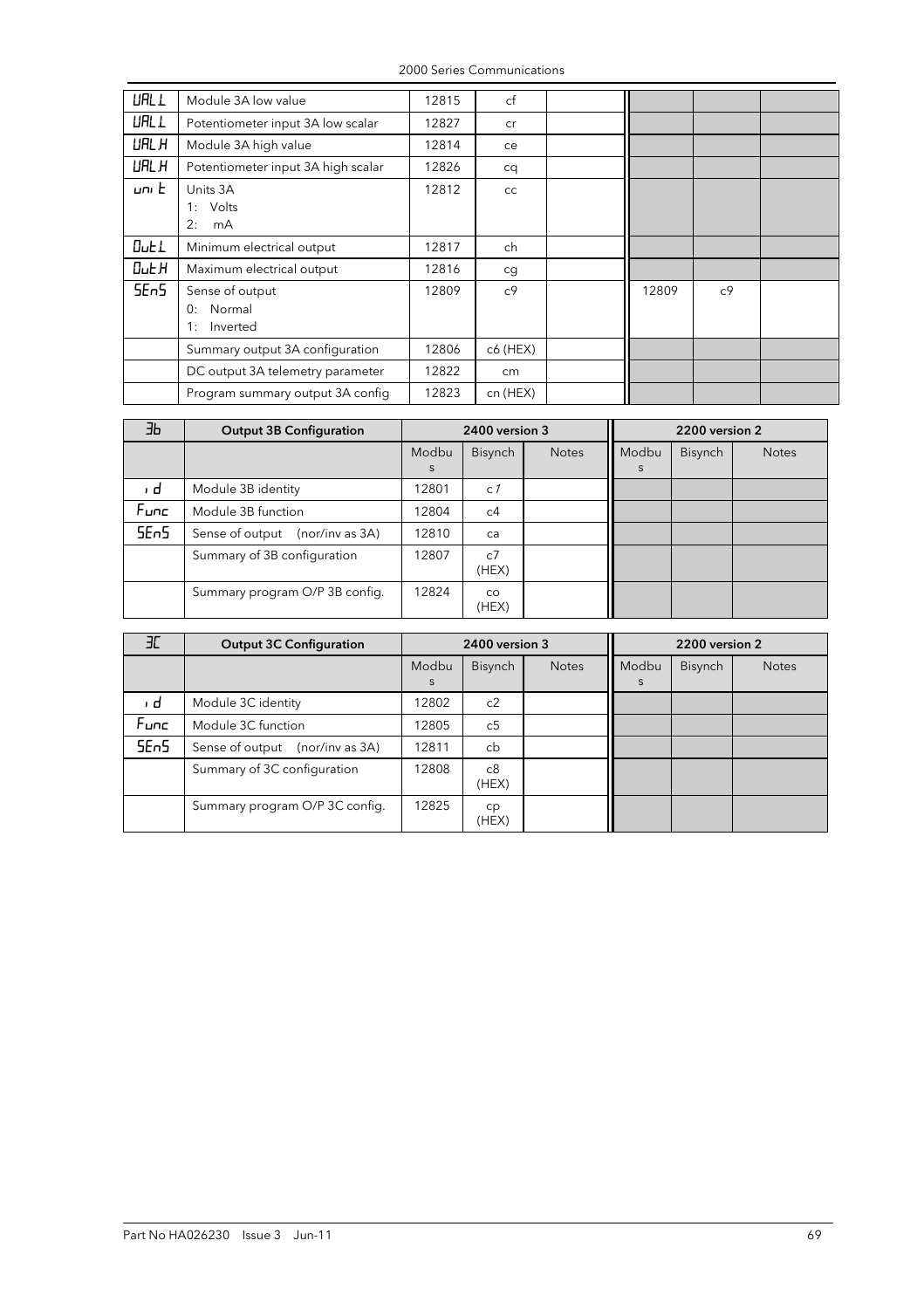2000 Series Communications

| <b>URL L</b>     | Module 3A low value                               | 12815 | cf             |       |                |  |
|------------------|---------------------------------------------------|-------|----------------|-------|----------------|--|
| <b>URL L</b>     | Potentiometer input 3A low scalar                 | 12827 | cr             |       |                |  |
| URL H            | Module 3A high value                              | 12814 | ce             |       |                |  |
| URL H            | Potentiometer input 3A high scalar                | 12826 | cq             |       |                |  |
| umE              | Units 3A<br>Volts<br>1:<br>2:<br>mA               | 12812 | cc             |       |                |  |
| $0$ ut $1$       | Minimum electrical output                         | 12817 | ch             |       |                |  |
| $D$ u $E$ $H$    | Maximum electrical output                         | 12816 | cg             |       |                |  |
| 5E <sub>n5</sub> | Sense of output<br>Normal<br>0:<br>Inverted<br>1: | 12809 | c <sub>9</sub> | 12809 | c <sup>9</sup> |  |
|                  | Summary output 3A configuration                   | 12806 | c6 (HEX)       |       |                |  |
|                  | DC output 3A telemetry parameter                  | 12822 | cm             |       |                |  |
|                  | Program summary output 3A config                  | 12823 | cn (HEX)       |       |                |  |

| ΕЬ               | <b>Output 3B Configuration</b>     |            | 2400 version 3          |              | 2200 version 2 |                |              |  |
|------------------|------------------------------------|------------|-------------------------|--------------|----------------|----------------|--------------|--|
|                  |                                    | Modbu<br>S | <b>Bisynch</b>          | <b>Notes</b> | Modbu<br>S     | <b>Bisynch</b> | <b>Notes</b> |  |
| ı d              | Module 3B identity                 | 12801      | c <sub>1</sub>          |              |                |                |              |  |
| Func             | Module 3B function                 | 12804      | c4                      |              |                |                |              |  |
| 5E <sub>n5</sub> | Sense of output<br>(nor/inv as 3A) | 12810      | ca                      |              |                |                |              |  |
|                  | Summary of 3B configuration        | 12807      | c <sub>2</sub><br>(HEX) |              |                |                |              |  |
|                  | Summary program O/P 3B config.     | 12824      | <b>CO</b><br>(HEX)      |              |                |                |              |  |

| ЭC               | <b>Output 3C Configuration</b>     | 2400 version 3 |                |              | 2200 version 2 |                |              |  |
|------------------|------------------------------------|----------------|----------------|--------------|----------------|----------------|--------------|--|
|                  |                                    | Modbu<br>S     | <b>Bisynch</b> | <b>Notes</b> | Modbu<br>S     | <b>Bisynch</b> | <b>Notes</b> |  |
| ı d              | Module 3C identity                 | 12802          | c2             |              |                |                |              |  |
| Func             | Module 3C function                 | 12805          | c <sub>5</sub> |              |                |                |              |  |
| 5E <sub>n5</sub> | Sense of output<br>(nor/inv as 3A) | 12811          | cb             |              |                |                |              |  |
|                  | Summary of 3C configuration        | 12808          | c8<br>(HEX)    |              |                |                |              |  |
|                  | Summary program O/P 3C config.     | 12825          | cp<br>(HEX)    |              |                |                |              |  |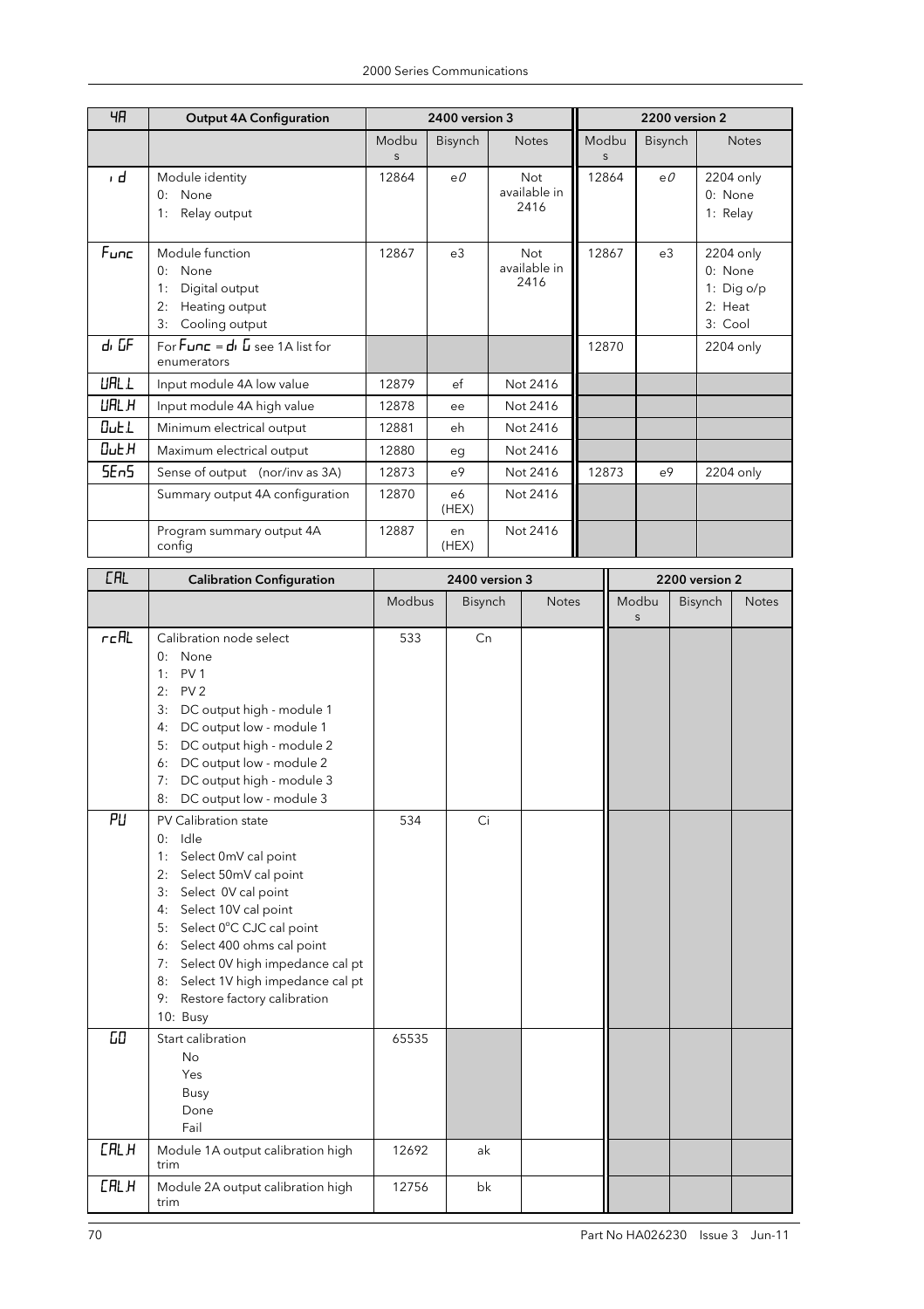| ЧH               | <b>Output 4A Configuration</b>                                                                        |            | 2400 version 3 |                                    |            | 2200 version 2 |                                                          |
|------------------|-------------------------------------------------------------------------------------------------------|------------|----------------|------------------------------------|------------|----------------|----------------------------------------------------------|
|                  |                                                                                                       | Modbu<br>S | Bisynch        | <b>Notes</b>                       | Modbu<br>S | Bisynch        | <b>Notes</b>                                             |
| ı d              | Module identity<br>None<br>0:<br>1:<br>Relay output                                                   | 12864      | eO             | <b>Not</b><br>available in<br>2416 | 12864      | eO             | 2204 only<br>0: None<br>1: Relay                         |
| Func             | Module function<br>None<br>0:<br>Digital output<br>1:<br>2:<br>Heating output<br>Cooling output<br>3: | 12867      | e3             | <b>Not</b><br>available in<br>2416 | 12867      | e <sub>3</sub> | 2204 only<br>0: None<br>1: Dig o/p<br>2: Heat<br>3: Cool |
| dı GF            | For $F$ <b>unc</b> = $d$ , $\overline{u}$ see 1A list for<br>enumerators                              |            |                |                                    | 12870      |                | 2204 only                                                |
| <b>URL L</b>     | Input module 4A low value                                                                             | 12879      | ef             | Not 2416                           |            |                |                                                          |
| UAL H            | Input module 4A high value                                                                            | 12878      | ee             | Not 2416                           |            |                |                                                          |
| $0$ ut $1$       | Minimum electrical output                                                                             | 12881      | eh             | Not 2416                           |            |                |                                                          |
| <b>Out H</b>     | Maximum electrical output                                                                             | 12880      | eg             | Not 2416                           |            |                |                                                          |
| 5E <sub>n5</sub> | Sense of output (nor/inv as 3A)                                                                       | 12873      | e <sup>9</sup> | Not 2416                           | 12873      | e <sup>9</sup> | 2204 only                                                |
|                  | Summary output 4A configuration                                                                       | 12870      | e6<br>(HEX)    | Not 2416                           |            |                |                                                          |
|                  | Program summary output 4A<br>config                                                                   | 12887      | en<br>(HEX)    | Not 2416                           |            |                |                                                          |

| <b>CAL</b>  | <b>Calibration Configuration</b>                                                                                                                                                                                                                                                                                                                            |        | 2400 version 3 |              | 2200 version 2<br>Modbu<br>$\mathsf{S}$ |         |              |
|-------------|-------------------------------------------------------------------------------------------------------------------------------------------------------------------------------------------------------------------------------------------------------------------------------------------------------------------------------------------------------------|--------|----------------|--------------|-----------------------------------------|---------|--------------|
|             |                                                                                                                                                                                                                                                                                                                                                             | Modbus | Bisynch        | <b>Notes</b> |                                         | Bisynch | <b>Notes</b> |
| $r$ c $R$ L | Calibration node select<br>0: None<br>PV <sub>1</sub><br>1:<br>PV <sub>2</sub><br>2:<br>3:<br>DC output high - module 1<br>DC output low - module 1<br>4:<br>DC output high - module 2<br>5:<br>DC output low - module 2<br>6:<br>7: DC output high - module 3<br>DC output low - module 3<br>8:                                                            | 533    | Cn             |              |                                         |         |              |
| PU          | PV Calibration state<br>$0:$ Idle<br>Select 0mV cal point<br>1:<br>Select 50mV cal point<br>2:<br>Select OV cal point<br>3:<br>Select 10V cal point<br>4:<br>5: Select 0°C CJC cal point<br>Select 400 ohms cal point<br>6:<br>7: Select 0V high impedance cal pt<br>Select 1V high impedance cal pt<br>8:<br>Restore factory calibration<br>9:<br>10: Busy | 534    | Ci             |              |                                         |         |              |
| 60          | Start calibration<br><b>No</b><br>Yes<br>Busy<br>Done<br>Fail                                                                                                                                                                                                                                                                                               | 65535  |                |              |                                         |         |              |
| <b>CALH</b> | Module 1A output calibration high<br>trim                                                                                                                                                                                                                                                                                                                   | 12692  | ak             |              |                                         |         |              |
| <b>CALH</b> | Module 2A output calibration high<br>trim                                                                                                                                                                                                                                                                                                                   | 12756  | bk             |              |                                         |         |              |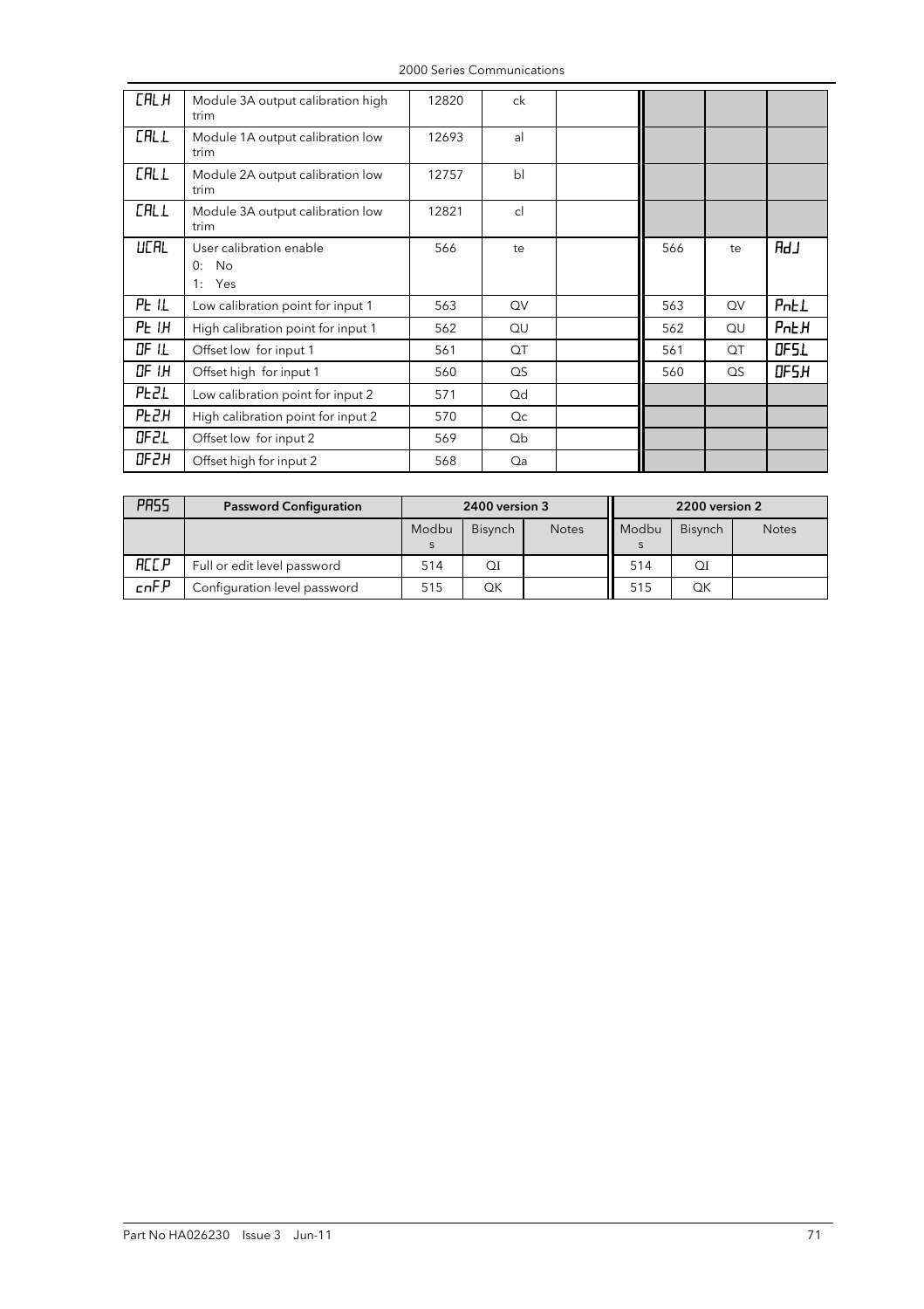| <b>CALH</b> | Module 3A output calibration high<br>trim        | 12820 | ck              |     |          |             |
|-------------|--------------------------------------------------|-------|-----------------|-----|----------|-------------|
| <b>CALL</b> | Module 1A output calibration low<br>trim         | 12693 | al              |     |          |             |
| <b>CALL</b> | Module 2A output calibration low<br>trim         | 12757 | b <sub>l</sub>  |     |          |             |
| <b>CALL</b> | Module 3A output calibration low<br>trim         | 12821 | cl              |     |          |             |
| <b>UCAL</b> | User calibration enable<br>No<br>0:<br>1:<br>Yes | 566   | te              | 566 | te       | RdJ         |
| PE IL       | Low calibration point for input 1                | 563   | QV              | 563 | QV       | PnEL        |
| PE I.H      | High calibration point for input 1               | 562   | QU              | 562 | QU       | <b>PnEH</b> |
| OF IL       | Offset low for input 1                           | 561   | QT              | 561 | QT       | OF51        |
| OF IH       | Offset high for input 1                          | 560   | $\overline{QS}$ | 560 | $\Omega$ | OF5H        |
| <b>PEZL</b> | Low calibration point for input 2                | 571   | Qd              |     |          |             |
| <b>PEZH</b> | High calibration point for input 2               | 570   | Q <sub>C</sub>  |     |          |             |
| OF2L        | Offset low for input 2                           | 569   | Qb              |     |          |             |
| OFZH        | Offset high for input 2                          | 568   | Qa              |     |          |             |

2000 Series Communications

| PR55        | <b>Password Configuration</b> | 2400 version 3 |                |              | 2200 version 2 |         |              |
|-------------|-------------------------------|----------------|----------------|--------------|----------------|---------|--------------|
|             |                               | Modbu          | <b>Bisynch</b> | <b>Notes</b> | Modbu          | Bisynch | <b>Notes</b> |
| <b>ACCP</b> | Full or edit level password   | 514            | ΟI             |              | 514            | QI      |              |
| cnFP        | Configuration level password  | 515            | OΚ             |              | 515            | OΚ      |              |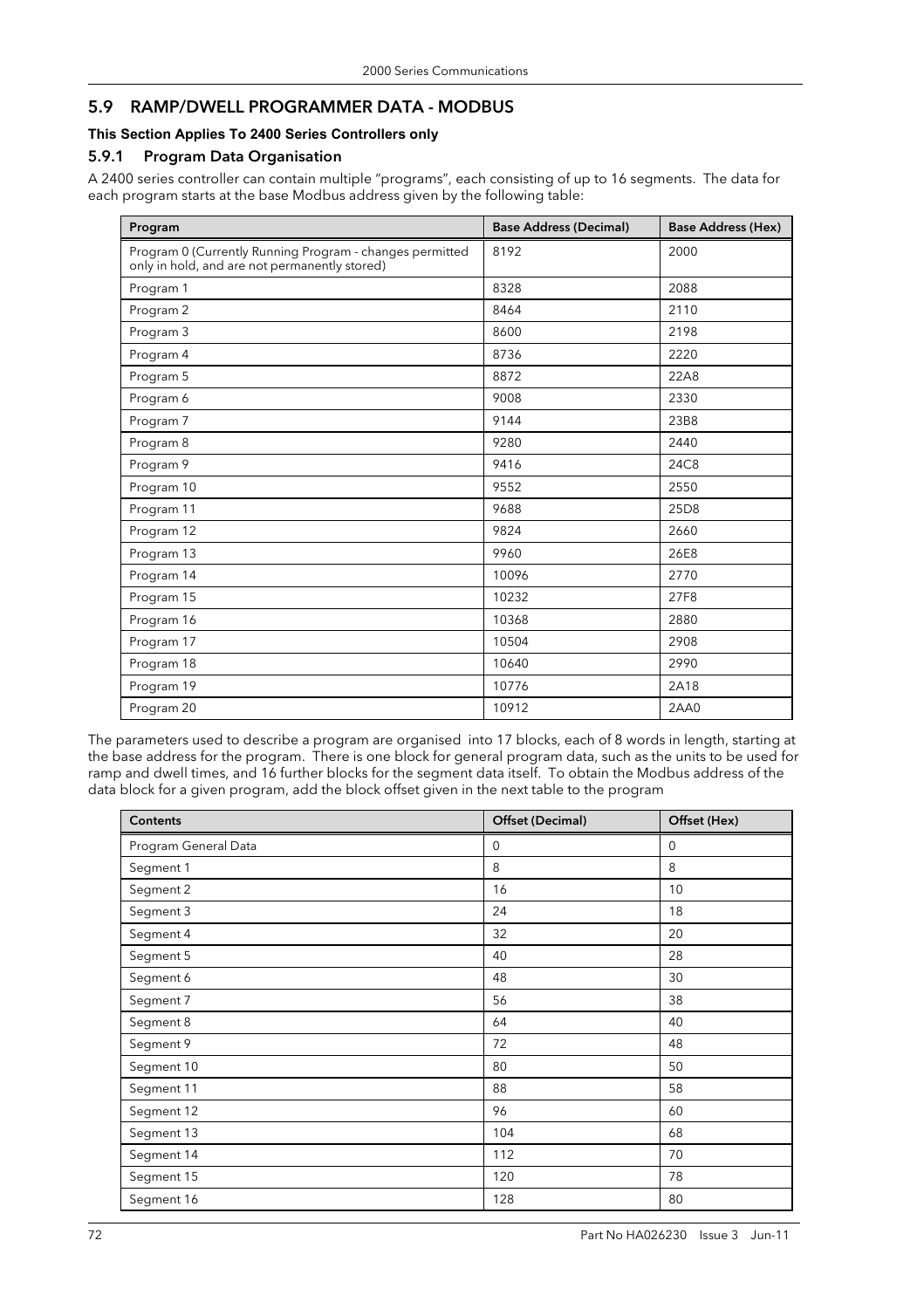## 5.9 RAMP/DWELL PROGRAMMER DATA - MODBUS

### **This Section Applies To 2400 Series Controllers only**

#### 5.9.1 Program Data Organisation

A 2400 series controller can contain multiple "programs", each consisting of up to 16 segments. The data for each program starts at the base Modbus address given by the following table:

| Program                                                                                                   | <b>Base Address (Decimal)</b> | <b>Base Address (Hex)</b> |
|-----------------------------------------------------------------------------------------------------------|-------------------------------|---------------------------|
| Program 0 (Currently Running Program - changes permitted<br>only in hold, and are not permanently stored) | 8192                          | 2000                      |
| Program 1                                                                                                 | 8328                          | 2088                      |
| Program 2                                                                                                 | 8464                          | 2110                      |
| Program 3                                                                                                 | 8600                          | 2198                      |
| Program 4                                                                                                 | 8736                          | 2220                      |
| Program 5                                                                                                 | 8872                          | 22A8                      |
| Program 6                                                                                                 | 9008                          | 2330                      |
| Program 7                                                                                                 | 9144                          | 23B8                      |
| Program 8                                                                                                 | 9280                          | 2440                      |
| Program 9                                                                                                 | 9416                          | 24C8                      |
| Program 10                                                                                                | 9552                          | 2550                      |
| Program 11                                                                                                | 9688                          | 25D8                      |
| Program 12                                                                                                | 9824                          | 2660                      |
| Program 13                                                                                                | 9960                          | 26E8                      |
| Program 14                                                                                                | 10096                         | 2770                      |
| Program 15                                                                                                | 10232                         | 27F8                      |
| Program 16                                                                                                | 10368                         | 2880                      |
| Program 17                                                                                                | 10504                         | 2908                      |
| Program 18                                                                                                | 10640                         | 2990                      |
| Program 19                                                                                                | 10776                         | 2A18                      |
| Program 20                                                                                                | 10912                         | 2AA0                      |

The parameters used to describe a program are organised into 17 blocks, each of 8 words in length, starting at the base address for the program. There is one block for general program data, such as the units to be used for ramp and dwell times, and 16 further blocks for the segment data itself. To obtain the Modbus address of the data block for a given program, add the block offset given in the next table to the program

| <b>Contents</b>      | Offset (Decimal) | Offset (Hex) |
|----------------------|------------------|--------------|
| Program General Data | $\mathbf 0$      | $\mathbf 0$  |
| Segment 1            | 8                | 8            |
| Segment 2            | 16               | 10           |
| Segment 3            | 24               | 18           |
| Segment 4            | 32               | 20           |
| Segment 5            | 40               | 28           |
| Segment 6            | 48               | 30           |
| Segment 7            | 56               | 38           |
| Segment 8            | 64               | 40           |
| Segment 9            | 72               | 48           |
| Segment 10           | 80               | 50           |
| Segment 11           | 88               | 58           |
| Segment 12           | 96               | 60           |
| Segment 13           | 104              | 68           |
| Segment 14           | 112              | 70           |
| Segment 15           | 120              | 78           |
| Segment 16           | 128              | 80           |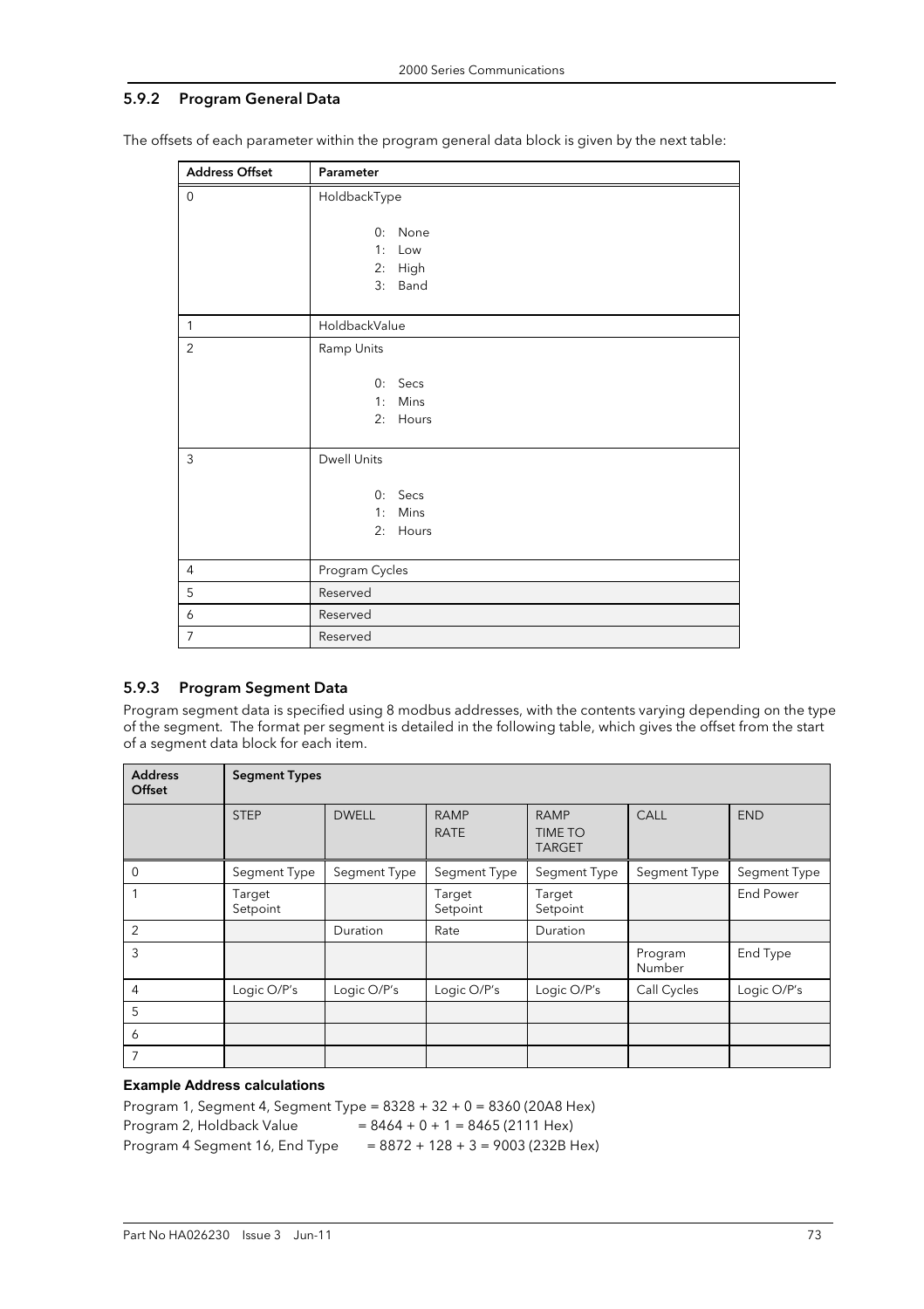#### 5.9.2 Program General Data

| <b>Address Offset</b> | Parameter                                     |  |  |  |  |  |
|-----------------------|-----------------------------------------------|--|--|--|--|--|
| $\mathbf 0$           | HoldbackType                                  |  |  |  |  |  |
|                       | None<br>0:<br>Low<br>1:<br>2: High<br>3: Band |  |  |  |  |  |
| $\mathbf{1}$          | HoldbackValue                                 |  |  |  |  |  |
| $\overline{2}$        | Ramp Units                                    |  |  |  |  |  |
|                       | 0: Secs<br>1: Mins<br>2: Hours                |  |  |  |  |  |
| $\mathfrak{Z}$        | <b>Dwell Units</b>                            |  |  |  |  |  |
|                       | $0:$ Secs<br>1: Mins<br>2: Hours              |  |  |  |  |  |
| $\overline{4}$        | Program Cycles                                |  |  |  |  |  |
| 5                     | Reserved                                      |  |  |  |  |  |
| 6                     | Reserved                                      |  |  |  |  |  |
| $\overline{7}$        | Reserved                                      |  |  |  |  |  |

The offsets of each parameter within the program general data block is given by the next table:

#### 5.9.3 Program Segment Data

Program segment data is specified using 8 modbus addresses, with the contents varying depending on the type of the segment. The format per segment is detailed in the following table, which gives the offset from the start of a segment data block for each item.

| <b>Address</b><br>Offset | <b>Segment Types</b> |              |                            |                                                |                   |                  |
|--------------------------|----------------------|--------------|----------------------------|------------------------------------------------|-------------------|------------------|
|                          | <b>STEP</b>          | <b>DWELL</b> | <b>RAMP</b><br><b>RATE</b> | <b>RAMP</b><br><b>TIME TO</b><br><b>TARGET</b> | CALL              | <b>END</b>       |
| $\mathbf 0$              | Segment Type         | Segment Type | Segment Type               | Segment Type                                   | Segment Type      | Segment Type     |
|                          | Target<br>Setpoint   |              | Target<br>Setpoint         | Target<br>Setpoint                             |                   | <b>End Power</b> |
| 2                        |                      | Duration     | Rate                       | Duration                                       |                   |                  |
| 3                        |                      |              |                            |                                                | Program<br>Number | End Type         |
| 4                        | Logic O/P's          | Logic O/P's  | Logic O/P's                | Logic O/P's                                    | Call Cycles       | Logic O/P's      |
| 5                        |                      |              |                            |                                                |                   |                  |
| 6                        |                      |              |                            |                                                |                   |                  |
| 7                        |                      |              |                            |                                                |                   |                  |

#### **Example Address calculations**

Program 1, Segment 4, Segment Type = 8328 + 32 + 0 = 8360 (20A8 Hex) Program 2, Holdback Value  $= 8464 + 0 + 1 = 8465 (2111$  Hex) Program 4 Segment 16, End Type  $= 8872 + 128 + 3 = 9003 (232B$  Hex)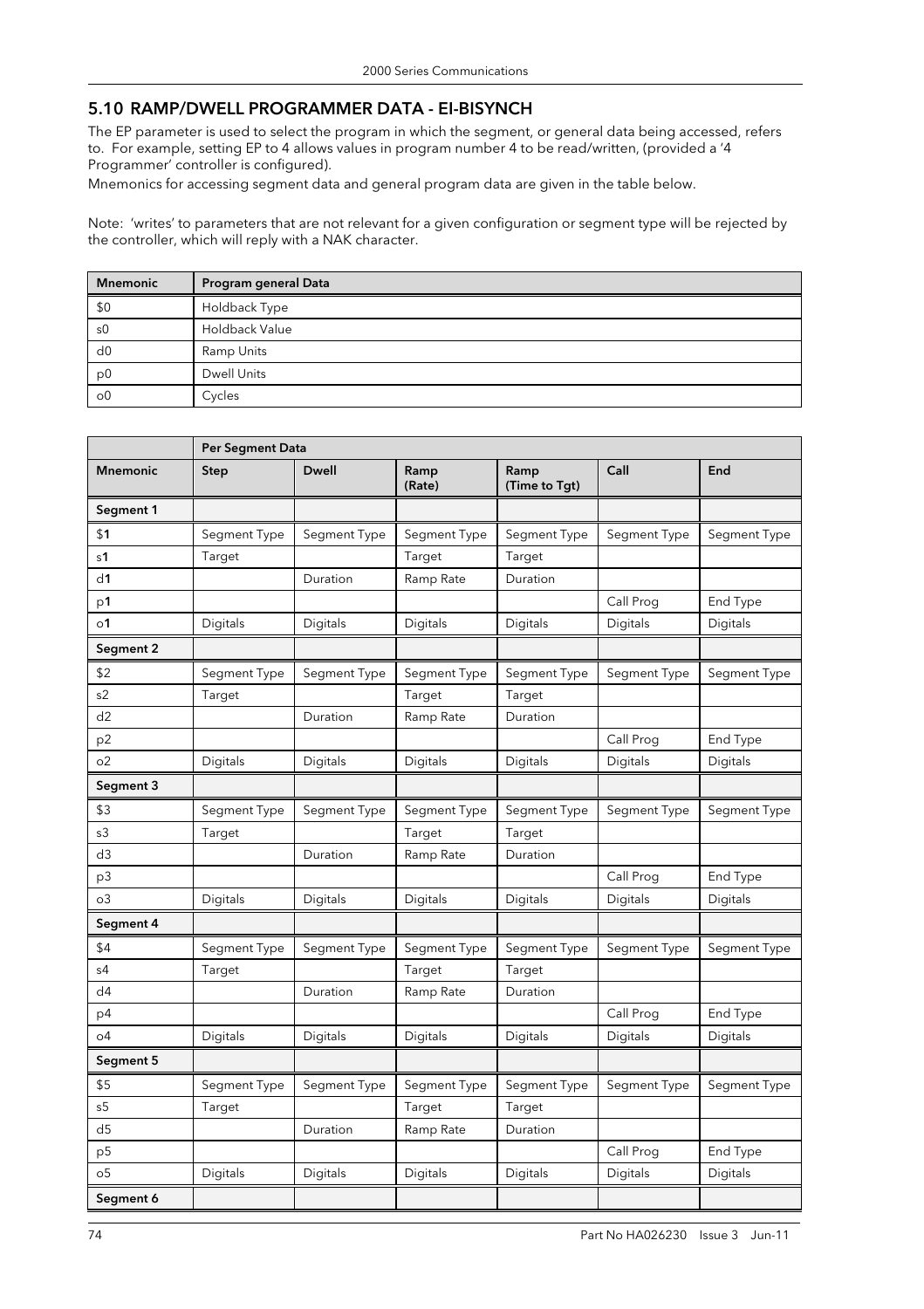# 5.10 RAMP/DWELL PROGRAMMER DATA - EI-BISYNCH

The EP parameter is used to select the program in which the segment, or general data being accessed, refers to. For example, setting EP to 4 allows values in program number 4 to be read/written, (provided a '4 Programmer' controller is configured).

Mnemonics for accessing segment data and general program data are given in the table below.

Note: 'writes' to parameters that are not relevant for a given configuration or segment type will be rejected by the controller, which will reply with a NAK character.

| <b>Mnemonic</b>      | Program general Data |
|----------------------|----------------------|
| \$0                  | Holdback Type        |
| s0                   | Holdback Value       |
| d0                   | Ramp Units           |
| p <sub>0</sub>       | <b>Dwell Units</b>   |
| $\circ$ <sup>0</sup> | Cycles               |

|                      | Per Segment Data |              |                |                       |              |              |
|----------------------|------------------|--------------|----------------|-----------------------|--------------|--------------|
| <b>Mnemonic</b>      | Step             | <b>Dwell</b> | Ramp<br>(Rate) | Ramp<br>(Time to Tgt) | Call         | End          |
| Segment 1            |                  |              |                |                       |              |              |
| \$1                  | Segment Type     | Segment Type | Segment Type   | Segment Type          | Segment Type | Segment Type |
| s <sub>1</sub>       | Target           |              | Target         | Target                |              |              |
| d1                   |                  | Duration     | Ramp Rate      | Duration              |              |              |
| p1                   |                  |              |                |                       | Call Prog    | End Type     |
| $\circ$ 1            | Digitals         | Digitals     | Digitals       | Digitals              | Digitals     | Digitals     |
| Segment 2            |                  |              |                |                       |              |              |
| \$2                  | Segment Type     | Segment Type | Segment Type   | Segment Type          | Segment Type | Segment Type |
| s <sub>2</sub>       | Target           |              | Target         | Target                |              |              |
| d2                   |                  | Duration     | Ramp Rate      | Duration              |              |              |
| p <sub>2</sub>       |                  |              |                |                       | Call Prog    | End Type     |
| O <sub>2</sub>       | Digitals         | Digitals     | Digitals       | Digitals              | Digitals     | Digitals     |
| Segment 3            |                  |              |                |                       |              |              |
| \$3                  | Segment Type     | Segment Type | Segment Type   | Segment Type          | Segment Type | Segment Type |
| s3                   | Target           |              | Target         | Target                |              |              |
| d3                   |                  | Duration     | Ramp Rate      | Duration              |              |              |
| p3                   |                  |              |                |                       | Call Prog    | End Type     |
| O <sub>3</sub>       | Digitals         | Digitals     | Digitals       | Digitals              | Digitals     | Digitals     |
| Segment 4            |                  |              |                |                       |              |              |
| \$4                  | Segment Type     | Segment Type | Segment Type   | Segment Type          | Segment Type | Segment Type |
| s4                   | Target           |              | Target         | Target                |              |              |
| d4                   |                  | Duration     | Ramp Rate      | Duration              |              |              |
| p4                   |                  |              |                |                       | Call Prog    | End Type     |
| o4                   | Digitals         | Digitals     | Digitals       | Digitals              | Digitals     | Digitals     |
| Segment 5            |                  |              |                |                       |              |              |
| \$5                  | Segment Type     | Segment Type | Segment Type   | Segment Type          | Segment Type | Segment Type |
| s <sub>5</sub>       | Target           |              | Target         | Target                |              |              |
| d5                   |                  | Duration     | Ramp Rate      | Duration              |              |              |
| p5                   |                  |              |                |                       | Call Prog    | End Type     |
| $\circ$ <sub>5</sub> | Digitals         | Digitals     | Digitals       | Digitals              | Digitals     | Digitals     |
| Segment 6            |                  |              |                |                       |              |              |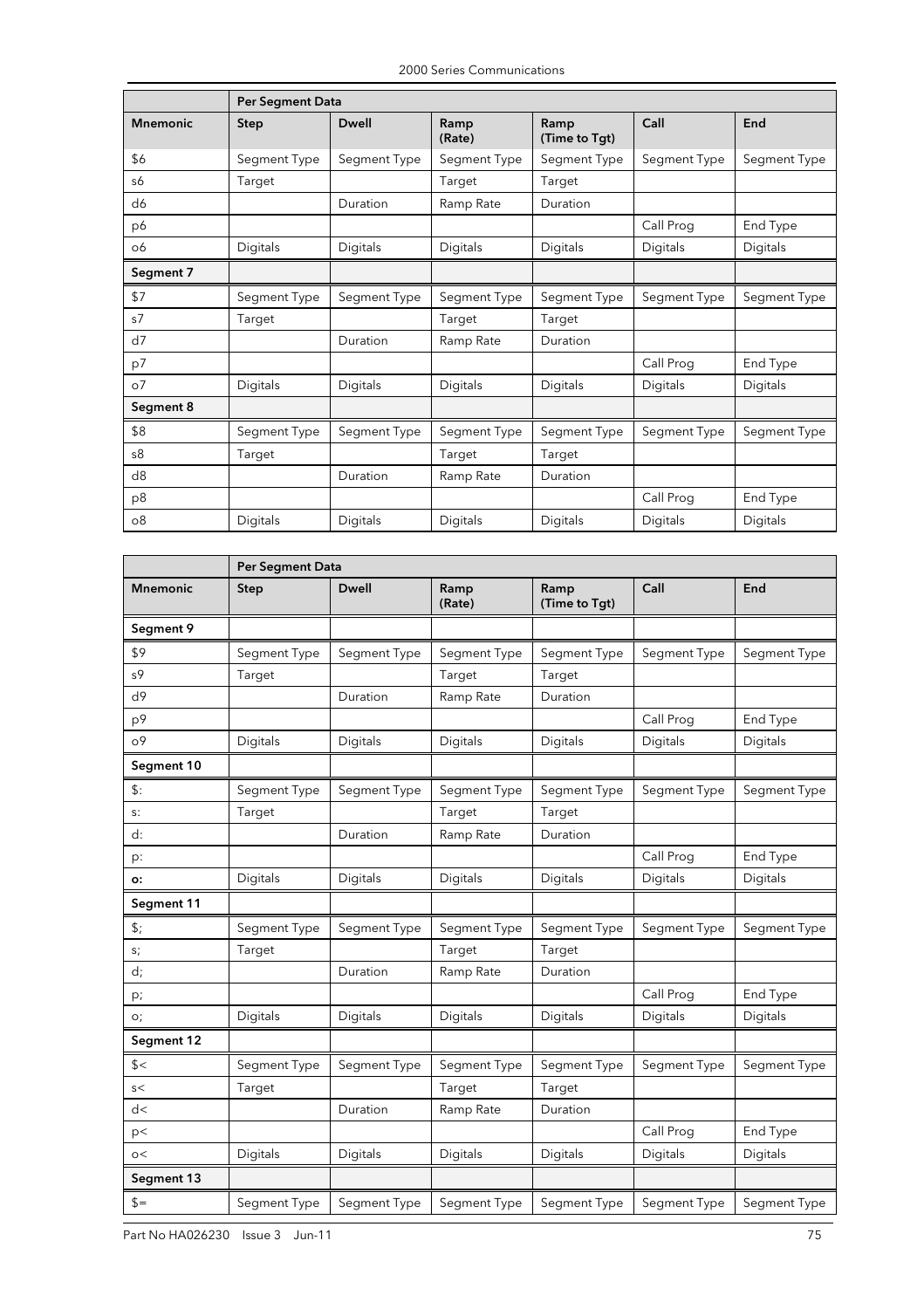|                 | <b>Per Segment Data</b> |              |                |                       |              |              |  |
|-----------------|-------------------------|--------------|----------------|-----------------------|--------------|--------------|--|
| <b>Mnemonic</b> | <b>Step</b>             | <b>Dwell</b> | Ramp<br>(Rate) | Ramp<br>(Time to Tgt) | Call         | End          |  |
| \$6             | Segment Type            | Segment Type | Segment Type   | Segment Type          | Segment Type | Segment Type |  |
| s6              | Target                  |              | Target         | Target                |              |              |  |
| d6              |                         | Duration     | Ramp Rate      | Duration              |              |              |  |
| p6              |                         |              |                |                       | Call Prog    | End Type     |  |
| 06              | Digitals                | Digitals     | Digitals       | Digitals              | Digitals     | Digitals     |  |
| Segment 7       |                         |              |                |                       |              |              |  |
| \$7             | Segment Type            | Segment Type | Segment Type   | Segment Type          | Segment Type | Segment Type |  |
| s7              | Target                  |              | Target         | Target                |              |              |  |
| d7              |                         | Duration     | Ramp Rate      | Duration              |              |              |  |
| p7              |                         |              |                |                       | Call Prog    | End Type     |  |
| O <sub>0</sub>  | Digitals                | Digitals     | Digitals       | Digitals              | Digitals     | Digitals     |  |
| Segment 8       |                         |              |                |                       |              |              |  |
| \$8             | Segment Type            | Segment Type | Segment Type   | Segment Type          | Segment Type | Segment Type |  |
| s8              | Target                  |              | Target         | Target                |              |              |  |
| d8              |                         | Duration     | Ramp Rate      | Duration              |              |              |  |
| p8              |                         |              |                |                       | Call Prog    | End Type     |  |
| 08              | Digitals                | Digitals     | Digitals       | Digitals              | Digitals     | Digitals     |  |

|                         | <b>Per Segment Data</b> |              |                |                       |              |              |
|-------------------------|-------------------------|--------------|----------------|-----------------------|--------------|--------------|
| <b>Mnemonic</b>         | <b>Step</b>             | <b>Dwell</b> | Ramp<br>(Rate) | Ramp<br>(Time to Tgt) | Call         | End          |
| Segment 9               |                         |              |                |                       |              |              |
| \$9                     | Segment Type            | Segment Type | Segment Type   | Segment Type          | Segment Type | Segment Type |
| s9                      | Target                  |              | Target         | Target                |              |              |
| d9                      |                         | Duration     | Ramp Rate      | Duration              |              |              |
| p9                      |                         |              |                |                       | Call Prog    | End Type     |
| ο9                      | Digitals                | Digitals     | Digitals       | Digitals              | Digitals     | Digitals     |
| Segment 10              |                         |              |                |                       |              |              |
| \$:                     | Segment Type            | Segment Type | Segment Type   | Segment Type          | Segment Type | Segment Type |
| $S$ :                   | Target                  |              | Target         | Target                |              |              |
| d:                      |                         | Duration     | Ramp Rate      | Duration              |              |              |
| p:                      |                         |              |                |                       | Call Prog    | End Type     |
| о:                      | Digitals                | Digitals     | Digitals       | Digitals              | Digitals     | Digitals     |
| Segment 11              |                         |              |                |                       |              |              |
| \$;                     | Segment Type            | Segment Type | Segment Type   | Segment Type          | Segment Type | Segment Type |
| s;                      | Target                  |              | Target         | Target                |              |              |
| d;                      |                         | Duration     | Ramp Rate      | Duration              |              |              |
| p;                      |                         |              |                |                       | Call Prog    | End Type     |
| O <sub>i</sub>          | Digitals                | Digitals     | Digitals       | Digitals              | Digitals     | Digitals     |
| Segment 12              |                         |              |                |                       |              |              |
| s                       | Segment Type            | Segment Type | Segment Type   | Segment Type          | Segment Type | Segment Type |
| $\mathsf{s}\mathord{<}$ | Target                  |              | Target         | Target                |              |              |
| d<                      |                         | Duration     | Ramp Rate      | Duration              |              |              |
| p<                      |                         |              |                |                       | Call Prog    | End Type     |
| $\circ$                 | Digitals                | Digitals     | Digitals       | Digitals              | Digitals     | Digitals     |
| Segment 13              |                         |              |                |                       |              |              |
| $s=$                    | Segment Type            | Segment Type | Segment Type   | Segment Type          | Segment Type | Segment Type |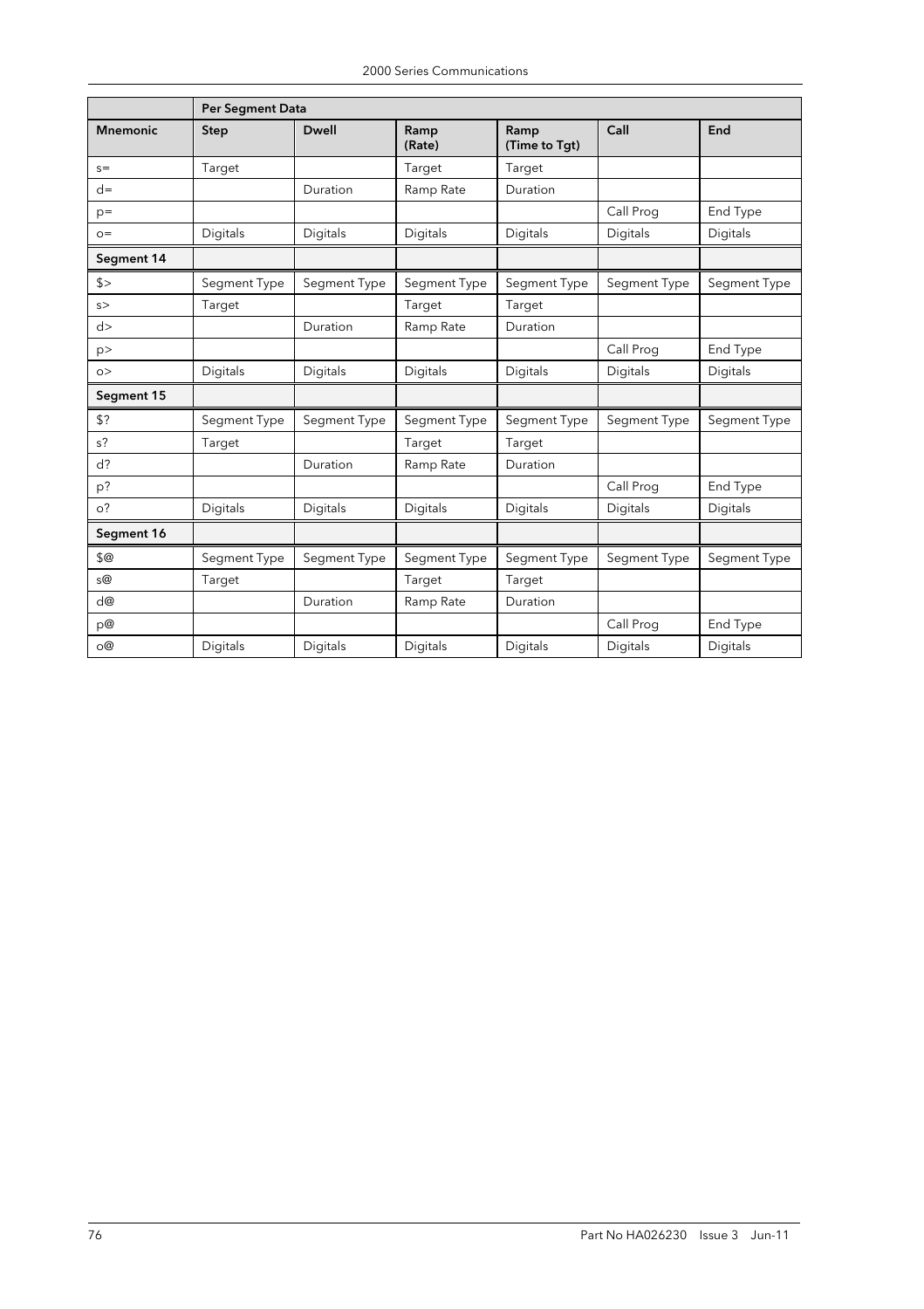|                 | <b>Per Segment Data</b> |              |                |                       |              |              |
|-----------------|-------------------------|--------------|----------------|-----------------------|--------------|--------------|
| <b>Mnemonic</b> | <b>Step</b>             | <b>Dwell</b> | Ramp<br>(Rate) | Ramp<br>(Time to Tgt) | Call         | End          |
| $s=$            | Target                  |              | Target         | Target                |              |              |
| $d=$            |                         | Duration     | Ramp Rate      | Duration              |              |              |
| $p=$            |                         |              |                |                       | Call Prog    | End Type     |
| $O =$           | Digitals                | Digitals     | Digitals       | Digitals              | Digitals     | Digitals     |
| Segment 14      |                         |              |                |                       |              |              |
| s               | Segment Type            | Segment Type | Segment Type   | Segment Type          | Segment Type | Segment Type |
| s               | Target                  |              | Target         | Target                |              |              |
| d>              |                         | Duration     | Ramp Rate      | Duration              |              |              |
| p               |                         |              |                |                       | Call Prog    | End Type     |
| $\circ$         | Digitals                | Digitals     | Digitals       | Digitals              | Digitals     | Digitals     |
| Segment 15      |                         |              |                |                       |              |              |
| \$?             | Segment Type            | Segment Type | Segment Type   | Segment Type          | Segment Type | Segment Type |
| $s$ ?           | Target                  |              | Target         | Target                |              |              |
| $d$ ?           |                         | Duration     | Ramp Rate      | Duration              |              |              |
| p?              |                         |              |                |                       | Call Prog    | End Type     |
| O <sup>2</sup>  | Digitals                | Digitals     | Digitals       | Digitals              | Digitals     | Digitals     |
| Segment 16      |                         |              |                |                       |              |              |
| \$@             | Segment Type            | Segment Type | Segment Type   | Segment Type          | Segment Type | Segment Type |
| s@              | Target                  |              | Target         | Target                |              |              |
| d@              |                         | Duration     | Ramp Rate      | Duration              |              |              |
| p@              |                         |              |                |                       | Call Prog    | End Type     |
| O(2)            | Digitals                | Digitals     | Digitals       | Digitals              | Digitals     | Digitals     |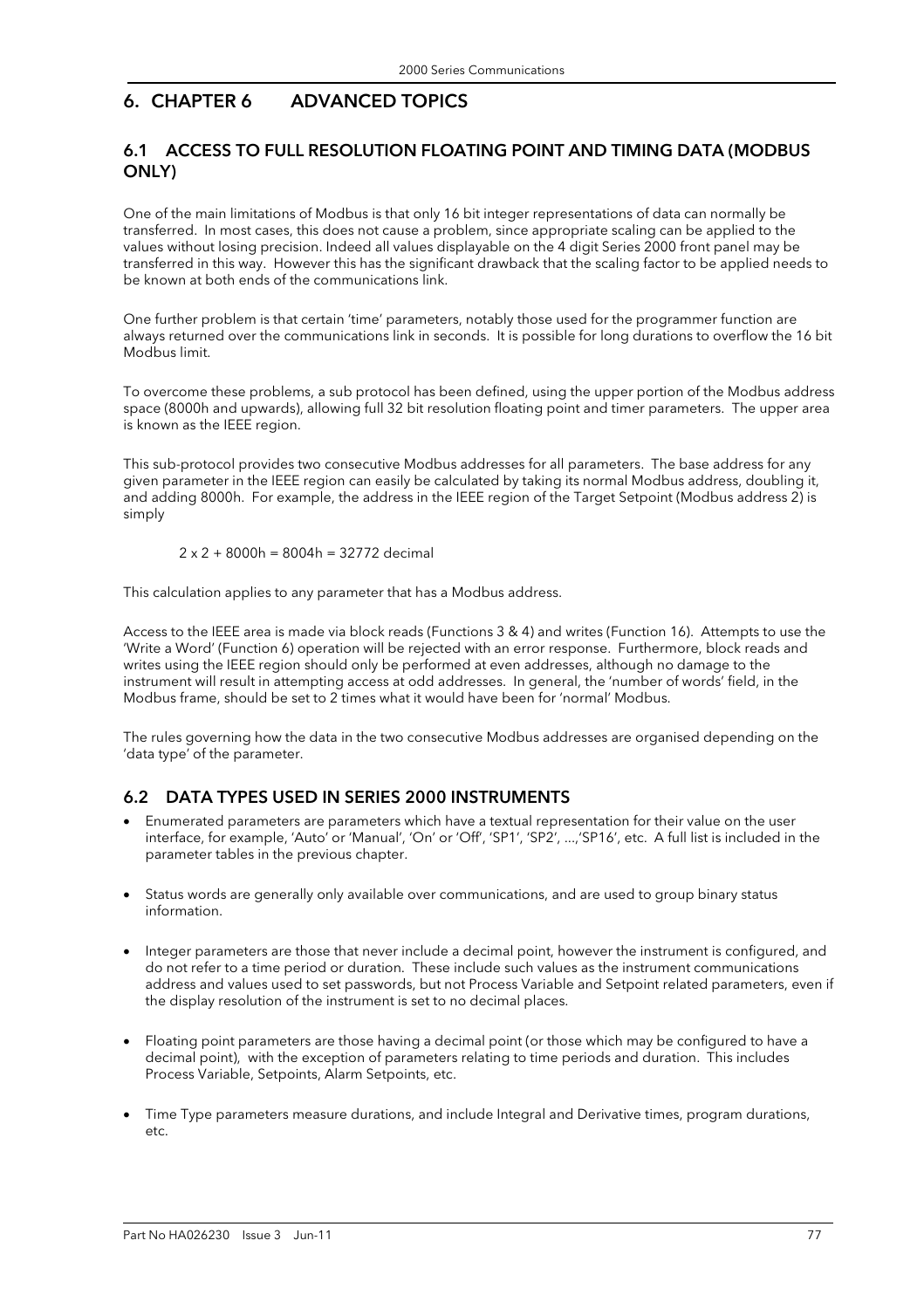# 6. CHAPTER 6 ADVANCED TOPICS

# 6.1 ACCESS TO FULL RESOLUTION FLOATING POINT AND TIMING DATA (MODBUS ONLY)

One of the main limitations of Modbus is that only 16 bit integer representations of data can normally be transferred. In most cases, this does not cause a problem, since appropriate scaling can be applied to the values without losing precision. Indeed all values displayable on the 4 digit Series 2000 front panel may be transferred in this way. However this has the significant drawback that the scaling factor to be applied needs to be known at both ends of the communications link.

One further problem is that certain 'time' parameters, notably those used for the programmer function are always returned over the communications link in seconds. It is possible for long durations to overflow the 16 bit Modbus limit.

To overcome these problems, a sub protocol has been defined, using the upper portion of the Modbus address space (8000h and upwards), allowing full 32 bit resolution floating point and timer parameters. The upper area is known as the IEEE region.

This sub-protocol provides two consecutive Modbus addresses for all parameters. The base address for any given parameter in the IEEE region can easily be calculated by taking its normal Modbus address, doubling it, and adding 8000h. For example, the address in the IEEE region of the Target Setpoint (Modbus address 2) is simply

 $2 \times 2 + 8000h = 8004h = 32772$  decimal

This calculation applies to any parameter that has a Modbus address.

Access to the IEEE area is made via block reads (Functions 3 & 4) and writes (Function 16). Attempts to use the 'Write a Word' (Function 6) operation will be rejected with an error response. Furthermore, block reads and writes using the IEEE region should only be performed at even addresses, although no damage to the instrument will result in attempting access at odd addresses. In general, the 'number of words' field, in the Modbus frame, should be set to 2 times what it would have been for 'normal' Modbus.

The rules governing how the data in the two consecutive Modbus addresses are organised depending on the 'data type' of the parameter.

#### 6.2 DATA TYPES USED IN SERIES 2000 INSTRUMENTS

- Enumerated parameters are parameters which have a textual representation for their value on the user interface, for example, 'Auto' or 'Manual', 'On' or 'Off', 'SP1', 'SP2', ...,'SP16', etc. A full list is included in the parameter tables in the previous chapter.
- Status words are generally only available over communications, and are used to group binary status information.
- Integer parameters are those that never include a decimal point, however the instrument is configured, and do not refer to a time period or duration. These include such values as the instrument communications address and values used to set passwords, but not Process Variable and Setpoint related parameters, even if the display resolution of the instrument is set to no decimal places.
- Floating point parameters are those having a decimal point (or those which may be configured to have a decimal point), with the exception of parameters relating to time periods and duration. This includes Process Variable, Setpoints, Alarm Setpoints, etc.
- Time Type parameters measure durations, and include Integral and Derivative times, program durations, etc.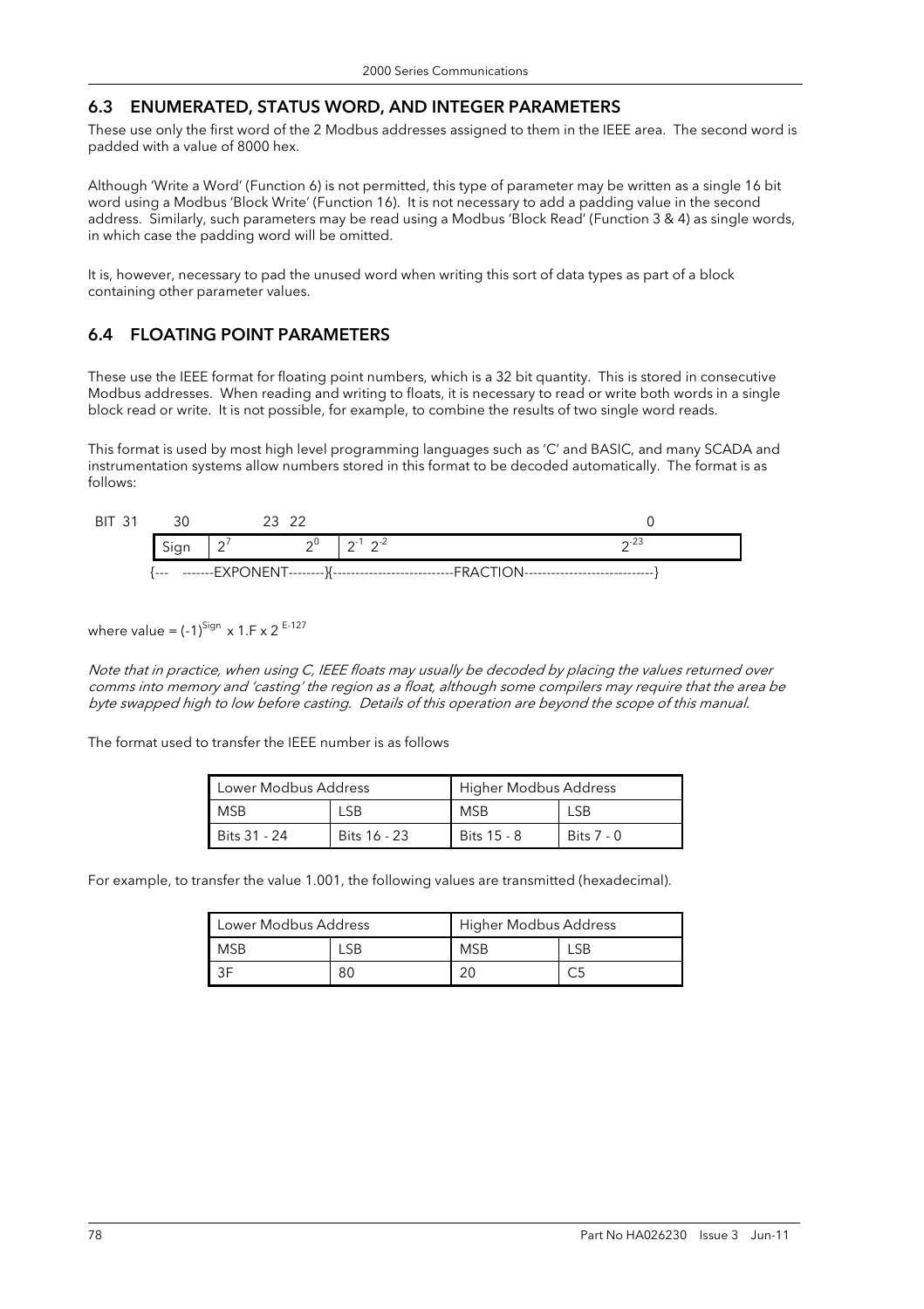#### 6.3 ENUMERATED, STATUS WORD, AND INTEGER PARAMETERS

These use only the first word of the 2 Modbus addresses assigned to them in the IEEE area. The second word is padded with a value of 8000 hex.

Although 'Write a Word' (Function 6) is not permitted, this type of parameter may be written as a single 16 bit word using a Modbus 'Block Write' (Function 16). It is not necessary to add a padding value in the second address. Similarly, such parameters may be read using a Modbus 'Block Read' (Function 3 & 4) as single words, in which case the padding word will be omitted.

It is, however, necessary to pad the unused word when writing this sort of data types as part of a block containing other parameter values.

#### 6.4 FLOATING POINT PARAMETERS

These use the IEEE format for floating point numbers, which is a 32 bit quantity. This is stored in consecutive Modbus addresses. When reading and writing to floats, it is necessary to read or write both words in a single block read or write. It is not possible, for example, to combine the results of two single word reads.

This format is used by most high level programming languages such as 'C' and BASIC, and many SCADA and instrumentation systems allow numbers stored in this format to be decoded automatically. The format is as follows:

| <b>BIT 31</b> | 30   |        | 23 ZZ |                           |            |
|---------------|------|--------|-------|---------------------------|------------|
|               | Sign | $\sim$ |       | $2^0$   $2^{-1}$ $2^{-2}$ | $\sim$ 23  |
|               |      |        |       |                           | TI∩N------ |

where value =  $(-1)^{Sign}$  x 1.F x 2<sup>E-127</sup>

Note that in practice, when using C, IEEE floats may usually be decoded by placing the values returned over comms into memory and 'casting' the region as a float, although some compilers may require that the area be byte swapped high to low before casting. Details of this operation are beyond the scope of this manual.

The format used to transfer the IEEE number is as follows

| Lower Modbus Address |              | Higher Modbus Address |            |
|----------------------|--------------|-----------------------|------------|
| MSB                  |              | MSB<br>LSB            |            |
| Bits 31 - 24         | Bits 16 - 23 | Bits 15 - 8           | Bits 7 - 0 |

For example, to transfer the value 1.001, the following values are transmitted (hexadecimal).

| Lower Modbus Address |    | Higher Modbus Address |  |
|----------------------|----|-----------------------|--|
| <b>MSB</b>           |    | <b>MSB</b>            |  |
|                      | 80 | 20                    |  |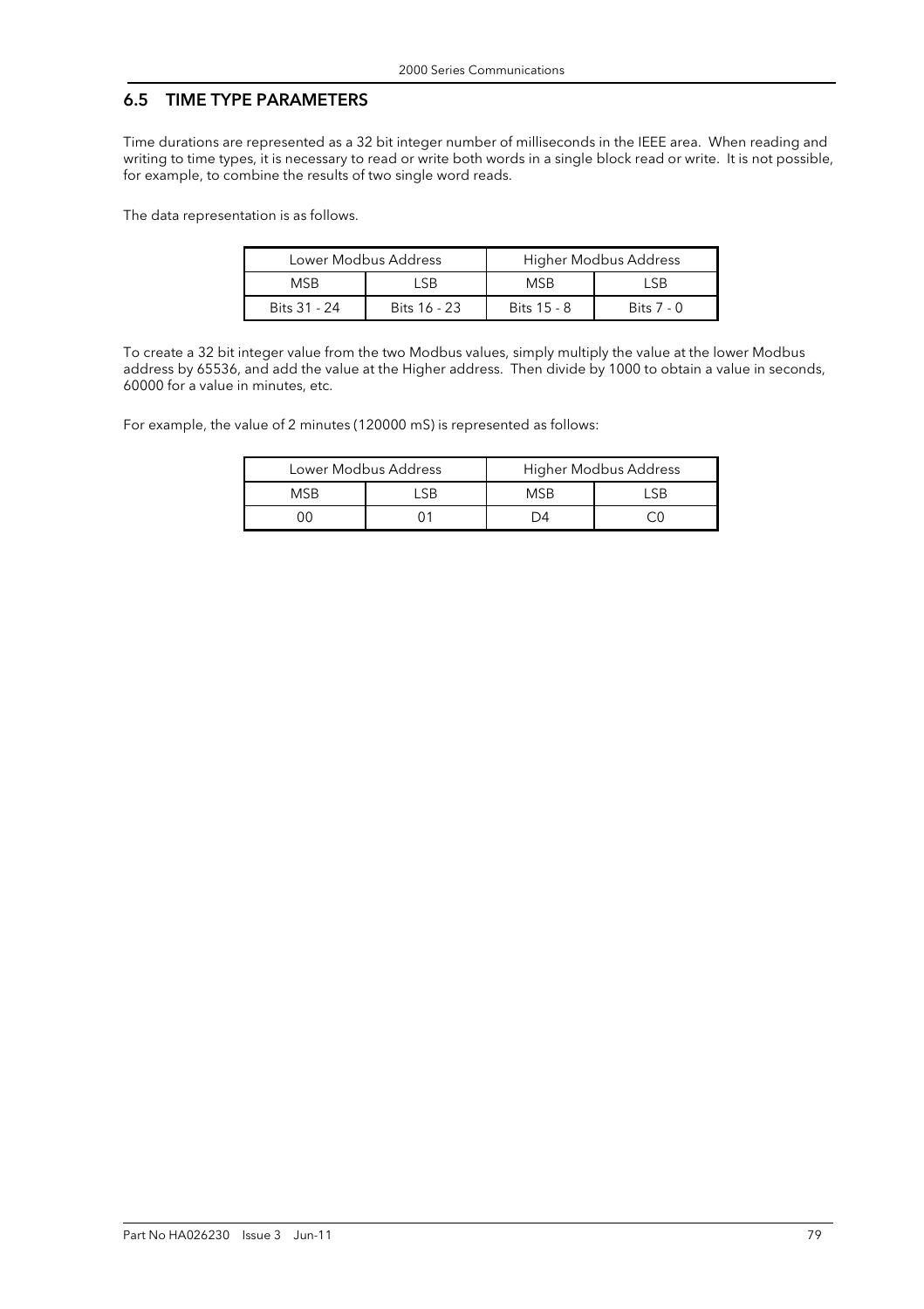#### 6.5 TIME TYPE PARAMETERS

Time durations are represented as a 32 bit integer number of milliseconds in the IEEE area. When reading and writing to time types, it is necessary to read or write both words in a single block read or write. It is not possible, for example, to combine the results of two single word reads.

The data representation is as follows.

|                    | Lower Modbus Address |             | Higher Modbus Address |
|--------------------|----------------------|-------------|-----------------------|
| <b>MSB</b><br>I SB |                      | <b>MSB</b>  | I SB                  |
| Bits 31 - 24       | Bits 16 - 23         | Bits 15 - 8 | Bits $7 - 0$          |

To create a 32 bit integer value from the two Modbus values, simply multiply the value at the lower Modbus address by 65536, and add the value at the Higher address. Then divide by 1000 to obtain a value in seconds, 60000 for a value in minutes, etc.

For example, the value of 2 minutes (120000 mS) is represented as follows:

|            | Lower Modbus Address |      | Higher Modbus Address |
|------------|----------------------|------|-----------------------|
| <b>MSR</b> |                      | MSB. |                       |
|            |                      |      |                       |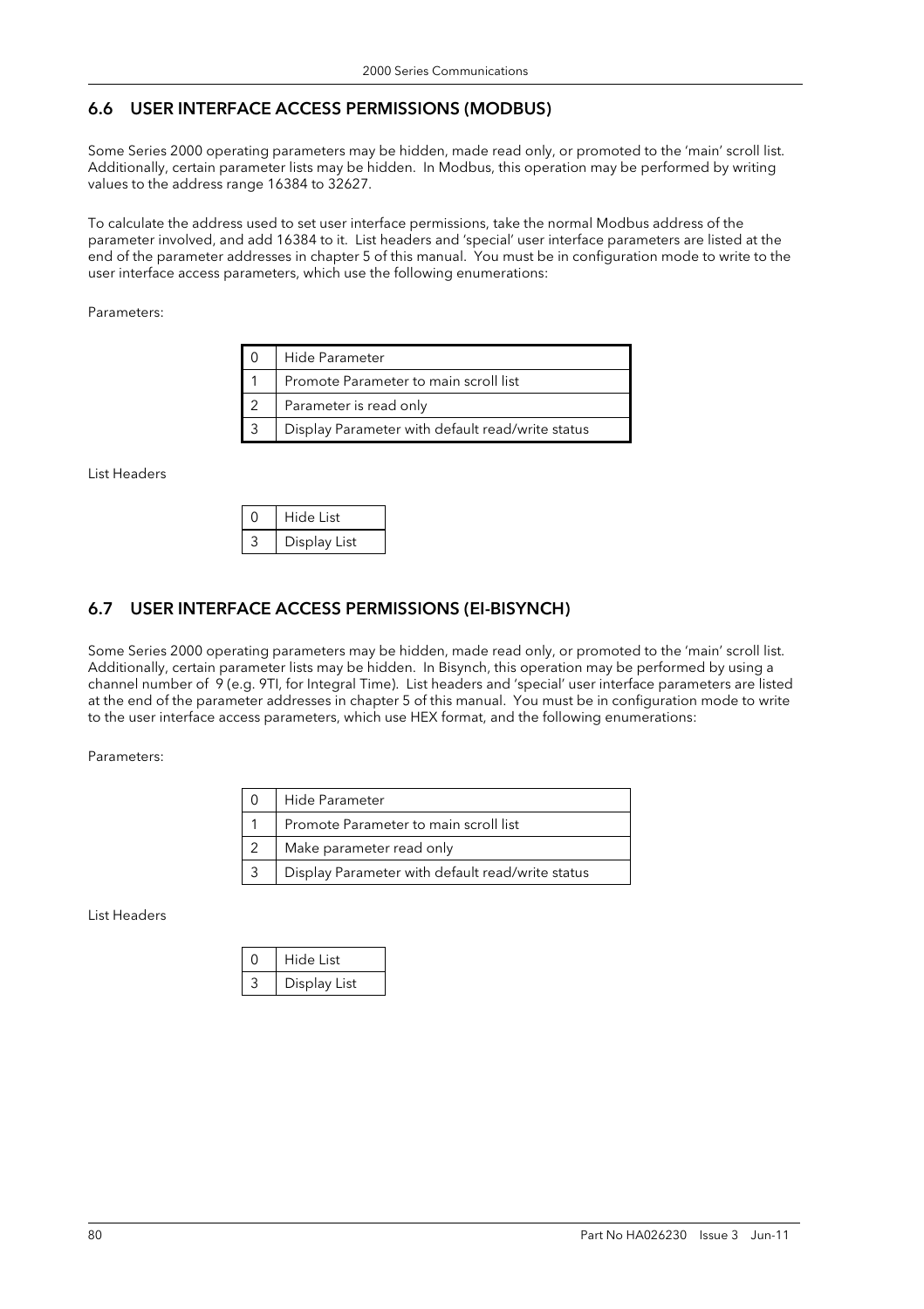# 6.6 USER INTERFACE ACCESS PERMISSIONS (MODBUS)

Some Series 2000 operating parameters may be hidden, made read only, or promoted to the 'main' scroll list. Additionally, certain parameter lists may be hidden. In Modbus, this operation may be performed by writing values to the address range 16384 to 32627.

To calculate the address used to set user interface permissions, take the normal Modbus address of the parameter involved, and add 16384 to it. List headers and 'special' user interface parameters are listed at the end of the parameter addresses in chapter 5 of this manual. You must be in configuration mode to write to the user interface access parameters, which use the following enumerations:

Parameters:

| Hide Parameter                                   |
|--------------------------------------------------|
| Promote Parameter to main scroll list            |
| Parameter is read only                           |
| Display Parameter with default read/write status |

List Headers

| Hide List    |
|--------------|
| Display List |

# 6.7 USER INTERFACE ACCESS PERMISSIONS (EI-BISYNCH)

Some Series 2000 operating parameters may be hidden, made read only, or promoted to the 'main' scroll list. Additionally, certain parameter lists may be hidden. In Bisynch, this operation may be performed by using a channel number of 9 (e.g. 9TI, for Integral Time). List headers and 'special' user interface parameters are listed at the end of the parameter addresses in chapter 5 of this manual. You must be in configuration mode to write to the user interface access parameters, which use HEX format, and the following enumerations:

Parameters:

| Hide Parameter                                   |
|--------------------------------------------------|
| Promote Parameter to main scroll list            |
| Make parameter read only                         |
| Display Parameter with default read/write status |

List Headers

| Hide List    |
|--------------|
| Display List |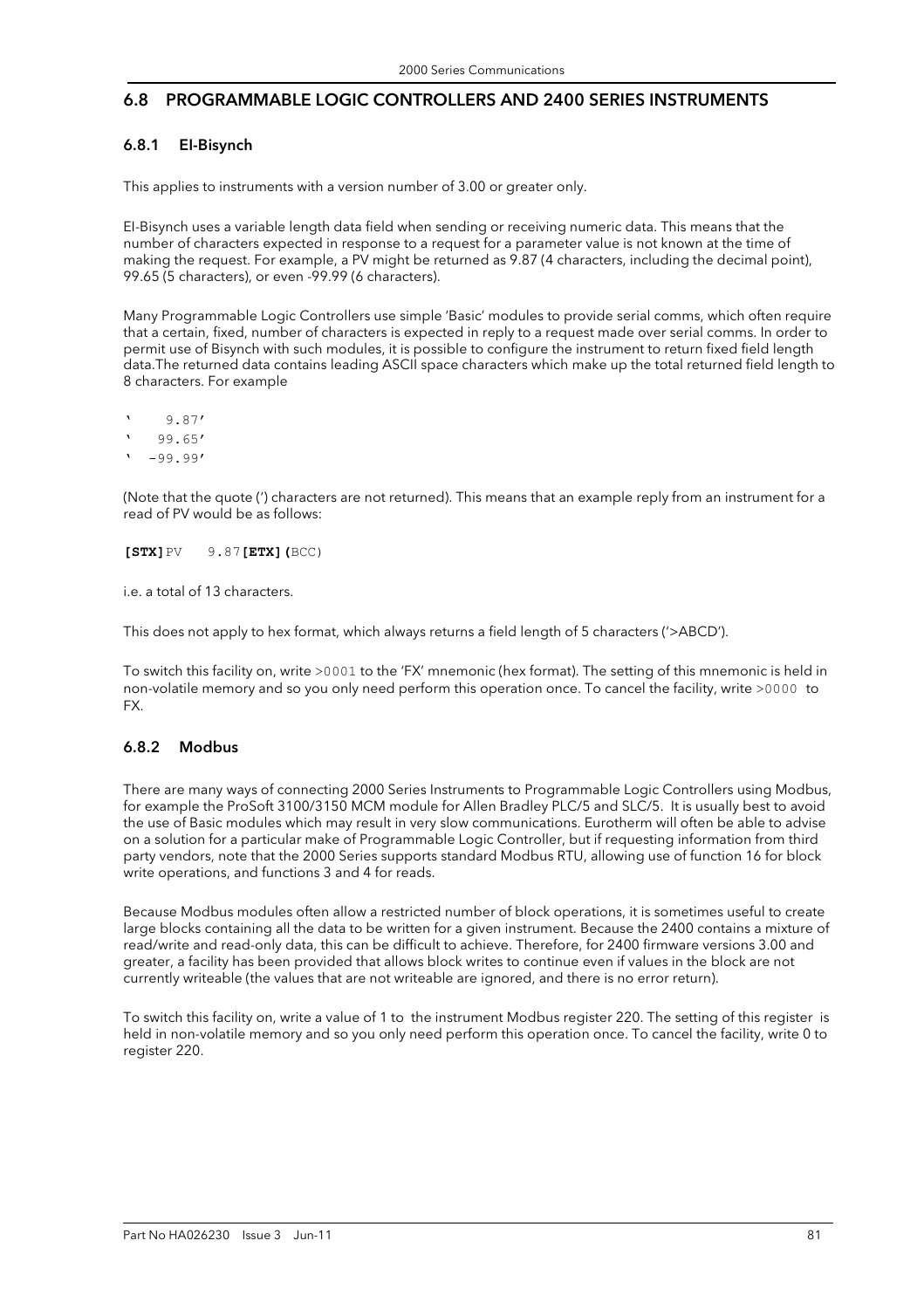#### 6.8 PROGRAMMABLE LOGIC CONTROLLERS AND 2400 SERIES INSTRUMENTS

#### 6.8.1 EI-Bisynch

This applies to instruments with a version number of 3.00 or greater only.

EI-Bisynch uses a variable length data field when sending or receiving numeric data. This means that the number of characters expected in response to a request for a parameter value is not known at the time of making the request. For example, a PV might be returned as 9.87 (4 characters, including the decimal point), 99.65 (5 characters), or even -99.99 (6 characters).

Many Programmable Logic Controllers use simple 'Basic' modules to provide serial comms, which often require that a certain, fixed, number of characters is expected in reply to a request made over serial comms. In order to permit use of Bisynch with such modules, it is possible to configure the instrument to return fixed field length data.The returned data contains leading ASCII space characters which make up the total returned field length to 8 characters. For example

' 9.87' ' 99.65'  $-99.99'$ 

(Note that the quote (') characters are not returned). This means that an example reply from an instrument for a read of PV would be as follows:

**[STX]**PV 9.87**[ETX](**BCC)

i.e. a total of 13 characters.

This does not apply to hex format, which always returns a field length of 5 characters ('>ABCD').

To switch this facility on, write >0001 to the 'FX' mnemonic (hex format). The setting of this mnemonic is held in non-volatile memory and so you only need perform this operation once. To cancel the facility, write >0000 to FX.

#### 6.8.2 Modbus

There are many ways of connecting 2000 Series Instruments to Programmable Logic Controllers using Modbus, for example the ProSoft 3100/3150 MCM module for Allen Bradley PLC/5 and SLC/5. It is usually best to avoid the use of Basic modules which may result in very slow communications. Eurotherm will often be able to advise on a solution for a particular make of Programmable Logic Controller, but if requesting information from third party vendors, note that the 2000 Series supports standard Modbus RTU, allowing use of function 16 for block write operations, and functions 3 and 4 for reads.

Because Modbus modules often allow a restricted number of block operations, it is sometimes useful to create large blocks containing all the data to be written for a given instrument. Because the 2400 contains a mixture of read/write and read-only data, this can be difficult to achieve. Therefore, for 2400 firmware versions 3.00 and greater, a facility has been provided that allows block writes to continue even if values in the block are not currently writeable (the values that are not writeable are ignored, and there is no error return).

To switch this facility on, write a value of 1 to the instrument Modbus register 220. The setting of this register is held in non-volatile memory and so you only need perform this operation once. To cancel the facility, write 0 to register 220.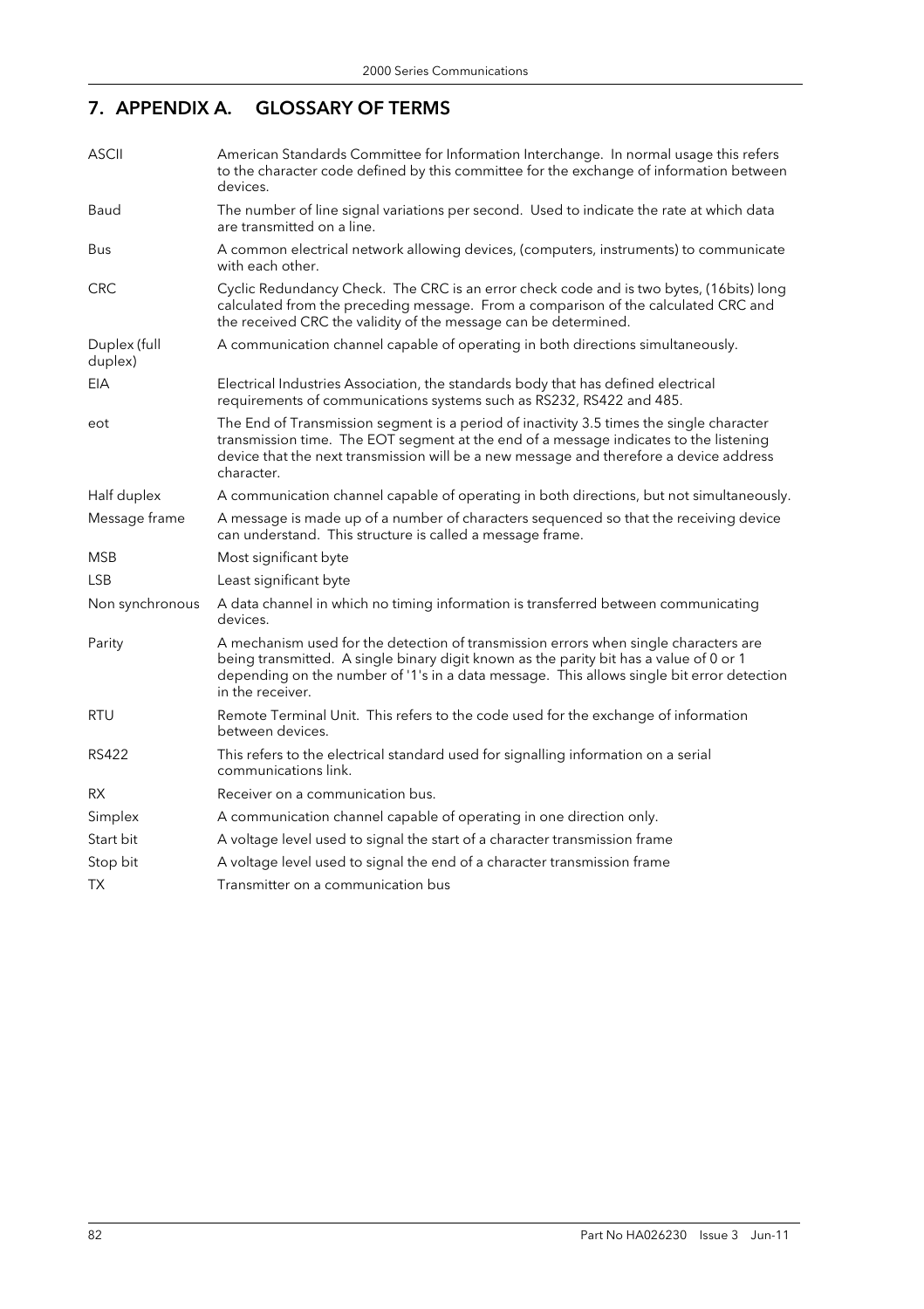# 7. APPENDIX A. GLOSSARY OF TERMS

| <b>ASCII</b>            | American Standards Committee for Information Interchange. In normal usage this refers<br>to the character code defined by this committee for the exchange of information between<br>devices.                                                                                                    |
|-------------------------|-------------------------------------------------------------------------------------------------------------------------------------------------------------------------------------------------------------------------------------------------------------------------------------------------|
| Baud                    | The number of line signal variations per second. Used to indicate the rate at which data<br>are transmitted on a line.                                                                                                                                                                          |
| Bus                     | A common electrical network allowing devices, (computers, instruments) to communicate<br>with each other.                                                                                                                                                                                       |
| <b>CRC</b>              | Cyclic Redundancy Check. The CRC is an error check code and is two bytes, (16bits) long<br>calculated from the preceding message. From a comparison of the calculated CRC and<br>the received CRC the validity of the message can be determined.                                                |
| Duplex (full<br>duplex) | A communication channel capable of operating in both directions simultaneously.                                                                                                                                                                                                                 |
| <b>EIA</b>              | Electrical Industries Association, the standards body that has defined electrical<br>requirements of communications systems such as RS232, RS422 and 485.                                                                                                                                       |
| eot                     | The End of Transmission segment is a period of inactivity 3.5 times the single character<br>transmission time. The EOT segment at the end of a message indicates to the listening<br>device that the next transmission will be a new message and therefore a device address<br>character.       |
| Half duplex             | A communication channel capable of operating in both directions, but not simultaneously.                                                                                                                                                                                                        |
| Message frame           | A message is made up of a number of characters sequenced so that the receiving device<br>can understand. This structure is called a message frame.                                                                                                                                              |
| MSB                     | Most significant byte                                                                                                                                                                                                                                                                           |
| <b>LSB</b>              | Least significant byte                                                                                                                                                                                                                                                                          |
| Non synchronous         | A data channel in which no timing information is transferred between communicating<br>devices.                                                                                                                                                                                                  |
| Parity                  | A mechanism used for the detection of transmission errors when single characters are<br>being transmitted. A single binary digit known as the parity bit has a value of 0 or 1<br>depending on the number of '1's in a data message. This allows single bit error detection<br>in the receiver. |
| <b>RTU</b>              | Remote Terminal Unit. This refers to the code used for the exchange of information<br>between devices.                                                                                                                                                                                          |
| RS422                   | This refers to the electrical standard used for signalling information on a serial<br>communications link.                                                                                                                                                                                      |
| <b>RX</b>               | Receiver on a communication bus.                                                                                                                                                                                                                                                                |
| Simplex                 | A communication channel capable of operating in one direction only.                                                                                                                                                                                                                             |
| Start bit               | A voltage level used to signal the start of a character transmission frame                                                                                                                                                                                                                      |
| Stop bit                | A voltage level used to signal the end of a character transmission frame                                                                                                                                                                                                                        |
| ТX                      | Transmitter on a communication bus                                                                                                                                                                                                                                                              |